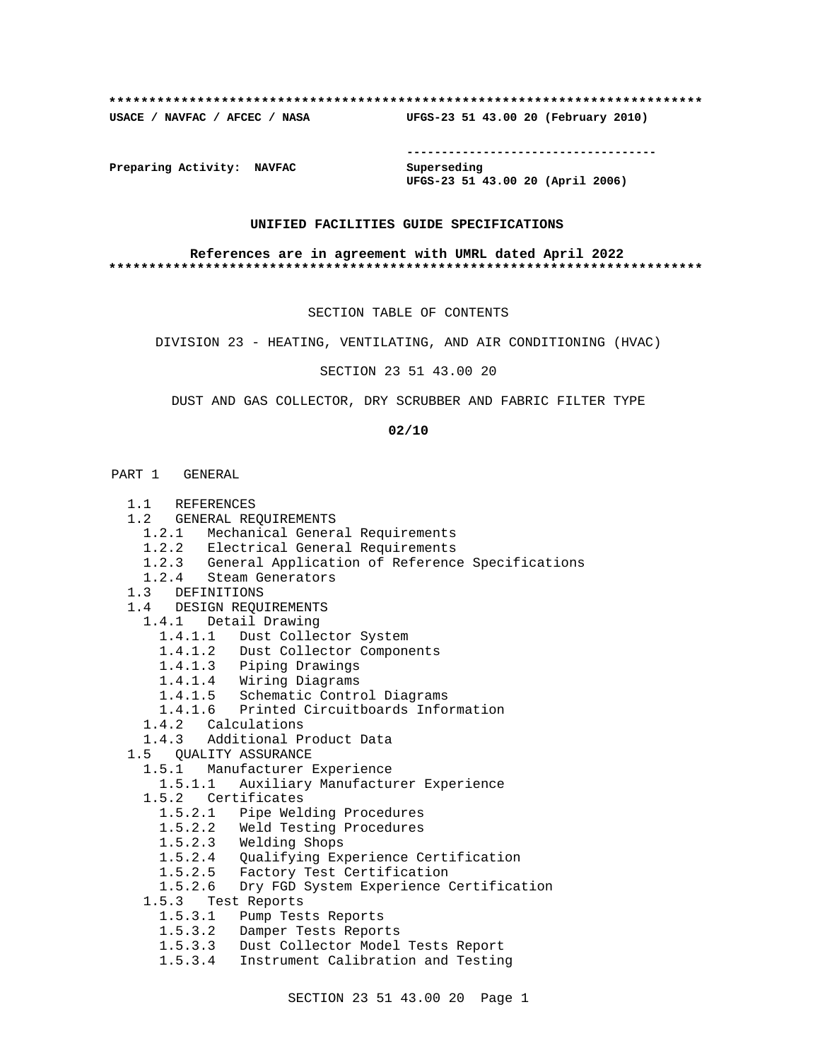#### **\*\*\*\*\*\*\*\*\*\*\*\*\*\*\*\*\*\*\*\*\*\*\*\*\*\*\*\*\*\*\*\*\*\*\*\*\*\*\*\*\*\*\*\*\*\*\*\*\*\*\*\*\*\*\*\*\*\*\*\*\*\*\*\*\*\*\*\*\*\*\*\*\*\***

**USACE / NAVFAC / AFCEC / NASA UFGS-23 51 43.00 20 (February 2010)**

**------------------------------------**

**Preparing Activity: NAVFAC Superseding**

**UFGS-23 51 43.00 20 (April 2006)**

#### **UNIFIED FACILITIES GUIDE SPECIFICATIONS**

#### **References are in agreement with UMRL dated April 2022 \*\*\*\*\*\*\*\*\*\*\*\*\*\*\*\*\*\*\*\*\*\*\*\*\*\*\*\*\*\*\*\*\*\*\*\*\*\*\*\*\*\*\*\*\*\*\*\*\*\*\*\*\*\*\*\*\*\*\*\*\*\*\*\*\*\*\*\*\*\*\*\*\*\***

#### SECTION TABLE OF CONTENTS

DIVISION 23 - HEATING, VENTILATING, AND AIR CONDITIONING (HVAC)

#### SECTION 23 51 43.00 20

DUST AND GAS COLLECTOR, DRY SCRUBBER AND FABRIC FILTER TYPE

#### **02/10**

- PART 1 GENERAL
	- 1.1 REFERENCES
	- 1.2 GENERAL REQUIREMENTS
		- 1.2.1 Mechanical General Requirements
		- 1.2.2 Electrical General Requirements
		- 1.2.3 General Application of Reference Specifications
		- 1.2.4 Steam Generators
	- 1.3 DEFINITIONS
	- 1.4 DESIGN REQUIREMENTS
	- 1.4.1 Detail Drawing
		- 1.4.1.1 Dust Collector System
		- 1.4.1.2 Dust Collector Components
		- 1.4.1.3 Piping Drawings
		- 1.4.1.4 Wiring Diagrams
		- 1.4.1.5 Schematic Control Diagrams
		- 1.4.1.6 Printed Circuitboards Information
		- 1.4.2 Calculations
	- 1.4.3 Additional Product Data
	- 1.5 QUALITY ASSURANCE
		- 1.5.1 Manufacturer Experience
			- 1.5.1.1 Auxiliary Manufacturer Experience
		- 1.5.2 Certificates
			- 1.5.2.1 Pipe Welding Procedures
			- 1.5.2.2 Weld Testing Procedures
			- 1.5.2.3 Welding Shops
			- 1.5.2.4 Qualifying Experience Certification
			- 1.5.2.5 Factory Test Certification
			- 1.5.2.6 Dry FGD System Experience Certification
		- 1.5.3 Test Reports
			- 1.5.3.1 Pump Tests Reports
			- 1.5.3.2 Damper Tests Reports
			- 1.5.3.3 Dust Collector Model Tests Report
			- 1.5.3.4 Instrument Calibration and Testing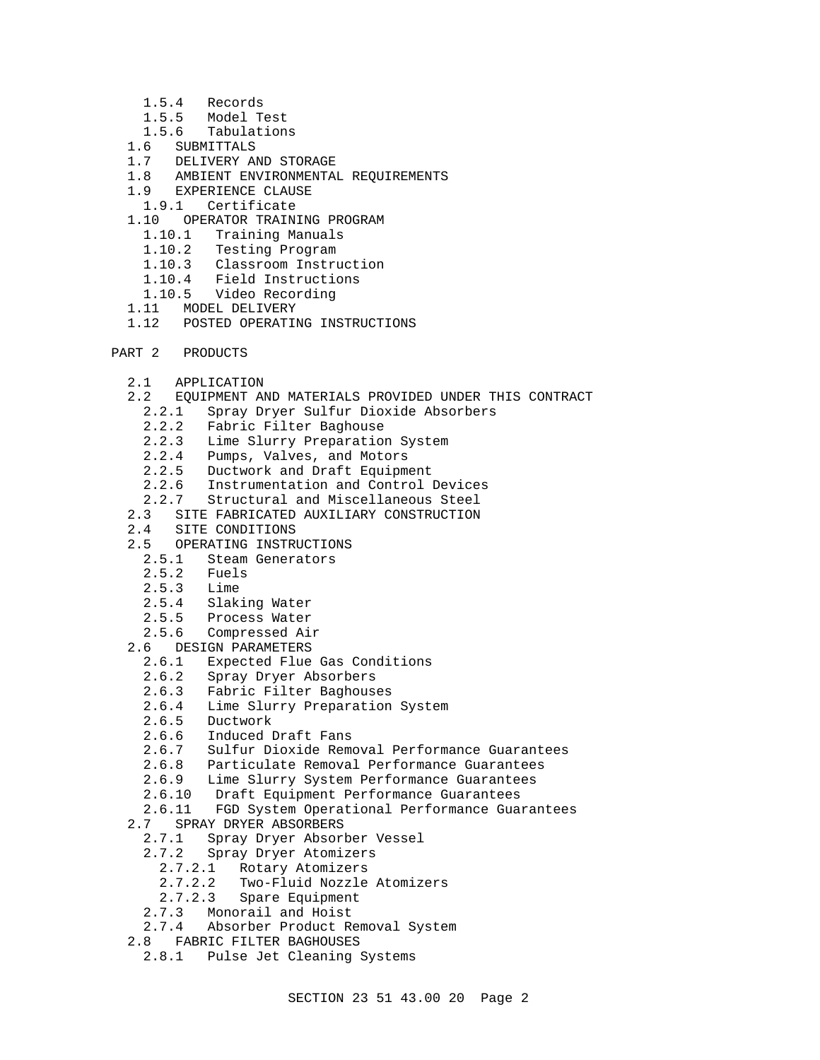- 1.5.4 Records
- 1.5.5 Model Test
- 1.5.6 Tabulations
- 1.6 SUBMITTALS<br>1.7 DELIVERY A
- DELIVERY AND STORAGE
- 1.8 AMBIENT ENVIRONMENTAL REQUIREMENTS
- 1.9 EXPERIENCE CLAUSE
	- 1.9.1 Certificate
	- 1.10 OPERATOR TRAINING PROGRAM
		- 1.10.1 Training Manuals
		- 1.10.2 Testing Program
		- 1.10.3 Classroom Instruction
		- 1.10.4 Field Instructions
		- 1.10.5 Video Recording
	- 1.11 MODEL DELIVERY<br>1.12 POSTED OPERATII
	- 1.12 POSTED OPERATING INSTRUCTIONS
- PART 2 PRODUCTS
	- 2.1 APPLICATION
	- 2.2 EQUIPMENT AND MATERIALS PROVIDED UNDER THIS CONTRACT
		- 2.2.1 Spray Dryer Sulfur Dioxide Absorbers
		- 2.2.2 Fabric Filter Baghouse
		- 2.2.3 Lime Slurry Preparation System
		- 2.2.4 Pumps, Valves, and Motors
		- 2.2.5 Ductwork and Draft Equipment
		- Instrumentation and Control Devices
		- 2.2.7 Structural and Miscellaneous Steel
	- 2.3 SITE FABRICATED AUXILIARY CONSTRUCTION
	- 2.4 SITE CONDITIONS
	- 2.5 OPERATING INSTRUCTIONS
		- 2.5.1 Steam Generators
		- Fuels
		- 2.5.3 Lime
		- 2.5.4 Slaking Water
		- 2.5.5 Process Water
		- 2.5.6 Compressed Air
	- 2.6 DESIGN PARAMETERS
		- 2.6.1 Expected Flue Gas Conditions
		- 2.6.2 Spray Dryer Absorbers
		- 2.6.3 Fabric Filter Baghouses
		- 2.6.4 Lime Slurry Preparation System
		- 2.6.5 Ductwork
		- 2.6.6 Induced Draft Fans<br>2.6.7 Sulfur Dioxide Rem
		- Sulfur Dioxide Removal Performance Guarantees
		- 2.6.8 Particulate Removal Performance Guarantees
		- 2.6.9 Lime Slurry System Performance Guarantees
		- 2.6.10 Draft Equipment Performance Guarantees
		- 2.6.11 FGD System Operational Performance Guarantees
	- 2.7 SPRAY DRYER ABSORBERS<br>2.7.1 Spray Dryer Absor
		- Spray Dryer Absorber Vessel
		- 2.7.2 Spray Dryer Atomizers
			- 2.7.2.1 Rotary Atomizers
			- 2.7.2.2 Two-Fluid Nozzle Atomizers
			- 2.7.2.3 Spare Equipment
		- 2.7.3 Monorail and Hoist
	- 2.7.4 Absorber Product Removal System
	- 2.8 FABRIC FILTER BAGHOUSES
		- 2.8.1 Pulse Jet Cleaning Systems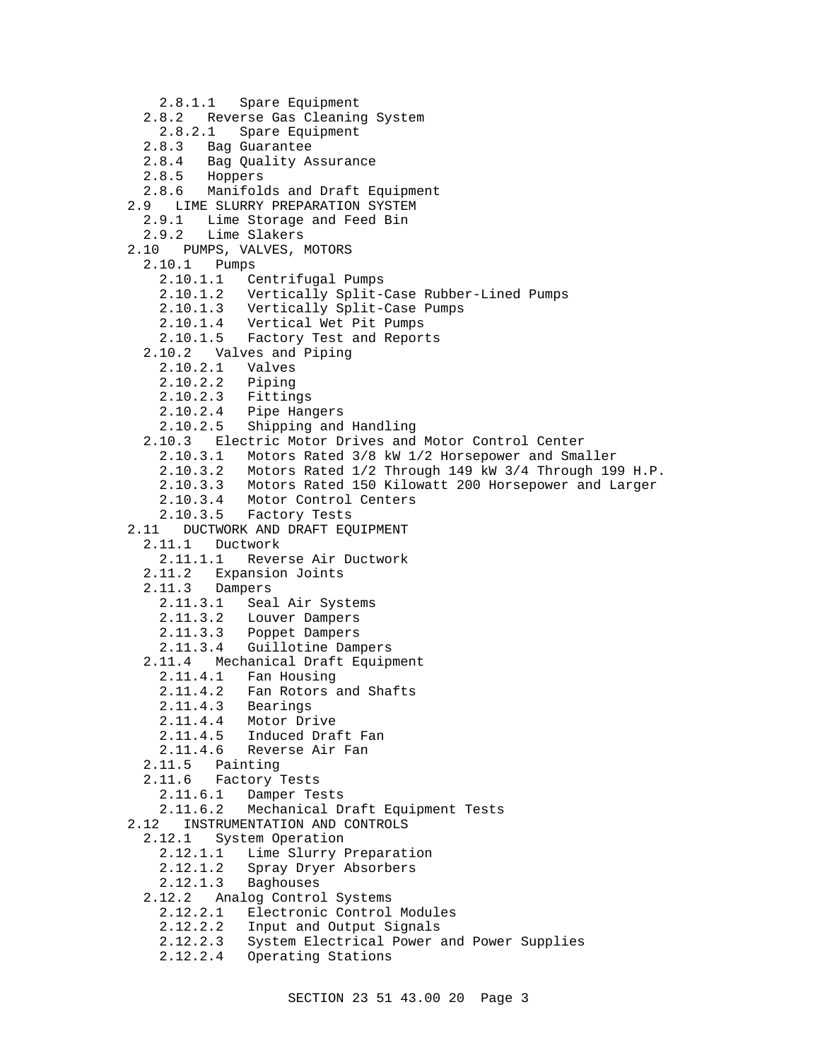2.8.1.1 Spare Equipment 2.8.2 Reverse Gas Cleaning System 2.8.2.1 Spare Equipment 2.8.3 Bag Guarantee 2.8.4 Bag Quality Assurance 2.8.5 Hoppers 2.8.6 Manifolds and Draft Equipment 2.9 LIME SLURRY PREPARATION SYSTEM 2.9.1 Lime Storage and Feed Bin 2.9.2 Lime Slakers 2.10 PUMPS, VALVES, MOTORS 2.10.1 Pumps 2.10.1.1 Centrifugal Pumps 2.10.1.2 Vertically Split-Case Rubber-Lined Pumps 2.10.1.3 Vertically Split-Case Pumps 2.10.1.4 Vertical Wet Pit Pumps 2.10.1.5 Factory Test and Reports 2.10.2 Valves and Piping 2.10.2.1 Valves 2.10.2.2 Piping 2.10.2.3 Fittings 2.10.2.4 Pipe Hangers 2.10.2.5 Shipping and Handling 2.10.3 Electric Motor Drives and Motor Control Center 2.10.3.1 Motors Rated 3/8 kW 1/2 Horsepower and Smaller 2.10.3.2 Motors Rated 1/2 Through 149 kW 3/4 Through 199 H.P. 2.10.3.3 Motors Rated 150 Kilowatt 200 Horsepower and Larger 2.10.3.4 Motor Control Centers 2.10.3.5 Factory Tests 2.11 DUCTWORK AND DRAFT EQUIPMENT 2.11.1 Ductwork 2.11.1.1 Reverse Air Ductwork 2.11.2 Expansion Joints 2.11.3 Dampers 2.11.3.1 Seal Air Systems 2.11.3.2 Louver Dampers 2.11.3.3 Poppet Dampers 2.11.3.4 Guillotine Dampers 2.11.4 Mechanical Draft Equipment 2.11.4.1 Fan Housing 2.11.4.2 Fan Rotors and Shafts 2.11.4.3 Bearings 2.11.4.4 Motor Drive 2.11.4.5 Induced Draft Fan 2.11.4.6 Reverse Air Fan 2.11.5 Painting 2.11.6 Factory Tests 2.11.6.1 Damper Tests 2.11.6.2 Mechanical Draft Equipment Tests 2.12 INSTRUMENTATION AND CONTROLS 2.12.1 System Operation 2.12.1.1 Lime Slurry Preparation 2.12.1.2 Spray Dryer Absorbers 2.12.1.3 Baghouses 2.12.2 Analog Control Systems 2.12.2.1 Electronic Control Modules 2.12.2.2 Input and Output Signals 2.12.2.3 System Electrical Power and Power Supplies 2.12.2.4 Operating Stations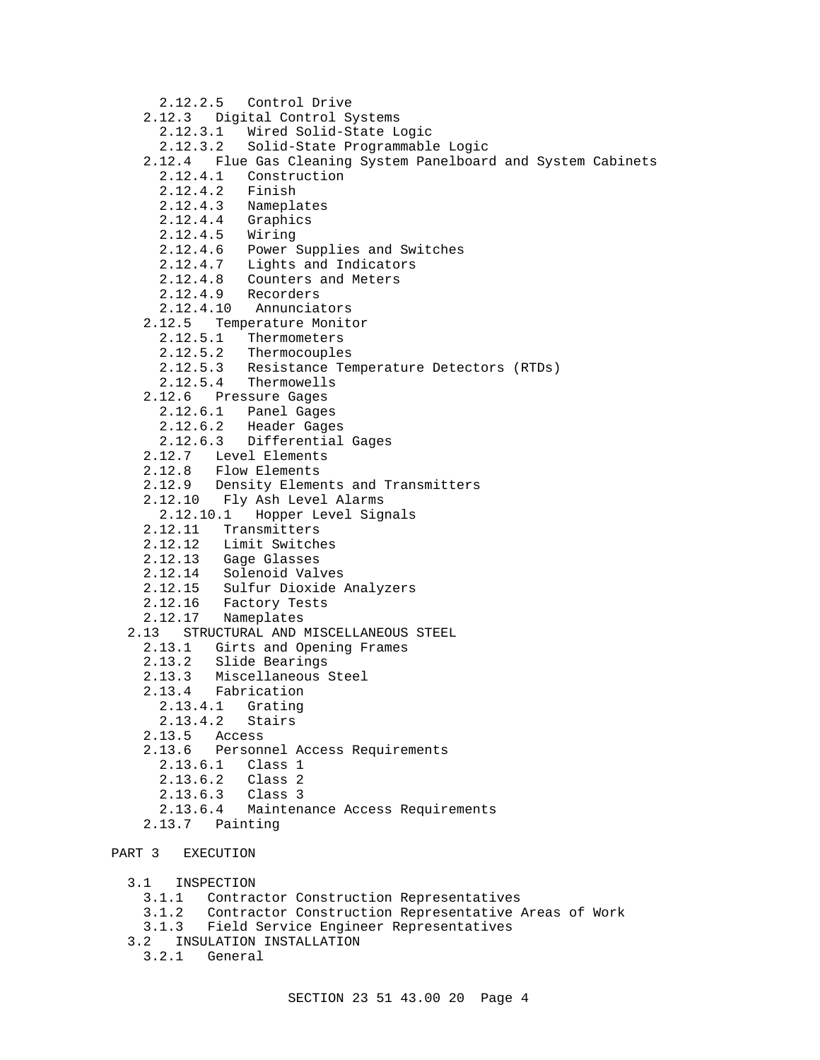```
 2.12.2.5 Control Drive
     2.12.3 Digital Control Systems
       2.12.3.1 Wired Solid-State Logic
       2.12.3.2 Solid-State Programmable Logic
     2.12.4 Flue Gas Cleaning System Panelboard and System Cabinets
 2.12.4.1 Construction
 2.12.4.2 Finish
       2.12.4.3 Nameplates
       2.12.4.4 Graphics
      2.12.4.5 Wiring
      2.12.4.6 Power Supplies and Switches
      2.12.4.7 Lights and Indicators
      2.12.4.8 Counters and Meters
      2.12.4.9 Recorders
       2.12.4.10 Annunciators
     2.12.5 Temperature Monitor
       2.12.5.1 Thermometers
       2.12.5.2 Thermocouples
       2.12.5.3 Resistance Temperature Detectors (RTDs)
       2.12.5.4 Thermowells
     2.12.6 Pressure Gages
      2.12.6.1 Panel Gages
       2.12.6.2 Header Gages
       2.12.6.3 Differential Gages
     2.12.7 Level Elements
    2.12.8 Flow Elements
    2.12.9 Density Elements and Transmitters
     2.12.10 Fly Ash Level Alarms
       2.12.10.1 Hopper Level Signals
 2.12.11 Transmitters
 2.12.12 Limit Switches
     2.12.13 Gage Glasses
    2.12.14 Solenoid Valves
    2.12.15 Sulfur Dioxide Analyzers
    2.12.16 Factory Tests
    2.12.17 Nameplates
   2.13 STRUCTURAL AND MISCELLANEOUS STEEL
    2.13.1 Girts and Opening Frames
    2.13.2 Slide Bearings
    2.13.3 Miscellaneous Steel
    2.13.4 Fabrication
      2.13.4.1 Grating<br>2.13.4.2 Stairs
      2.13.4.2 2.13.5 Access
     2.13.6 Personnel Access Requirements
       2.13.6.1 Class 1
       2.13.6.2 Class 2
       2.13.6.3 Class 3
       2.13.6.4 Maintenance Access Requirements
     2.13.7 Painting
PART 3 EXECUTION
   3.1 INSPECTION
     3.1.1 Contractor Construction Representatives
     3.1.2 Contractor Construction Representative Areas of Work
     3.1.3 Field Service Engineer Representatives
   3.2 INSULATION INSTALLATION
     3.2.1 General
```
SECTION 23 51 43.00 20 Page 4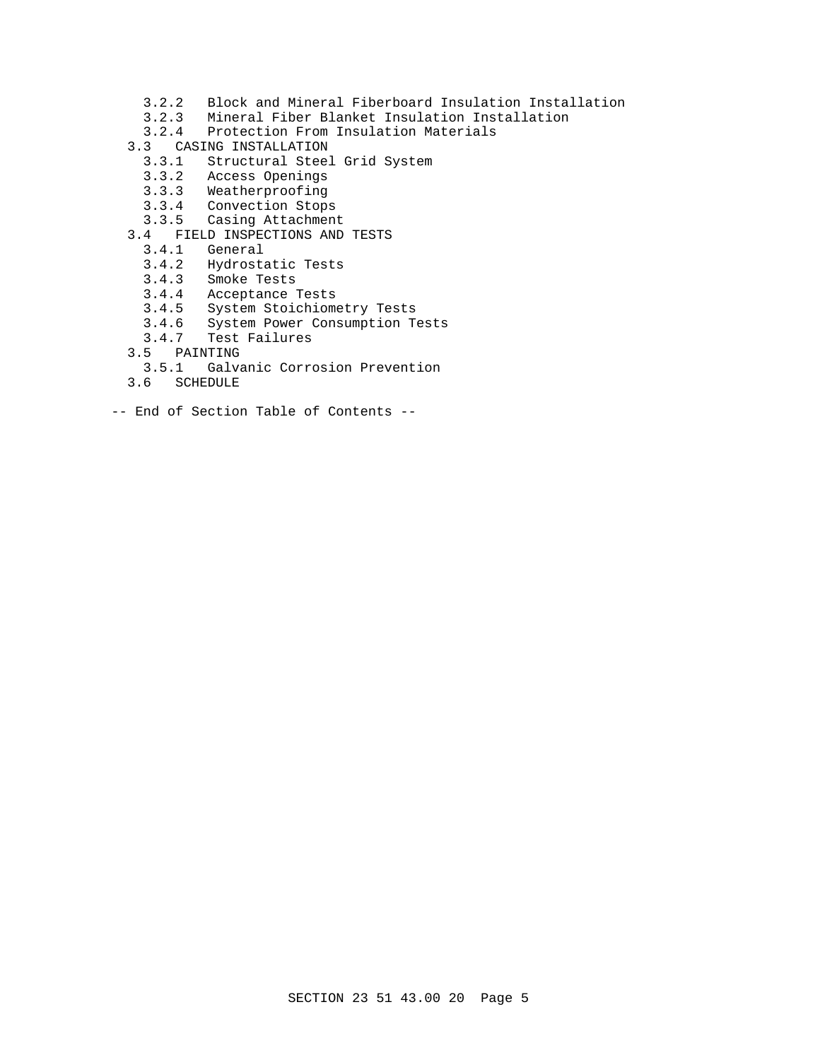- 3.2.2 Block and Mineral Fiberboard Insulation Installation
- 3.2.3 Mineral Fiber Blanket Insulation Installation
- 3.2.4 Protection From Insulation Materials
- 3.3 CASING INSTALLATION
	- 3.3.1 Structural Steel Grid System
- 3.3.2 Access Openings
- 3.3.3 Weatherproofing
	- 3.3.4 Convection Stops
	- 3.3.5 Casing Attachment
	- 3.4 FIELD INSPECTIONS AND TESTS
		- 3.4.1 General
		- 3.4.2 Hydrostatic Tests
		- 3.4.3 Smoke Tests
		-
		- 3.4.4 Acceptance Tests System Stoichiometry Tests
		- 3.4.6 System Power Consumption Tests
		- 3.4.7 Test Failures
	- 3.5 PAINTING
		- 3.5.1 Galvanic Corrosion Prevention
	- 3.6 SCHEDULE
- -- End of Section Table of Contents --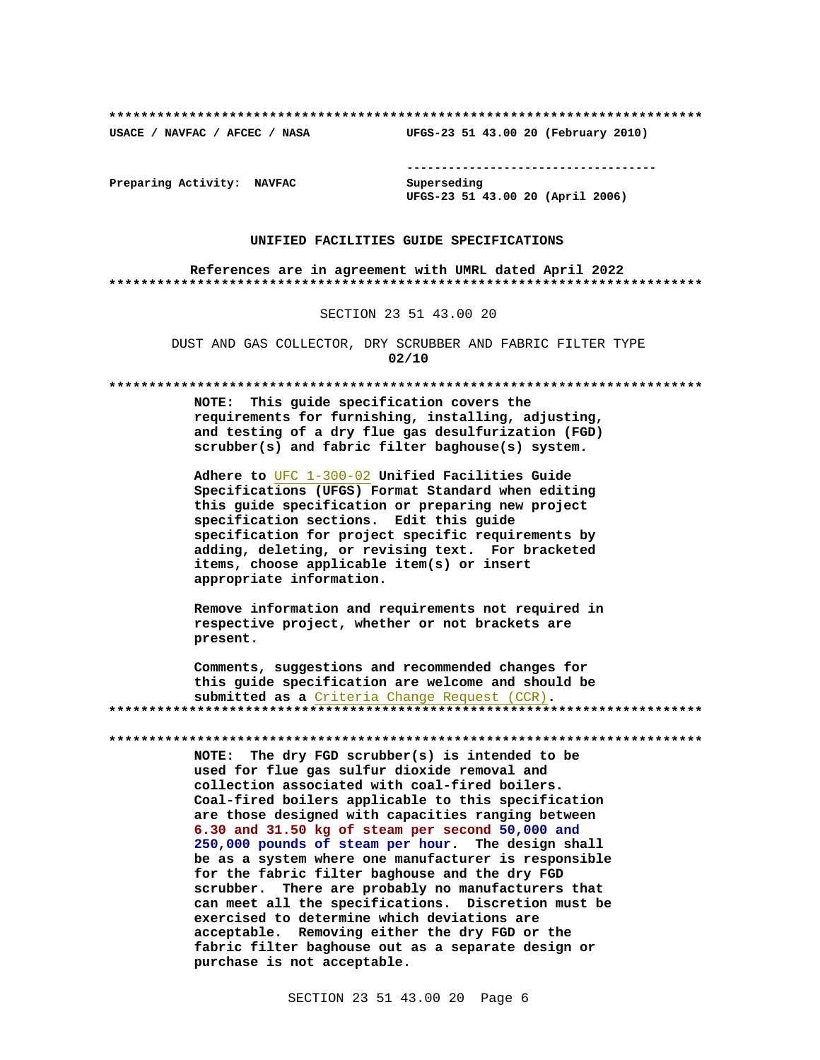USACE / NAVFAC / AFCEC / NASA

--------------------------------------

Preparing Activity: NAVFAC

Superseding UFGS-23 51 43.00 20 (April 2006)

UFGS-23 51 43.00 20 (February 2010)

#### UNIFIED FACILITIES GUIDE SPECIFICATIONS

References are in agreement with UMRL dated April 2022 

SECTION 23 51 43.00 20

DUST AND GAS COLLECTOR, DRY SCRUBBER AND FABRIC FILTER TYPE  $02/10$ 

NOTE: This quide specification covers the requirements for furnishing, installing, adjusting, and testing of a dry flue gas desulfurization (FGD) scrubber(s) and fabric filter baghouse(s) system.

Adhere to UFC 1-300-02 Unified Facilities Guide Specifications (UFGS) Format Standard when editing this guide specification or preparing new project specification sections. Edit this guide specification for project specific requirements by adding, deleting, or revising text. For bracketed items, choose applicable item(s) or insert appropriate information.

Remove information and requirements not required in respective project, whether or not brackets are present.

Comments, suggestions and recommended changes for this guide specification are welcome and should be submitted as a Criteria Change Request (CCR). 

NOTE: The dry FGD scrubber(s) is intended to be used for flue gas sulfur dioxide removal and collection associated with coal-fired boilers. Coal-fired boilers applicable to this specification are those designed with capacities ranging between 6.30 and 31.50 kg of steam per second 50,000 and 250,000 pounds of steam per hour. The design shall be as a system where one manufacturer is responsible for the fabric filter baghouse and the dry FGD scrubber. There are probably no manufacturers that can meet all the specifications. Discretion must be exercised to determine which deviations are acceptable. Removing either the dry FGD or the fabric filter baghouse out as a separate design or purchase is not acceptable.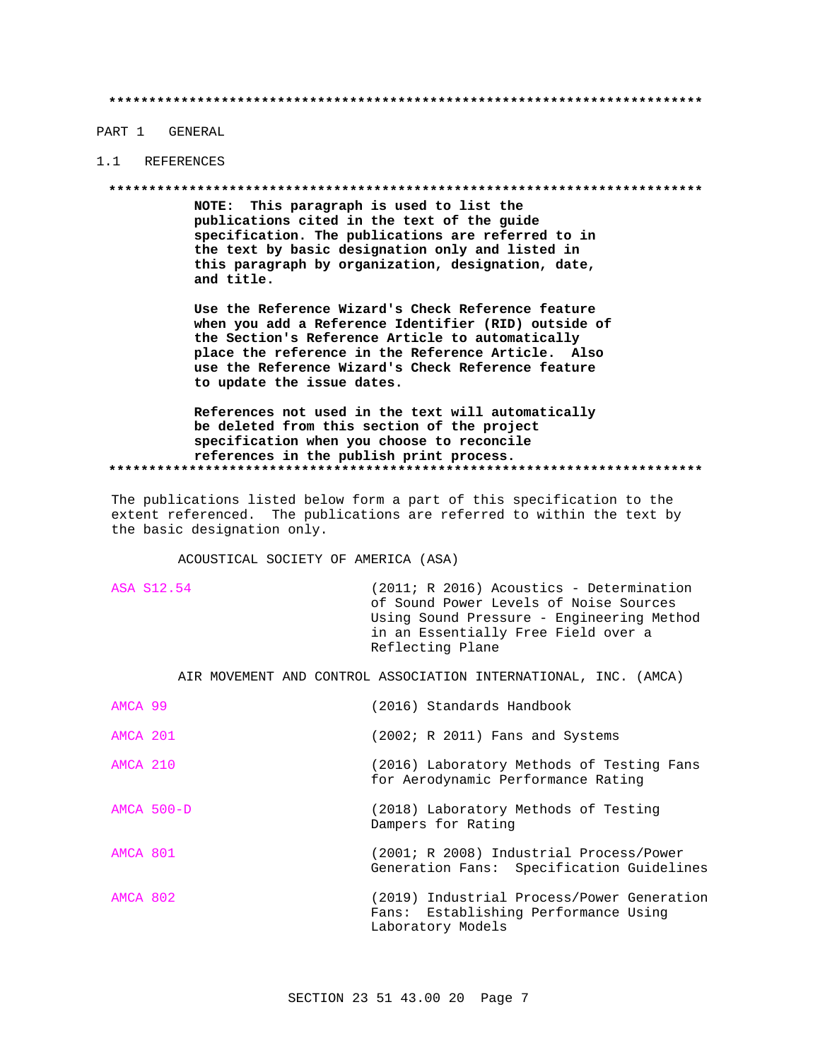# PART 1 GENERAL

# 1.1 REFERENCES

#### 

NOTE: This paragraph is used to list the publications cited in the text of the guide specification. The publications are referred to in the text by basic designation only and listed in this paragraph by organization, designation, date, and title.

Use the Reference Wizard's Check Reference feature when you add a Reference Identifier (RID) outside of the Section's Reference Article to automatically place the reference in the Reference Article. Also use the Reference Wizard's Check Reference feature to update the issue dates.

References not used in the text will automatically be deleted from this section of the project specification when you choose to reconcile references in the publish print process. 

The publications listed below form a part of this specification to the extent referenced. The publications are referred to within the text by the basic designation only.

ACOUSTICAL SOCIETY OF AMERICA (ASA)

ASA S12.54

(2011; R 2016) Acoustics - Determination of Sound Power Levels of Noise Sources Using Sound Pressure - Engineering Method in an Essentially Free Field over a Reflecting Plane

AIR MOVEMENT AND CONTROL ASSOCIATION INTERNATIONAL, INC. (AMCA)

| AMCA 99      | (2016) Standards Handbook                                                                               |
|--------------|---------------------------------------------------------------------------------------------------------|
| AMCA 201     | $(2002; R 2011)$ Fans and Systems                                                                       |
| AMCA 210     | (2016) Laboratory Methods of Testing Fans<br>for Aerodynamic Performance Rating                         |
| $AMCA 500-D$ | (2018) Laboratory Methods of Testing<br>Dampers for Rating                                              |
| AMCA 801     | (2001; R 2008) Industrial Process/Power<br>Generation Fans: Specification Guidelines                    |
| AMCA 802     | (2019) Industrial Process/Power Generation<br>Fans: Establishing Performance Using<br>Laboratory Models |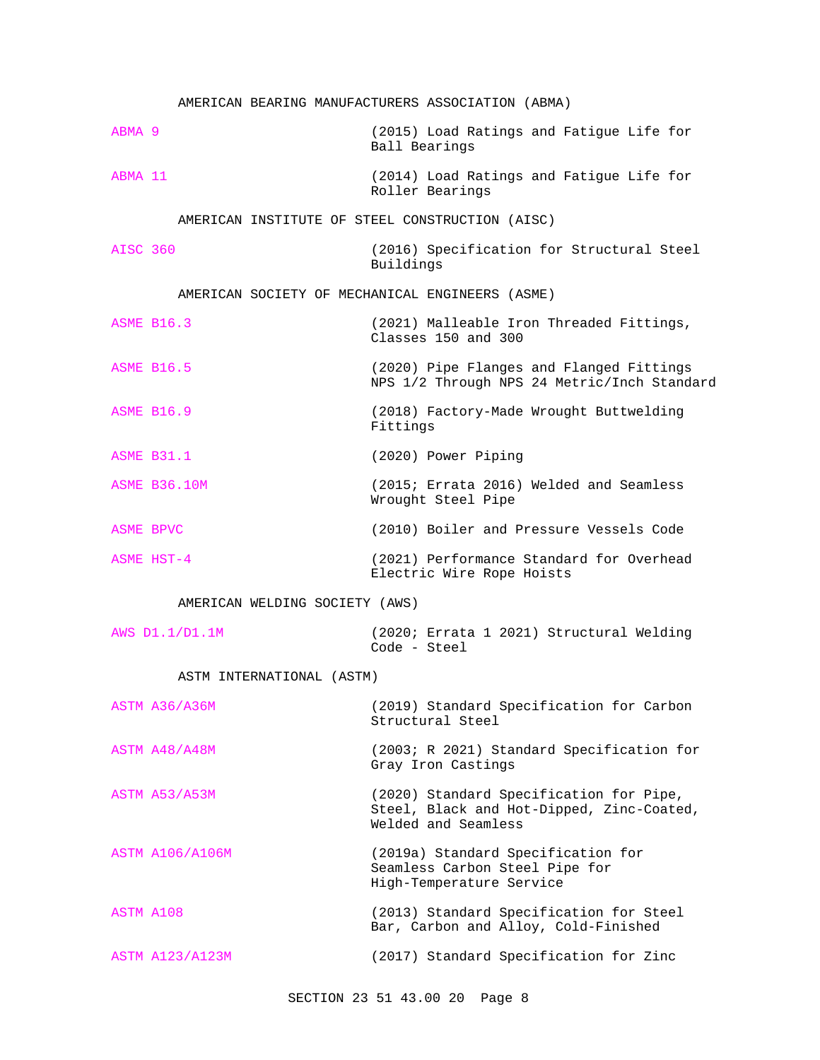|  | AMERICAN BEARING MANUFACTURERS ASSOCIATION (ABMA) |  |
|--|---------------------------------------------------|--|
|  |                                                   |  |

| ABMA 9  | (2015) Load Ratings and Fatique Life for<br>Ball Bearings |
|---------|-----------------------------------------------------------|
| ARMA 11 | (2014) Load Ratings and Fatique Life for                  |

Roller Bearings

AMERICAN INSTITUTE OF STEEL CONSTRUCTION (AISC)

| AISC 360 | (2016) Specification for Structural Steel<br>Buildings |
|----------|--------------------------------------------------------|
|          |                                                        |

AMERICAN SOCIETY OF MECHANICAL ENGINEERS (ASME)

|                  | <b>ASME B16.3</b>              | (2021) Malleable Iron Threaded Fittings,<br>Classes 150 and 300                         |
|------------------|--------------------------------|-----------------------------------------------------------------------------------------|
|                  | <b>ASME B16.5</b>              | (2020) Pipe Flanges and Flanged Fittings<br>NPS 1/2 Through NPS 24 Metric/Inch Standard |
|                  | <b>ASME B16.9</b>              | (2018) Factory-Made Wrought Buttwelding<br>Fittings                                     |
|                  | <b>ASME B31.1</b>              | (2020) Power Piping                                                                     |
|                  | <b>ASME B36.10M</b>            | (2015; Errata 2016) Welded and Seamless<br>Wrought Steel Pipe                           |
| <b>ASME BPVC</b> |                                | (2010) Boiler and Pressure Vessels Code                                                 |
|                  | ASME HST-4                     | (2021) Performance Standard for Overhead<br>Electric Wire Rope Hoists                   |
|                  | AMERICAN WELDING SOCIETY (AWS) |                                                                                         |

| AWS D1.1/D1.1M |              |  | (2020; Errata 1 2021) Structural Welding |  |
|----------------|--------------|--|------------------------------------------|--|
|                | Code - Steel |  |                                          |  |

# ASTM INTERNATIONAL (ASTM)

| ASTM A36/A36M          | (2019) Standard Specification for Carbon<br>Structural Steel                                                |
|------------------------|-------------------------------------------------------------------------------------------------------------|
| ASTM A48/A48M          | (2003; R 2021) Standard Specification for<br>Gray Iron Castings                                             |
| ASTM A53/A53M          | (2020) Standard Specification for Pipe,<br>Steel, Black and Hot-Dipped, Zinc-Coated,<br>Welded and Seamless |
| <b>ASTM A106/A106M</b> | (2019a) Standard Specification for<br>Seamless Carbon Steel Pipe for<br>High-Temperature Service            |
| ASTM A108              | (2013) Standard Specification for Steel<br>Bar, Carbon and Alloy, Cold-Finished                             |
| <b>ASTM A123/A123M</b> | (2017) Standard Specification for Zinc                                                                      |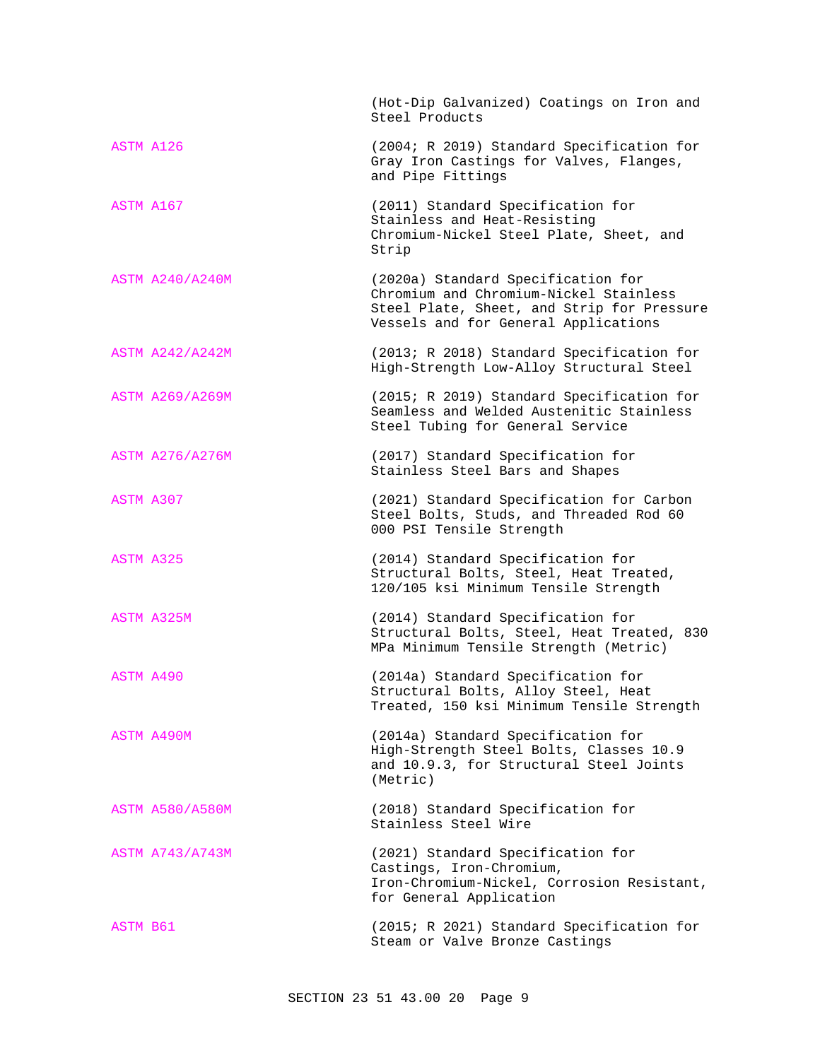|                        | (Hot-Dip Galvanized) Coatings on Iron and<br>Steel Products                                                                                                        |
|------------------------|--------------------------------------------------------------------------------------------------------------------------------------------------------------------|
| ASTM A126              | (2004; R 2019) Standard Specification for<br>Gray Iron Castings for Valves, Flanges,<br>and Pipe Fittings                                                          |
| ASTM A167              | (2011) Standard Specification for<br>Stainless and Heat-Resisting<br>Chromium-Nickel Steel Plate, Sheet, and<br>Strip                                              |
| <b>ASTM A240/A240M</b> | (2020a) Standard Specification for<br>Chromium and Chromium-Nickel Stainless<br>Steel Plate, Sheet, and Strip for Pressure<br>Vessels and for General Applications |
| <b>ASTM A242/A242M</b> | (2013; R 2018) Standard Specification for<br>High-Strength Low-Alloy Structural Steel                                                                              |
| <b>ASTM A269/A269M</b> | (2015; R 2019) Standard Specification for<br>Seamless and Welded Austenitic Stainless<br>Steel Tubing for General Service                                          |
| <b>ASTM A276/A276M</b> | (2017) Standard Specification for<br>Stainless Steel Bars and Shapes                                                                                               |
| ASTM A307              | (2021) Standard Specification for Carbon<br>Steel Bolts, Studs, and Threaded Rod 60<br>000 PSI Tensile Strength                                                    |
| <b>ASTM A325</b>       | (2014) Standard Specification for<br>Structural Bolts, Steel, Heat Treated,<br>120/105 ksi Minimum Tensile Strength                                                |
| ASTM A325M             | (2014) Standard Specification for<br>Structural Bolts, Steel, Heat Treated, 830<br>MPa Minimum Tensile Strength (Metric)                                           |
| <b>ASTM A490</b>       | (2014a) Standard Specification for<br>Structural Bolts, Alloy Steel, Heat<br>Treated, 150 ksi Minimum Tensile Strength                                             |
| ASTM A490M             | (2014a) Standard Specification for<br>High-Strength Steel Bolts, Classes 10.9<br>and 10.9.3, for Structural Steel Joints<br>(Metric)                               |
| <b>ASTM A580/A580M</b> | (2018) Standard Specification for<br>Stainless Steel Wire                                                                                                          |
| ASTM A743/A743M        | (2021) Standard Specification for<br>Castings, Iron-Chromium,<br>Iron-Chromium-Nickel, Corrosion Resistant,<br>for General Application                             |
| ASTM B61               | (2015; R 2021) Standard Specification for<br>Steam or Valve Bronze Castings                                                                                        |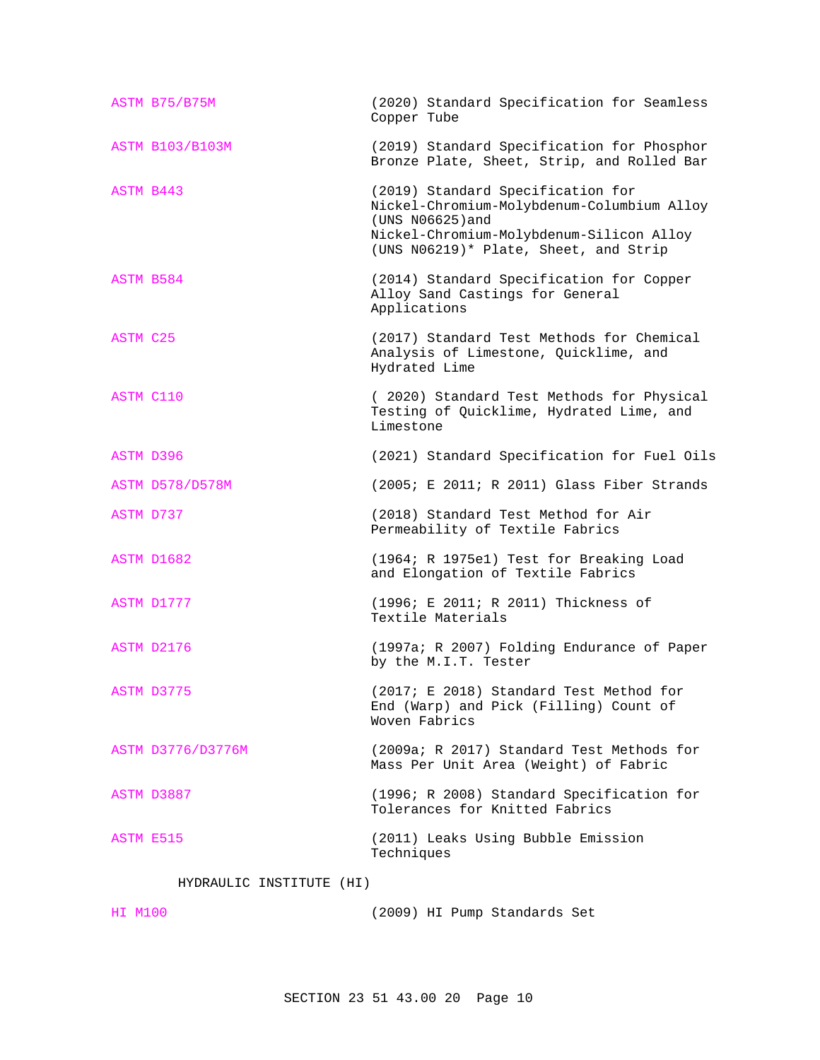|                  | ASTM B75/B75M          | (2020) Standard Specification for Seamless<br>Copper Tube                                                                                                                                |
|------------------|------------------------|------------------------------------------------------------------------------------------------------------------------------------------------------------------------------------------|
|                  | <b>ASTM B103/B103M</b> | (2019) Standard Specification for Phosphor<br>Bronze Plate, Sheet, Strip, and Rolled Bar                                                                                                 |
| ASTM B443        |                        | (2019) Standard Specification for<br>Nickel-Chromium-Molybdenum-Columbium Alloy<br>(UNS N06625) and<br>Nickel-Chromium-Molybdenum-Silicon Alloy<br>(UNS N06219)* Plate, Sheet, and Strip |
| ASTM B584        |                        | (2014) Standard Specification for Copper<br>Alloy Sand Castings for General<br>Applications                                                                                              |
| <b>ASTM C25</b>  |                        | (2017) Standard Test Methods for Chemical<br>Analysis of Limestone, Quicklime, and<br>Hydrated Lime                                                                                      |
| <b>ASTM C110</b> |                        | (2020) Standard Test Methods for Physical<br>Testing of Quicklime, Hydrated Lime, and<br>Limestone                                                                                       |
|                  | ASTM D396              | (2021) Standard Specification for Fuel Oils                                                                                                                                              |
|                  | <b>ASTM D578/D578M</b> | (2005; E 2011; R 2011) Glass Fiber Strands                                                                                                                                               |
|                  | ASTM D737              | (2018) Standard Test Method for Air<br>Permeability of Textile Fabrics                                                                                                                   |
|                  | ASTM D1682             | (1964; R 1975e1) Test for Breaking Load<br>and Elongation of Textile Fabrics                                                                                                             |
|                  | ASTM D1777             | (1996; E 2011; R 2011) Thickness of<br>Textile Materials                                                                                                                                 |
|                  | ASTM D2176             | (1997a; R 2007) Folding Endurance of Paper<br>by the M.I.T. Tester                                                                                                                       |
|                  | ASTM D3775             | (2017; E 2018) Standard Test Method for<br>End (Warp) and Pick (Filling) Count of<br>Woven Fabrics                                                                                       |
|                  | ASTM D3776/D3776M      | (2009a; R 2017) Standard Test Methods for<br>Mass Per Unit Area (Weight) of Fabric                                                                                                       |
|                  | ASTM D3887             | (1996; R 2008) Standard Specification for<br>Tolerances for Knitted Fabrics                                                                                                              |
|                  | ASTM E515              | (2011) Leaks Using Bubble Emission<br>Techniques                                                                                                                                         |
|                  |                        |                                                                                                                                                                                          |

# HYDRAULIC INSTITUTE (HI)

| HI M100 |  |  |  | (2009) HI Pump Standards Set |  |
|---------|--|--|--|------------------------------|--|
|---------|--|--|--|------------------------------|--|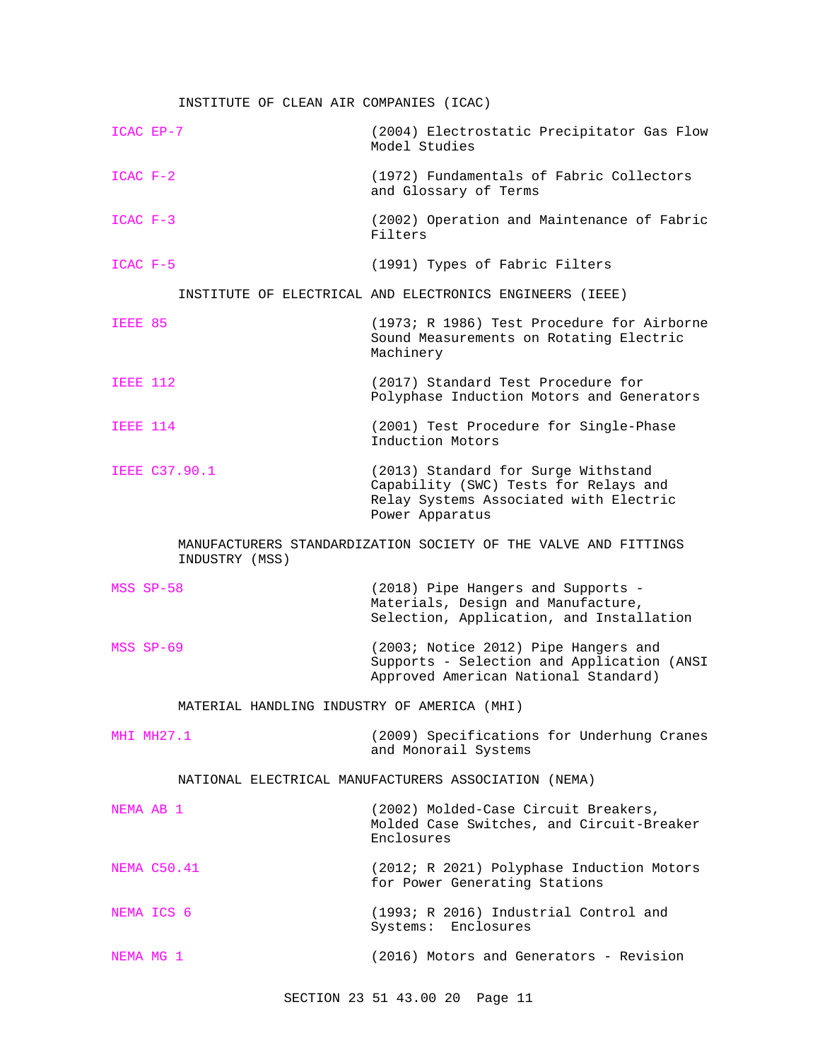# INSTITUTE OF CLEAN AIR COMPANIES (ICAC)

| ICAC EP-7                                   | (2004) Electrostatic Precipitator Gas Flow<br>Model Studies                                                                               |
|---------------------------------------------|-------------------------------------------------------------------------------------------------------------------------------------------|
| $ICAC F-2$                                  | (1972) Fundamentals of Fabric Collectors<br>and Glossary of Terms                                                                         |
| $ICAC F-3$                                  | (2002) Operation and Maintenance of Fabric<br>Filters                                                                                     |
| $ICAC F-5$                                  | (1991) Types of Fabric Filters                                                                                                            |
|                                             | INSTITUTE OF ELECTRICAL AND ELECTRONICS ENGINEERS (IEEE)                                                                                  |
| IEEE 85                                     | (1973; R 1986) Test Procedure for Airborne<br>Sound Measurements on Rotating Electric<br>Machinery                                        |
| <b>IEEE 112</b>                             | (2017) Standard Test Procedure for<br>Polyphase Induction Motors and Generators                                                           |
| <b>IEEE 114</b>                             | (2001) Test Procedure for Single-Phase<br>Induction Motors                                                                                |
| <b>IEEE C37.90.1</b>                        | (2013) Standard for Surge Withstand<br>Capability (SWC) Tests for Relays and<br>Relay Systems Associated with Electric<br>Power Apparatus |
| INDUSTRY (MSS)                              | MANUFACTURERS STANDARDIZATION SOCIETY OF THE VALVE AND FITTINGS                                                                           |
| MSS SP-58                                   | (2018) Pipe Hangers and Supports -<br>Materials, Design and Manufacture,<br>Selection, Application, and Installation                      |
| MSS SP-69                                   | (2003; Notice 2012) Pipe Hangers and                                                                                                      |
|                                             | Supports - Selection and Application (ANSI<br>Approved American National Standard)                                                        |
| MATERIAL HANDLING INDUSTRY OF AMERICA (MHI) |                                                                                                                                           |
| MHI MH27.1                                  | (2009) Specifications for Underhung Cranes<br>and Monorail Systems                                                                        |
|                                             | NATIONAL ELECTRICAL MANUFACTURERS ASSOCIATION (NEMA)                                                                                      |
| NEMA AB 1                                   | (2002) Molded-Case Circuit Breakers,<br>Molded Case Switches, and Circuit-Breaker<br>Enclosures                                           |
| NEMA C50.41                                 | (2012; R 2021) Polyphase Induction Motors<br>for Power Generating Stations                                                                |
| NEMA ICS 6                                  | (1993; R 2016) Industrial Control and<br>Systems: Enclosures                                                                              |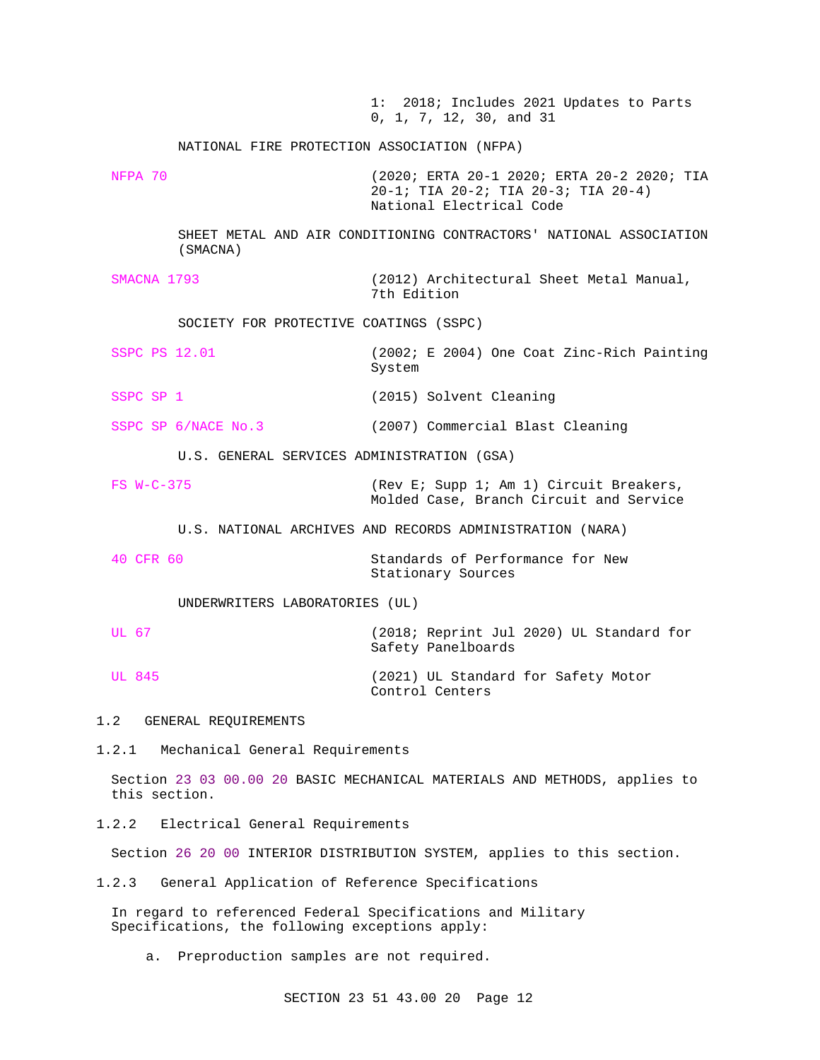1: 2018; Includes 2021 Updates to Parts 0, 1, 7, 12, 30, and 31 NATIONAL FIRE PROTECTION ASSOCIATION (NFPA) NFPA 70 (2020; ERTA 20-1 2020; ERTA 20-2 2020; TIA 20-1; TIA 20-2; TIA 20-3; TIA 20-4) National Electrical Code SHEET METAL AND AIR CONDITIONING CONTRACTORS' NATIONAL ASSOCIATION (SMACNA) SMACNA 1793 (2012) Architectural Sheet Metal Manual, 7th Edition SOCIETY FOR PROTECTIVE COATINGS (SSPC) SSPC PS 12.01 (2002; E 2004) One Coat Zinc-Rich Painting System SSPC SP 1 (2015) Solvent Cleaning SSPC SP 6/NACE No.3 (2007) Commercial Blast Cleaning U.S. GENERAL SERVICES ADMINISTRATION (GSA) FS W-C-375 (Rev E; Supp 1; Am 1) Circuit Breakers, Molded Case, Branch Circuit and Service U.S. NATIONAL ARCHIVES AND RECORDS ADMINISTRATION (NARA) 40 CFR 60 Standards of Performance for New Stationary Sources UNDERWRITERS LABORATORIES (UL) UL 67 (2018; Reprint Jul 2020) UL Standard for Safety Panelboards UL 845 (2021) UL Standard for Safety Motor Control Centers 1.2 GENERAL REQUIREMENTS 1.2.1 Mechanical General Requirements Section 23 03 00.00 20 BASIC MECHANICAL MATERIALS AND METHODS, applies to this section. 1.2.2 Electrical General Requirements Section 26 20 00 INTERIOR DISTRIBUTION SYSTEM, applies to this section. 1.2.3 General Application of Reference Specifications

In regard to referenced Federal Specifications and Military Specifications, the following exceptions apply:

a. Preproduction samples are not required.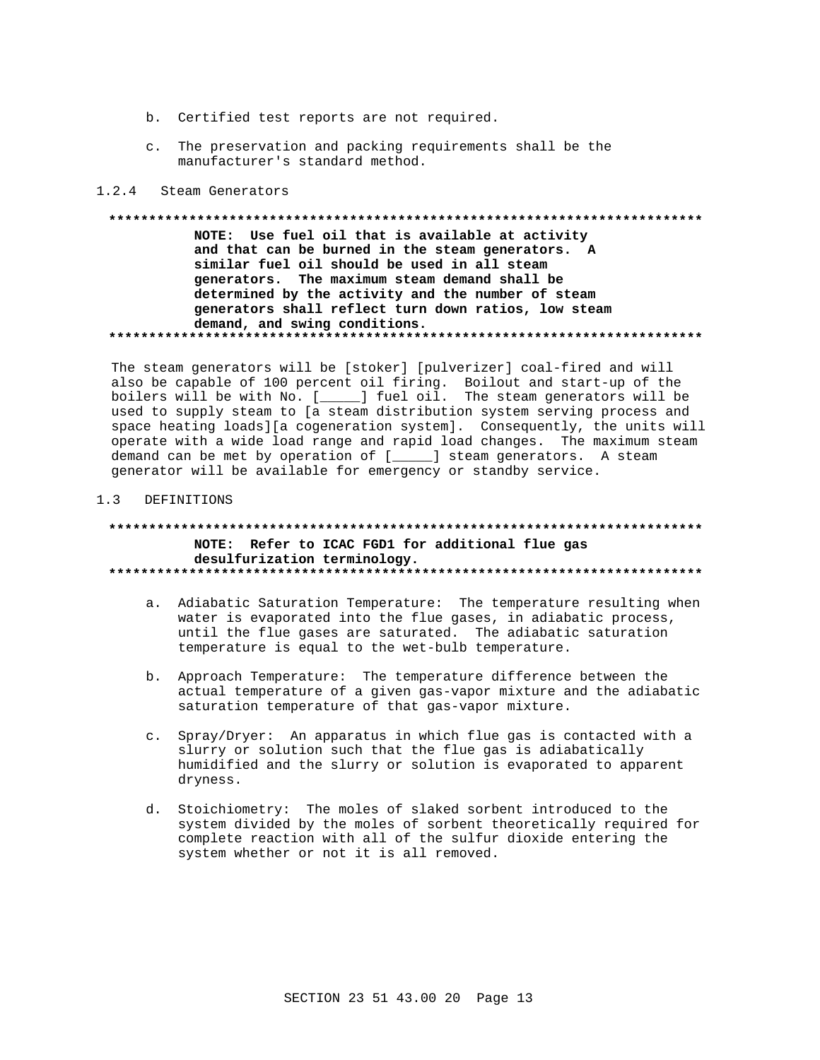- b. Certified test reports are not required.
- c. The preservation and packing requirements shall be the manufacturer's standard method.

#### 1.2.4 Steam Generators

### 

NOTE: Use fuel oil that is available at activity and that can be burned in the steam generators. A similar fuel oil should be used in all steam generators. The maximum steam demand shall be determined by the activity and the number of steam generators shall reflect turn down ratios, low steam demand, and swing conditions. 

The steam generators will be [stoker] [pulverizer] coal-fired and will also be capable of 100 percent oil firing. Boilout and start-up of the boilers will be with No. [\_\_\_\_] fuel oil. The steam generators will be used to supply steam to [a steam distribution system serving process and space heating loads][a cogeneration system]. Consequently, the units will operate with a wide load range and rapid load changes. The maximum steam demand can be met by operation of [\_\_\_\_\_] steam generators. A steam generator will be available for emergency or standby service.

#### 1.3 DEFINITIONS

## NOTE: Refer to ICAC FGD1 for additional flue gas desulfurization terminology.

- a. Adiabatic Saturation Temperature: The temperature resulting when water is evaporated into the flue gases, in adiabatic process, until the flue gases are saturated. The adiabatic saturation temperature is equal to the wet-bulb temperature.
- b. Approach Temperature: The temperature difference between the actual temperature of a given gas-vapor mixture and the adiabatic saturation temperature of that gas-vapor mixture.
- c. Spray/Dryer: An apparatus in which flue gas is contacted with a slurry or solution such that the flue gas is adiabatically humidified and the slurry or solution is evaporated to apparent dryness.
- d. Stoichiometry: The moles of slaked sorbent introduced to the system divided by the moles of sorbent theoretically required for complete reaction with all of the sulfur dioxide entering the system whether or not it is all removed.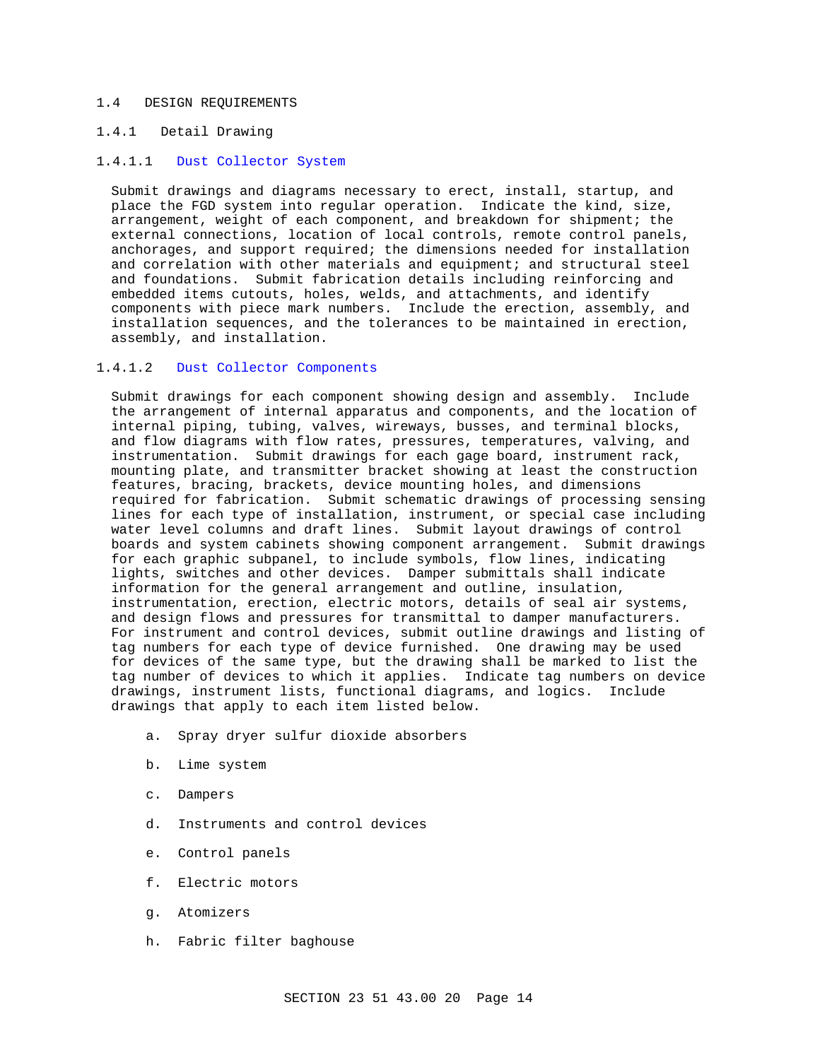#### 1.4 DESIGN REQUIREMENTS

## 1.4.1 Detail Drawing

### 1.4.1.1 Dust Collector System

Submit drawings and diagrams necessary to erect, install, startup, and place the FGD system into regular operation. Indicate the kind, size, arrangement, weight of each component, and breakdown for shipment; the external connections, location of local controls, remote control panels, anchorages, and support required; the dimensions needed for installation and correlation with other materials and equipment; and structural steel and foundations. Submit fabrication details including reinforcing and embedded items cutouts, holes, welds, and attachments, and identify components with piece mark numbers. Include the erection, assembly, and installation sequences, and the tolerances to be maintained in erection, assembly, and installation.

### 1.4.1.2 Dust Collector Components

Submit drawings for each component showing design and assembly. Include the arrangement of internal apparatus and components, and the location of internal piping, tubing, valves, wireways, busses, and terminal blocks, and flow diagrams with flow rates, pressures, temperatures, valving, and instrumentation. Submit drawings for each gage board, instrument rack, mounting plate, and transmitter bracket showing at least the construction features, bracing, brackets, device mounting holes, and dimensions required for fabrication. Submit schematic drawings of processing sensing lines for each type of installation, instrument, or special case including water level columns and draft lines. Submit layout drawings of control boards and system cabinets showing component arrangement. Submit drawings for each graphic subpanel, to include symbols, flow lines, indicating lights, switches and other devices. Damper submittals shall indicate information for the general arrangement and outline, insulation, instrumentation, erection, electric motors, details of seal air systems, and design flows and pressures for transmittal to damper manufacturers. For instrument and control devices, submit outline drawings and listing of tag numbers for each type of device furnished. One drawing may be used for devices of the same type, but the drawing shall be marked to list the tag number of devices to which it applies. Indicate tag numbers on device drawings, instrument lists, functional diagrams, and logics. Include drawings that apply to each item listed below.

- a. Spray dryer sulfur dioxide absorbers
- b. Lime system
- c. Dampers
- d. Instruments and control devices
- e. Control panels
- f. Electric motors
- g. Atomizers
- h. Fabric filter baghouse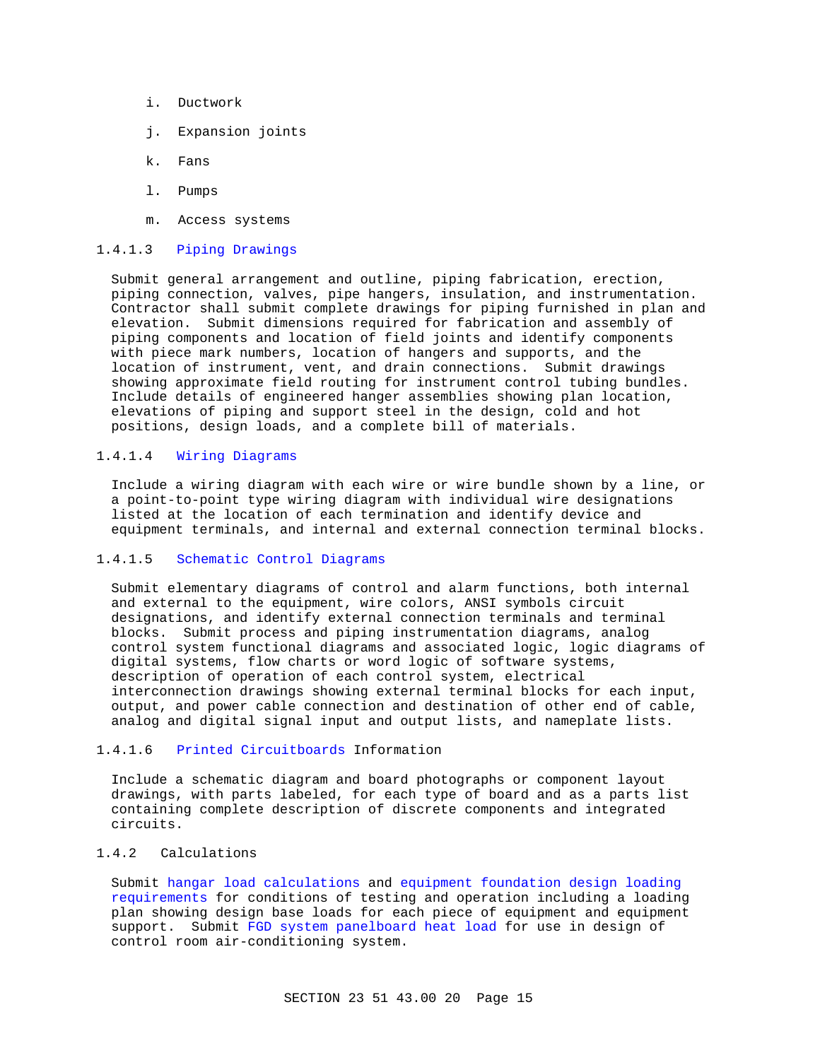- i. Ductwork
- j. Expansion joints
- k. Fans
- l. Pumps
- m. Access systems

#### 1.4.1.3 Piping Drawings

Submit general arrangement and outline, piping fabrication, erection, piping connection, valves, pipe hangers, insulation, and instrumentation. Contractor shall submit complete drawings for piping furnished in plan and elevation. Submit dimensions required for fabrication and assembly of piping components and location of field joints and identify components with piece mark numbers, location of hangers and supports, and the location of instrument, vent, and drain connections. Submit drawings showing approximate field routing for instrument control tubing bundles. Include details of engineered hanger assemblies showing plan location, elevations of piping and support steel in the design, cold and hot positions, design loads, and a complete bill of materials.

## 1.4.1.4 Wiring Diagrams

Include a wiring diagram with each wire or wire bundle shown by a line, or a point-to-point type wiring diagram with individual wire designations listed at the location of each termination and identify device and equipment terminals, and internal and external connection terminal blocks.

### 1.4.1.5 Schematic Control Diagrams

Submit elementary diagrams of control and alarm functions, both internal and external to the equipment, wire colors, ANSI symbols circuit designations, and identify external connection terminals and terminal blocks. Submit process and piping instrumentation diagrams, analog control system functional diagrams and associated logic, logic diagrams of digital systems, flow charts or word logic of software systems, description of operation of each control system, electrical interconnection drawings showing external terminal blocks for each input, output, and power cable connection and destination of other end of cable, analog and digital signal input and output lists, and nameplate lists.

### 1.4.1.6 Printed Circuitboards Information

Include a schematic diagram and board photographs or component layout drawings, with parts labeled, for each type of board and as a parts list containing complete description of discrete components and integrated circuits.

# 1.4.2 Calculations

Submit hangar load calculations and equipment foundation design loading requirements for conditions of testing and operation including a loading plan showing design base loads for each piece of equipment and equipment support. Submit FGD system panelboard heat load for use in design of control room air-conditioning system.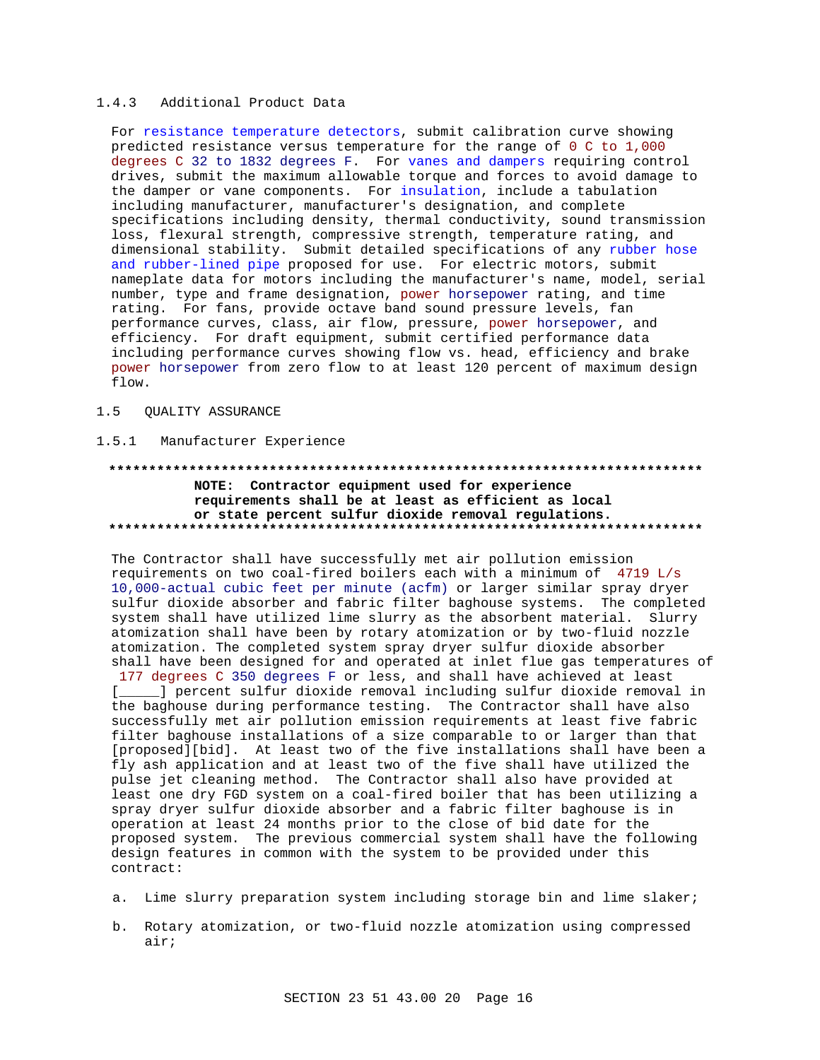#### $1.4.3$ Additional Product Data

For resistance temperature detectors, submit calibration curve showing predicted resistance versus temperature for the range of 0 C to 1,000 degrees C 32 to 1832 degrees F. For vanes and dampers requiring control drives, submit the maximum allowable torque and forces to avoid damage to the damper or vane components. For insulation, include a tabulation including manufacturer, manufacturer's designation, and complete specifications including density, thermal conductivity, sound transmission loss, flexural strength, compressive strength, temperature rating, and dimensional stability. Submit detailed specifications of any rubber hose and rubber-lined pipe proposed for use. For electric motors, submit nameplate data for motors including the manufacturer's name, model, serial number, type and frame designation, power horsepower rating, and time rating. For fans, provide octave band sound pressure levels, fan performance curves, class, air flow, pressure, power horsepower, and efficiency. For draft equipment, submit certified performance data including performance curves showing flow vs. head, efficiency and brake power horsepower from zero flow to at least 120 percent of maximum design flow.

#### $1.5$ QUALITY ASSURANCE

#### 1.5.1 Manufacturer Experience

# NOTE: Contractor equipment used for experience requirements shall be at least as efficient as local or state percent sulfur dioxide removal regulations.

The Contractor shall have successfully met air pollution emission requirements on two coal-fired boilers each with a minimum of 4719 L/s 10,000-actual cubic feet per minute (acfm) or larger similar spray dryer sulfur dioxide absorber and fabric filter baghouse systems. The completed system shall have utilized lime slurry as the absorbent material. Slurry atomization shall have been by rotary atomization or by two-fluid nozzle atomization. The completed system spray dryer sulfur dioxide absorber shall have been designed for and operated at inlet flue gas temperatures of 177 degrees C 350 degrees F or less, and shall have achieved at least \_\_] percent sulfur dioxide removal including sulfur dioxide removal in the baghouse during performance testing. The Contractor shall have also successfully met air pollution emission requirements at least five fabric filter baghouse installations of a size comparable to or larger than that [proposed][bid]. At least two of the five installations shall have been a fly ash application and at least two of the five shall have utilized the pulse jet cleaning method. The Contractor shall also have provided at least one dry FGD system on a coal-fired boiler that has been utilizing a spray dryer sulfur dioxide absorber and a fabric filter baghouse is in operation at least 24 months prior to the close of bid date for the proposed system. The previous commercial system shall have the following design features in common with the system to be provided under this contract:

- a. Lime slurry preparation system including storage bin and lime slaker;
- b. Rotary atomization, or two-fluid nozzle atomization using compressed air;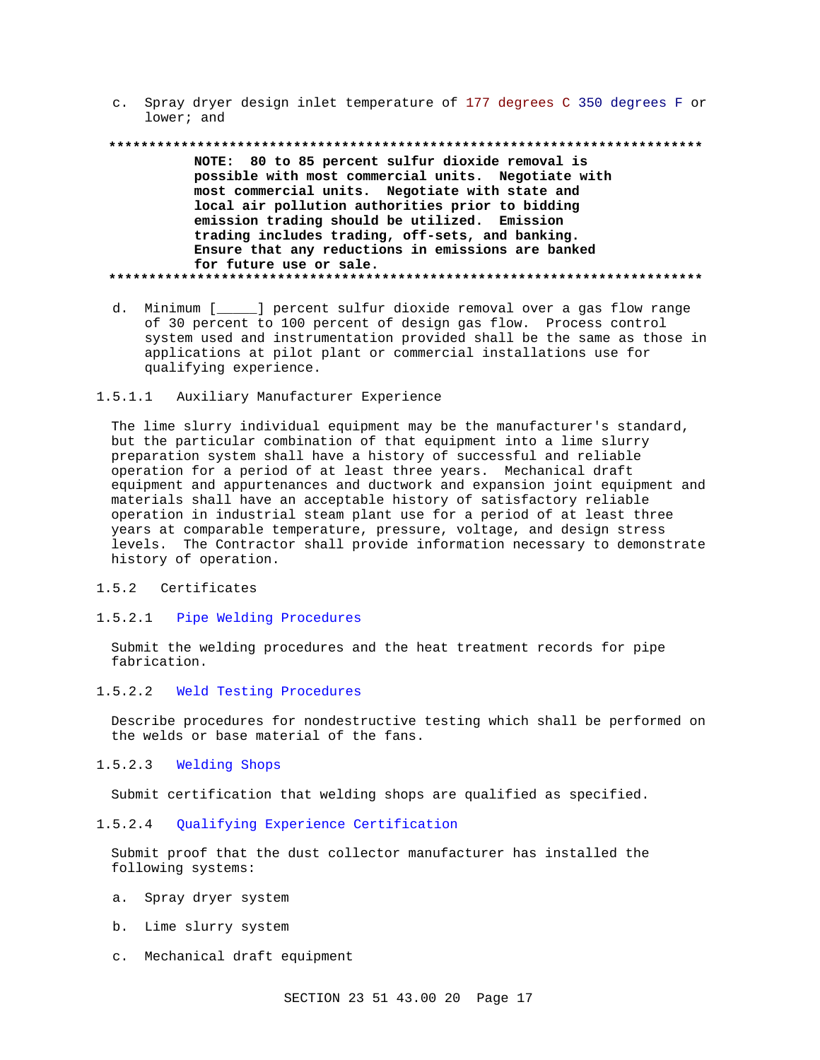c. Spray dryer design inlet temperature of 177 degrees C 350 degrees F or lower; and

#### 

NOTE: 80 to 85 percent sulfur dioxide removal is possible with most commercial units. Negotiate with most commercial units. Negotiate with state and local air pollution authorities prior to bidding emission trading should be utilized. Emission trading includes trading, off-sets, and banking. Ensure that any reductions in emissions are banked for future use or sale. 

d. Minimum [\_\_\_\_\_] percent sulfur dioxide removal over a gas flow range of 30 percent to 100 percent of design gas flow. Process control system used and instrumentation provided shall be the same as those in applications at pilot plant or commercial installations use for qualifying experience.

#### $1.5.1.1$ Auxiliary Manufacturer Experience

The lime slurry individual equipment may be the manufacturer's standard, but the particular combination of that equipment into a lime slurry preparation system shall have a history of successful and reliable operation for a period of at least three years. Mechanical draft equipment and appurtenances and ductwork and expansion joint equipment and materials shall have an acceptable history of satisfactory reliable operation in industrial steam plant use for a period of at least three years at comparable temperature, pressure, voltage, and design stress levels. The Contractor shall provide information necessary to demonstrate history of operation.

# 1.5.2 Certificates

### 1.5.2.1 Pipe Welding Procedures

Submit the welding procedures and the heat treatment records for pipe fabrication.

#### $1.5.2.2$ Weld Testing Procedures

Describe procedures for nondestructive testing which shall be performed on the welds or base material of the fans.

#### $1.5.2.3$ Welding Shops

Submit certification that welding shops are qualified as specified.

#### $1.5.2.4$ Qualifying Experience Certification

Submit proof that the dust collector manufacturer has installed the following systems:

- a. Spray dryer system
- b. Lime slurry system
- c. Mechanical draft equipment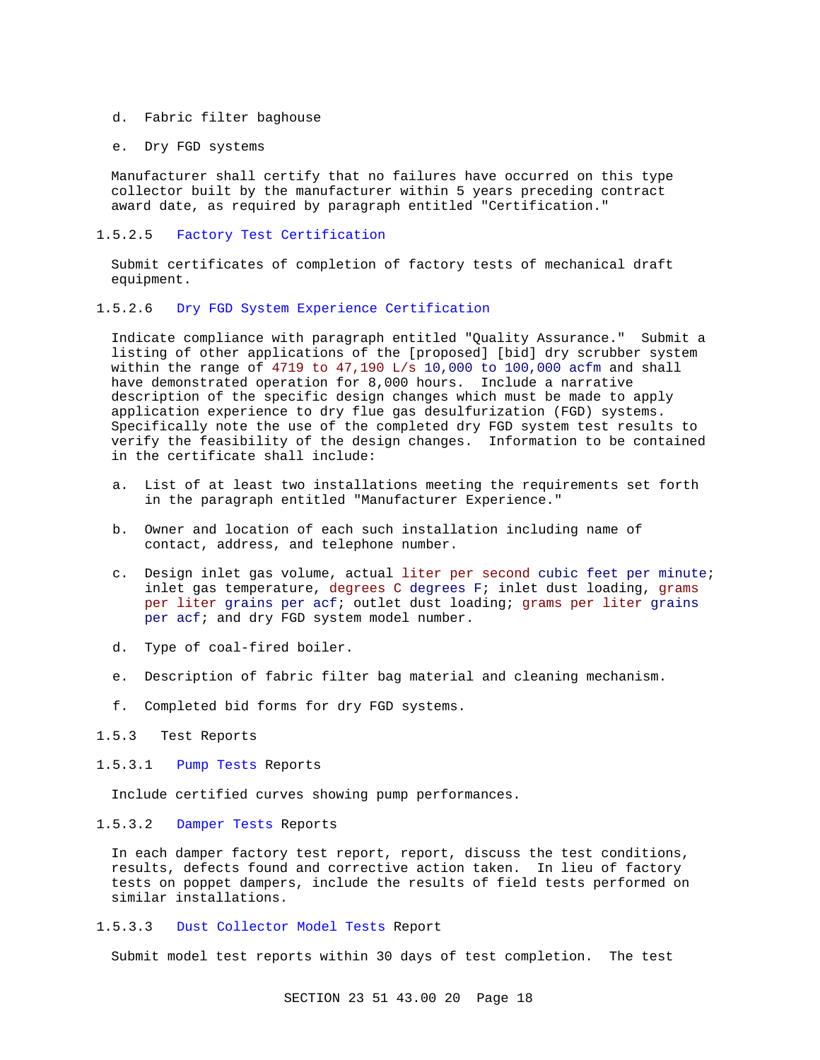- d. Fabric filter baghouse
- e. Dry FGD systems

Manufacturer shall certify that no failures have occurred on this type collector built by the manufacturer within 5 years preceding contract award date, as required by paragraph entitled "Certification."

### 1.5.2.5 Factory Test Certification

Submit certificates of completion of factory tests of mechanical draft equipment.

### 1.5.2.6 Dry FGD System Experience Certification

Indicate compliance with paragraph entitled "Quality Assurance." Submit a listing of other applications of the [proposed] [bid] dry scrubber system within the range of 4719 to 47,190 L/s 10,000 to 100,000 acfm and shall have demonstrated operation for 8,000 hours. Include a narrative description of the specific design changes which must be made to apply application experience to dry flue gas desulfurization (FGD) systems. Specifically note the use of the completed dry FGD system test results to verify the feasibility of the design changes. Information to be contained in the certificate shall include:

- a. List of at least two installations meeting the requirements set forth in the paragraph entitled "Manufacturer Experience."
- b. Owner and location of each such installation including name of contact, address, and telephone number.
- c. Design inlet gas volume, actual liter per second cubic feet per minute; inlet gas temperature, degrees C degrees F; inlet dust loading, grams per liter grains per acf; outlet dust loading; grams per liter grains per acf; and dry FGD system model number.
- d. Type of coal-fired boiler.
- e. Description of fabric filter bag material and cleaning mechanism.
- f. Completed bid forms for dry FGD systems.
- 1.5.3 Test Reports
- 1.5.3.1 Pump Tests Reports

Include certified curves showing pump performances.

1.5.3.2 Damper Tests Reports

In each damper factory test report, report, discuss the test conditions, results, defects found and corrective action taken. In lieu of factory tests on poppet dampers, include the results of field tests performed on similar installations.

## 1.5.3.3 Dust Collector Model Tests Report

Submit model test reports within 30 days of test completion. The test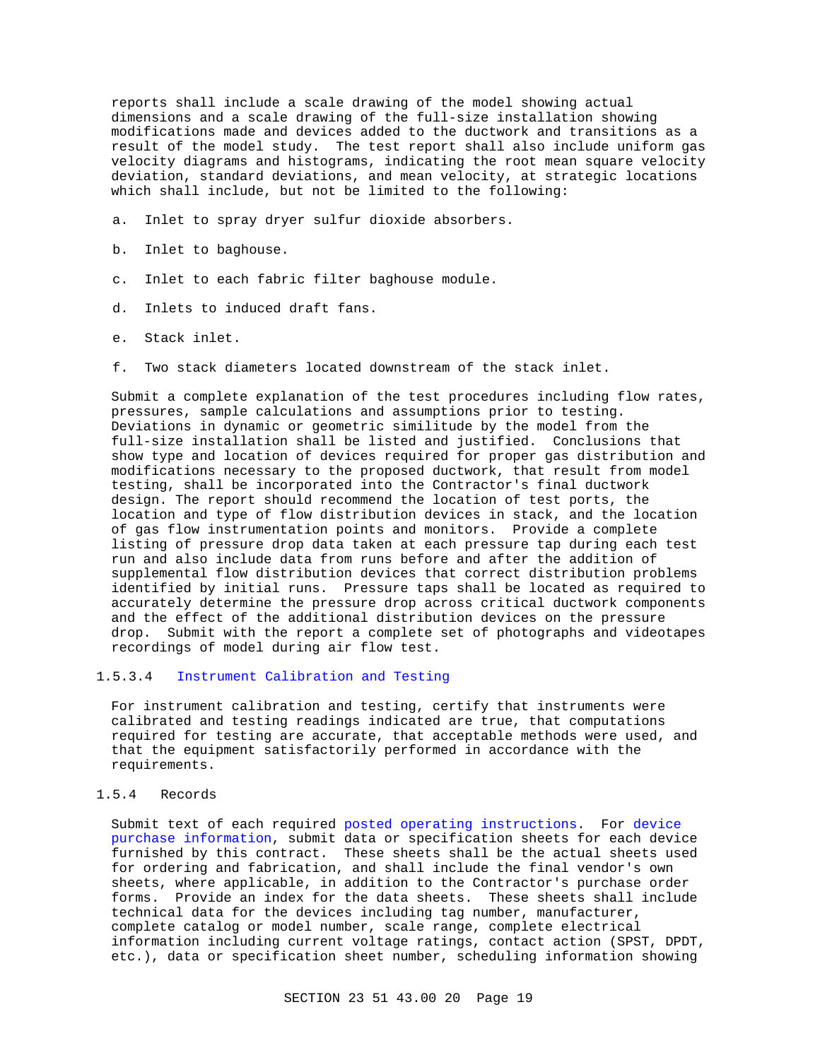reports shall include a scale drawing of the model showing actual dimensions and a scale drawing of the full-size installation showing modifications made and devices added to the ductwork and transitions as a result of the model study. The test report shall also include uniform gas velocity diagrams and histograms, indicating the root mean square velocity deviation, standard deviations, and mean velocity, at strategic locations which shall include, but not be limited to the following:

- a. Inlet to spray dryer sulfur dioxide absorbers.
- b. Inlet to baghouse.
- c. Inlet to each fabric filter baghouse module.
- d. Inlets to induced draft fans.
- e. Stack inlet.
- f. Two stack diameters located downstream of the stack inlet.

Submit a complete explanation of the test procedures including flow rates, pressures, sample calculations and assumptions prior to testing. Deviations in dynamic or geometric similitude by the model from the full-size installation shall be listed and justified. Conclusions that show type and location of devices required for proper gas distribution and modifications necessary to the proposed ductwork, that result from model testing, shall be incorporated into the Contractor's final ductwork design. The report should recommend the location of test ports, the location and type of flow distribution devices in stack, and the location of gas flow instrumentation points and monitors. Provide a complete listing of pressure drop data taken at each pressure tap during each test run and also include data from runs before and after the addition of supplemental flow distribution devices that correct distribution problems identified by initial runs. Pressure taps shall be located as required to accurately determine the pressure drop across critical ductwork components and the effect of the additional distribution devices on the pressure drop. Submit with the report a complete set of photographs and videotapes recordings of model during air flow test.

# 1.5.3.4 Instrument Calibration and Testing

For instrument calibration and testing, certify that instruments were calibrated and testing readings indicated are true, that computations required for testing are accurate, that acceptable methods were used, and that the equipment satisfactorily performed in accordance with the requirements.

### 1.5.4 Records

Submit text of each required posted operating instructions. For device purchase information, submit data or specification sheets for each device furnished by this contract. These sheets shall be the actual sheets used for ordering and fabrication, and shall include the final vendor's own sheets, where applicable, in addition to the Contractor's purchase order forms. Provide an index for the data sheets. These sheets shall include technical data for the devices including tag number, manufacturer, complete catalog or model number, scale range, complete electrical information including current voltage ratings, contact action (SPST, DPDT, etc.), data or specification sheet number, scheduling information showing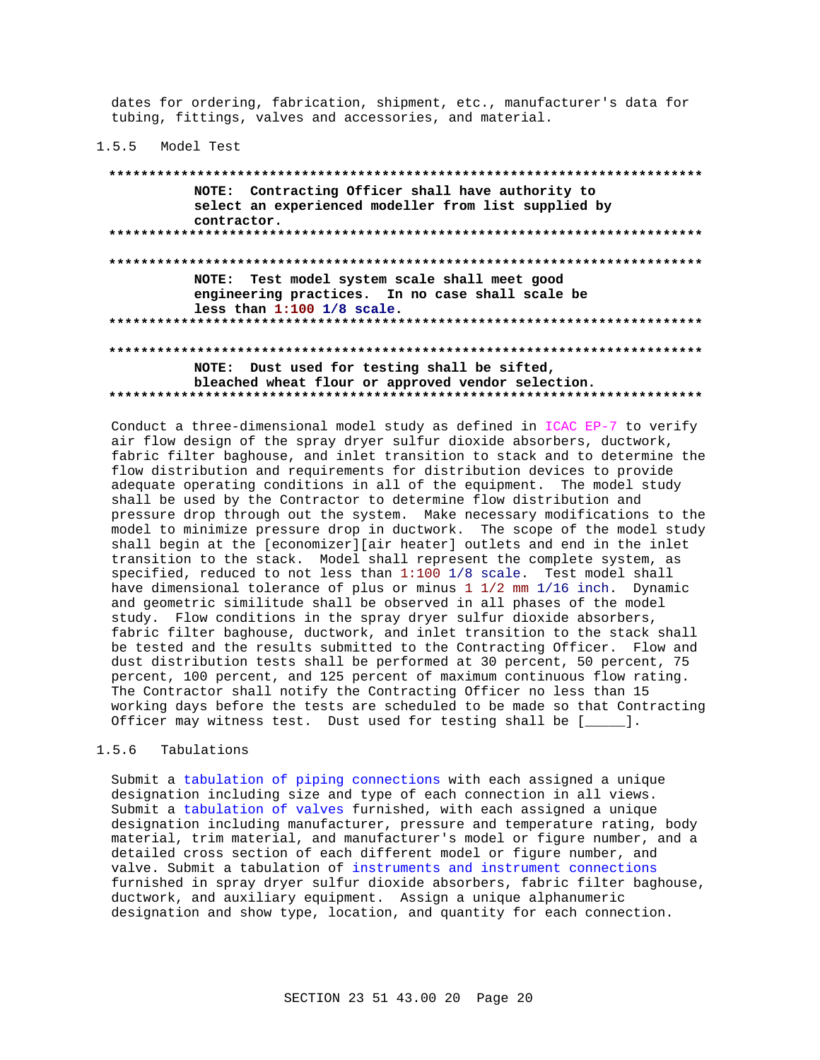dates for ordering, fabrication, shipment, etc., manufacturer's data for tubing, fittings, valves and accessories, and material.

 $1.5.5$ Model Test

NOTE: Contracting Officer shall have authority to select an experienced modeller from list supplied by contractor. NOTE: Test model system scale shall meet good engineering practices. In no case shall scale be less than  $1:100$   $1/8$  scale. NOTE: Dust used for testing shall be sifted, bleached wheat flour or approved vendor selection. 

Conduct a three-dimensional model study as defined in ICAC EP-7 to verify air flow design of the spray dryer sulfur dioxide absorbers, ductwork, fabric filter baghouse, and inlet transition to stack and to determine the flow distribution and requirements for distribution devices to provide adequate operating conditions in all of the equipment. The model study shall be used by the Contractor to determine flow distribution and pressure drop through out the system. Make necessary modifications to the model to minimize pressure drop in ductwork. The scope of the model study shall begin at the [economizer][air heater] outlets and end in the inlet transition to the stack. Model shall represent the complete system, as specified, reduced to not less than 1:100 1/8 scale. Test model shall have dimensional tolerance of plus or minus 1 1/2 mm 1/16 inch. Dynamic and geometric similitude shall be observed in all phases of the model study. Flow conditions in the spray dryer sulfur dioxide absorbers, fabric filter baghouse, ductwork, and inlet transition to the stack shall be tested and the results submitted to the Contracting Officer. Flow and dust distribution tests shall be performed at 30 percent, 50 percent, 75 percent, 100 percent, and 125 percent of maximum continuous flow rating. The Contractor shall notify the Contracting Officer no less than 15 working days before the tests are scheduled to be made so that Contracting Officer may witness test. Dust used for testing shall be [\_\_\_\_].

#### $1.5.6$ Tabulations

Submit a tabulation of piping connections with each assigned a unique designation including size and type of each connection in all views. Submit a tabulation of valves furnished, with each assigned a unique designation including manufacturer, pressure and temperature rating, body material, trim material, and manufacturer's model or figure number, and a detailed cross section of each different model or figure number, and valve. Submit a tabulation of instruments and instrument connections furnished in spray dryer sulfur dioxide absorbers, fabric filter baghouse, ductwork, and auxiliary equipment. Assign a unique alphanumeric designation and show type, location, and quantity for each connection.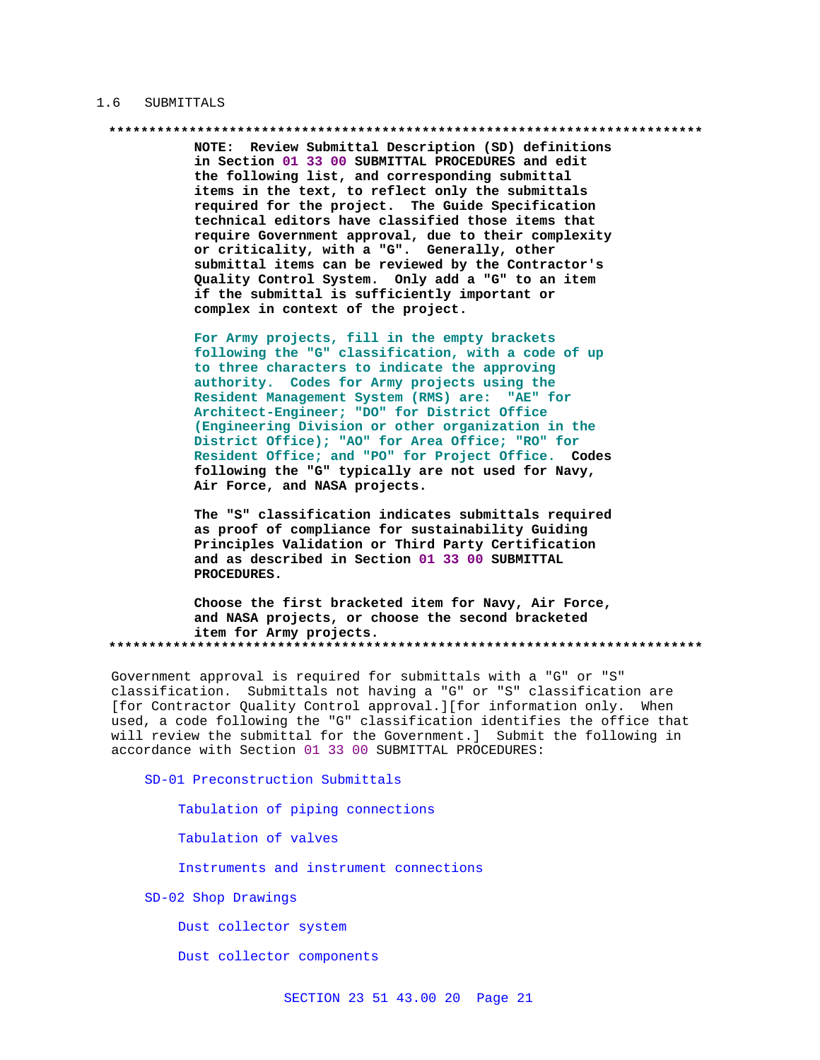#### 1.6 SUBMITTALS

NOTE: Review Submittal Description (SD) definitions in Section 01 33 00 SUBMITTAL PROCEDURES and edit the following list, and corresponding submittal items in the text, to reflect only the submittals required for the project. The Guide Specification technical editors have classified those items that require Government approval, due to their complexity or criticality, with a "G". Generally, other submittal items can be reviewed by the Contractor's Quality Control System. Only add a "G" to an item if the submittal is sufficiently important or complex in context of the project.

For Army projects, fill in the empty brackets following the "G" classification, with a code of up to three characters to indicate the approving authority. Codes for Army projects using the Resident Management System (RMS) are: "AE" for Architect-Engineer; "DO" for District Office (Engineering Division or other organization in the District Office); "AO" for Area Office; "RO" for Resident Office; and "PO" for Project Office. Codes following the "G" typically are not used for Navy, Air Force, and NASA projects.

The "S" classification indicates submittals required as proof of compliance for sustainability Guiding Principles Validation or Third Party Certification and as described in Section 01 33 00 SUBMITTAL PROCEDURES.

Choose the first bracketed item for Navy, Air Force, and NASA projects, or choose the second bracketed item for Army projects. 

Government approval is required for submittals with a "G" or "S" classification. Submittals not having a "G" or "S" classification are [for Contractor Quality Control approval.][for information only. When used, a code following the "G" classification identifies the office that will review the submittal for the Government.] Submit the following in accordance with Section 01 33 00 SUBMITTAL PROCEDURES:

SD-01 Preconstruction Submittals

Tabulation of piping connections

Tabulation of valves

Instruments and instrument connections

SD-02 Shop Drawings

Dust collector system

Dust collector components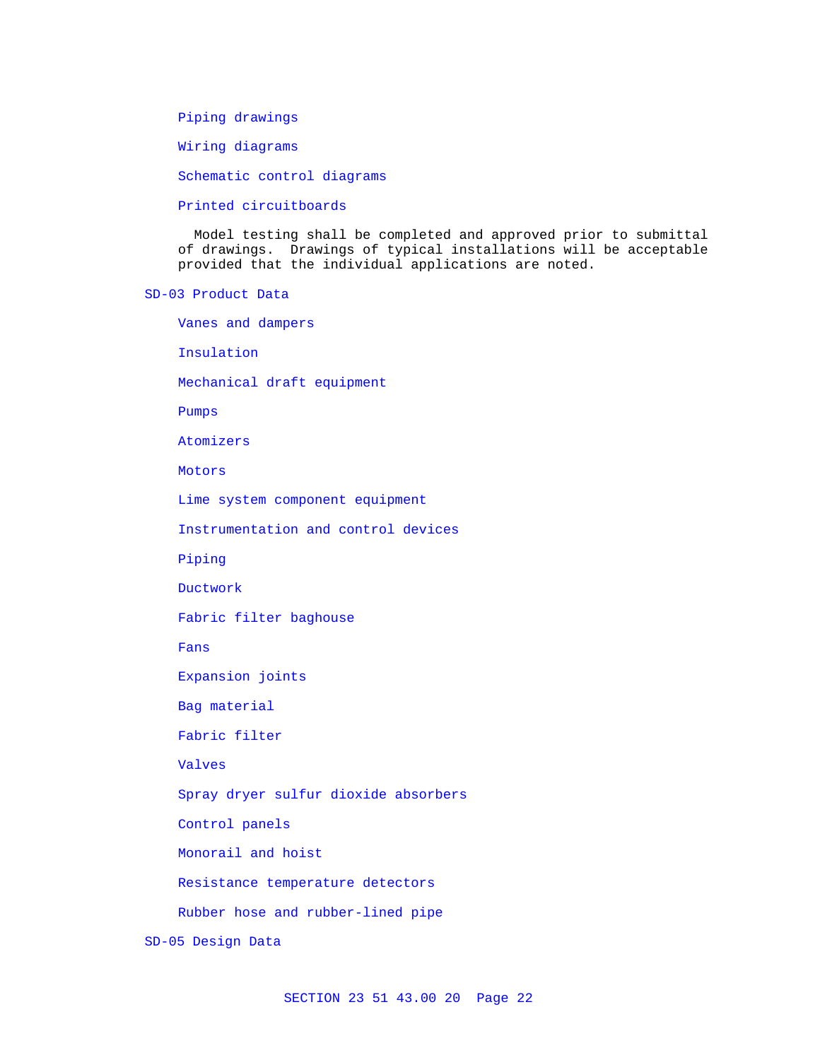Piping drawings

Wiring diagrams

Schematic control diagrams

Printed circuitboards

 Model testing shall be completed and approved prior to submittal of drawings. Drawings of typical installations will be acceptable provided that the individual applications are noted.

SD-03 Product Data

Vanes and dampers

Insulation

Mechanical draft equipment

Pumps

Atomizers

Motors

Lime system component equipment

Instrumentation and control devices

Piping

Ductwork

Fabric filter baghouse

Fans

Expansion joints

Bag material

Fabric filter

Valves

Spray dryer sulfur dioxide absorbers

Control panels

Monorail and hoist

Resistance temperature detectors

Rubber hose and rubber-lined pipe

SD-05 Design Data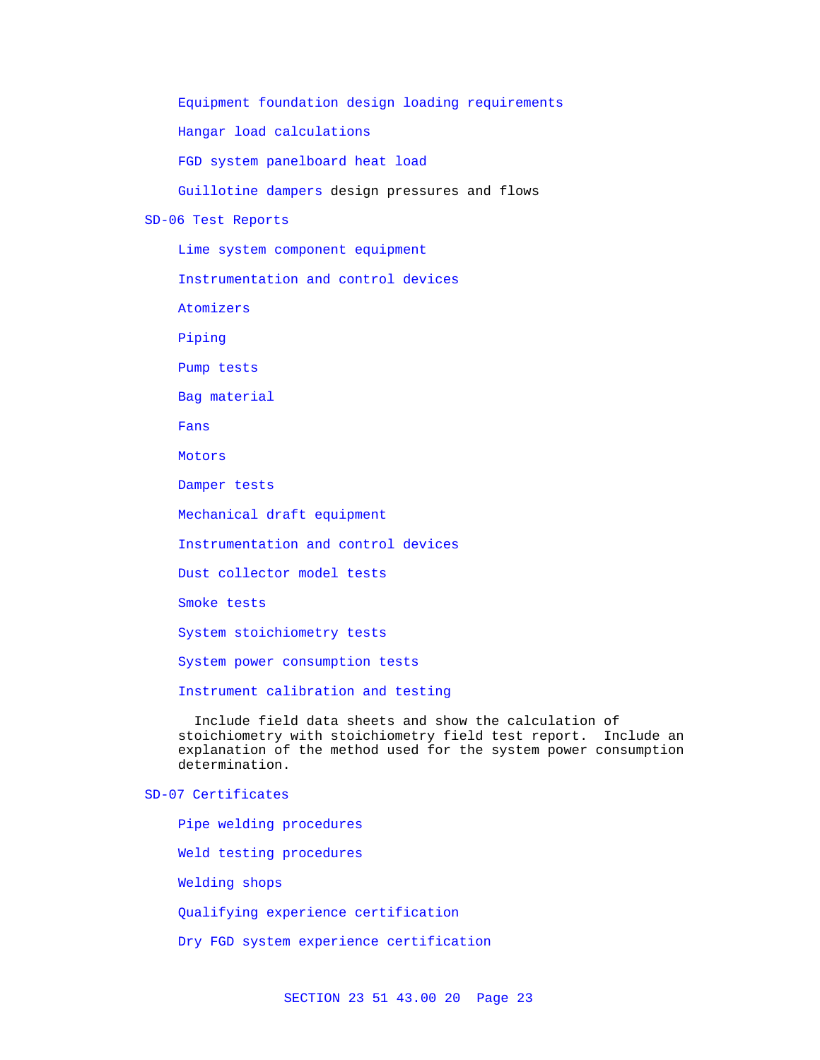Equipment foundation design loading requirements Hangar load calculations FGD system panelboard heat load Guillotine dampers design pressures and flows

# SD-06 Test Reports

Lime system component equipment Instrumentation and control devices Atomizers Piping Pump tests Bag material Fans Motors Damper tests Mechanical draft equipment Instrumentation and control devices Dust collector model tests Smoke tests System stoichiometry tests System power consumption tests Instrument calibration and testing Include field data sheets and show the calculation of

stoichiometry with stoichiometry field test report. Include an explanation of the method used for the system power consumption determination.

# SD-07 Certificates

Pipe welding procedures Weld testing procedures Welding shops Qualifying experience certification Dry FGD system experience certification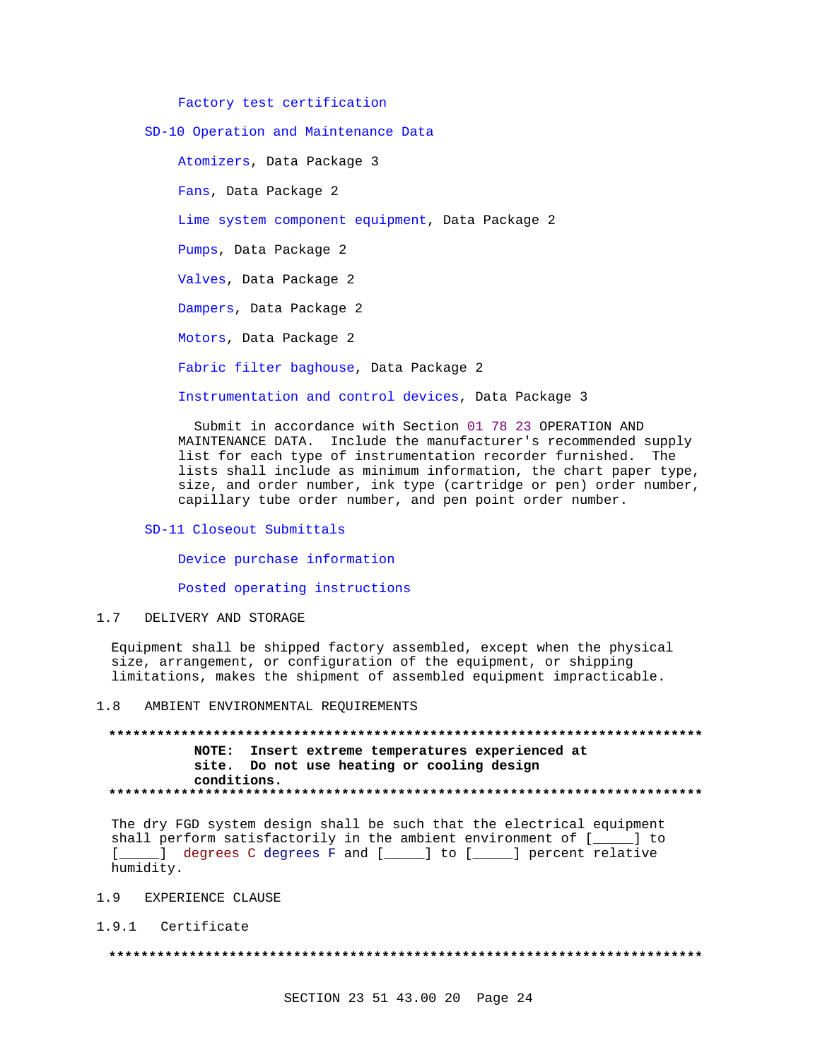Factory test certification

SD-10 Operation and Maintenance Data

Atomizers, Data Package 3 Fans, Data Package 2 Lime system component equipment, Data Package 2 Pumps, Data Package 2 Valves, Data Package 2 Dampers, Data Package 2 Motors, Data Package 2 Fabric filter baghouse, Data Package 2

Instrumentation and control devices, Data Package 3

 Submit in accordance with Section 01 78 23 OPERATION AND MAINTENANCE DATA. Include the manufacturer's recommended supply list for each type of instrumentation recorder furnished. The lists shall include as minimum information, the chart paper type, size, and order number, ink type (cartridge or pen) order number, capillary tube order number, and pen point order number.

SD-11 Closeout Submittals

Device purchase information

Posted operating instructions

1.7 DELIVERY AND STORAGE

Equipment shall be shipped factory assembled, except when the physical size, arrangement, or configuration of the equipment, or shipping limitations, makes the shipment of assembled equipment impracticable.

#### 1.8 AMBIENT ENVIRONMENTAL REQUIREMENTS

**\*\*\*\*\*\*\*\*\*\*\*\*\*\*\*\*\*\*\*\*\*\*\*\*\*\*\*\*\*\*\*\*\*\*\*\*\*\*\*\*\*\*\*\*\*\*\*\*\*\*\*\*\*\*\*\*\*\*\*\*\*\*\*\*\*\*\*\*\*\*\*\*\*\* NOTE: Insert extreme temperatures experienced at site. Do not use heating or cooling design conditions. \*\*\*\*\*\*\*\*\*\*\*\*\*\*\*\*\*\*\*\*\*\*\*\*\*\*\*\*\*\*\*\*\*\*\*\*\*\*\*\*\*\*\*\*\*\*\*\*\*\*\*\*\*\*\*\*\*\*\*\*\*\*\*\*\*\*\*\*\*\*\*\*\*\***

The dry FGD system design shall be such that the electrical equipment shall perform satisfactorily in the ambient environment of [\_\_\_\_\_] to [\_\_\_\_\_] degrees C degrees F and [\_\_\_\_\_] to [\_\_\_\_\_] percent relative humidity.

### 1.9 EXPERIENCE CLAUSE

1.9.1 Certificate

**\*\*\*\*\*\*\*\*\*\*\*\*\*\*\*\*\*\*\*\*\*\*\*\*\*\*\*\*\*\*\*\*\*\*\*\*\*\*\*\*\*\*\*\*\*\*\*\*\*\*\*\*\*\*\*\*\*\*\*\*\*\*\*\*\*\*\*\*\*\*\*\*\*\***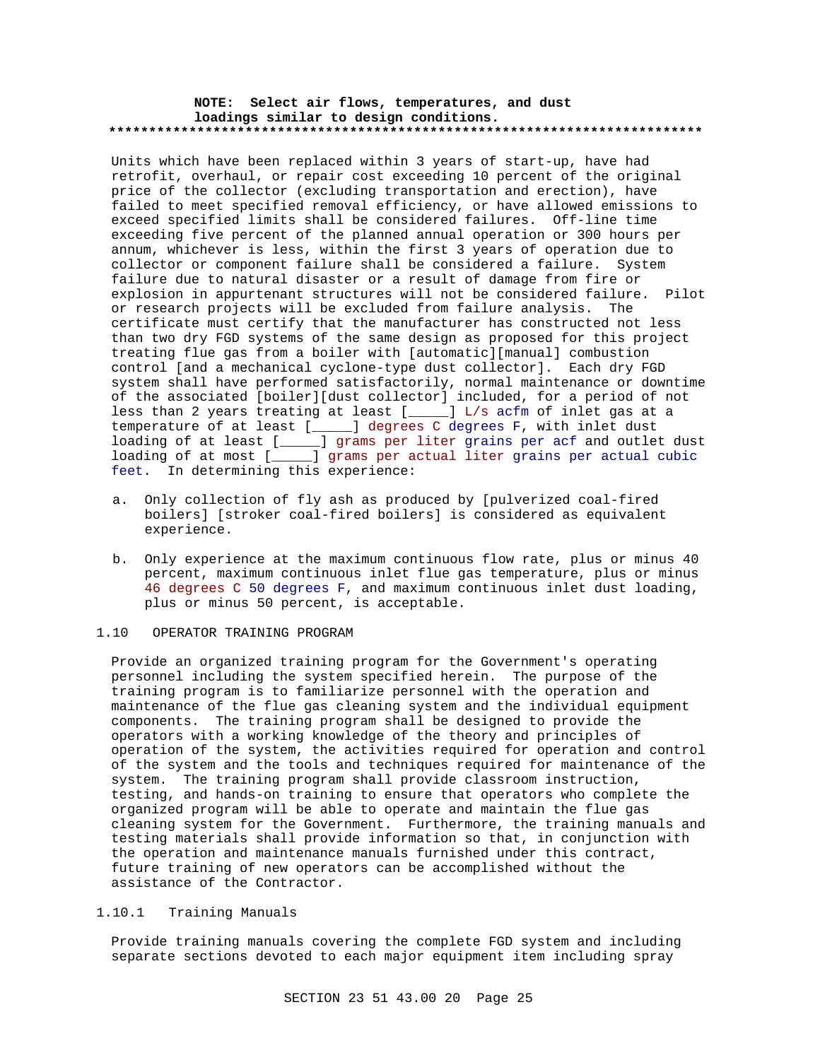#### **NOTE: Select air flows, temperatures, and dust loadings similar to design conditions. \*\*\*\*\*\*\*\*\*\*\*\*\*\*\*\*\*\*\*\*\*\*\*\*\*\*\*\*\*\*\*\*\*\*\*\*\*\*\*\*\*\*\*\*\*\*\*\*\*\*\*\*\*\*\*\*\*\*\*\*\*\*\*\*\*\*\*\*\*\*\*\*\*\***

Units which have been replaced within 3 years of start-up, have had retrofit, overhaul, or repair cost exceeding 10 percent of the original price of the collector (excluding transportation and erection), have failed to meet specified removal efficiency, or have allowed emissions to exceed specified limits shall be considered failures. Off-line time exceeding five percent of the planned annual operation or 300 hours per annum, whichever is less, within the first 3 years of operation due to collector or component failure shall be considered a failure. System failure due to natural disaster or a result of damage from fire or explosion in appurtenant structures will not be considered failure. Pilot or research projects will be excluded from failure analysis. The certificate must certify that the manufacturer has constructed not less than two dry FGD systems of the same design as proposed for this project treating flue gas from a boiler with [automatic][manual] combustion control [and a mechanical cyclone-type dust collector]. Each dry FGD system shall have performed satisfactorily, normal maintenance or downtime of the associated [boiler][dust collector] included, for a period of not less than 2 years treating at least [\_\_\_\_\_] L/s acfm of inlet gas at a temperature of at least [\_\_\_\_\_] degrees C degrees F, with inlet dust loading of at least [\_\_\_\_\_] grams per liter grains per acf and outlet dust loading of at most [\_\_\_\_\_] grams per actual liter grains per actual cubic feet. In determining this experience:

- a. Only collection of fly ash as produced by [pulverized coal-fired boilers] [stroker coal-fired boilers] is considered as equivalent experience.
- b. Only experience at the maximum continuous flow rate, plus or minus 40 percent, maximum continuous inlet flue gas temperature, plus or minus 46 degrees C 50 degrees F, and maximum continuous inlet dust loading, plus or minus 50 percent, is acceptable.

#### 1.10 OPERATOR TRAINING PROGRAM

Provide an organized training program for the Government's operating personnel including the system specified herein. The purpose of the training program is to familiarize personnel with the operation and maintenance of the flue gas cleaning system and the individual equipment components. The training program shall be designed to provide the operators with a working knowledge of the theory and principles of operation of the system, the activities required for operation and control of the system and the tools and techniques required for maintenance of the system. The training program shall provide classroom instruction, testing, and hands-on training to ensure that operators who complete the organized program will be able to operate and maintain the flue gas cleaning system for the Government. Furthermore, the training manuals and testing materials shall provide information so that, in conjunction with the operation and maintenance manuals furnished under this contract, future training of new operators can be accomplished without the assistance of the Contractor.

### 1.10.1 Training Manuals

Provide training manuals covering the complete FGD system and including separate sections devoted to each major equipment item including spray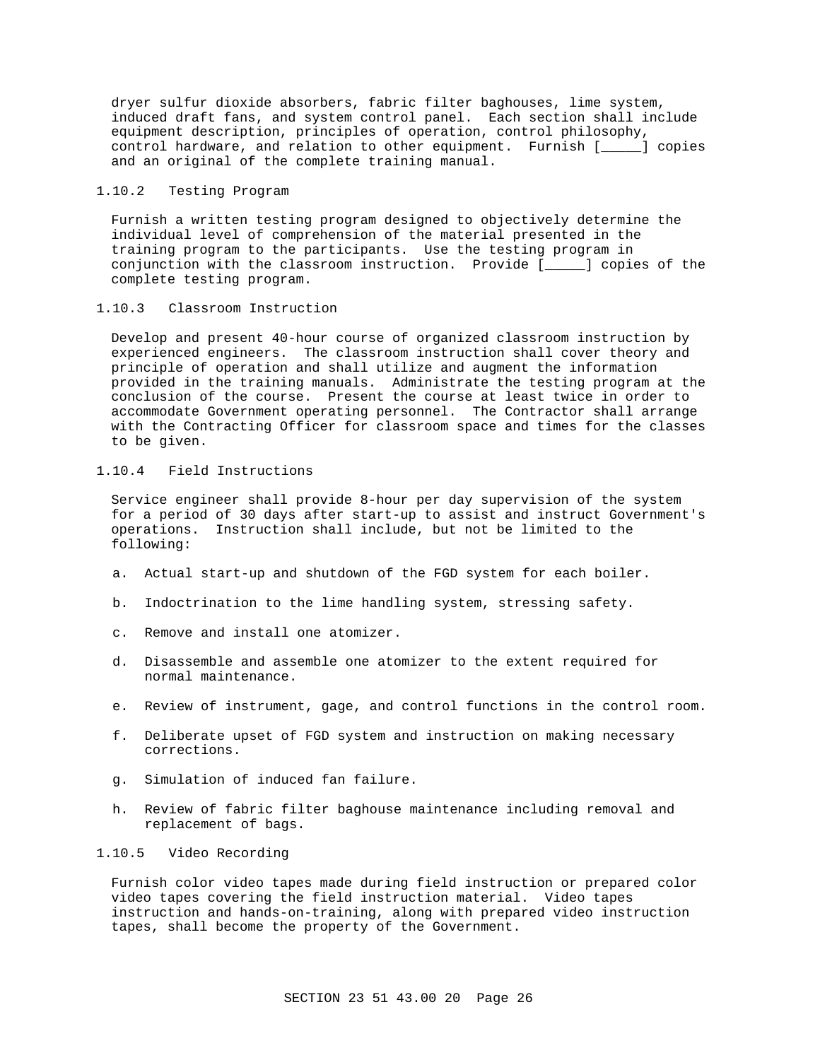dryer sulfur dioxide absorbers, fabric filter baghouses, lime system, induced draft fans, and system control panel. Each section shall include equipment description, principles of operation, control philosophy, control hardware, and relation to other equipment. Furnish [\_\_\_\_\_] copies and an original of the complete training manual.

### 1.10.2 Testing Program

Furnish a written testing program designed to objectively determine the individual level of comprehension of the material presented in the training program to the participants. Use the testing program in conjunction with the classroom instruction. Provide [\_\_\_\_\_] copies of the complete testing program.

### 1.10.3 Classroom Instruction

Develop and present 40-hour course of organized classroom instruction by experienced engineers. The classroom instruction shall cover theory and principle of operation and shall utilize and augment the information provided in the training manuals. Administrate the testing program at the conclusion of the course. Present the course at least twice in order to accommodate Government operating personnel. The Contractor shall arrange with the Contracting Officer for classroom space and times for the classes to be given.

### 1.10.4 Field Instructions

Service engineer shall provide 8-hour per day supervision of the system for a period of 30 days after start-up to assist and instruct Government's operations. Instruction shall include, but not be limited to the following:

- a. Actual start-up and shutdown of the FGD system for each boiler.
- b. Indoctrination to the lime handling system, stressing safety.
- c. Remove and install one atomizer.
- d. Disassemble and assemble one atomizer to the extent required for normal maintenance.
- e. Review of instrument, gage, and control functions in the control room.
- f. Deliberate upset of FGD system and instruction on making necessary corrections.
- g. Simulation of induced fan failure.
- h. Review of fabric filter baghouse maintenance including removal and replacement of bags.

### 1.10.5 Video Recording

Furnish color video tapes made during field instruction or prepared color video tapes covering the field instruction material. Video tapes instruction and hands-on-training, along with prepared video instruction tapes, shall become the property of the Government.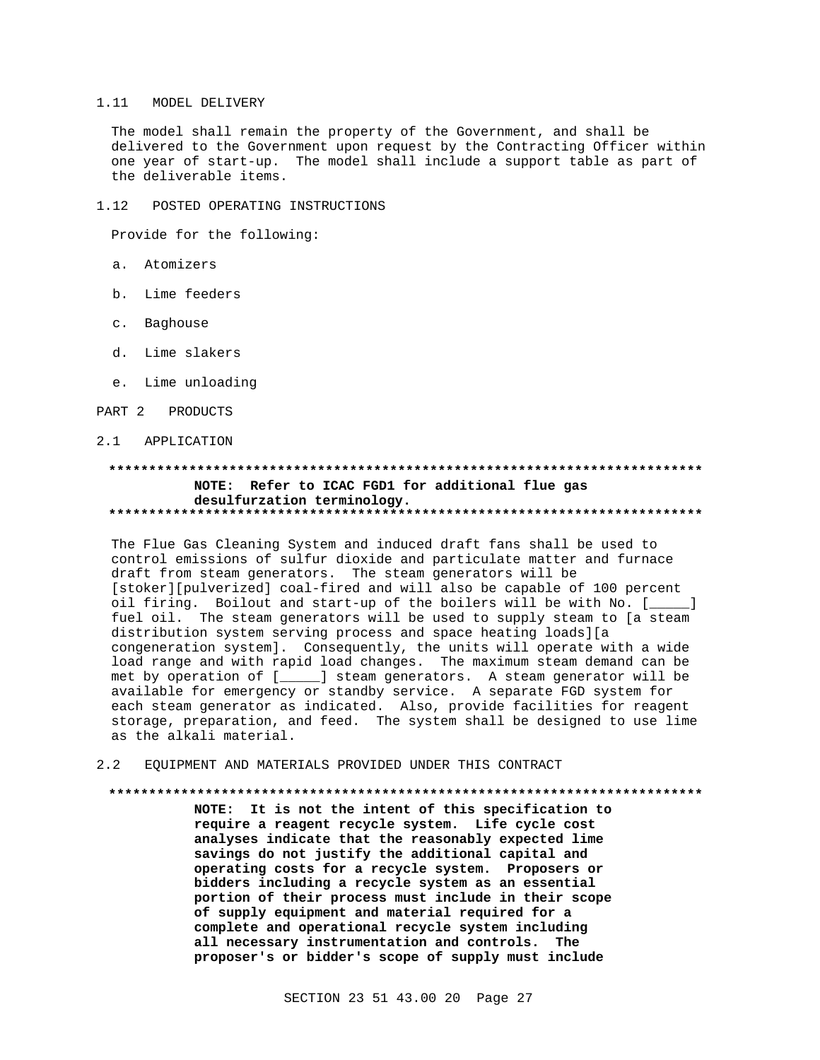#### 1.11 MODEL DELIVERY

The model shall remain the property of the Government, and shall be delivered to the Government upon request by the Contracting Officer within one year of start-up. The model shall include a support table as part of the deliverable items.

1.12 POSTED OPERATING INSTRUCTIONS

Provide for the following:

- a. Atomizers
- b. Lime feeders
- c. Baghouse
- d. Lime slakers
- e. Lime unloading
- PART 2 PRODUCTS

#### APPLICATION  $2.1$

# NOTE: Refer to ICAC FGD1 for additional flue gas desulfurzation terminology.

The Flue Gas Cleaning System and induced draft fans shall be used to control emissions of sulfur dioxide and particulate matter and furnace draft from steam generators. The steam generators will be [stoker][pulverized] coal-fired and will also be capable of 100 percent oil firing. Boilout and start-up of the boilers will be with No. [  $\Box$ fuel oil. The steam generators will be used to supply steam to [a steam distribution system serving process and space heating loads][a congeneration system]. Consequently, the units will operate with a wide load range and with rapid load changes. The maximum steam demand can be met by operation of [\_\_\_\_\_] steam generators. A steam generator will be available for emergency or standby service. A separate FGD system for each steam generator as indicated. Also, provide facilities for reagent storage, preparation, and feed. The system shall be designed to use lime as the alkali material.

EQUIPMENT AND MATERIALS PROVIDED UNDER THIS CONTRACT  $2, 2$ 

#### 

NOTE: It is not the intent of this specification to require a reagent recycle system. Life cycle cost analyses indicate that the reasonably expected lime savings do not justify the additional capital and operating costs for a recycle system. Proposers or bidders including a recycle system as an essential portion of their process must include in their scope of supply equipment and material required for a complete and operational recycle system including all necessary instrumentation and controls. The proposer's or bidder's scope of supply must include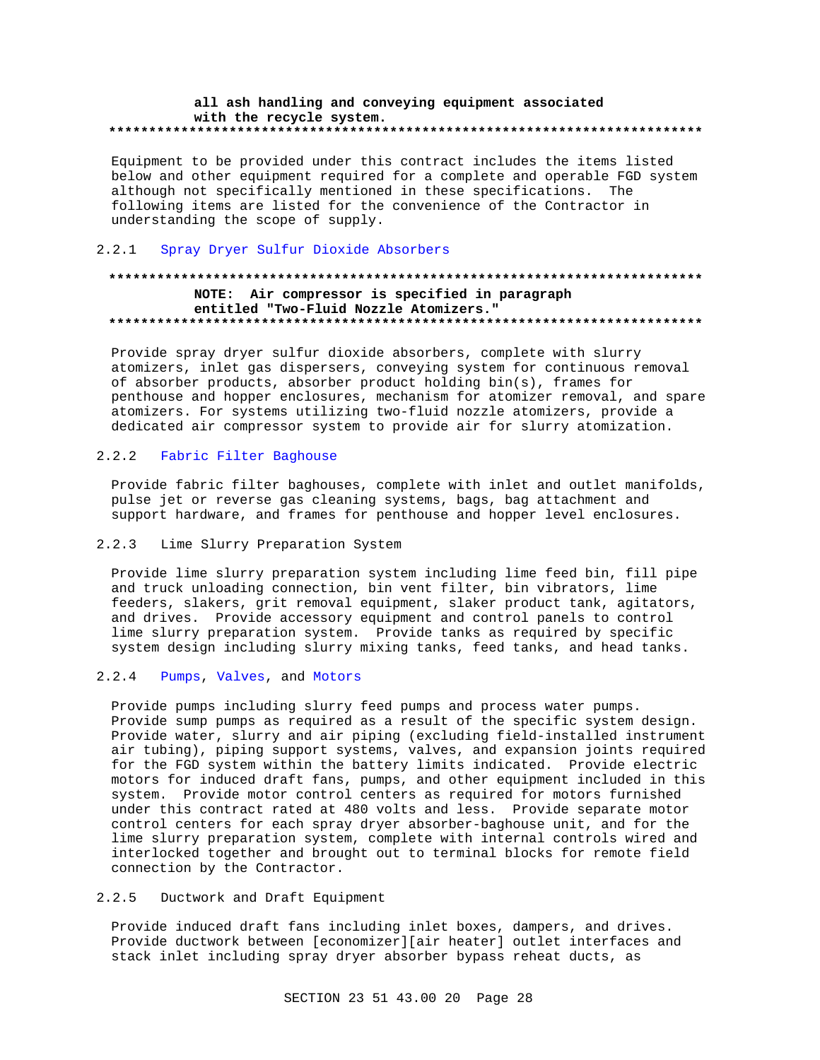#### all ash handling and conveying equipment associated with the recycle system.

Equipment to be provided under this contract includes the items listed below and other equipment required for a complete and operable FGD system although not specifically mentioned in these specifications. The following items are listed for the convenience of the Contractor in understanding the scope of supply.

#### $2.2.1$ Spray Dryer Sulfur Dioxide Absorbers

# NOTE: Air compressor is specified in paragraph entitled "Two-Fluid Nozzle Atomizers."

Provide spray dryer sulfur dioxide absorbers, complete with slurry atomizers, inlet gas dispersers, conveying system for continuous removal of absorber products, absorber product holding bin(s), frames for penthouse and hopper enclosures, mechanism for atomizer removal, and spare atomizers. For systems utilizing two-fluid nozzle atomizers, provide a dedicated air compressor system to provide air for slurry atomization.

#### $2, 2, 2$ Fabric Filter Baghouse

Provide fabric filter baghouses, complete with inlet and outlet manifolds, pulse jet or reverse gas cleaning systems, bags, bag attachment and support hardware, and frames for penthouse and hopper level enclosures.

#### $2, 2, 3$ Lime Slurry Preparation System

Provide lime slurry preparation system including lime feed bin, fill pipe and truck unloading connection, bin vent filter, bin vibrators, lime feeders, slakers, grit removal equipment, slaker product tank, agitators, and drives. Provide accessory equipment and control panels to control lime slurry preparation system. Provide tanks as required by specific system design including slurry mixing tanks, feed tanks, and head tanks.

#### $2.2.4$ Pumps, Valves, and Motors

Provide pumps including slurry feed pumps and process water pumps. Provide sump pumps as required as a result of the specific system design. Provide water, slurry and air piping (excluding field-installed instrument air tubing), piping support systems, valves, and expansion joints required for the FGD system within the battery limits indicated. Provide electric motors for induced draft fans, pumps, and other equipment included in this system. Provide motor control centers as required for motors furnished under this contract rated at 480 volts and less. Provide separate motor control centers for each spray dryer absorber-baghouse unit, and for the lime slurry preparation system, complete with internal controls wired and interlocked together and brought out to terminal blocks for remote field connection by the Contractor.

#### $2.2.5$ Ductwork and Draft Equipment

Provide induced draft fans including inlet boxes, dampers, and drives. Provide ductwork between [economizer][air heater] outlet interfaces and stack inlet including spray dryer absorber bypass reheat ducts, as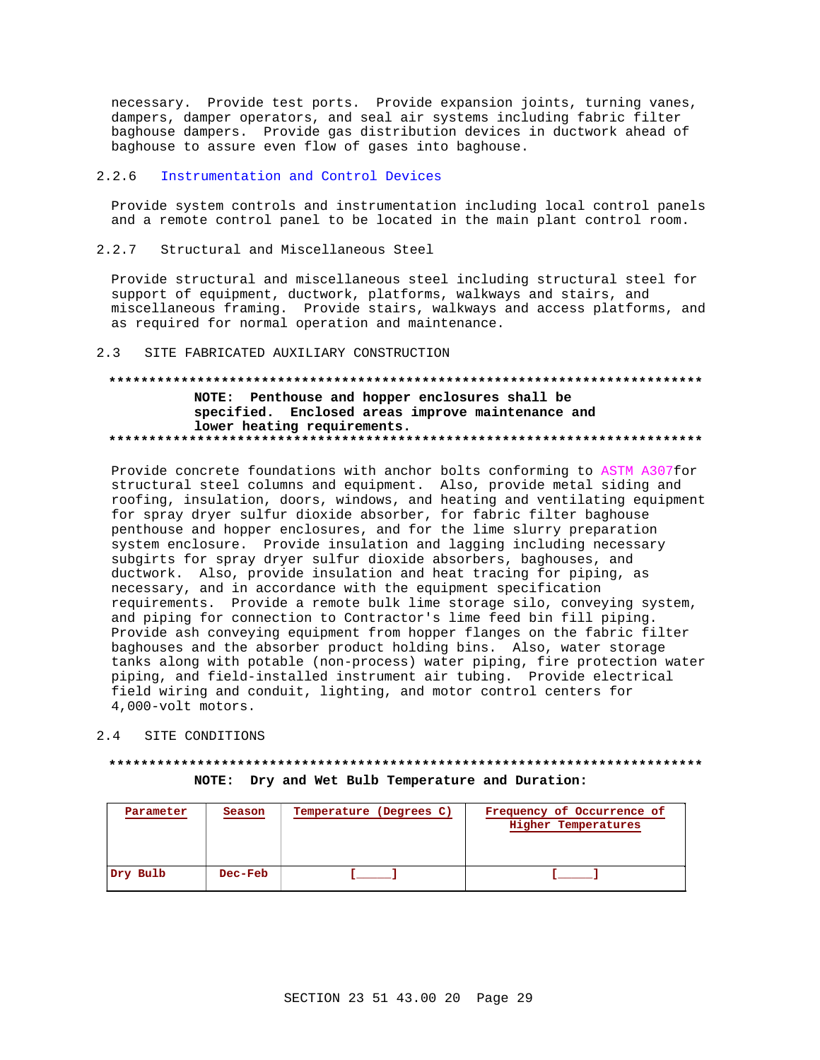necessary. Provide test ports. Provide expansion joints, turning vanes, dampers, damper operators, and seal air systems including fabric filter baghouse dampers. Provide gas distribution devices in ductwork ahead of baghouse to assure even flow of gases into baghouse.

#### $2.2.6$ Instrumentation and Control Devices

Provide system controls and instrumentation including local control panels and a remote control panel to be located in the main plant control room.

 $2.2.7$ Structural and Miscellaneous Steel

Provide structural and miscellaneous steel including structural steel for support of equipment, ductwork, platforms, walkways and stairs, and miscellaneous framing. Provide stairs, walkways and access platforms, and as required for normal operation and maintenance.

#### $2.3$ SITE FABRICATED AUXILIARY CONSTRUCTION

# NOTE: Penthouse and hopper enclosures shall be specified. Enclosed areas improve maintenance and lower heating requirements.

Provide concrete foundations with anchor bolts conforming to ASTM A307for structural steel columns and equipment. Also, provide metal siding and roofing, insulation, doors, windows, and heating and ventilating equipment for spray dryer sulfur dioxide absorber, for fabric filter baghouse penthouse and hopper enclosures, and for the lime slurry preparation system enclosure. Provide insulation and lagging including necessary subgirts for spray dryer sulfur dioxide absorbers, baghouses, and ductwork. Also, provide insulation and heat tracing for piping, as necessary, and in accordance with the equipment specification requirements. Provide a remote bulk lime storage silo, conveying system, and piping for connection to Contractor's lime feed bin fill piping. Provide ash conveying equipment from hopper flanges on the fabric filter baghouses and the absorber product holding bins. Also, water storage tanks along with potable (non-process) water piping, fire protection water piping, and field-installed instrument air tubing. Provide electrical field wiring and conduit, lighting, and motor control centers for 4,000-volt motors.

 $2.4$ SITE CONDITIONS

# NOTE: Dry and Wet Bulb Temperature and Duration:

| Parameter | Season  | Temperature (Degrees C) | Frequency of Occurrence of<br>Higher Temperatures |
|-----------|---------|-------------------------|---------------------------------------------------|
| Dry Bulb  | Dec-Feb |                         |                                                   |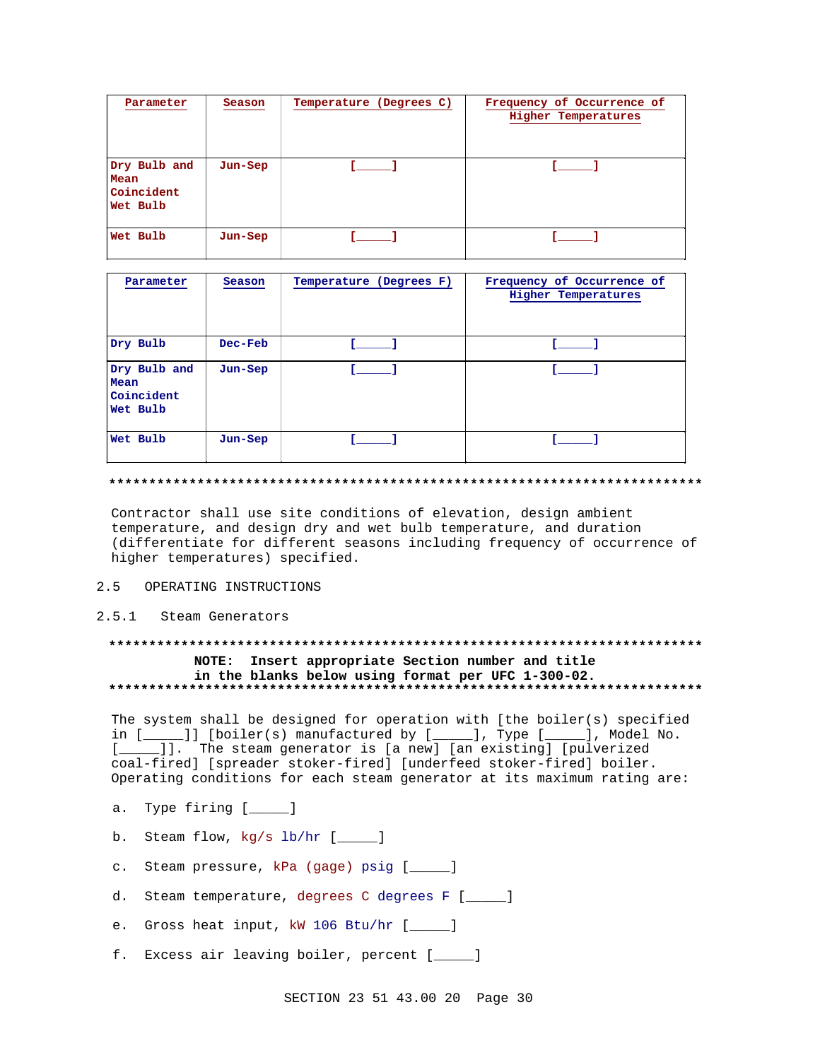| Parameter                                      | Season  | Temperature (Degrees C) | Frequency of Occurrence of<br>Higher Temperatures |
|------------------------------------------------|---------|-------------------------|---------------------------------------------------|
| Dry Bulb and<br>Mean<br>Coincident<br>Wet Bulb | Jun-Sep |                         |                                                   |
| Wet Bulb                                       | Jun-Sep |                         |                                                   |

| Parameter                                      | Season  | Temperature (Degrees F) | Frequency of Occurrence of<br>Higher Temperatures |
|------------------------------------------------|---------|-------------------------|---------------------------------------------------|
| Dry Bulb                                       | Dec-Feb |                         |                                                   |
| Dry Bulb and<br>Mean<br>Coincident<br>Wet Bulb | Jun-Sep |                         |                                                   |
| <b>Wet Bulb</b>                                | Jun-Sep |                         |                                                   |

#### 

Contractor shall use site conditions of elevation, design ambient temperature, and design dry and wet bulb temperature, and duration (differentiate for different seasons including frequency of occurrence of higher temperatures) specified.

# 2.5 OPERATING INSTRUCTIONS

# 2.5.1 Steam Generators

# NOTE: Insert appropriate Section number and title in the blanks below using format per UFC 1-300-02.

The system shall be designed for operation with [the boiler(s) specified in  $[\_\_]$  [boiler(s) manufactured by  $[\_\_]$ , Type  $[\_\_]$ , Model No. []]. The steam generator is [a new] [an existing] [pulverized  $[$ coal-fired] [spreader stoker-fired] [underfeed stoker-fired] boiler. Operating conditions for each steam generator at its maximum rating are:

- a. Type firing [*\_\_\_\_*]
- b. Steam flow,  $kg/s$  lb/hr  $[$   $]$
- c. Steam pressure, kPa (gage) psig [\_\_\_\_\_]
- d. Steam temperature, degrees C degrees F [\_\_\_\_]
- e. Gross heat input, kW 106 Btu/hr [\_\_\_\_]
- f. Excess air leaving boiler, percent [\_\_\_\_]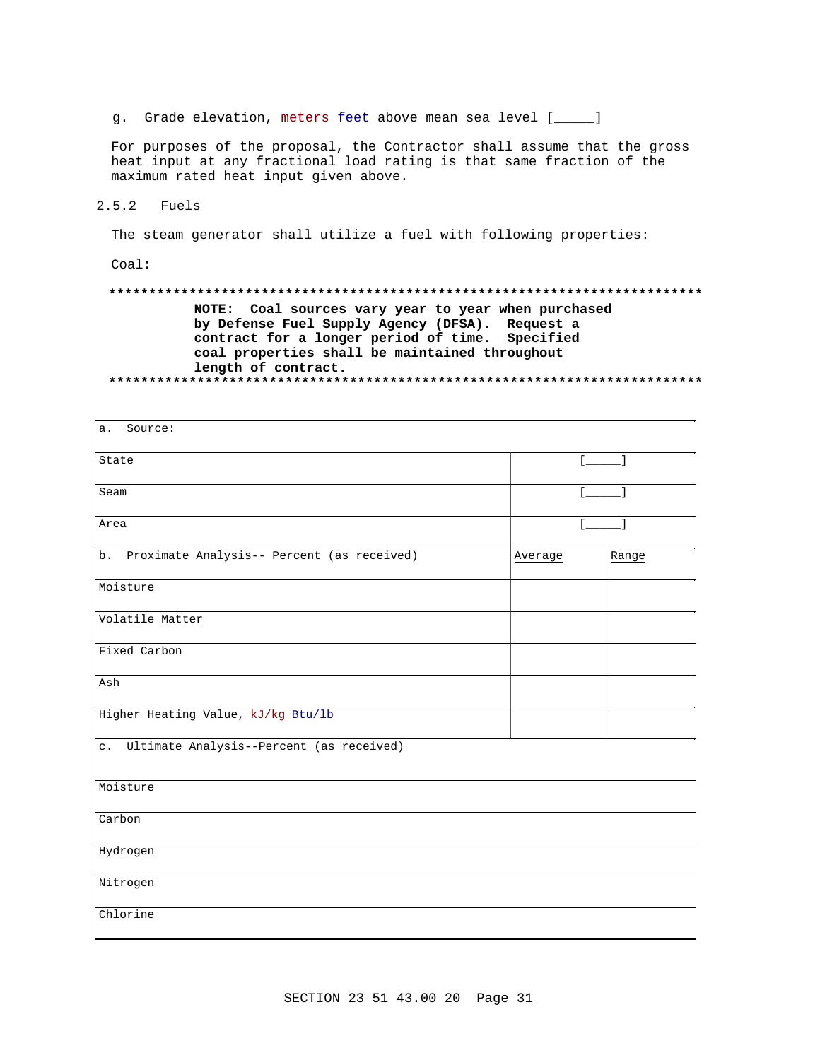g. Grade elevation, meters feet above mean sea level [\_\_\_\_]

For purposes of the proposal, the Contractor shall assume that the gross heat input at any fractional load rating is that same fraction of the maximum rated heat input given above.

# $2.5.2$  Fuels

The steam generator shall utilize a fuel with following properties:

Coal:

# NOTE: Coal sources vary year to year when purchased by Defense Fuel Supply Agency (DFSA). Request a contract for a longer period of time. Specified coal properties shall be maintained throughout length of contract.

| a. Source:                                    |                                                |       |  |  |  |  |  |
|-----------------------------------------------|------------------------------------------------|-------|--|--|--|--|--|
| State                                         | $[- \quad ]$                                   |       |  |  |  |  |  |
| Seam                                          | $\begin{bmatrix} 1 & 1 \\ 1 & 1 \end{bmatrix}$ |       |  |  |  |  |  |
| Area                                          |                                                |       |  |  |  |  |  |
| b. Proximate Analysis-- Percent (as received) | Average                                        | Range |  |  |  |  |  |
| Moisture                                      |                                                |       |  |  |  |  |  |
| Volatile Matter                               |                                                |       |  |  |  |  |  |
| Fixed Carbon                                  |                                                |       |  |  |  |  |  |
| Ash                                           |                                                |       |  |  |  |  |  |
| Higher Heating Value, kJ/kg Btu/lb            |                                                |       |  |  |  |  |  |
| c. Ultimate Analysis--Percent (as received)   |                                                |       |  |  |  |  |  |
| Moisture                                      |                                                |       |  |  |  |  |  |
| Carbon                                        |                                                |       |  |  |  |  |  |
| Hydrogen                                      |                                                |       |  |  |  |  |  |
| Nitrogen                                      |                                                |       |  |  |  |  |  |
| Chlorine                                      |                                                |       |  |  |  |  |  |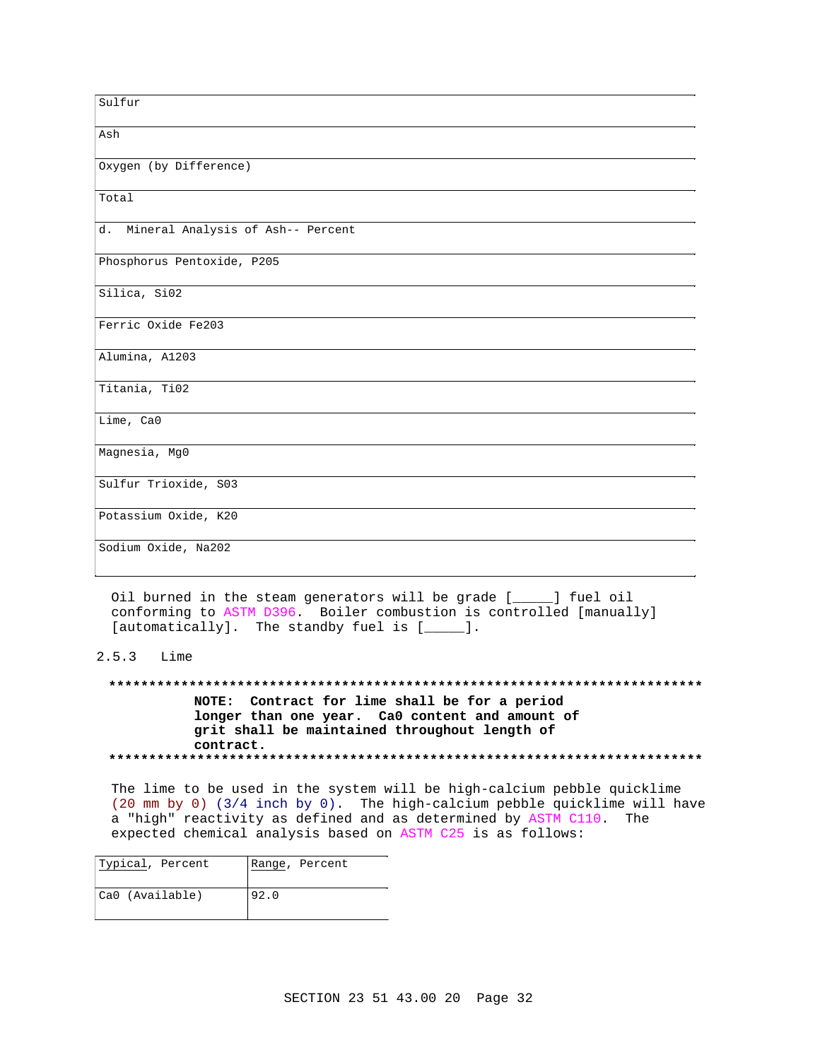| Sulfur                                  |
|-----------------------------------------|
| Ash                                     |
| Oxygen (by Difference)                  |
| Total                                   |
| Mineral Analysis of Ash-- Percent<br>d. |
| Phosphorus Pentoxide, P205              |
| Silica, Si02                            |
| Ferric Oxide Fe203                      |
| Alumina, A1203                          |
| Titania, Ti02                           |
| Lime, Ca0                               |
| Magnesia, Mg0                           |
| Sulfur Trioxide, S03                    |
| Potassium Oxide, K20                    |
| Sodium Oxide, Na202                     |
|                                         |

Oil burned in the steam generators will be grade [\_\_\_\_\_] fuel oil conforming to ASTM D396. Boiler combustion is controlled [manually] [automatically]. The standby fuel is [\_\_\_\_].

2.5.3 Lime

**\*\*\*\*\*\*\*\*\*\*\*\*\*\*\*\*\*\*\*\*\*\*\*\*\*\*\*\*\*\*\*\*\*\*\*\*\*\*\*\*\*\*\*\*\*\*\*\*\*\*\*\*\*\*\*\*\*\*\*\*\*\*\*\*\*\*\*\*\*\*\*\*\*\* NOTE: Contract for lime shall be for a period longer than one year. Ca0 content and amount of grit shall be maintained throughout length of contract. \*\*\*\*\*\*\*\*\*\*\*\*\*\*\*\*\*\*\*\*\*\*\*\*\*\*\*\*\*\*\*\*\*\*\*\*\*\*\*\*\*\*\*\*\*\*\*\*\*\*\*\*\*\*\*\*\*\*\*\*\*\*\*\*\*\*\*\*\*\*\*\*\*\***

The lime to be used in the system will be high-calcium pebble quicklime (20 mm by 0) (3/4 inch by 0). The high-calcium pebble quicklime will have a "high" reactivity as defined and as determined by ASTM C110. The expected chemical analysis based on ASTM C25 is as follows:

| Typical, Percent | Range, Percent |
|------------------|----------------|
| Ca0 (Available)  | 92.0           |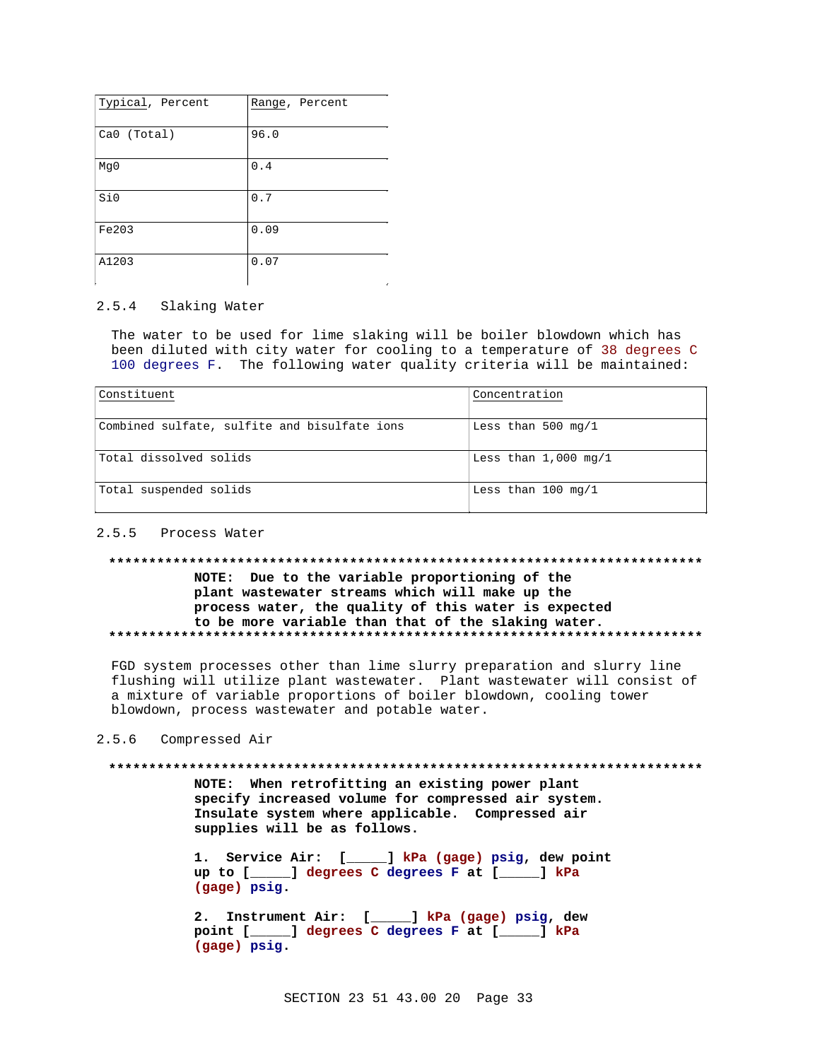| Typical, Percent | Range, Percent |
|------------------|----------------|
| CaO (Total)      | 96.0           |
| Mq0              | 0.4            |
| Si0              | 0.7            |
| Fe203            | 0.09           |
| A1203            | 0.07           |

#### Slaking Water  $2.5.4$

The water to be used for lime slaking will be boiler blowdown which has been diluted with city water for cooling to a temperature of 38 degrees C 100 degrees F. The following water quality criteria will be maintained:

| Constituent                                  | Concentration          |
|----------------------------------------------|------------------------|
| Combined sulfate, sulfite and bisulfate ions | Less than 500 $mq/1$   |
| Total dissolved solids                       | Less than $1,000$ mg/1 |
| Total suspended solids                       | Less than 100 $mq/1$   |

#### 2.5.5 Process Water

# NOTE: Due to the variable proportioning of the plant wastewater streams which will make up the process water, the quality of this water is expected to be more variable than that of the slaking water.

FGD system processes other than lime slurry preparation and slurry line flushing will utilize plant wastewater. Plant wastewater will consist of a mixture of variable proportions of boiler blowdown, cooling tower blowdown, process wastewater and potable water.

#### $2.5.6$ Compressed Air

#### 

NOTE: When retrofitting an existing power plant specify increased volume for compressed air system. Insulate system where applicable. Compressed air supplies will be as follows.

1. Service Air: [\_\_\_\_] kPa (gage) psig, dew point up to [\_\_\_\_\_] degrees C degrees F at [\_\_\_\_] kPa (gage) psig.

2. Instrument Air: [\_\_\_\_] kPa (gage) psig, dew point [\_\_\_\_\_] degrees C degrees F at [\_\_\_\_] kPa (gage) psig.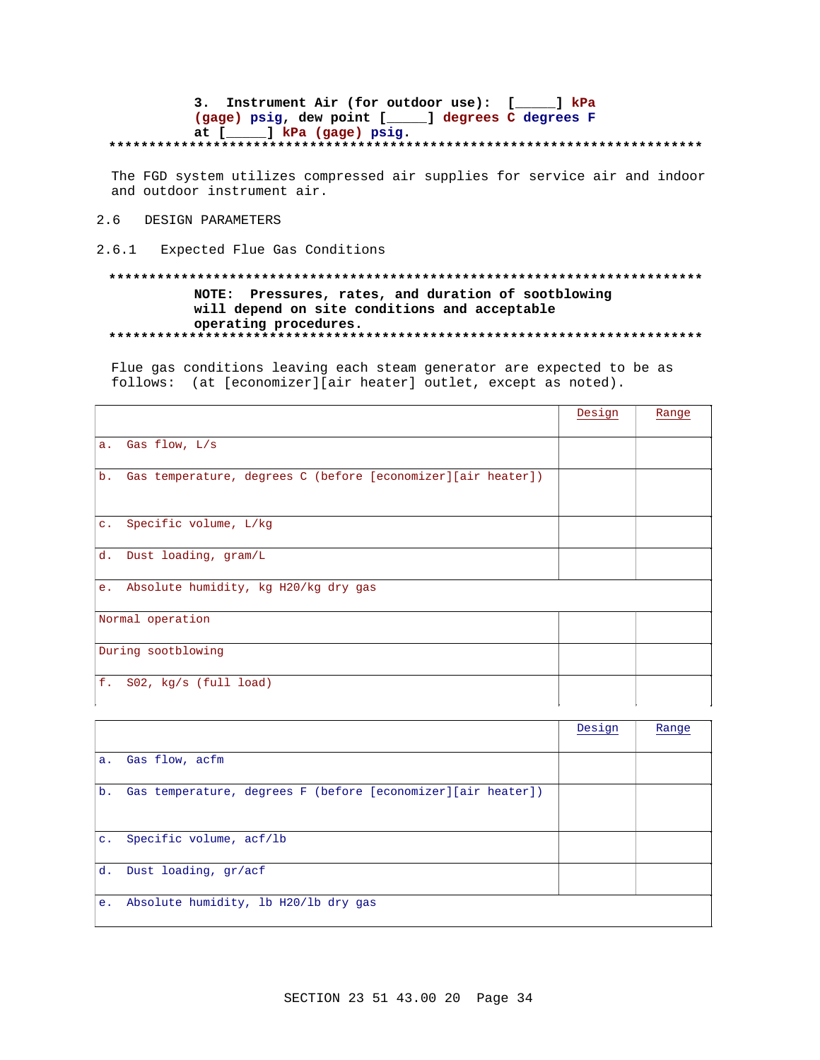## **3. Instrument Air (for outdoor use): [\_\_\_\_\_] kPa (gage) psig, dew point [\_\_\_\_\_] degrees C degrees F at [\_\_\_\_\_] kPa (gage) psig. \*\*\*\*\*\*\*\*\*\*\*\*\*\*\*\*\*\*\*\*\*\*\*\*\*\*\*\*\*\*\*\*\*\*\*\*\*\*\*\*\*\*\*\*\*\*\*\*\*\*\*\*\*\*\*\*\*\*\*\*\*\*\*\*\*\*\*\*\*\*\*\*\*\***

The FGD system utilizes compressed air supplies for service air and indoor and outdoor instrument air.

- 2.6 DESIGN PARAMETERS
- 2.6.1 Expected Flue Gas Conditions

# **\*\*\*\*\*\*\*\*\*\*\*\*\*\*\*\*\*\*\*\*\*\*\*\*\*\*\*\*\*\*\*\*\*\*\*\*\*\*\*\*\*\*\*\*\*\*\*\*\*\*\*\*\*\*\*\*\*\*\*\*\*\*\*\*\*\*\*\*\*\*\*\*\*\* NOTE: Pressures, rates, and duration of sootblowing will depend on site conditions and acceptable operating procedures. \*\*\*\*\*\*\*\*\*\*\*\*\*\*\*\*\*\*\*\*\*\*\*\*\*\*\*\*\*\*\*\*\*\*\*\*\*\*\*\*\*\*\*\*\*\*\*\*\*\*\*\*\*\*\*\*\*\*\*\*\*\*\*\*\*\*\*\*\*\*\*\*\*\***

Flue gas conditions leaving each steam generator are expected to be as follows: (at [economizer][air heater] outlet, except as noted).

|                                                                    | Design | Range |  |  |  |  |
|--------------------------------------------------------------------|--------|-------|--|--|--|--|
|                                                                    |        |       |  |  |  |  |
| a. Gas flow, L/s                                                   |        |       |  |  |  |  |
| Gas temperature, degrees C (before [economizer][air heater])<br>b. |        |       |  |  |  |  |
| Specific volume, L/kg<br>$\mathsf{c}$ .                            |        |       |  |  |  |  |
| d.<br>Dust loading, gram/L                                         |        |       |  |  |  |  |
| Absolute humidity, kg H20/kg dry gas<br>e.                         |        |       |  |  |  |  |
| Normal operation                                                   |        |       |  |  |  |  |
| During sootblowing                                                 |        |       |  |  |  |  |
| $f$ .<br>$S02$ , $kg/s$ (full load)                                |        |       |  |  |  |  |

|                |                                                              | Design | Range |
|----------------|--------------------------------------------------------------|--------|-------|
| a.             | Gas flow, acfm                                               |        |       |
| b.             | Gas temperature, degrees F (before [economizer][air heater]) |        |       |
| $\mathbf{c}$ . | Specific volume, acf/lb                                      |        |       |
| d.             | Dust loading, gr/acf                                         |        |       |
| e.             | Absolute humidity, lb H20/lb dry gas                         |        |       |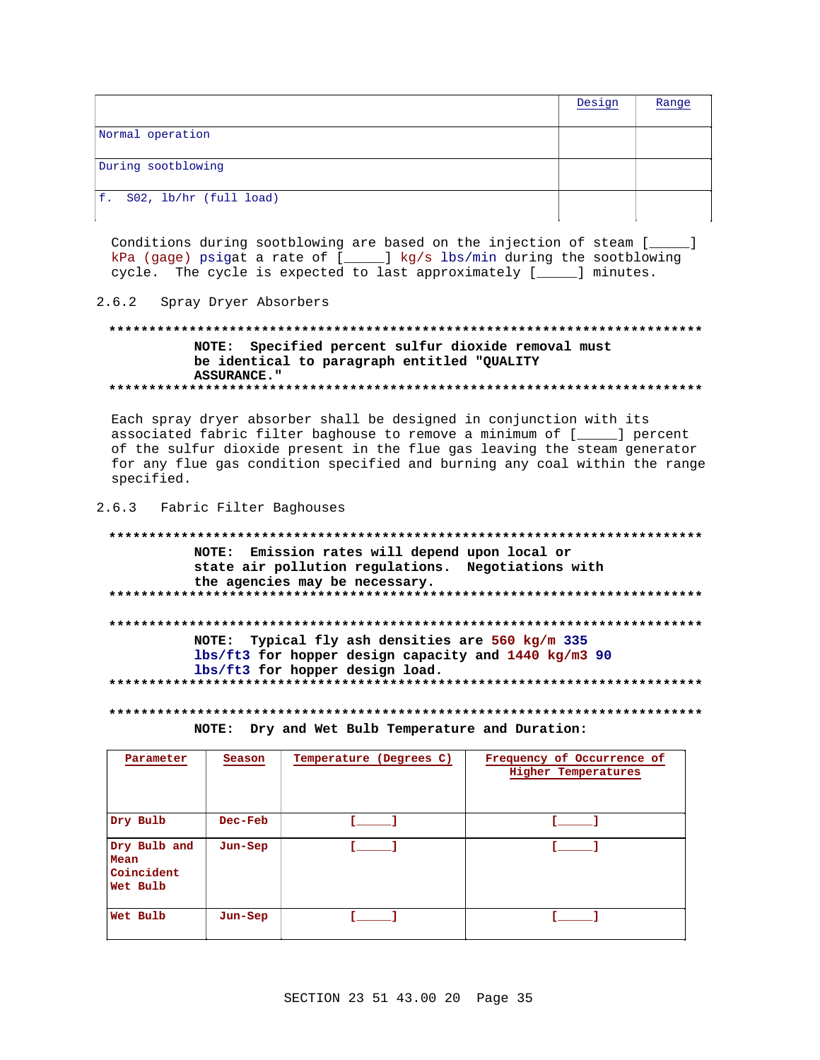|                              | Design | Range |
|------------------------------|--------|-------|
| Normal operation             |        |       |
| During sootblowing           |        |       |
| f.<br>S02, lb/hr (full load) |        |       |

Conditions during sootblowing are based on the injection of steam [  $\Box$ kPa (gage) psigat a rate of [\_\_\_\_\_] kg/s lbs/min during the sootblowing cycle. The cycle is expected to last approximately [\_\_\_\_] minutes.

# 2.6.2 Spray Dryer Absorbers

## NOTE: Specified percent sulfur dioxide removal must be identical to paragraph entitled "QUALITY **ASSURANCE."**

Each spray dryer absorber shall be designed in conjunction with its associated fabric filter baghouse to remove a minimum of [\_\_\_\_\_] percent of the sulfur dioxide present in the flue gas leaving the steam generator for any flue gas condition specified and burning any coal within the range specified.

 $2.6.3$ Fabric Filter Baghouses

# NOTE: Emission rates will depend upon local or state air pollution regulations. Negotiations with the agencies may be necessary. NOTE: Typical fly ash densities are 560 kg/m 335 lbs/ft3 for hopper design capacity and 1440 kg/m3 90 lbs/ft3 for hopper design load.

|  |  |  |  |  | NOTE: Dry and Wet Bulb Temperature and Duration: |  |  |
|--|--|--|--|--|--------------------------------------------------|--|--|
|--|--|--|--|--|--------------------------------------------------|--|--|

| Parameter                                      | Season  | Temperature (Degrees C) | Frequency of Occurrence of<br>Higher Temperatures |
|------------------------------------------------|---------|-------------------------|---------------------------------------------------|
| Dry Bulb                                       | Dec-Feb |                         |                                                   |
| Dry Bulb and<br>Mean<br>Coincident<br>Wet Bulb | Jun-Sep |                         |                                                   |
| Wet Bulb                                       | Jun-Sep |                         |                                                   |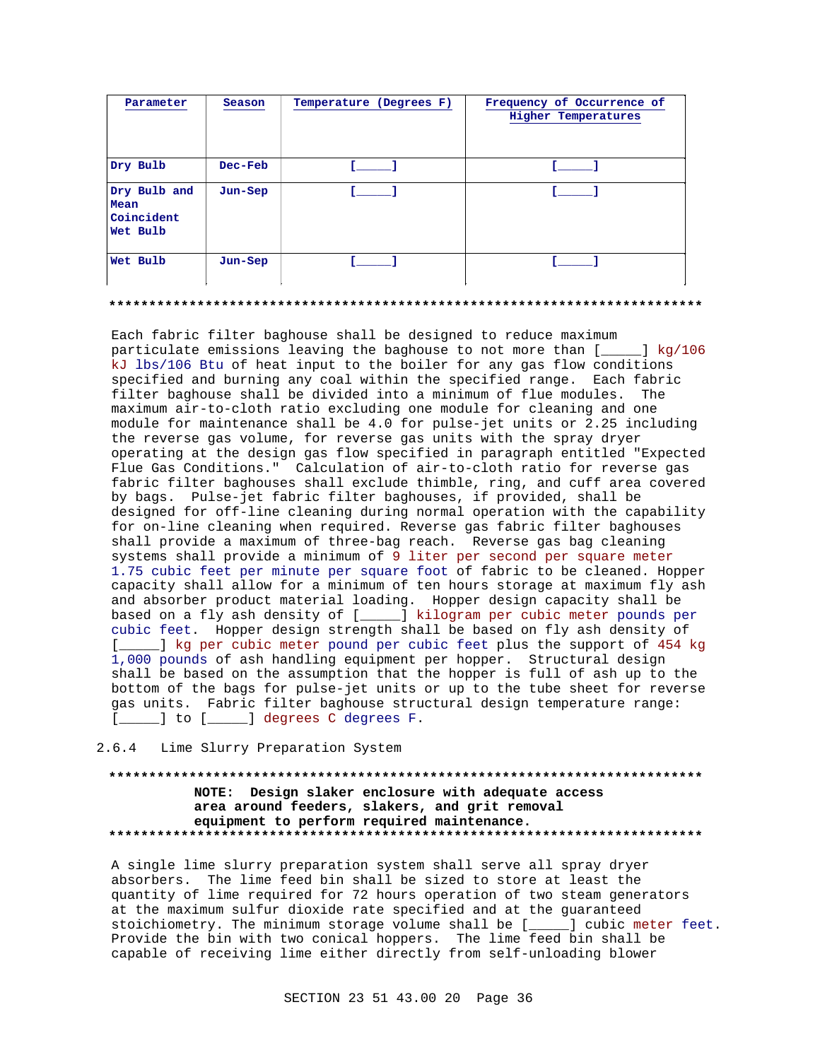| Parameter                                      | Season  | Temperature (Degrees F) | Frequency of Occurrence of<br>Higher Temperatures |
|------------------------------------------------|---------|-------------------------|---------------------------------------------------|
| Dry Bulb                                       | Dec-Feb |                         |                                                   |
| Dry Bulb and<br>Mean<br>Coincident<br>Wet Bulb | Jun-Sep |                         |                                                   |
| Wet Bulb                                       | Jun-Sep |                         |                                                   |

#### **\*\*\*\*\*\*\*\*\*\*\*\*\*\*\*\*\*\*\*\*\*\*\*\*\*\*\*\*\*\*\*\*\*\*\*\*\*\*\*\*\*\*\*\*\*\*\*\*\*\*\*\*\*\*\*\*\*\*\*\*\*\*\*\*\*\*\*\*\*\*\*\*\*\***

Each fabric filter baghouse shall be designed to reduce maximum particulate emissions leaving the baghouse to not more than [\_\_\_\_\_] kg/106 kJ lbs/106 Btu of heat input to the boiler for any gas flow conditions specified and burning any coal within the specified range. Each fabric filter baghouse shall be divided into a minimum of flue modules. The maximum air-to-cloth ratio excluding one module for cleaning and one module for maintenance shall be 4.0 for pulse-jet units or 2.25 including the reverse gas volume, for reverse gas units with the spray dryer operating at the design gas flow specified in paragraph entitled "Expected Flue Gas Conditions." Calculation of air-to-cloth ratio for reverse gas fabric filter baghouses shall exclude thimble, ring, and cuff area covered by bags. Pulse-jet fabric filter baghouses, if provided, shall be designed for off-line cleaning during normal operation with the capability for on-line cleaning when required. Reverse gas fabric filter baghouses shall provide a maximum of three-bag reach. Reverse gas bag cleaning systems shall provide a minimum of 9 liter per second per square meter 1.75 cubic feet per minute per square foot of fabric to be cleaned. Hopper capacity shall allow for a minimum of ten hours storage at maximum fly ash and absorber product material loading. Hopper design capacity shall be based on a fly ash density of [\_\_\_\_\_] kilogram per cubic meter pounds per cubic feet. Hopper design strength shall be based on fly ash density of [\_\_\_\_] kg per cubic meter pound per cubic feet plus the support of 454 kg 1,000 pounds of ash handling equipment per hopper. Structural design shall be based on the assumption that the hopper is full of ash up to the bottom of the bags for pulse-jet units or up to the tube sheet for reverse gas units. Fabric filter baghouse structural design temperature range: [\_\_\_\_\_] to [\_\_\_\_\_] degrees C degrees F.

2.6.4 Lime Slurry Preparation System

# **\*\*\*\*\*\*\*\*\*\*\*\*\*\*\*\*\*\*\*\*\*\*\*\*\*\*\*\*\*\*\*\*\*\*\*\*\*\*\*\*\*\*\*\*\*\*\*\*\*\*\*\*\*\*\*\*\*\*\*\*\*\*\*\*\*\*\*\*\*\*\*\*\*\* NOTE: Design slaker enclosure with adequate access area around feeders, slakers, and grit removal equipment to perform required maintenance. \*\*\*\*\*\*\*\*\*\*\*\*\*\*\*\*\*\*\*\*\*\*\*\*\*\*\*\*\*\*\*\*\*\*\*\*\*\*\*\*\*\*\*\*\*\*\*\*\*\*\*\*\*\*\*\*\*\*\*\*\*\*\*\*\*\*\*\*\*\*\*\*\*\***

A single lime slurry preparation system shall serve all spray dryer absorbers. The lime feed bin shall be sized to store at least the quantity of lime required for 72 hours operation of two steam generators at the maximum sulfur dioxide rate specified and at the guaranteed stoichiometry. The minimum storage volume shall be [\_\_\_\_\_] cubic meter feet. Provide the bin with two conical hoppers. The lime feed bin shall be capable of receiving lime either directly from self-unloading blower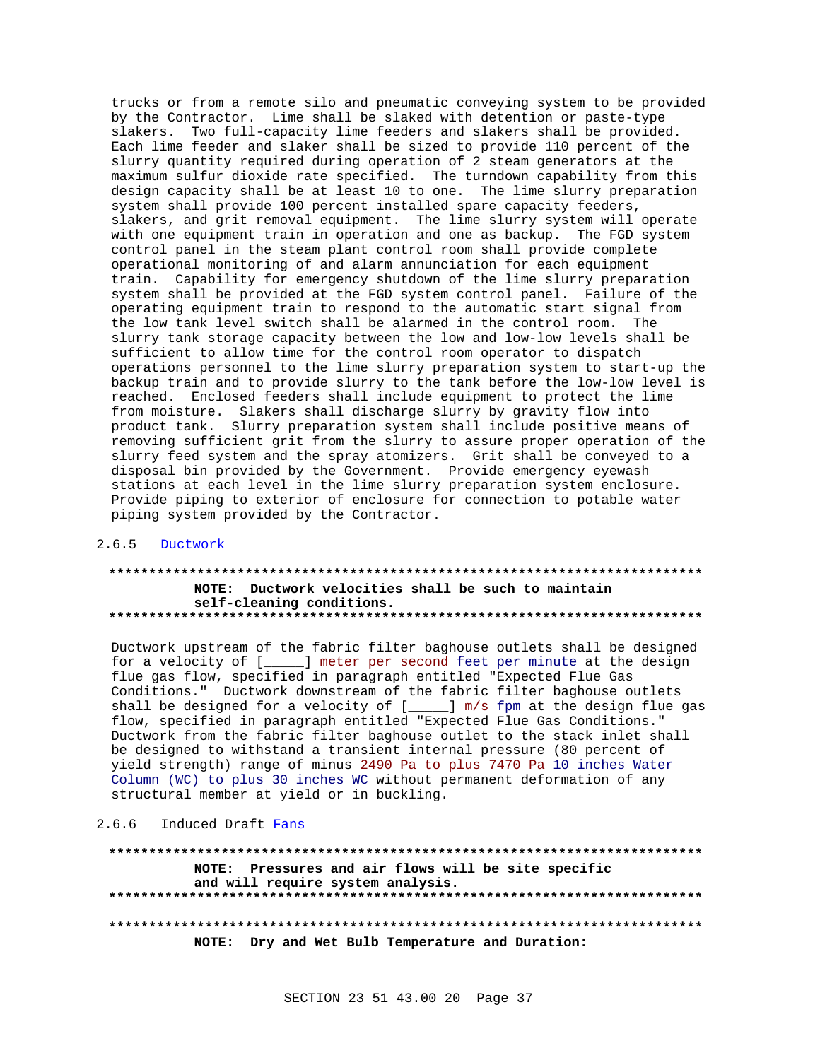trucks or from a remote silo and pneumatic conveying system to be provided by the Contractor. Lime shall be slaked with detention or paste-type slakers. Two full-capacity lime feeders and slakers shall be provided. Each lime feeder and slaker shall be sized to provide 110 percent of the slurry quantity required during operation of 2 steam generators at the maximum sulfur dioxide rate specified. The turndown capability from this design capacity shall be at least 10 to one. The lime slurry preparation system shall provide 100 percent installed spare capacity feeders, slakers, and grit removal equipment. The lime slurry system will operate with one equipment train in operation and one as backup. The FGD system control panel in the steam plant control room shall provide complete operational monitoring of and alarm annunciation for each equipment train. Capability for emergency shutdown of the lime slurry preparation system shall be provided at the FGD system control panel. Failure of the operating equipment train to respond to the automatic start signal from the low tank level switch shall be alarmed in the control room. The slurry tank storage capacity between the low and low-low levels shall be sufficient to allow time for the control room operator to dispatch operations personnel to the lime slurry preparation system to start-up the backup train and to provide slurry to the tank before the low-low level is reached. Enclosed feeders shall include equipment to protect the lime from moisture. Slakers shall discharge slurry by gravity flow into product tank. Slurry preparation system shall include positive means of removing sufficient grit from the slurry to assure proper operation of the slurry feed system and the spray atomizers. Grit shall be conveyed to a disposal bin provided by the Government. Provide emergency eyewash stations at each level in the lime slurry preparation system enclosure. Provide piping to exterior of enclosure for connection to potable water piping system provided by the Contractor.

### 2.6.5 Ductwork

### **\*\*\*\*\*\*\*\*\*\*\*\*\*\*\*\*\*\*\*\*\*\*\*\*\*\*\*\*\*\*\*\*\*\*\*\*\*\*\*\*\*\*\*\*\*\*\*\*\*\*\*\*\*\*\*\*\*\*\*\*\*\*\*\*\*\*\*\*\*\*\*\*\*\* NOTE: Ductwork velocities shall be such to maintain self-cleaning conditions. \*\*\*\*\*\*\*\*\*\*\*\*\*\*\*\*\*\*\*\*\*\*\*\*\*\*\*\*\*\*\*\*\*\*\*\*\*\*\*\*\*\*\*\*\*\*\*\*\*\*\*\*\*\*\*\*\*\*\*\*\*\*\*\*\*\*\*\*\*\*\*\*\*\***

Ductwork upstream of the fabric filter baghouse outlets shall be designed for a velocity of [\_\_\_\_\_] meter per second feet per minute at the design flue gas flow, specified in paragraph entitled "Expected Flue Gas Conditions." Ductwork downstream of the fabric filter baghouse outlets shall be designed for a velocity of [\_\_\_\_\_] m/s fpm at the design flue gas flow, specified in paragraph entitled "Expected Flue Gas Conditions." Ductwork from the fabric filter baghouse outlet to the stack inlet shall be designed to withstand a transient internal pressure (80 percent of yield strength) range of minus 2490 Pa to plus 7470 Pa 10 inches Water Column (WC) to plus 30 inches WC without permanent deformation of any structural member at yield or in buckling.

### 2.6.6 Induced Draft Fans

**\*\*\*\*\*\*\*\*\*\*\*\*\*\*\*\*\*\*\*\*\*\*\*\*\*\*\*\*\*\*\*\*\*\*\*\*\*\*\*\*\*\*\*\*\*\*\*\*\*\*\*\*\*\*\*\*\*\*\*\*\*\*\*\*\*\*\*\*\*\*\*\*\*\* NOTE: Pressures and air flows will be site specific and will require system analysis. \*\*\*\*\*\*\*\*\*\*\*\*\*\*\*\*\*\*\*\*\*\*\*\*\*\*\*\*\*\*\*\*\*\*\*\*\*\*\*\*\*\*\*\*\*\*\*\*\*\*\*\*\*\*\*\*\*\*\*\*\*\*\*\*\*\*\*\*\*\*\*\*\*\* \*\*\*\*\*\*\*\*\*\*\*\*\*\*\*\*\*\*\*\*\*\*\*\*\*\*\*\*\*\*\*\*\*\*\*\*\*\*\*\*\*\*\*\*\*\*\*\*\*\*\*\*\*\*\*\*\*\*\*\*\*\*\*\*\*\*\*\*\*\*\*\*\*\* NOTE: Dry and Wet Bulb Temperature and Duration:**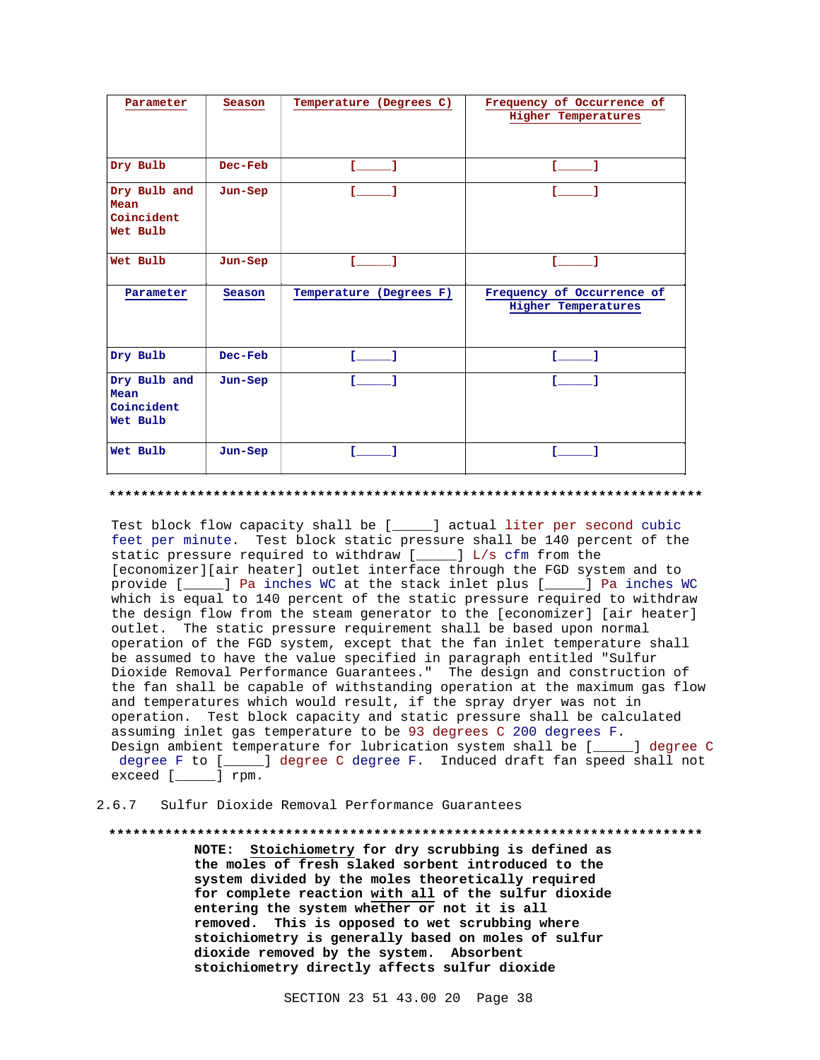| Parameter                                      | Season    | Temperature (Degrees C) | Frequency of Occurrence of<br><b>Higher Temperatures</b> |
|------------------------------------------------|-----------|-------------------------|----------------------------------------------------------|
| Dry Bulb                                       | $Dec-Feb$ | n a s                   | <b>Factor</b>                                            |
| Dry Bulb and<br>Mean<br>Coincident<br>Wet Bulb | Jun-Sep   |                         |                                                          |
| Wet Bulb                                       | Jun-Sep   |                         |                                                          |
| Parameter                                      | Season    | Temperature (Degrees F) | Frequency of Occurrence of<br>Higher Temperatures        |
|                                                |           |                         |                                                          |
| Dry Bulb                                       | $Dec-Feb$ | n a sh                  | r i v                                                    |
| Dry Bulb and<br>Mean<br>Coincident<br>Wet Bulb | Jun-Sep   |                         |                                                          |

#### **\*\*\*\*\*\*\*\*\*\*\*\*\*\*\*\*\*\*\*\*\*\*\*\*\*\*\*\*\*\*\*\*\*\*\*\*\*\*\*\*\*\*\*\*\*\*\*\*\*\*\*\*\*\*\*\*\*\*\*\*\*\*\*\*\*\*\*\*\*\*\*\*\*\***

Test block flow capacity shall be [\_\_\_\_\_] actual liter per second cubic feet per minute. Test block static pressure shall be 140 percent of the static pressure required to withdraw [\_\_\_\_\_] L/s cfm from the [economizer][air heater] outlet interface through the FGD system and to provide [\_\_\_\_\_] Pa inches WC at the stack inlet plus [\_\_\_\_\_] Pa inches WC which is equal to 140 percent of the static pressure required to withdraw the design flow from the steam generator to the [economizer] [air heater] outlet. The static pressure requirement shall be based upon normal operation of the FGD system, except that the fan inlet temperature shall be assumed to have the value specified in paragraph entitled "Sulfur Dioxide Removal Performance Guarantees." The design and construction of the fan shall be capable of withstanding operation at the maximum gas flow and temperatures which would result, if the spray dryer was not in operation. Test block capacity and static pressure shall be calculated assuming inlet gas temperature to be 93 degrees C 200 degrees F. Design ambient temperature for lubrication system shall be [\_\_\_\_\_] degree C degree F to [\_\_\_\_\_] degree C degree F. Induced draft fan speed shall not exceed [\_\_\_\_\_] rpm.

#### 2.6.7 Sulfur Dioxide Removal Performance Guarantees

### **\*\*\*\*\*\*\*\*\*\*\*\*\*\*\*\*\*\*\*\*\*\*\*\*\*\*\*\*\*\*\*\*\*\*\*\*\*\*\*\*\*\*\*\*\*\*\*\*\*\*\*\*\*\*\*\*\*\*\*\*\*\*\*\*\*\*\*\*\*\*\*\*\*\***

**NOTE: Stoichiometry for dry scrubbing is defined as the moles of fresh slaked sorbent introduced to the system divided by the moles theoretically required for complete reaction with all of the sulfur dioxide entering the system whether or not it is all removed. This is opposed to wet scrubbing where stoichiometry is generally based on moles of sulfur dioxide removed by the system. Absorbent stoichiometry directly affects sulfur dioxide**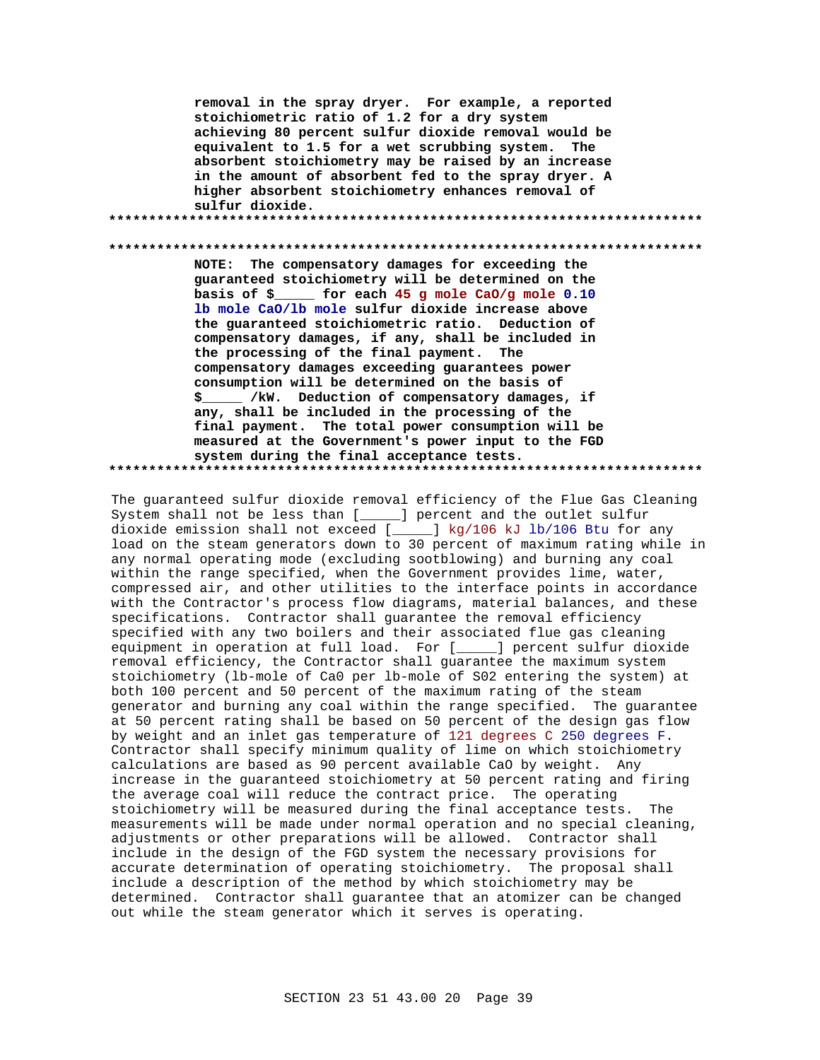**removal in the spray dryer. For example, a reported stoichiometric ratio of 1.2 for a dry system achieving 80 percent sulfur dioxide removal would be equivalent to 1.5 for a wet scrubbing system. The absorbent stoichiometry may be raised by an increase in the amount of absorbent fed to the spray dryer. A higher absorbent stoichiometry enhances removal of sulfur dioxide. \*\*\*\*\*\*\*\*\*\*\*\*\*\*\*\*\*\*\*\*\*\*\*\*\*\*\*\*\*\*\*\*\*\*\*\*\*\*\*\*\*\*\*\*\*\*\*\*\*\*\*\*\*\*\*\*\*\*\*\*\*\*\*\*\*\*\*\*\*\*\*\*\*\* \*\*\*\*\*\*\*\*\*\*\*\*\*\*\*\*\*\*\*\*\*\*\*\*\*\*\*\*\*\*\*\*\*\*\*\*\*\*\*\*\*\*\*\*\*\*\*\*\*\*\*\*\*\*\*\*\*\*\*\*\*\*\*\*\*\*\*\*\*\*\*\*\*\* NOTE: The compensatory damages for exceeding the guaranteed stoichiometry will be determined on the basis of \$\_\_\_\_\_ for each 45 g mole CaO/g mole 0.10 lb mole CaO/lb mole sulfur dioxide increase above the guaranteed stoichiometric ratio. Deduction of compensatory damages, if any, shall be included in the processing of the final payment. The compensatory damages exceeding guarantees power consumption will be determined on the basis of \$\_\_\_\_\_ /kW. Deduction of compensatory damages, if any, shall be included in the processing of the final payment. The total power consumption will be measured at the Government's power input to the FGD system during the final acceptance tests. \*\*\*\*\*\*\*\*\*\*\*\*\*\*\*\*\*\*\*\*\*\*\*\*\*\*\*\*\*\*\*\*\*\*\*\*\*\*\*\*\*\*\*\*\*\*\*\*\*\*\*\*\*\*\*\*\*\*\*\*\*\*\*\*\*\*\*\*\*\*\*\*\*\***

The guaranteed sulfur dioxide removal efficiency of the Flue Gas Cleaning System shall not be less than [\_\_\_\_\_] percent and the outlet sulfur dioxide emission shall not exceed [\_\_\_\_] kg/106 kJ lb/106 Btu for any load on the steam generators down to 30 percent of maximum rating while in any normal operating mode (excluding sootblowing) and burning any coal within the range specified, when the Government provides lime, water, compressed air, and other utilities to the interface points in accordance with the Contractor's process flow diagrams, material balances, and these specifications. Contractor shall guarantee the removal efficiency specified with any two boilers and their associated flue gas cleaning equipment in operation at full load. For [\_\_\_\_\_] percent sulfur dioxide removal efficiency, the Contractor shall guarantee the maximum system stoichiometry (lb-mole of Ca0 per lb-mole of S02 entering the system) at both 100 percent and 50 percent of the maximum rating of the steam generator and burning any coal within the range specified. The guarantee at 50 percent rating shall be based on 50 percent of the design gas flow by weight and an inlet gas temperature of 121 degrees C 250 degrees F. Contractor shall specify minimum quality of lime on which stoichiometry calculations are based as 90 percent available CaO by weight. Any increase in the guaranteed stoichiometry at 50 percent rating and firing the average coal will reduce the contract price. The operating stoichiometry will be measured during the final acceptance tests. measurements will be made under normal operation and no special cleaning, adjustments or other preparations will be allowed. Contractor shall include in the design of the FGD system the necessary provisions for accurate determination of operating stoichiometry. The proposal shall include a description of the method by which stoichiometry may be determined. Contractor shall guarantee that an atomizer can be changed out while the steam generator which it serves is operating.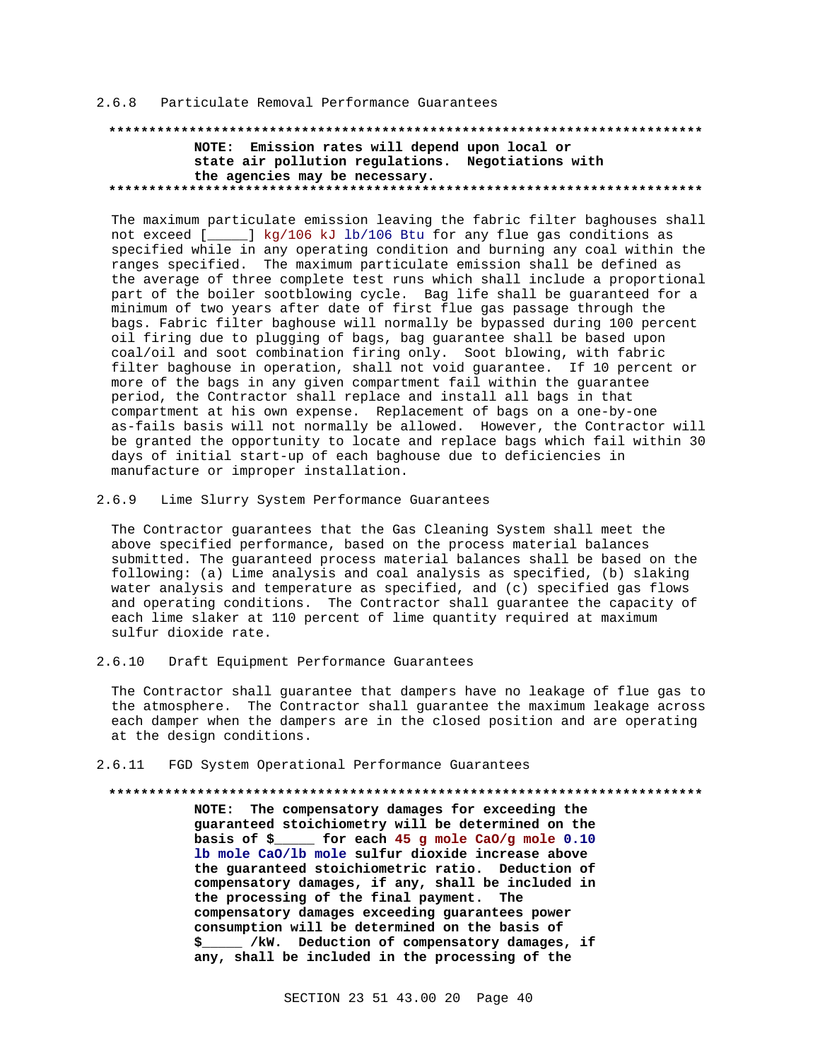#### 2.6.8 Particulate Removal Performance Guarantees

### **\*\*\*\*\*\*\*\*\*\*\*\*\*\*\*\*\*\*\*\*\*\*\*\*\*\*\*\*\*\*\*\*\*\*\*\*\*\*\*\*\*\*\*\*\*\*\*\*\*\*\*\*\*\*\*\*\*\*\*\*\*\*\*\*\*\*\*\*\*\*\*\*\*\* NOTE: Emission rates will depend upon local or state air pollution regulations. Negotiations with the agencies may be necessary. \*\*\*\*\*\*\*\*\*\*\*\*\*\*\*\*\*\*\*\*\*\*\*\*\*\*\*\*\*\*\*\*\*\*\*\*\*\*\*\*\*\*\*\*\*\*\*\*\*\*\*\*\*\*\*\*\*\*\*\*\*\*\*\*\*\*\*\*\*\*\*\*\*\***

The maximum particulate emission leaving the fabric filter baghouses shall not exceed [\_\_\_\_\_] kg/106 kJ lb/106 Btu for any flue gas conditions as specified while in any operating condition and burning any coal within the ranges specified. The maximum particulate emission shall be defined as the average of three complete test runs which shall include a proportional part of the boiler sootblowing cycle. Bag life shall be guaranteed for a minimum of two years after date of first flue gas passage through the bags. Fabric filter baghouse will normally be bypassed during 100 percent oil firing due to plugging of bags, bag guarantee shall be based upon coal/oil and soot combination firing only. Soot blowing, with fabric filter baghouse in operation, shall not void guarantee. If 10 percent or more of the bags in any given compartment fail within the guarantee period, the Contractor shall replace and install all bags in that compartment at his own expense. Replacement of bags on a one-by-one as-fails basis will not normally be allowed. However, the Contractor will be granted the opportunity to locate and replace bags which fail within 30 days of initial start-up of each baghouse due to deficiencies in manufacture or improper installation.

### 2.6.9 Lime Slurry System Performance Guarantees

The Contractor guarantees that the Gas Cleaning System shall meet the above specified performance, based on the process material balances submitted. The guaranteed process material balances shall be based on the following: (a) Lime analysis and coal analysis as specified, (b) slaking water analysis and temperature as specified, and (c) specified gas flows and operating conditions. The Contractor shall guarantee the capacity of each lime slaker at 110 percent of lime quantity required at maximum sulfur dioxide rate.

### 2.6.10 Draft Equipment Performance Guarantees

The Contractor shall guarantee that dampers have no leakage of flue gas to the atmosphere. The Contractor shall guarantee the maximum leakage across each damper when the dampers are in the closed position and are operating at the design conditions.

2.6.11 FGD System Operational Performance Guarantees

#### **\*\*\*\*\*\*\*\*\*\*\*\*\*\*\*\*\*\*\*\*\*\*\*\*\*\*\*\*\*\*\*\*\*\*\*\*\*\*\*\*\*\*\*\*\*\*\*\*\*\*\*\*\*\*\*\*\*\*\*\*\*\*\*\*\*\*\*\*\*\*\*\*\*\***

**NOTE: The compensatory damages for exceeding the guaranteed stoichiometry will be determined on the basis of \$\_\_\_\_\_ for each 45 g mole CaO/g mole 0.10 lb mole CaO/lb mole sulfur dioxide increase above the guaranteed stoichiometric ratio. Deduction of compensatory damages, if any, shall be included in the processing of the final payment. The compensatory damages exceeding guarantees power consumption will be determined on the basis of \$\_\_\_\_\_ /kW. Deduction of compensatory damages, if any, shall be included in the processing of the**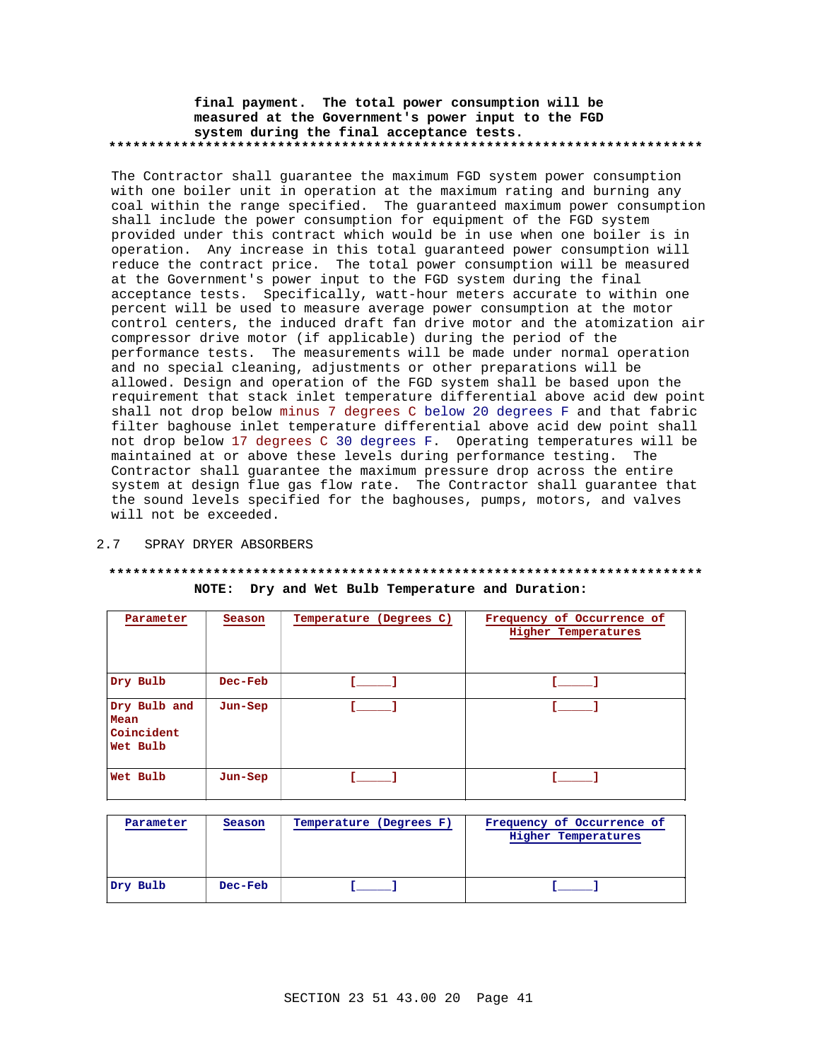### **final payment. The total power consumption will be measured at the Government's power input to the FGD system during the final acceptance tests. \*\*\*\*\*\*\*\*\*\*\*\*\*\*\*\*\*\*\*\*\*\*\*\*\*\*\*\*\*\*\*\*\*\*\*\*\*\*\*\*\*\*\*\*\*\*\*\*\*\*\*\*\*\*\*\*\*\*\*\*\*\*\*\*\*\*\*\*\*\*\*\*\*\***

The Contractor shall guarantee the maximum FGD system power consumption with one boiler unit in operation at the maximum rating and burning any coal within the range specified. The guaranteed maximum power consumption shall include the power consumption for equipment of the FGD system provided under this contract which would be in use when one boiler is in operation. Any increase in this total guaranteed power consumption will reduce the contract price. The total power consumption will be measured at the Government's power input to the FGD system during the final acceptance tests. Specifically, watt-hour meters accurate to within one percent will be used to measure average power consumption at the motor control centers, the induced draft fan drive motor and the atomization air compressor drive motor (if applicable) during the period of the performance tests. The measurements will be made under normal operation and no special cleaning, adjustments or other preparations will be allowed. Design and operation of the FGD system shall be based upon the requirement that stack inlet temperature differential above acid dew point shall not drop below minus 7 degrees C below 20 degrees F and that fabric filter baghouse inlet temperature differential above acid dew point shall not drop below 17 degrees C 30 degrees F. Operating temperatures will be maintained at or above these levels during performance testing. The Contractor shall guarantee the maximum pressure drop across the entire system at design flue gas flow rate. The Contractor shall guarantee that the sound levels specified for the baghouses, pumps, motors, and valves will not be exceeded.

#### 2.7 SPRAY DRYER ABSORBERS

| Parameter                                             | Season  | Temperature (Degrees C) | Frequency of Occurrence of<br>Higher Temperatures |
|-------------------------------------------------------|---------|-------------------------|---------------------------------------------------|
| Dry Bulb                                              | Dec-Feb |                         |                                                   |
| Dry Bulb and<br>Mean<br>Coincident<br><b>Wet Bulb</b> | Jun-Sep |                         |                                                   |
| <b>Wet Bulb</b>                                       | Jun-Sep |                         |                                                   |

# **NOTE: Dry and Wet Bulb Temperature and Duration:**

**\*\*\*\*\*\*\*\*\*\*\*\*\*\*\*\*\*\*\*\*\*\*\*\*\*\*\*\*\*\*\*\*\*\*\*\*\*\*\*\*\*\*\*\*\*\*\*\*\*\*\*\*\*\*\*\*\*\*\*\*\*\*\*\*\*\*\*\*\*\*\*\*\*\***

| Parameter | Season    | Temperature (Degrees F) | Frequency of Occurrence of<br><b>Higher Temperatures</b> |
|-----------|-----------|-------------------------|----------------------------------------------------------|
| Dry Bulb  | $Dec-Feb$ |                         |                                                          |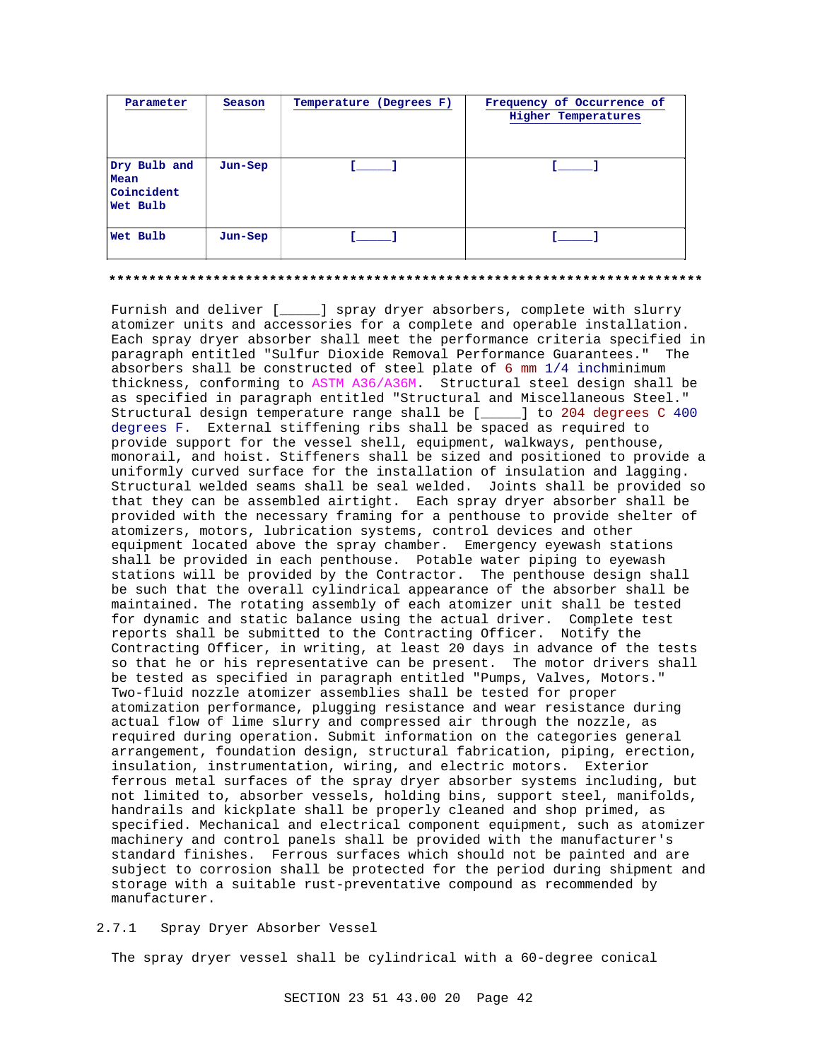| Parameter                                      | Season  | Temperature (Degrees F) | Frequency of Occurrence of<br>Higher Temperatures |
|------------------------------------------------|---------|-------------------------|---------------------------------------------------|
| Dry Bulb and<br>Mean<br>Coincident<br>Wet Bulb | Jun-Sep |                         |                                                   |
| <b>Wet Bulb</b>                                | Jun-Sep |                         |                                                   |

**\*\*\*\*\*\*\*\*\*\*\*\*\*\*\*\*\*\*\*\*\*\*\*\*\*\*\*\*\*\*\*\*\*\*\*\*\*\*\*\*\*\*\*\*\*\*\*\*\*\*\*\*\*\*\*\*\*\*\*\*\*\*\*\*\*\*\*\*\*\*\*\*\*\***

Furnish and deliver [\_\_\_\_\_] spray dryer absorbers, complete with slurry atomizer units and accessories for a complete and operable installation. Each spray dryer absorber shall meet the performance criteria specified in paragraph entitled "Sulfur Dioxide Removal Performance Guarantees." The absorbers shall be constructed of steel plate of 6 mm 1/4 inchminimum thickness, conforming to ASTM A36/A36M. Structural steel design shall be as specified in paragraph entitled "Structural and Miscellaneous Steel." Structural design temperature range shall be [\_\_\_\_\_] to 204 degrees C 400 degrees F. External stiffening ribs shall be spaced as required to provide support for the vessel shell, equipment, walkways, penthouse, monorail, and hoist. Stiffeners shall be sized and positioned to provide a uniformly curved surface for the installation of insulation and lagging. Structural welded seams shall be seal welded. Joints shall be provided so that they can be assembled airtight. Each spray dryer absorber shall be provided with the necessary framing for a penthouse to provide shelter of atomizers, motors, lubrication systems, control devices and other equipment located above the spray chamber. Emergency eyewash stations shall be provided in each penthouse. Potable water piping to eyewash stations will be provided by the Contractor. The penthouse design shall be such that the overall cylindrical appearance of the absorber shall be maintained. The rotating assembly of each atomizer unit shall be tested for dynamic and static balance using the actual driver. Complete test reports shall be submitted to the Contracting Officer. Notify the Contracting Officer, in writing, at least 20 days in advance of the tests so that he or his representative can be present. The motor drivers shall be tested as specified in paragraph entitled "Pumps, Valves, Motors." Two-fluid nozzle atomizer assemblies shall be tested for proper atomization performance, plugging resistance and wear resistance during actual flow of lime slurry and compressed air through the nozzle, as required during operation. Submit information on the categories general arrangement, foundation design, structural fabrication, piping, erection, insulation, instrumentation, wiring, and electric motors. Exterior ferrous metal surfaces of the spray dryer absorber systems including, but not limited to, absorber vessels, holding bins, support steel, manifolds, handrails and kickplate shall be properly cleaned and shop primed, as specified. Mechanical and electrical component equipment, such as atomizer machinery and control panels shall be provided with the manufacturer's standard finishes. Ferrous surfaces which should not be painted and are subject to corrosion shall be protected for the period during shipment and storage with a suitable rust-preventative compound as recommended by manufacturer.

### 2.7.1 Spray Dryer Absorber Vessel

The spray dryer vessel shall be cylindrical with a 60-degree conical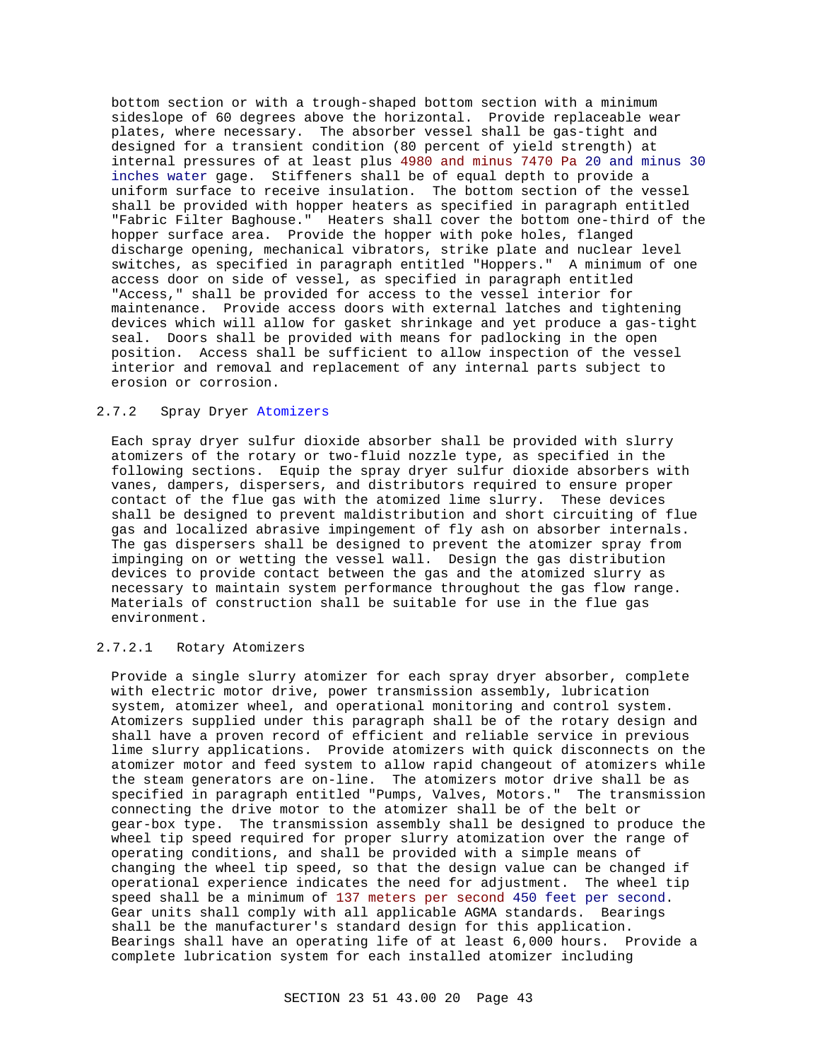bottom section or with a trough-shaped bottom section with a minimum sideslope of 60 degrees above the horizontal. Provide replaceable wear plates, where necessary. The absorber vessel shall be gas-tight and designed for a transient condition (80 percent of yield strength) at internal pressures of at least plus 4980 and minus 7470 Pa 20 and minus 30 inches water gage. Stiffeners shall be of equal depth to provide a uniform surface to receive insulation. The bottom section of the vessel shall be provided with hopper heaters as specified in paragraph entitled "Fabric Filter Baghouse." Heaters shall cover the bottom one-third of the hopper surface area. Provide the hopper with poke holes, flanged discharge opening, mechanical vibrators, strike plate and nuclear level switches, as specified in paragraph entitled "Hoppers." A minimum of one access door on side of vessel, as specified in paragraph entitled "Access," shall be provided for access to the vessel interior for maintenance. Provide access doors with external latches and tightening devices which will allow for gasket shrinkage and yet produce a gas-tight seal. Doors shall be provided with means for padlocking in the open position. Access shall be sufficient to allow inspection of the vessel interior and removal and replacement of any internal parts subject to erosion or corrosion.

# 2.7.2 Spray Dryer Atomizers

Each spray dryer sulfur dioxide absorber shall be provided with slurry atomizers of the rotary or two-fluid nozzle type, as specified in the following sections. Equip the spray dryer sulfur dioxide absorbers with vanes, dampers, dispersers, and distributors required to ensure proper contact of the flue gas with the atomized lime slurry. These devices shall be designed to prevent maldistribution and short circuiting of flue gas and localized abrasive impingement of fly ash on absorber internals. The gas dispersers shall be designed to prevent the atomizer spray from impinging on or wetting the vessel wall. Design the gas distribution devices to provide contact between the gas and the atomized slurry as necessary to maintain system performance throughout the gas flow range. Materials of construction shall be suitable for use in the flue gas environment.

#### 2.7.2.1 Rotary Atomizers

Provide a single slurry atomizer for each spray dryer absorber, complete with electric motor drive, power transmission assembly, lubrication system, atomizer wheel, and operational monitoring and control system. Atomizers supplied under this paragraph shall be of the rotary design and shall have a proven record of efficient and reliable service in previous lime slurry applications. Provide atomizers with quick disconnects on the atomizer motor and feed system to allow rapid changeout of atomizers while the steam generators are on-line. The atomizers motor drive shall be as specified in paragraph entitled "Pumps, Valves, Motors." The transmission connecting the drive motor to the atomizer shall be of the belt or gear-box type. The transmission assembly shall be designed to produce the wheel tip speed required for proper slurry atomization over the range of operating conditions, and shall be provided with a simple means of changing the wheel tip speed, so that the design value can be changed if operational experience indicates the need for adjustment. The wheel tip speed shall be a minimum of 137 meters per second 450 feet per second. Gear units shall comply with all applicable AGMA standards. Bearings shall be the manufacturer's standard design for this application. Bearings shall have an operating life of at least 6,000 hours. Provide a complete lubrication system for each installed atomizer including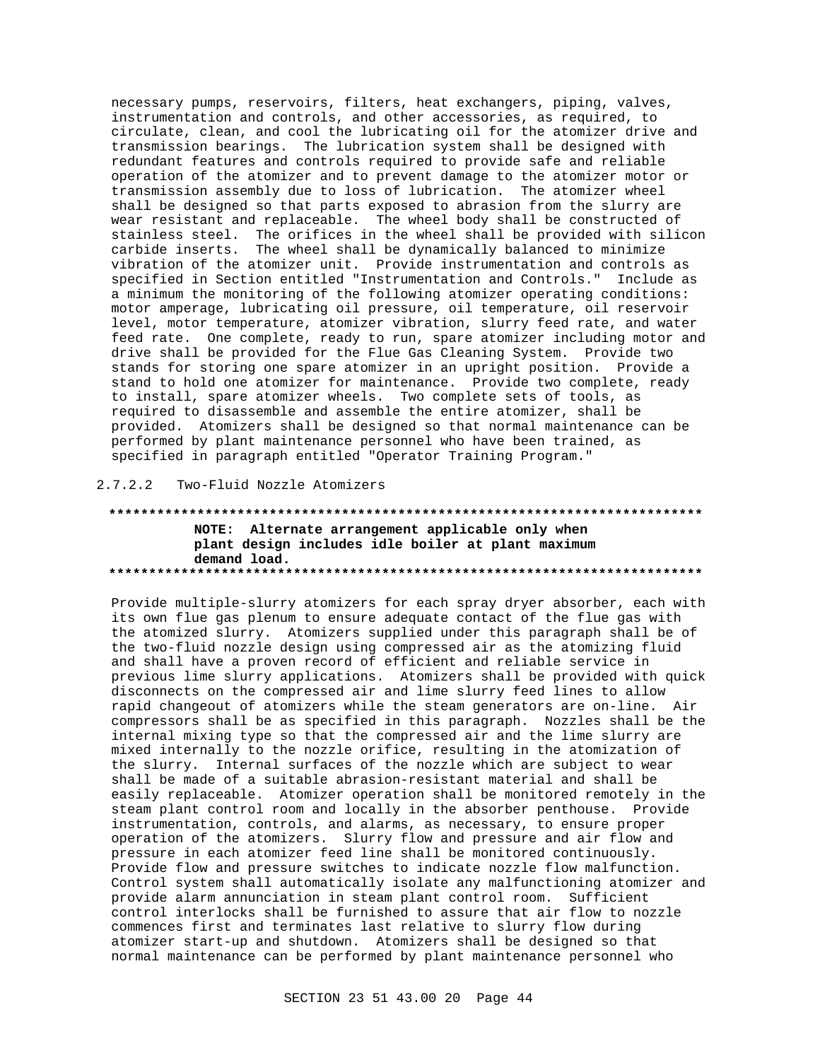necessary pumps, reservoirs, filters, heat exchangers, piping, valves, instrumentation and controls, and other accessories, as required, to circulate, clean, and cool the lubricating oil for the atomizer drive and transmission bearings. The lubrication system shall be designed with redundant features and controls required to provide safe and reliable operation of the atomizer and to prevent damage to the atomizer motor or transmission assembly due to loss of lubrication. The atomizer wheel shall be designed so that parts exposed to abrasion from the slurry are wear resistant and replaceable. The wheel body shall be constructed of stainless steel. The orifices in the wheel shall be provided with silicon carbide inserts. The wheel shall be dynamically balanced to minimize vibration of the atomizer unit. Provide instrumentation and controls as specified in Section entitled "Instrumentation and Controls." Include as a minimum the monitoring of the following atomizer operating conditions: motor amperage, lubricating oil pressure, oil temperature, oil reservoir level, motor temperature, atomizer vibration, slurry feed rate, and water feed rate. One complete, ready to run, spare atomizer including motor and drive shall be provided for the Flue Gas Cleaning System. Provide two stands for storing one spare atomizer in an upright position. Provide a stand to hold one atomizer for maintenance. Provide two complete, ready to install, spare atomizer wheels. Two complete sets of tools, as required to disassemble and assemble the entire atomizer, shall be provided. Atomizers shall be designed so that normal maintenance can be performed by plant maintenance personnel who have been trained, as specified in paragraph entitled "Operator Training Program."

### 2.7.2.2 Two-Fluid Nozzle Atomizers

### **\*\*\*\*\*\*\*\*\*\*\*\*\*\*\*\*\*\*\*\*\*\*\*\*\*\*\*\*\*\*\*\*\*\*\*\*\*\*\*\*\*\*\*\*\*\*\*\*\*\*\*\*\*\*\*\*\*\*\*\*\*\*\*\*\*\*\*\*\*\*\*\*\*\* NOTE: Alternate arrangement applicable only when plant design includes idle boiler at plant maximum demand load. \*\*\*\*\*\*\*\*\*\*\*\*\*\*\*\*\*\*\*\*\*\*\*\*\*\*\*\*\*\*\*\*\*\*\*\*\*\*\*\*\*\*\*\*\*\*\*\*\*\*\*\*\*\*\*\*\*\*\*\*\*\*\*\*\*\*\*\*\*\*\*\*\*\***

Provide multiple-slurry atomizers for each spray dryer absorber, each with its own flue gas plenum to ensure adequate contact of the flue gas with the atomized slurry. Atomizers supplied under this paragraph shall be of the two-fluid nozzle design using compressed air as the atomizing fluid and shall have a proven record of efficient and reliable service in previous lime slurry applications. Atomizers shall be provided with quick disconnects on the compressed air and lime slurry feed lines to allow rapid changeout of atomizers while the steam generators are on-line. Air compressors shall be as specified in this paragraph. Nozzles shall be the internal mixing type so that the compressed air and the lime slurry are mixed internally to the nozzle orifice, resulting in the atomization of the slurry. Internal surfaces of the nozzle which are subject to wear shall be made of a suitable abrasion-resistant material and shall be easily replaceable. Atomizer operation shall be monitored remotely in the steam plant control room and locally in the absorber penthouse. Provide instrumentation, controls, and alarms, as necessary, to ensure proper operation of the atomizers. Slurry flow and pressure and air flow and pressure in each atomizer feed line shall be monitored continuously. Provide flow and pressure switches to indicate nozzle flow malfunction. Control system shall automatically isolate any malfunctioning atomizer and provide alarm annunciation in steam plant control room. Sufficient control interlocks shall be furnished to assure that air flow to nozzle commences first and terminates last relative to slurry flow during atomizer start-up and shutdown. Atomizers shall be designed so that normal maintenance can be performed by plant maintenance personnel who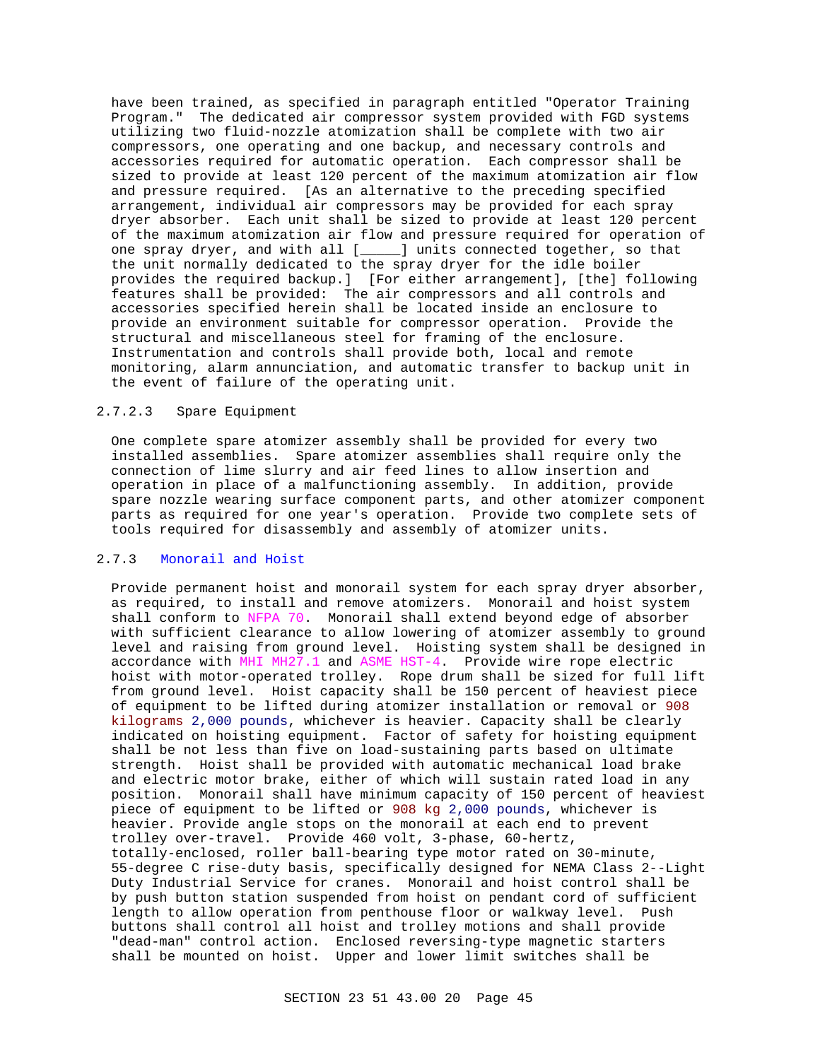have been trained, as specified in paragraph entitled "Operator Training Program." The dedicated air compressor system provided with FGD systems utilizing two fluid-nozzle atomization shall be complete with two air compressors, one operating and one backup, and necessary controls and accessories required for automatic operation. Each compressor shall be sized to provide at least 120 percent of the maximum atomization air flow and pressure required. [As an alternative to the preceding specified arrangement, individual air compressors may be provided for each spray dryer absorber. Each unit shall be sized to provide at least 120 percent of the maximum atomization air flow and pressure required for operation of one spray dryer, and with all [\_\_\_\_\_] units connected together, so that the unit normally dedicated to the spray dryer for the idle boiler provides the required backup.] [For either arrangement], [the] following features shall be provided: The air compressors and all controls and accessories specified herein shall be located inside an enclosure to provide an environment suitable for compressor operation. Provide the structural and miscellaneous steel for framing of the enclosure. Instrumentation and controls shall provide both, local and remote monitoring, alarm annunciation, and automatic transfer to backup unit in the event of failure of the operating unit.

# 2.7.2.3 Spare Equipment

One complete spare atomizer assembly shall be provided for every two installed assemblies. Spare atomizer assemblies shall require only the connection of lime slurry and air feed lines to allow insertion and operation in place of a malfunctioning assembly. In addition, provide spare nozzle wearing surface component parts, and other atomizer component parts as required for one year's operation. Provide two complete sets of tools required for disassembly and assembly of atomizer units.

# 2.7.3 Monorail and Hoist

Provide permanent hoist and monorail system for each spray dryer absorber, as required, to install and remove atomizers. Monorail and hoist system shall conform to NFPA 70. Monorail shall extend beyond edge of absorber with sufficient clearance to allow lowering of atomizer assembly to ground level and raising from ground level. Hoisting system shall be designed in accordance with MHI MH27.1 and ASME HST-4. Provide wire rope electric hoist with motor-operated trolley. Rope drum shall be sized for full lift from ground level. Hoist capacity shall be 150 percent of heaviest piece of equipment to be lifted during atomizer installation or removal or 908 kilograms 2,000 pounds, whichever is heavier. Capacity shall be clearly indicated on hoisting equipment. Factor of safety for hoisting equipment shall be not less than five on load-sustaining parts based on ultimate strength. Hoist shall be provided with automatic mechanical load brake and electric motor brake, either of which will sustain rated load in any position. Monorail shall have minimum capacity of 150 percent of heaviest piece of equipment to be lifted or 908 kg 2,000 pounds, whichever is heavier. Provide angle stops on the monorail at each end to prevent trolley over-travel. Provide 460 volt, 3-phase, 60-hertz, totally-enclosed, roller ball-bearing type motor rated on 30-minute, 55-degree C rise-duty basis, specifically designed for NEMA Class 2--Light Duty Industrial Service for cranes. Monorail and hoist control shall be by push button station suspended from hoist on pendant cord of sufficient length to allow operation from penthouse floor or walkway level. Push buttons shall control all hoist and trolley motions and shall provide "dead-man" control action. Enclosed reversing-type magnetic starters shall be mounted on hoist. Upper and lower limit switches shall be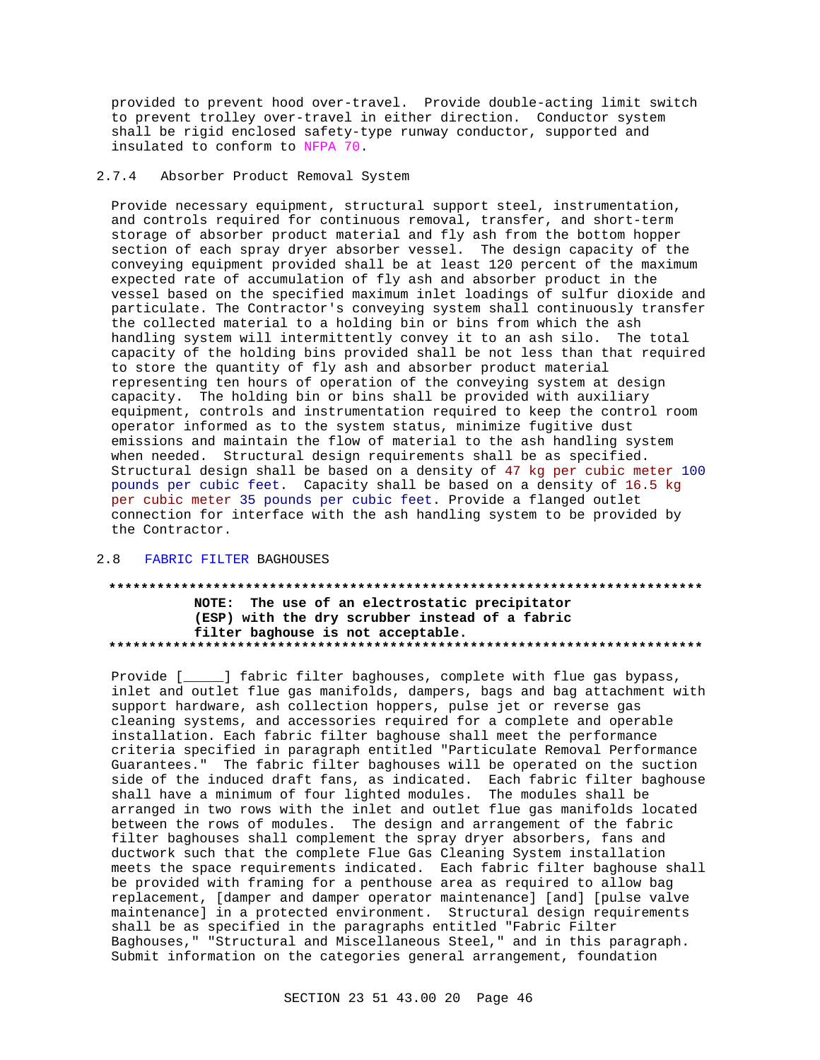provided to prevent hood over-travel. Provide double-acting limit switch to prevent trolley over-travel in either direction. Conductor system shall be rigid enclosed safety-type runway conductor, supported and insulated to conform to NFPA 70.

# 2.7.4 Absorber Product Removal System

Provide necessary equipment, structural support steel, instrumentation, and controls required for continuous removal, transfer, and short-term storage of absorber product material and fly ash from the bottom hopper section of each spray dryer absorber vessel. The design capacity of the conveying equipment provided shall be at least 120 percent of the maximum expected rate of accumulation of fly ash and absorber product in the vessel based on the specified maximum inlet loadings of sulfur dioxide and particulate. The Contractor's conveying system shall continuously transfer the collected material to a holding bin or bins from which the ash handling system will intermittently convey it to an ash silo. The total capacity of the holding bins provided shall be not less than that required to store the quantity of fly ash and absorber product material representing ten hours of operation of the conveying system at design capacity. The holding bin or bins shall be provided with auxiliary equipment, controls and instrumentation required to keep the control room operator informed as to the system status, minimize fugitive dust emissions and maintain the flow of material to the ash handling system when needed. Structural design requirements shall be as specified. Structural design shall be based on a density of 47 kg per cubic meter 100 pounds per cubic feet. Capacity shall be based on a density of 16.5 kg per cubic meter 35 pounds per cubic feet. Provide a flanged outlet connection for interface with the ash handling system to be provided by the Contractor.

#### 2.8 FABRIC FILTER BAGHOUSES

### **\*\*\*\*\*\*\*\*\*\*\*\*\*\*\*\*\*\*\*\*\*\*\*\*\*\*\*\*\*\*\*\*\*\*\*\*\*\*\*\*\*\*\*\*\*\*\*\*\*\*\*\*\*\*\*\*\*\*\*\*\*\*\*\*\*\*\*\*\*\*\*\*\*\* NOTE: The use of an electrostatic precipitator (ESP) with the dry scrubber instead of a fabric filter baghouse is not acceptable. \*\*\*\*\*\*\*\*\*\*\*\*\*\*\*\*\*\*\*\*\*\*\*\*\*\*\*\*\*\*\*\*\*\*\*\*\*\*\*\*\*\*\*\*\*\*\*\*\*\*\*\*\*\*\*\*\*\*\*\*\*\*\*\*\*\*\*\*\*\*\*\*\*\***

Provide [\_\_\_\_\_] fabric filter baghouses, complete with flue gas bypass, inlet and outlet flue gas manifolds, dampers, bags and bag attachment with support hardware, ash collection hoppers, pulse jet or reverse gas cleaning systems, and accessories required for a complete and operable installation. Each fabric filter baghouse shall meet the performance criteria specified in paragraph entitled "Particulate Removal Performance Guarantees." The fabric filter baghouses will be operated on the suction side of the induced draft fans, as indicated. Each fabric filter baghouse shall have a minimum of four lighted modules. The modules shall be arranged in two rows with the inlet and outlet flue gas manifolds located between the rows of modules. The design and arrangement of the fabric filter baghouses shall complement the spray dryer absorbers, fans and ductwork such that the complete Flue Gas Cleaning System installation meets the space requirements indicated. Each fabric filter baghouse shall be provided with framing for a penthouse area as required to allow bag replacement, [damper and damper operator maintenance] [and] [pulse valve maintenance] in a protected environment. Structural design requirements shall be as specified in the paragraphs entitled "Fabric Filter Baghouses," "Structural and Miscellaneous Steel," and in this paragraph. Submit information on the categories general arrangement, foundation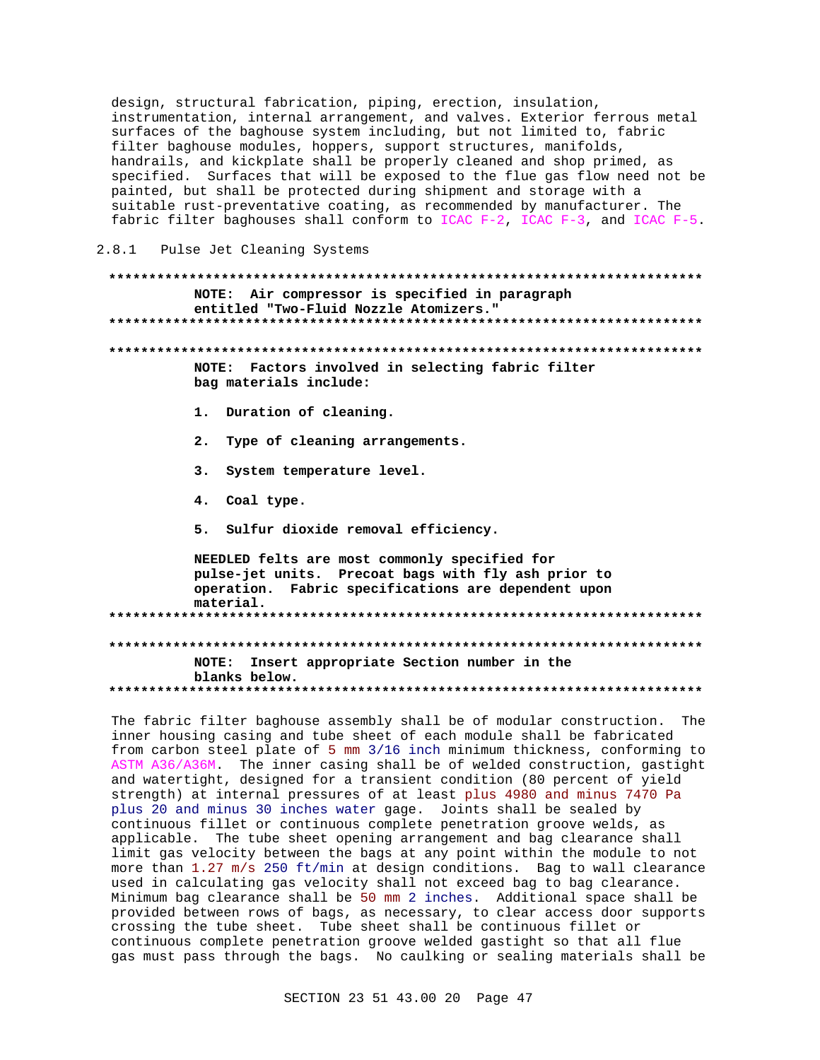design, structural fabrication, piping, erection, insulation, instrumentation, internal arrangement, and valves. Exterior ferrous metal surfaces of the baghouse system including, but not limited to, fabric filter baghouse modules, hoppers, support structures, manifolds, handrails, and kickplate shall be properly cleaned and shop primed, as specified. Surfaces that will be exposed to the flue gas flow need not be painted, but shall be protected during shipment and storage with a suitable rust-preventative coating, as recommended by manufacturer. The fabric filter baghouses shall conform to ICAC F-2, ICAC F-3, and ICAC F-5.

2.8.1 Pulse Jet Cleaning Systems

| NOTE: Air compressor is specified in paragraph                                                                                                  |  |  |  |  |
|-------------------------------------------------------------------------------------------------------------------------------------------------|--|--|--|--|
| entitled "Two-Fluid Nozzle Atomizers."                                                                                                          |  |  |  |  |
| **********************************<br>****************************<br>************                                                              |  |  |  |  |
|                                                                                                                                                 |  |  |  |  |
| NOTE: Factors involved in selecting fabric filter                                                                                               |  |  |  |  |
| bag materials include:                                                                                                                          |  |  |  |  |
| Duration of cleaning.<br>1.                                                                                                                     |  |  |  |  |
|                                                                                                                                                 |  |  |  |  |
| Type of cleaning arrangements.<br>2.                                                                                                            |  |  |  |  |
| 3.<br>System temperature level.                                                                                                                 |  |  |  |  |
| Coal type.<br>4.                                                                                                                                |  |  |  |  |
| 5. Sulfur dioxide removal efficiency.                                                                                                           |  |  |  |  |
| NEEDLED felts are most commonly specified for                                                                                                   |  |  |  |  |
| pulse-jet units. Precoat bags with fly ash prior to                                                                                             |  |  |  |  |
| operation. Fabric specifications are dependent upon                                                                                             |  |  |  |  |
| material.                                                                                                                                       |  |  |  |  |
|                                                                                                                                                 |  |  |  |  |
|                                                                                                                                                 |  |  |  |  |
| Insert appropriate Section number in the<br>NOTE:                                                                                               |  |  |  |  |
| blanks below.                                                                                                                                   |  |  |  |  |
|                                                                                                                                                 |  |  |  |  |
| The                                                                                                                                             |  |  |  |  |
| The fabric filter baghouse assembly shall be of modular construction.<br>tungu banatun asatun and tuba abast af sawb medula aball ba fabutastad |  |  |  |  |

inner housing casing and tube sheet of each module shall be fabricated from carbon steel plate of 5 mm 3/16 inch minimum thickness, conforming to ASTM A36/A36M. The inner casing shall be of welded construction, gastight and watertight, designed for a transient condition (80 percent of yield strength) at internal pressures of at least plus 4980 and minus 7470 Pa plus 20 and minus 30 inches water gage. Joints shall be sealed by continuous fillet or continuous complete penetration groove welds, as applicable. The tube sheet opening arrangement and bag clearance shall limit gas velocity between the bags at any point within the module to not more than 1.27 m/s 250 ft/min at design conditions. Bag to wall clearance used in calculating gas velocity shall not exceed bag to bag clearance. Minimum bag clearance shall be 50 mm 2 inches. Additional space shall be provided between rows of bags, as necessary, to clear access door supports crossing the tube sheet. Tube sheet shall be continuous fillet or continuous complete penetration groove welded gastight so that all flue gas must pass through the bags. No caulking or sealing materials shall be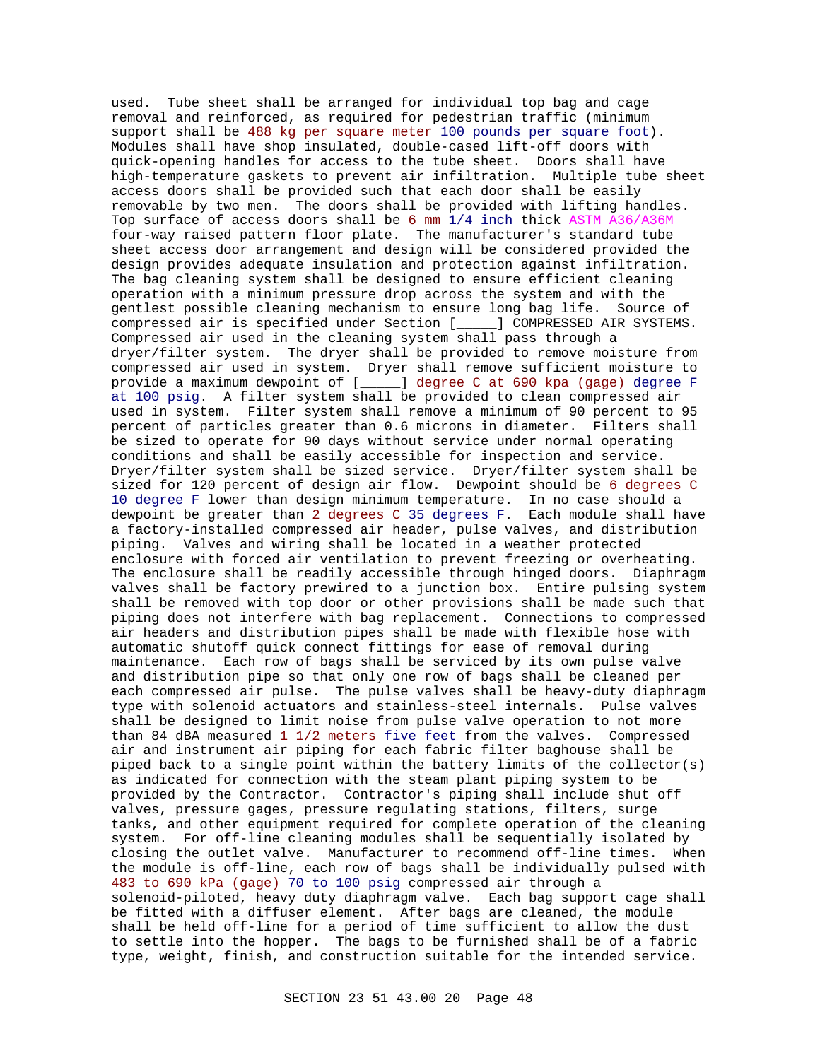used. Tube sheet shall be arranged for individual top bag and cage removal and reinforced, as required for pedestrian traffic (minimum support shall be 488 kg per square meter 100 pounds per square foot). Modules shall have shop insulated, double-cased lift-off doors with quick-opening handles for access to the tube sheet. Doors shall have high-temperature gaskets to prevent air infiltration. Multiple tube sheet access doors shall be provided such that each door shall be easily removable by two men. The doors shall be provided with lifting handles. Top surface of access doors shall be 6 mm 1/4 inch thick ASTM A36/A36M four-way raised pattern floor plate. The manufacturer's standard tube sheet access door arrangement and design will be considered provided the design provides adequate insulation and protection against infiltration. The bag cleaning system shall be designed to ensure efficient cleaning operation with a minimum pressure drop across the system and with the gentlest possible cleaning mechanism to ensure long bag life. Source of compressed air is specified under Section [\_\_\_\_\_] COMPRESSED AIR SYSTEMS. Compressed air used in the cleaning system shall pass through a dryer/filter system. The dryer shall be provided to remove moisture from compressed air used in system. Dryer shall remove sufficient moisture to provide a maximum dewpoint of [\_\_\_\_\_] degree C at 690 kpa (gage) degree F at 100 psig. A filter system shall be provided to clean compressed air used in system. Filter system shall remove a minimum of 90 percent to 95 percent of particles greater than 0.6 microns in diameter. Filters shall be sized to operate for 90 days without service under normal operating conditions and shall be easily accessible for inspection and service. Dryer/filter system shall be sized service. Dryer/filter system shall be sized for 120 percent of design air flow. Dewpoint should be 6 degrees C 10 degree F lower than design minimum temperature. In no case should a dewpoint be greater than 2 degrees C 35 degrees F. Each module shall have a factory-installed compressed air header, pulse valves, and distribution piping. Valves and wiring shall be located in a weather protected enclosure with forced air ventilation to prevent freezing or overheating. The enclosure shall be readily accessible through hinged doors. Diaphragm valves shall be factory prewired to a junction box. Entire pulsing system shall be removed with top door or other provisions shall be made such that piping does not interfere with bag replacement. Connections to compressed air headers and distribution pipes shall be made with flexible hose with automatic shutoff quick connect fittings for ease of removal during maintenance. Each row of bags shall be serviced by its own pulse valve and distribution pipe so that only one row of bags shall be cleaned per each compressed air pulse. The pulse valves shall be heavy-duty diaphragm type with solenoid actuators and stainless-steel internals. Pulse valves shall be designed to limit noise from pulse valve operation to not more than 84 dBA measured 1 1/2 meters five feet from the valves. Compressed air and instrument air piping for each fabric filter baghouse shall be piped back to a single point within the battery limits of the collector(s) as indicated for connection with the steam plant piping system to be provided by the Contractor. Contractor's piping shall include shut off valves, pressure gages, pressure regulating stations, filters, surge tanks, and other equipment required for complete operation of the cleaning system. For off-line cleaning modules shall be sequentially isolated by closing the outlet valve. Manufacturer to recommend off-line times. When the module is off-line, each row of bags shall be individually pulsed with 483 to 690 kPa (gage) 70 to 100 psig compressed air through a solenoid-piloted, heavy duty diaphragm valve. Each bag support cage shall be fitted with a diffuser element. After bags are cleaned, the module shall be held off-line for a period of time sufficient to allow the dust to settle into the hopper. The bags to be furnished shall be of a fabric type, weight, finish, and construction suitable for the intended service.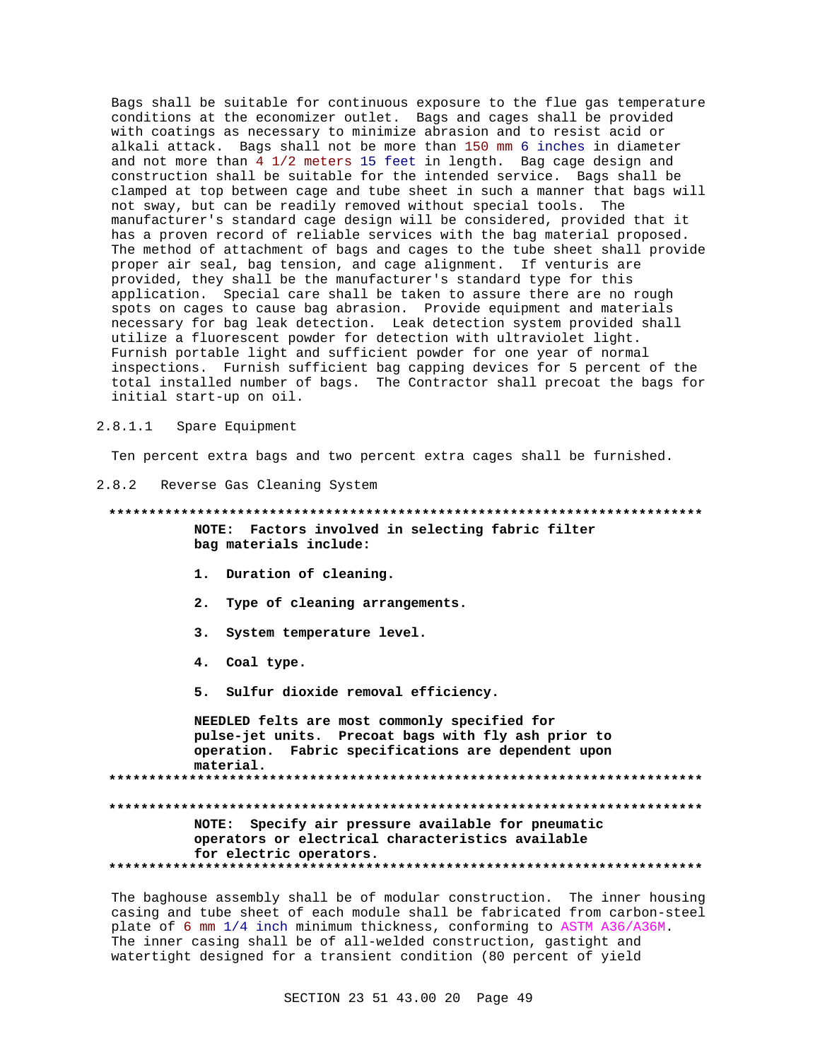Bags shall be suitable for continuous exposure to the flue gas temperature conditions at the economizer outlet. Bags and cages shall be provided with coatings as necessary to minimize abrasion and to resist acid or alkali attack. Bags shall not be more than 150 mm 6 inches in diameter and not more than 4 1/2 meters 15 feet in length. Bag cage design and construction shall be suitable for the intended service. Bags shall be clamped at top between cage and tube sheet in such a manner that bags will not sway, but can be readily removed without special tools. The manufacturer's standard cage design will be considered, provided that it has a proven record of reliable services with the bag material proposed. The method of attachment of bags and cages to the tube sheet shall provide proper air seal, bag tension, and cage alignment. If venturis are provided, they shall be the manufacturer's standard type for this application. Special care shall be taken to assure there are no rough spots on cages to cause bag abrasion. Provide equipment and materials necessary for bag leak detection. Leak detection system provided shall utilize a fluorescent powder for detection with ultraviolet light. Furnish portable light and sufficient powder for one year of normal inspections. Furnish sufficient bag capping devices for 5 percent of the total installed number of bags. The Contractor shall precoat the bags for initial start-up on oil.

#### 2.8.1.1 Spare Equipment

Ten percent extra bags and two percent extra cages shall be furnished.

2.8.2 Reverse Gas Cleaning System

# **\*\*\*\*\*\*\*\*\*\*\*\*\*\*\*\*\*\*\*\*\*\*\*\*\*\*\*\*\*\*\*\*\*\*\*\*\*\*\*\*\*\*\*\*\*\*\*\*\*\*\*\*\*\*\*\*\*\*\*\*\*\*\*\*\*\*\*\*\*\*\*\*\*\* NOTE: Factors involved in selecting fabric filter**

**bag materials include:**

- **1. Duration of cleaning.**
- **2. Type of cleaning arrangements.**
- **3. System temperature level.**
- **4. Coal type.**
- **5. Sulfur dioxide removal efficiency.**

**NEEDLED felts are most commonly specified for pulse-jet units. Precoat bags with fly ash prior to operation. Fabric specifications are dependent upon material. \*\*\*\*\*\*\*\*\*\*\*\*\*\*\*\*\*\*\*\*\*\*\*\*\*\*\*\*\*\*\*\*\*\*\*\*\*\*\*\*\*\*\*\*\*\*\*\*\*\*\*\*\*\*\*\*\*\*\*\*\*\*\*\*\*\*\*\*\*\*\*\*\*\* \*\*\*\*\*\*\*\*\*\*\*\*\*\*\*\*\*\*\*\*\*\*\*\*\*\*\*\*\*\*\*\*\*\*\*\*\*\*\*\*\*\*\*\*\*\*\*\*\*\*\*\*\*\*\*\*\*\*\*\*\*\*\*\*\*\*\*\*\*\*\*\*\*\* NOTE: Specify air pressure available for pneumatic operators or electrical characteristics available for electric operators. \*\*\*\*\*\*\*\*\*\*\*\*\*\*\*\*\*\*\*\*\*\*\*\*\*\*\*\*\*\*\*\*\*\*\*\*\*\*\*\*\*\*\*\*\*\*\*\*\*\*\*\*\*\*\*\*\*\*\*\*\*\*\*\*\*\*\*\*\*\*\*\*\*\***

The baghouse assembly shall be of modular construction. The inner housing casing and tube sheet of each module shall be fabricated from carbon-steel plate of 6 mm 1/4 inch minimum thickness, conforming to ASTM A36/A36M. The inner casing shall be of all-welded construction, gastight and watertight designed for a transient condition (80 percent of yield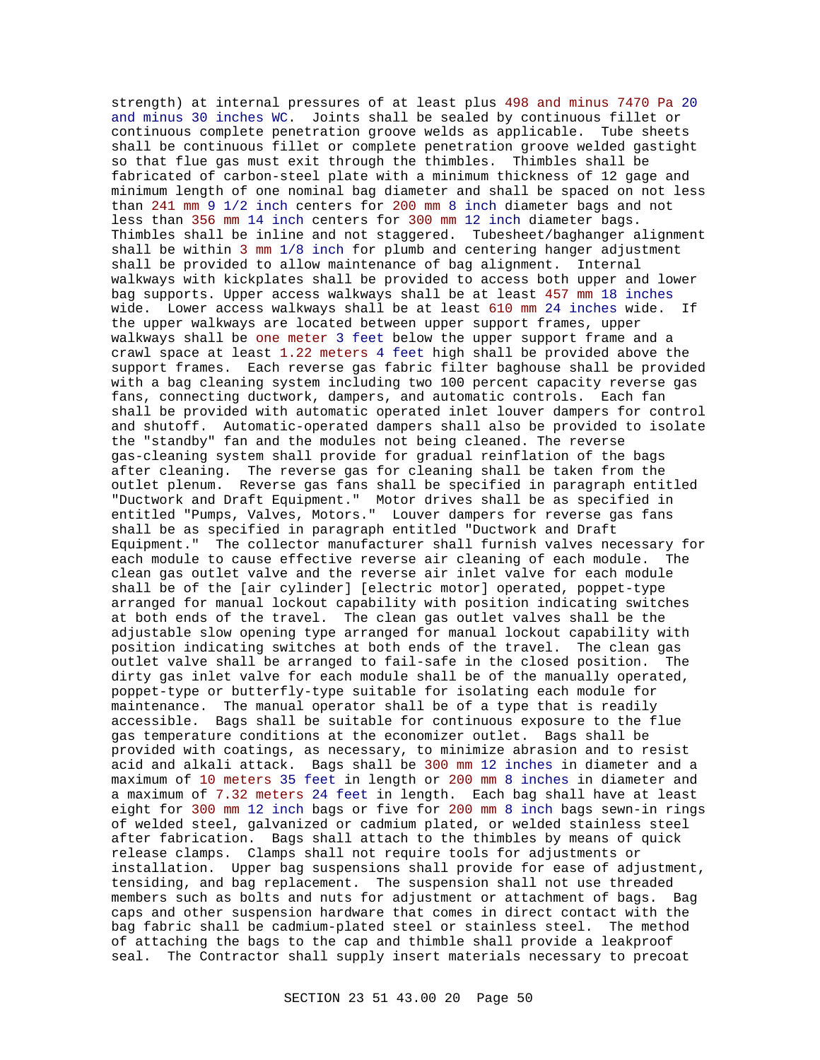strength) at internal pressures of at least plus 498 and minus 7470 Pa 20 and minus 30 inches WC. Joints shall be sealed by continuous fillet or continuous complete penetration groove welds as applicable. Tube sheets shall be continuous fillet or complete penetration groove welded gastight so that flue gas must exit through the thimbles. Thimbles shall be fabricated of carbon-steel plate with a minimum thickness of 12 gage and minimum length of one nominal bag diameter and shall be spaced on not less than 241 mm 9 1/2 inch centers for 200 mm 8 inch diameter bags and not less than 356 mm 14 inch centers for 300 mm 12 inch diameter bags. Thimbles shall be inline and not staggered. Tubesheet/baghanger alignment shall be within 3 mm 1/8 inch for plumb and centering hanger adjustment shall be provided to allow maintenance of bag alignment. Internal walkways with kickplates shall be provided to access both upper and lower bag supports. Upper access walkways shall be at least 457 mm 18 inches wide. Lower access walkways shall be at least 610 mm 24 inches wide. If the upper walkways are located between upper support frames, upper walkways shall be one meter 3 feet below the upper support frame and a crawl space at least 1.22 meters 4 feet high shall be provided above the support frames. Each reverse gas fabric filter baghouse shall be provided with a bag cleaning system including two 100 percent capacity reverse gas fans, connecting ductwork, dampers, and automatic controls. Each fan shall be provided with automatic operated inlet louver dampers for control and shutoff. Automatic-operated dampers shall also be provided to isolate the "standby" fan and the modules not being cleaned. The reverse gas-cleaning system shall provide for gradual reinflation of the bags after cleaning. The reverse gas for cleaning shall be taken from the outlet plenum. Reverse gas fans shall be specified in paragraph entitled "Ductwork and Draft Equipment." Motor drives shall be as specified in entitled "Pumps, Valves, Motors." Louver dampers for reverse gas fans shall be as specified in paragraph entitled "Ductwork and Draft Equipment." The collector manufacturer shall furnish valves necessary for each module to cause effective reverse air cleaning of each module. The clean gas outlet valve and the reverse air inlet valve for each module shall be of the [air cylinder] [electric motor] operated, poppet-type arranged for manual lockout capability with position indicating switches at both ends of the travel. The clean gas outlet valves shall be the adjustable slow opening type arranged for manual lockout capability with position indicating switches at both ends of the travel. The clean gas outlet valve shall be arranged to fail-safe in the closed position. The dirty gas inlet valve for each module shall be of the manually operated, poppet-type or butterfly-type suitable for isolating each module for maintenance. The manual operator shall be of a type that is readily accessible. Bags shall be suitable for continuous exposure to the flue gas temperature conditions at the economizer outlet. Bags shall be provided with coatings, as necessary, to minimize abrasion and to resist acid and alkali attack. Bags shall be 300 mm 12 inches in diameter and a maximum of 10 meters 35 feet in length or 200 mm 8 inches in diameter and a maximum of 7.32 meters 24 feet in length. Each bag shall have at least eight for 300 mm 12 inch bags or five for 200 mm 8 inch bags sewn-in rings of welded steel, galvanized or cadmium plated, or welded stainless steel after fabrication. Bags shall attach to the thimbles by means of quick release clamps. Clamps shall not require tools for adjustments or installation. Upper bag suspensions shall provide for ease of adjustment, tensiding, and bag replacement. The suspension shall not use threaded members such as bolts and nuts for adjustment or attachment of bags. Bag caps and other suspension hardware that comes in direct contact with the bag fabric shall be cadmium-plated steel or stainless steel. The method of attaching the bags to the cap and thimble shall provide a leakproof seal. The Contractor shall supply insert materials necessary to precoat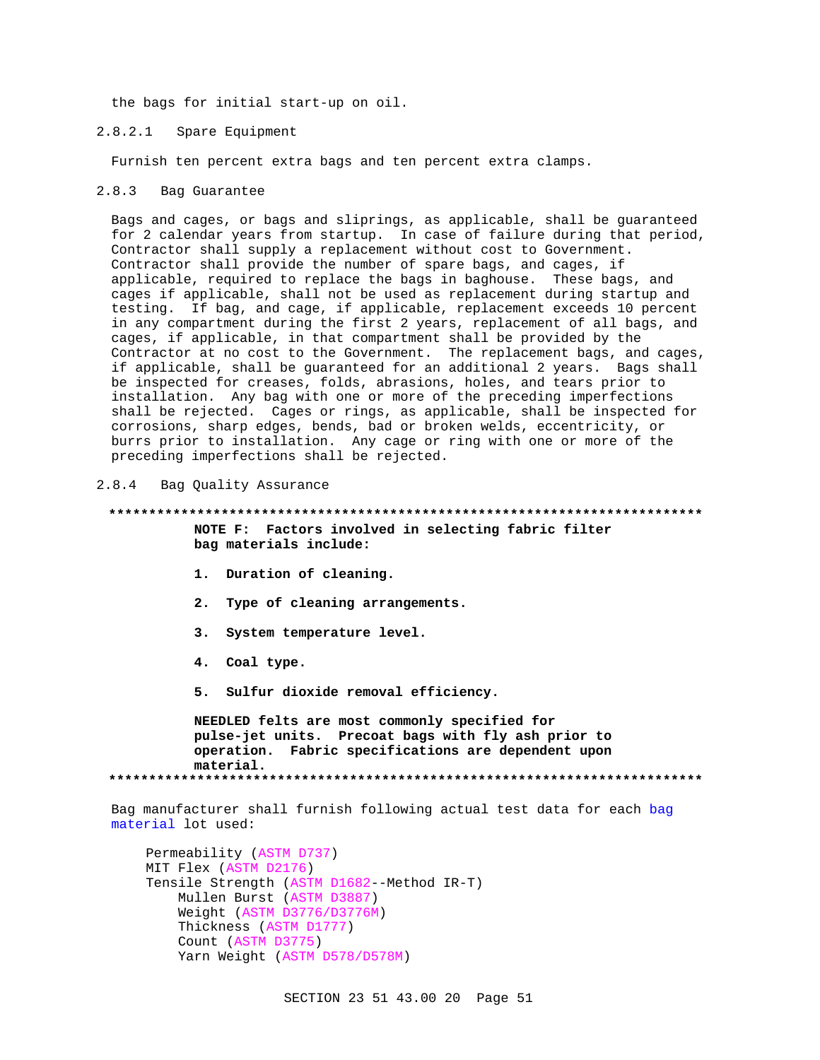the bags for initial start-up on oil.

#### 2.8.2.1 Spare Equipment

Furnish ten percent extra bags and ten percent extra clamps.

2.8.3 Bag Guarantee

Bags and cages, or bags and sliprings, as applicable, shall be guaranteed for 2 calendar years from startup. In case of failure during that period, Contractor shall supply a replacement without cost to Government. Contractor shall provide the number of spare bags, and cages, if applicable, required to replace the bags in baghouse. These bags, and cages if applicable, shall not be used as replacement during startup and testing. If bag, and cage, if applicable, replacement exceeds 10 percent in any compartment during the first 2 years, replacement of all bags, and cages, if applicable, in that compartment shall be provided by the Contractor at no cost to the Government. The replacement bags, and cages, if applicable, shall be guaranteed for an additional 2 years. Bags shall be inspected for creases, folds, abrasions, holes, and tears prior to installation. Any bag with one or more of the preceding imperfections shall be rejected. Cages or rings, as applicable, shall be inspected for corrosions, sharp edges, bends, bad or broken welds, eccentricity, or burrs prior to installation. Any cage or ring with one or more of the preceding imperfections shall be rejected.

### 2.8.4 Bag Quality Assurance

## **\*\*\*\*\*\*\*\*\*\*\*\*\*\*\*\*\*\*\*\*\*\*\*\*\*\*\*\*\*\*\*\*\*\*\*\*\*\*\*\*\*\*\*\*\*\*\*\*\*\*\*\*\*\*\*\*\*\*\*\*\*\*\*\*\*\*\*\*\*\*\*\*\*\* NOTE F: Factors involved in selecting fabric filter bag materials include:**

- **1. Duration of cleaning.**
- **2. Type of cleaning arrangements.**
- **3. System temperature level.**
- **4. Coal type.**
- **5. Sulfur dioxide removal efficiency.**

**NEEDLED felts are most commonly specified for pulse-jet units. Precoat bags with fly ash prior to operation. Fabric specifications are dependent upon material. \*\*\*\*\*\*\*\*\*\*\*\*\*\*\*\*\*\*\*\*\*\*\*\*\*\*\*\*\*\*\*\*\*\*\*\*\*\*\*\*\*\*\*\*\*\*\*\*\*\*\*\*\*\*\*\*\*\*\*\*\*\*\*\*\*\*\*\*\*\*\*\*\*\***

Bag manufacturer shall furnish following actual test data for each bag material lot used:

Permeability (ASTM D737) MIT Flex (ASTM D2176) Tensile Strength (ASTM D1682--Method IR-T) Mullen Burst (ASTM D3887) Weight (ASTM D3776/D3776M) Thickness (ASTM D1777) Count (ASTM D3775) Yarn Weight (ASTM D578/D578M)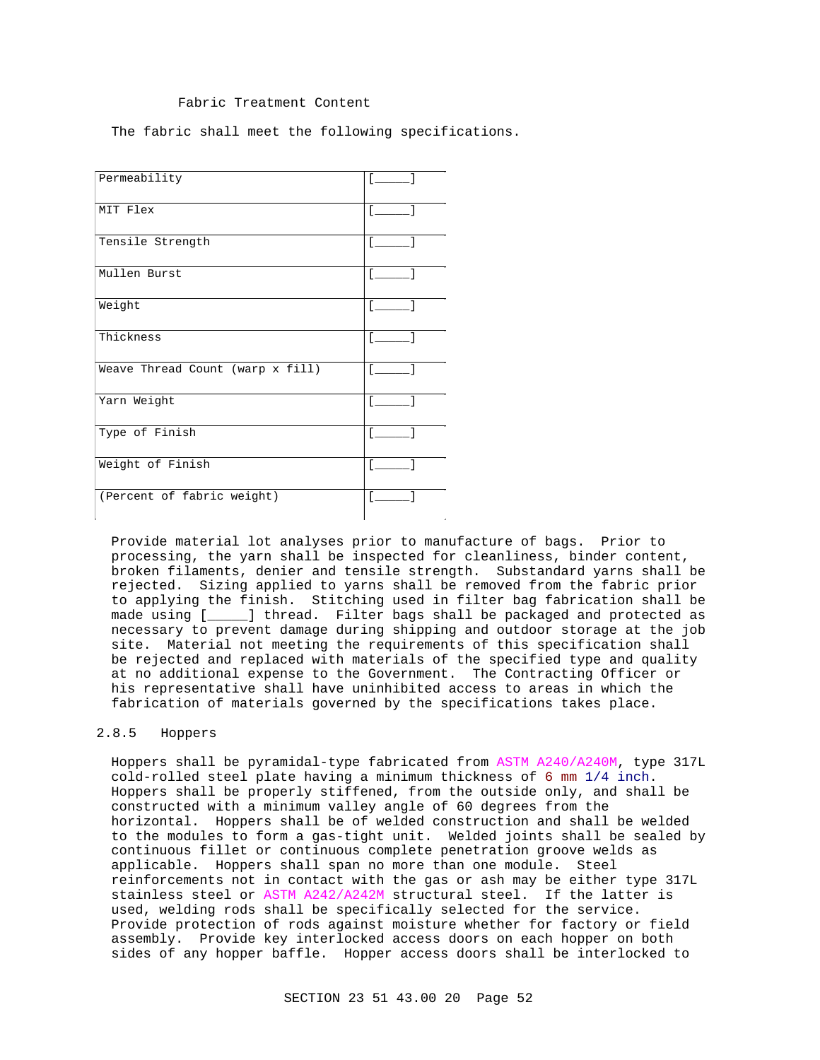### Fabric Treatment Content

The fabric shall meet the following specifications.

| Permeability                     | $\mathbf{L}$                                   |
|----------------------------------|------------------------------------------------|
| MIT Flex                         | $\begin{bmatrix} 1 & 1 \\ 1 & 1 \end{bmatrix}$ |
| Tensile Strength                 | $\begin{bmatrix} 1 & 1 \\ 1 & 1 \end{bmatrix}$ |
| Mullen Burst                     | $[\underline{\hspace{1cm}}]$                   |
| Weight                           | $\begin{bmatrix} 1 & 1 \\ 1 & 1 \end{bmatrix}$ |
| Thickness                        | $\begin{bmatrix} 1 & 1 \\ 1 & 1 \end{bmatrix}$ |
| Weave Thread Count (warp x fill) | $\sqrt{1}$                                     |
| Yarn Weight                      | $\mathbf{L}$                                   |
| Type of Finish                   | $\begin{bmatrix} 1 & 1 \end{bmatrix}$          |
| Weight of Finish                 | $\begin{bmatrix} 1 & 1 \\ 1 & 1 \end{bmatrix}$ |
| (Percent of fabric weight)       |                                                |

Provide material lot analyses prior to manufacture of bags. Prior to processing, the yarn shall be inspected for cleanliness, binder content, broken filaments, denier and tensile strength. Substandard yarns shall be rejected. Sizing applied to yarns shall be removed from the fabric prior to applying the finish. Stitching used in filter bag fabrication shall be made using [\_\_\_\_\_] thread. Filter bags shall be packaged and protected as necessary to prevent damage during shipping and outdoor storage at the job site. Material not meeting the requirements of this specification shall be rejected and replaced with materials of the specified type and quality at no additional expense to the Government. The Contracting Officer or his representative shall have uninhibited access to areas in which the fabrication of materials governed by the specifications takes place.

## 2.8.5 Hoppers

Hoppers shall be pyramidal-type fabricated from ASTM A240/A240M, type 317L cold-rolled steel plate having a minimum thickness of 6 mm 1/4 inch. Hoppers shall be properly stiffened, from the outside only, and shall be constructed with a minimum valley angle of 60 degrees from the horizontal. Hoppers shall be of welded construction and shall be welded to the modules to form a gas-tight unit. Welded joints shall be sealed by continuous fillet or continuous complete penetration groove welds as applicable. Hoppers shall span no more than one module. Steel reinforcements not in contact with the gas or ash may be either type 317L stainless steel or ASTM A242/A242M structural steel. If the latter is used, welding rods shall be specifically selected for the service. Provide protection of rods against moisture whether for factory or field assembly. Provide key interlocked access doors on each hopper on both sides of any hopper baffle. Hopper access doors shall be interlocked to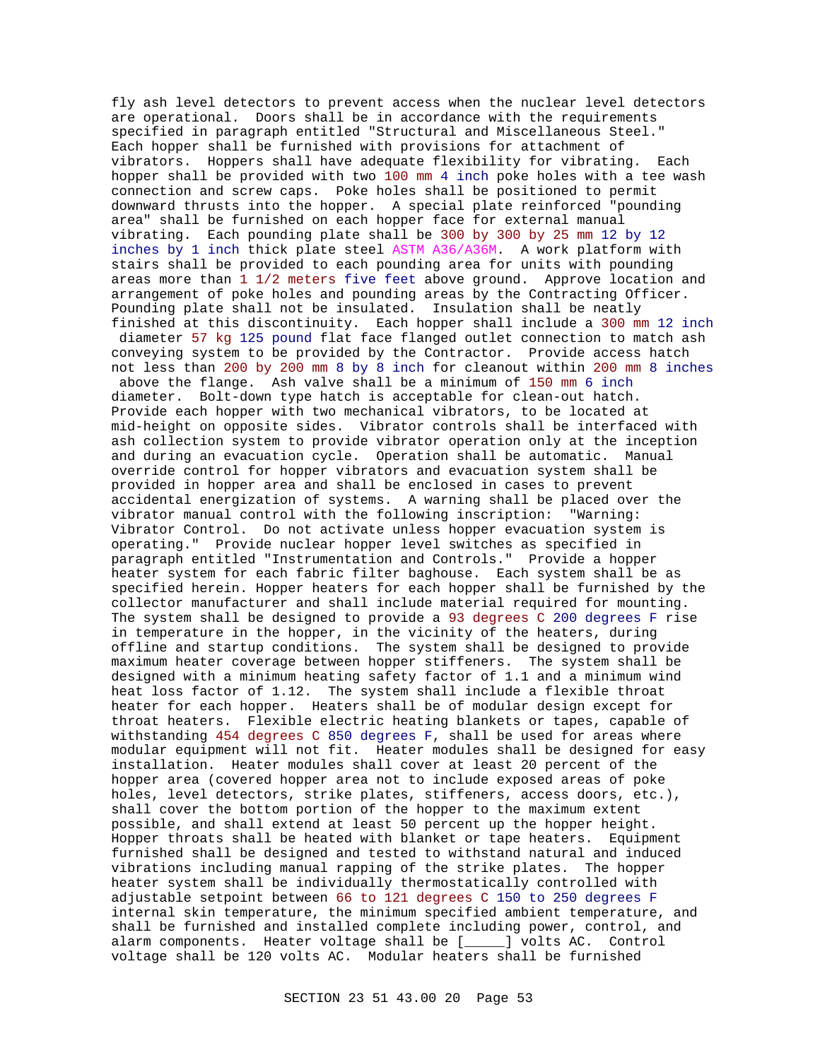fly ash level detectors to prevent access when the nuclear level detectors are operational. Doors shall be in accordance with the requirements specified in paragraph entitled "Structural and Miscellaneous Steel." Each hopper shall be furnished with provisions for attachment of vibrators. Hoppers shall have adequate flexibility for vibrating. Each hopper shall be provided with two 100 mm 4 inch poke holes with a tee wash connection and screw caps. Poke holes shall be positioned to permit downward thrusts into the hopper. A special plate reinforced "pounding area" shall be furnished on each hopper face for external manual vibrating. Each pounding plate shall be 300 by 300 by 25 mm 12 by 12 inches by 1 inch thick plate steel ASTM A36/A36M. A work platform with stairs shall be provided to each pounding area for units with pounding areas more than 1 1/2 meters five feet above ground. Approve location and arrangement of poke holes and pounding areas by the Contracting Officer. Pounding plate shall not be insulated. Insulation shall be neatly finished at this discontinuity. Each hopper shall include a 300 mm 12 inch

 diameter 57 kg 125 pound flat face flanged outlet connection to match ash conveying system to be provided by the Contractor. Provide access hatch not less than 200 by 200 mm 8 by 8 inch for cleanout within 200 mm 8 inches

 above the flange. Ash valve shall be a minimum of 150 mm 6 inch diameter. Bolt-down type hatch is acceptable for clean-out hatch. Provide each hopper with two mechanical vibrators, to be located at mid-height on opposite sides. Vibrator controls shall be interfaced with ash collection system to provide vibrator operation only at the inception and during an evacuation cycle. Operation shall be automatic. Manual override control for hopper vibrators and evacuation system shall be provided in hopper area and shall be enclosed in cases to prevent accidental energization of systems. A warning shall be placed over the vibrator manual control with the following inscription: "Warning: Vibrator Control. Do not activate unless hopper evacuation system is operating." Provide nuclear hopper level switches as specified in paragraph entitled "Instrumentation and Controls." Provide a hopper heater system for each fabric filter baghouse. Each system shall be as specified herein. Hopper heaters for each hopper shall be furnished by the collector manufacturer and shall include material required for mounting. The system shall be designed to provide a 93 degrees C 200 degrees F rise in temperature in the hopper, in the vicinity of the heaters, during offline and startup conditions. The system shall be designed to provide maximum heater coverage between hopper stiffeners. The system shall be designed with a minimum heating safety factor of 1.1 and a minimum wind heat loss factor of 1.12. The system shall include a flexible throat heater for each hopper. Heaters shall be of modular design except for throat heaters. Flexible electric heating blankets or tapes, capable of withstanding 454 degrees C 850 degrees F, shall be used for areas where modular equipment will not fit. Heater modules shall be designed for easy installation. Heater modules shall cover at least 20 percent of the hopper area (covered hopper area not to include exposed areas of poke holes, level detectors, strike plates, stiffeners, access doors, etc.), shall cover the bottom portion of the hopper to the maximum extent possible, and shall extend at least 50 percent up the hopper height. Hopper throats shall be heated with blanket or tape heaters. Equipment furnished shall be designed and tested to withstand natural and induced vibrations including manual rapping of the strike plates. The hopper heater system shall be individually thermostatically controlled with adjustable setpoint between 66 to 121 degrees C 150 to 250 degrees F internal skin temperature, the minimum specified ambient temperature, and shall be furnished and installed complete including power, control, and alarm components. Heater voltage shall be [\_\_\_\_\_] volts AC. Control voltage shall be 120 volts AC. Modular heaters shall be furnished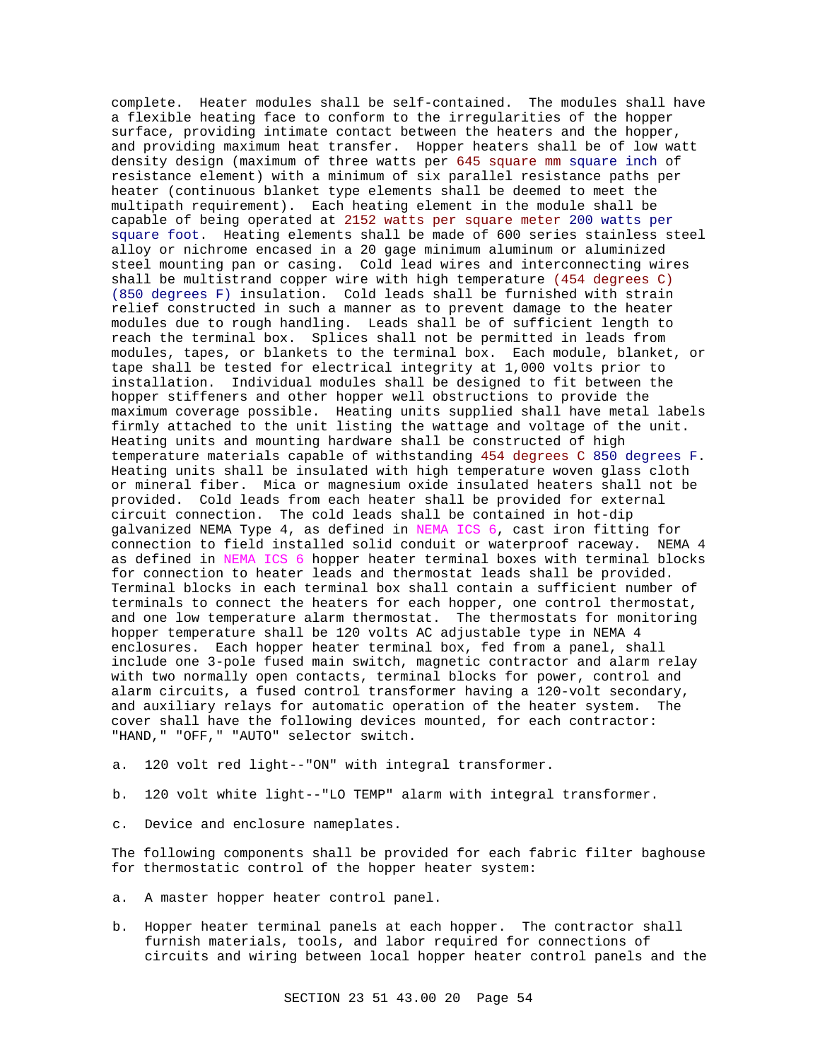complete. Heater modules shall be self-contained. The modules shall have a flexible heating face to conform to the irregularities of the hopper surface, providing intimate contact between the heaters and the hopper, and providing maximum heat transfer. Hopper heaters shall be of low watt density design (maximum of three watts per 645 square mm square inch of resistance element) with a minimum of six parallel resistance paths per heater (continuous blanket type elements shall be deemed to meet the multipath requirement). Each heating element in the module shall be capable of being operated at 2152 watts per square meter 200 watts per square foot. Heating elements shall be made of 600 series stainless steel alloy or nichrome encased in a 20 gage minimum aluminum or aluminized steel mounting pan or casing. Cold lead wires and interconnecting wires shall be multistrand copper wire with high temperature (454 degrees C) (850 degrees F) insulation. Cold leads shall be furnished with strain relief constructed in such a manner as to prevent damage to the heater modules due to rough handling. Leads shall be of sufficient length to reach the terminal box. Splices shall not be permitted in leads from modules, tapes, or blankets to the terminal box. Each module, blanket, or tape shall be tested for electrical integrity at 1,000 volts prior to installation. Individual modules shall be designed to fit between the hopper stiffeners and other hopper well obstructions to provide the maximum coverage possible. Heating units supplied shall have metal labels firmly attached to the unit listing the wattage and voltage of the unit. Heating units and mounting hardware shall be constructed of high temperature materials capable of withstanding 454 degrees C 850 degrees F. Heating units shall be insulated with high temperature woven glass cloth or mineral fiber. Mica or magnesium oxide insulated heaters shall not be provided. Cold leads from each heater shall be provided for external circuit connection. The cold leads shall be contained in hot-dip galvanized NEMA Type 4, as defined in NEMA ICS 6, cast iron fitting for connection to field installed solid conduit or waterproof raceway. NEMA 4 as defined in NEMA ICS 6 hopper heater terminal boxes with terminal blocks for connection to heater leads and thermostat leads shall be provided. Terminal blocks in each terminal box shall contain a sufficient number of terminals to connect the heaters for each hopper, one control thermostat, and one low temperature alarm thermostat. The thermostats for monitoring hopper temperature shall be 120 volts AC adjustable type in NEMA 4 enclosures. Each hopper heater terminal box, fed from a panel, shall include one 3-pole fused main switch, magnetic contractor and alarm relay with two normally open contacts, terminal blocks for power, control and alarm circuits, a fused control transformer having a 120-volt secondary, and auxiliary relays for automatic operation of the heater system. The cover shall have the following devices mounted, for each contractor: "HAND," "OFF," "AUTO" selector switch.

a. 120 volt red light--"ON" with integral transformer.

- b. 120 volt white light--"LO TEMP" alarm with integral transformer.
- c. Device and enclosure nameplates.

The following components shall be provided for each fabric filter baghouse for thermostatic control of the hopper heater system:

- a. A master hopper heater control panel.
- b. Hopper heater terminal panels at each hopper. The contractor shall furnish materials, tools, and labor required for connections of circuits and wiring between local hopper heater control panels and the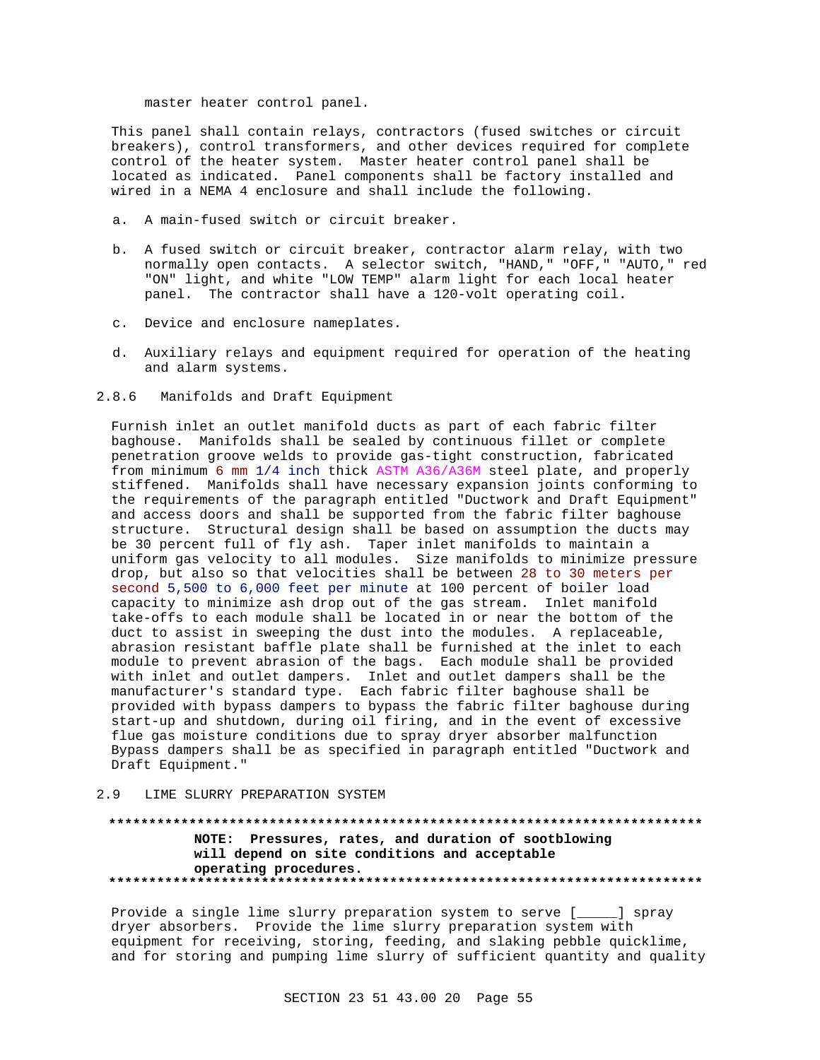master heater control panel.

This panel shall contain relays, contractors (fused switches or circuit breakers), control transformers, and other devices required for complete control of the heater system. Master heater control panel shall be located as indicated. Panel components shall be factory installed and wired in a NEMA 4 enclosure and shall include the following.

- a. A main-fused switch or circuit breaker.
- b. A fused switch or circuit breaker, contractor alarm relay, with two normally open contacts. A selector switch, "HAND," "OFF," "AUTO," red "ON" light, and white "LOW TEMP" alarm light for each local heater panel. The contractor shall have a 120-volt operating coil.
- c. Device and enclosure nameplates.
- d. Auxiliary relays and equipment required for operation of the heating and alarm systems.
- 2.8.6 Manifolds and Draft Equipment

Furnish inlet an outlet manifold ducts as part of each fabric filter baghouse. Manifolds shall be sealed by continuous fillet or complete penetration groove welds to provide gas-tight construction, fabricated from minimum 6 mm 1/4 inch thick ASTM A36/A36M steel plate, and properly stiffened. Manifolds shall have necessary expansion joints conforming to the requirements of the paragraph entitled "Ductwork and Draft Equipment" and access doors and shall be supported from the fabric filter baghouse structure. Structural design shall be based on assumption the ducts may be 30 percent full of fly ash. Taper inlet manifolds to maintain a uniform gas velocity to all modules. Size manifolds to minimize pressure drop, but also so that velocities shall be between 28 to 30 meters per second 5,500 to 6,000 feet per minute at 100 percent of boiler load capacity to minimize ash drop out of the gas stream. Inlet manifold take-offs to each module shall be located in or near the bottom of the duct to assist in sweeping the dust into the modules. A replaceable, abrasion resistant baffle plate shall be furnished at the inlet to each module to prevent abrasion of the bags. Each module shall be provided with inlet and outlet dampers. Inlet and outlet dampers shall be the manufacturer's standard type. Each fabric filter baghouse shall be provided with bypass dampers to bypass the fabric filter baghouse during start-up and shutdown, during oil firing, and in the event of excessive flue gas moisture conditions due to spray dryer absorber malfunction Bypass dampers shall be as specified in paragraph entitled "Ductwork and Draft Equipment."

#### 2.9 LIME SLURRY PREPARATION SYSTEM

### **\*\*\*\*\*\*\*\*\*\*\*\*\*\*\*\*\*\*\*\*\*\*\*\*\*\*\*\*\*\*\*\*\*\*\*\*\*\*\*\*\*\*\*\*\*\*\*\*\*\*\*\*\*\*\*\*\*\*\*\*\*\*\*\*\*\*\*\*\*\*\*\*\*\* NOTE: Pressures, rates, and duration of sootblowing will depend on site conditions and acceptable operating procedures. \*\*\*\*\*\*\*\*\*\*\*\*\*\*\*\*\*\*\*\*\*\*\*\*\*\*\*\*\*\*\*\*\*\*\*\*\*\*\*\*\*\*\*\*\*\*\*\*\*\*\*\*\*\*\*\*\*\*\*\*\*\*\*\*\*\*\*\*\*\*\*\*\*\***

Provide a single lime slurry preparation system to serve [\_\_\_\_\_] spray dryer absorbers. Provide the lime slurry preparation system with equipment for receiving, storing, feeding, and slaking pebble quicklime, and for storing and pumping lime slurry of sufficient quantity and quality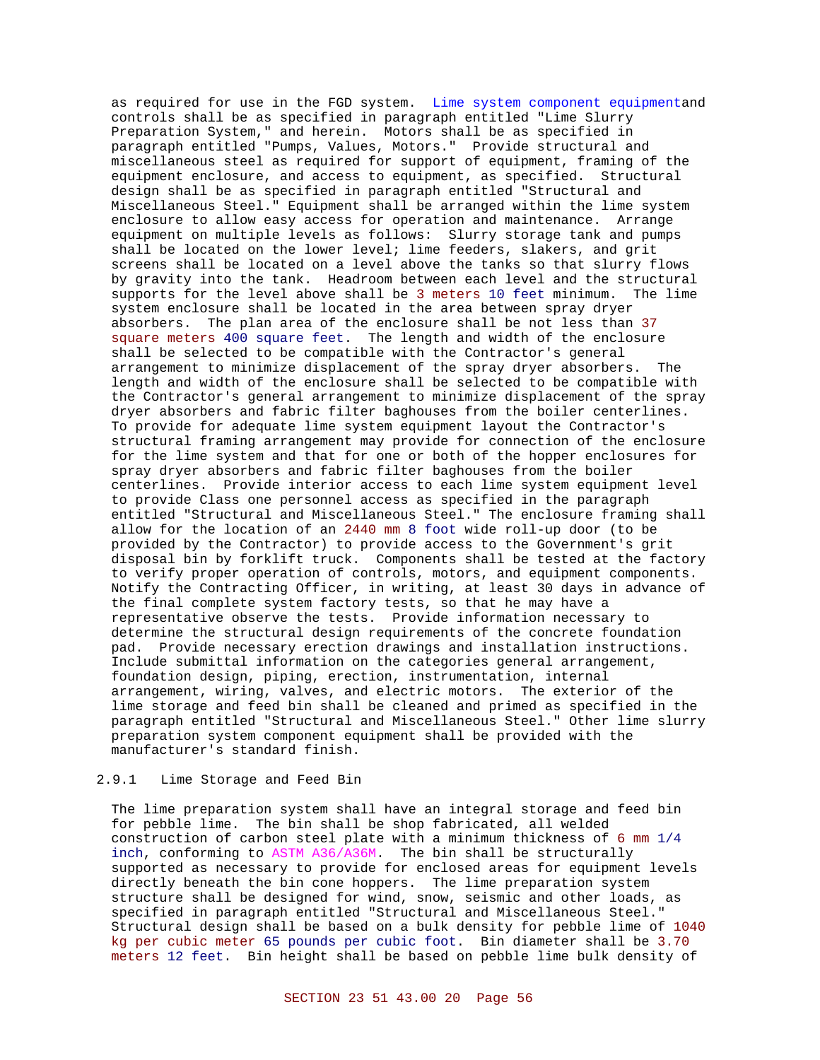as required for use in the FGD system. Lime system component equipmentand controls shall be as specified in paragraph entitled "Lime Slurry Preparation System," and herein. Motors shall be as specified in paragraph entitled "Pumps, Values, Motors." Provide structural and miscellaneous steel as required for support of equipment, framing of the equipment enclosure, and access to equipment, as specified. Structural design shall be as specified in paragraph entitled "Structural and Miscellaneous Steel." Equipment shall be arranged within the lime system enclosure to allow easy access for operation and maintenance. Arrange equipment on multiple levels as follows: Slurry storage tank and pumps shall be located on the lower level; lime feeders, slakers, and grit screens shall be located on a level above the tanks so that slurry flows by gravity into the tank. Headroom between each level and the structural supports for the level above shall be 3 meters 10 feet minimum. The lime system enclosure shall be located in the area between spray dryer absorbers. The plan area of the enclosure shall be not less than 37 square meters 400 square feet. The length and width of the enclosure shall be selected to be compatible with the Contractor's general arrangement to minimize displacement of the spray dryer absorbers. The length and width of the enclosure shall be selected to be compatible with the Contractor's general arrangement to minimize displacement of the spray dryer absorbers and fabric filter baghouses from the boiler centerlines. To provide for adequate lime system equipment layout the Contractor's structural framing arrangement may provide for connection of the enclosure for the lime system and that for one or both of the hopper enclosures for spray dryer absorbers and fabric filter baghouses from the boiler centerlines. Provide interior access to each lime system equipment level to provide Class one personnel access as specified in the paragraph entitled "Structural and Miscellaneous Steel." The enclosure framing shall allow for the location of an 2440 mm 8 foot wide roll-up door (to be provided by the Contractor) to provide access to the Government's grit disposal bin by forklift truck. Components shall be tested at the factory to verify proper operation of controls, motors, and equipment components. Notify the Contracting Officer, in writing, at least 30 days in advance of the final complete system factory tests, so that he may have a representative observe the tests. Provide information necessary to determine the structural design requirements of the concrete foundation pad. Provide necessary erection drawings and installation instructions. Include submittal information on the categories general arrangement, foundation design, piping, erection, instrumentation, internal arrangement, wiring, valves, and electric motors. The exterior of the lime storage and feed bin shall be cleaned and primed as specified in the paragraph entitled "Structural and Miscellaneous Steel." Other lime slurry preparation system component equipment shall be provided with the manufacturer's standard finish.

#### 2.9.1 Lime Storage and Feed Bin

The lime preparation system shall have an integral storage and feed bin for pebble lime. The bin shall be shop fabricated, all welded construction of carbon steel plate with a minimum thickness of 6 mm 1/4 inch, conforming to ASTM A36/A36M. The bin shall be structurally supported as necessary to provide for enclosed areas for equipment levels directly beneath the bin cone hoppers. The lime preparation system structure shall be designed for wind, snow, seismic and other loads, as specified in paragraph entitled "Structural and Miscellaneous Steel." Structural design shall be based on a bulk density for pebble lime of 1040 kg per cubic meter 65 pounds per cubic foot. Bin diameter shall be 3.70 meters 12 feet. Bin height shall be based on pebble lime bulk density of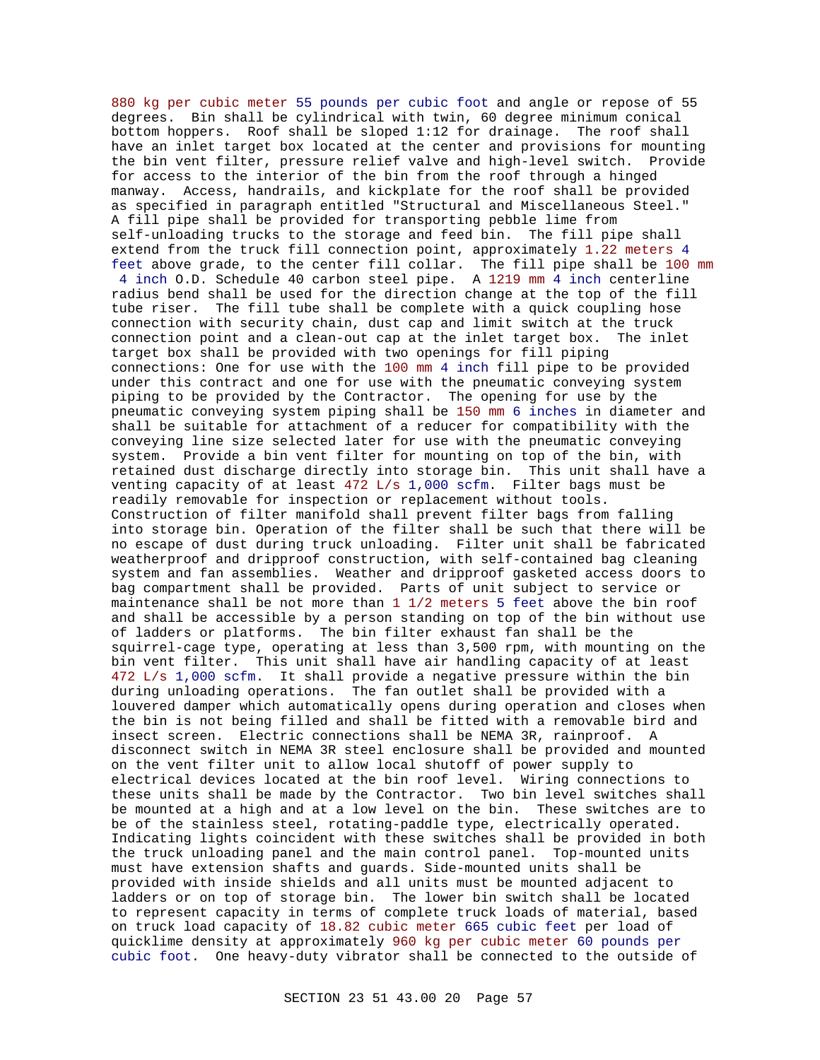880 kg per cubic meter 55 pounds per cubic foot and angle or repose of 55 degrees. Bin shall be cylindrical with twin, 60 degree minimum conical bottom hoppers. Roof shall be sloped 1:12 for drainage. The roof shall have an inlet target box located at the center and provisions for mounting the bin vent filter, pressure relief valve and high-level switch. Provide for access to the interior of the bin from the roof through a hinged manway. Access, handrails, and kickplate for the roof shall be provided as specified in paragraph entitled "Structural and Miscellaneous Steel." A fill pipe shall be provided for transporting pebble lime from self-unloading trucks to the storage and feed bin. The fill pipe shall extend from the truck fill connection point, approximately 1.22 meters 4 feet above grade, to the center fill collar. The fill pipe shall be 100 mm 4 inch O.D. Schedule 40 carbon steel pipe. A 1219 mm 4 inch centerline radius bend shall be used for the direction change at the top of the fill tube riser. The fill tube shall be complete with a quick coupling hose connection with security chain, dust cap and limit switch at the truck connection point and a clean-out cap at the inlet target box. The inlet target box shall be provided with two openings for fill piping connections: One for use with the 100 mm 4 inch fill pipe to be provided under this contract and one for use with the pneumatic conveying system piping to be provided by the Contractor. The opening for use by the pneumatic conveying system piping shall be 150 mm 6 inches in diameter and shall be suitable for attachment of a reducer for compatibility with the conveying line size selected later for use with the pneumatic conveying system. Provide a bin vent filter for mounting on top of the bin, with retained dust discharge directly into storage bin. This unit shall have a venting capacity of at least 472 L/s 1,000 scfm. Filter bags must be readily removable for inspection or replacement without tools. Construction of filter manifold shall prevent filter bags from falling into storage bin. Operation of the filter shall be such that there will be no escape of dust during truck unloading. Filter unit shall be fabricated weatherproof and dripproof construction, with self-contained bag cleaning system and fan assemblies. Weather and dripproof gasketed access doors to bag compartment shall be provided. Parts of unit subject to service or maintenance shall be not more than 1 1/2 meters 5 feet above the bin roof and shall be accessible by a person standing on top of the bin without use of ladders or platforms. The bin filter exhaust fan shall be the squirrel-cage type, operating at less than 3,500 rpm, with mounting on the bin vent filter. This unit shall have air handling capacity of at least 472 L/s 1,000 scfm. It shall provide a negative pressure within the bin during unloading operations. The fan outlet shall be provided with a louvered damper which automatically opens during operation and closes when the bin is not being filled and shall be fitted with a removable bird and insect screen. Electric connections shall be NEMA 3R, rainproof. A disconnect switch in NEMA 3R steel enclosure shall be provided and mounted on the vent filter unit to allow local shutoff of power supply to electrical devices located at the bin roof level. Wiring connections to these units shall be made by the Contractor. Two bin level switches shall be mounted at a high and at a low level on the bin. These switches are to be of the stainless steel, rotating-paddle type, electrically operated. Indicating lights coincident with these switches shall be provided in both the truck unloading panel and the main control panel. Top-mounted units must have extension shafts and guards. Side-mounted units shall be provided with inside shields and all units must be mounted adjacent to ladders or on top of storage bin. The lower bin switch shall be located to represent capacity in terms of complete truck loads of material, based on truck load capacity of 18.82 cubic meter 665 cubic feet per load of quicklime density at approximately 960 kg per cubic meter 60 pounds per cubic foot. One heavy-duty vibrator shall be connected to the outside of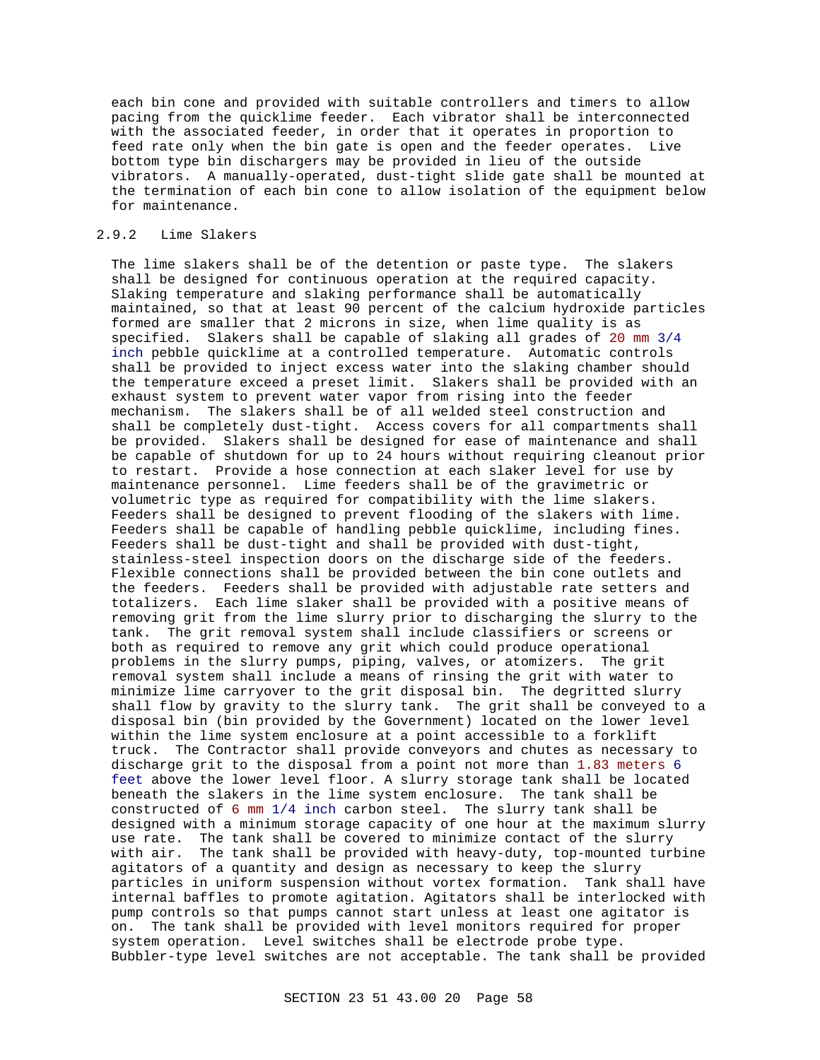each bin cone and provided with suitable controllers and timers to allow pacing from the quicklime feeder. Each vibrator shall be interconnected with the associated feeder, in order that it operates in proportion to feed rate only when the bin gate is open and the feeder operates. Live bottom type bin dischargers may be provided in lieu of the outside vibrators. A manually-operated, dust-tight slide gate shall be mounted at the termination of each bin cone to allow isolation of the equipment below for maintenance.

# 2.9.2 Lime Slakers

The lime slakers shall be of the detention or paste type. The slakers shall be designed for continuous operation at the required capacity. Slaking temperature and slaking performance shall be automatically maintained, so that at least 90 percent of the calcium hydroxide particles formed are smaller that 2 microns in size, when lime quality is as specified. Slakers shall be capable of slaking all grades of 20 mm 3/4 inch pebble quicklime at a controlled temperature. Automatic controls shall be provided to inject excess water into the slaking chamber should the temperature exceed a preset limit. Slakers shall be provided with an exhaust system to prevent water vapor from rising into the feeder mechanism. The slakers shall be of all welded steel construction and shall be completely dust-tight. Access covers for all compartments shall be provided. Slakers shall be designed for ease of maintenance and shall be capable of shutdown for up to 24 hours without requiring cleanout prior to restart. Provide a hose connection at each slaker level for use by maintenance personnel. Lime feeders shall be of the gravimetric or volumetric type as required for compatibility with the lime slakers. Feeders shall be designed to prevent flooding of the slakers with lime. Feeders shall be capable of handling pebble quicklime, including fines. Feeders shall be dust-tight and shall be provided with dust-tight, stainless-steel inspection doors on the discharge side of the feeders. Flexible connections shall be provided between the bin cone outlets and the feeders. Feeders shall be provided with adjustable rate setters and totalizers. Each lime slaker shall be provided with a positive means of removing grit from the lime slurry prior to discharging the slurry to the tank. The grit removal system shall include classifiers or screens or both as required to remove any grit which could produce operational problems in the slurry pumps, piping, valves, or atomizers. The grit removal system shall include a means of rinsing the grit with water to minimize lime carryover to the grit disposal bin. The degritted slurry shall flow by gravity to the slurry tank. The grit shall be conveyed to a disposal bin (bin provided by the Government) located on the lower level within the lime system enclosure at a point accessible to a forklift truck. The Contractor shall provide conveyors and chutes as necessary to discharge grit to the disposal from a point not more than 1.83 meters 6 feet above the lower level floor. A slurry storage tank shall be located beneath the slakers in the lime system enclosure. The tank shall be constructed of 6 mm 1/4 inch carbon steel. The slurry tank shall be designed with a minimum storage capacity of one hour at the maximum slurry use rate. The tank shall be covered to minimize contact of the slurry with air. The tank shall be provided with heavy-duty, top-mounted turbine agitators of a quantity and design as necessary to keep the slurry particles in uniform suspension without vortex formation. Tank shall have internal baffles to promote agitation. Agitators shall be interlocked with pump controls so that pumps cannot start unless at least one agitator is on. The tank shall be provided with level monitors required for proper system operation. Level switches shall be electrode probe type. Bubbler-type level switches are not acceptable. The tank shall be provided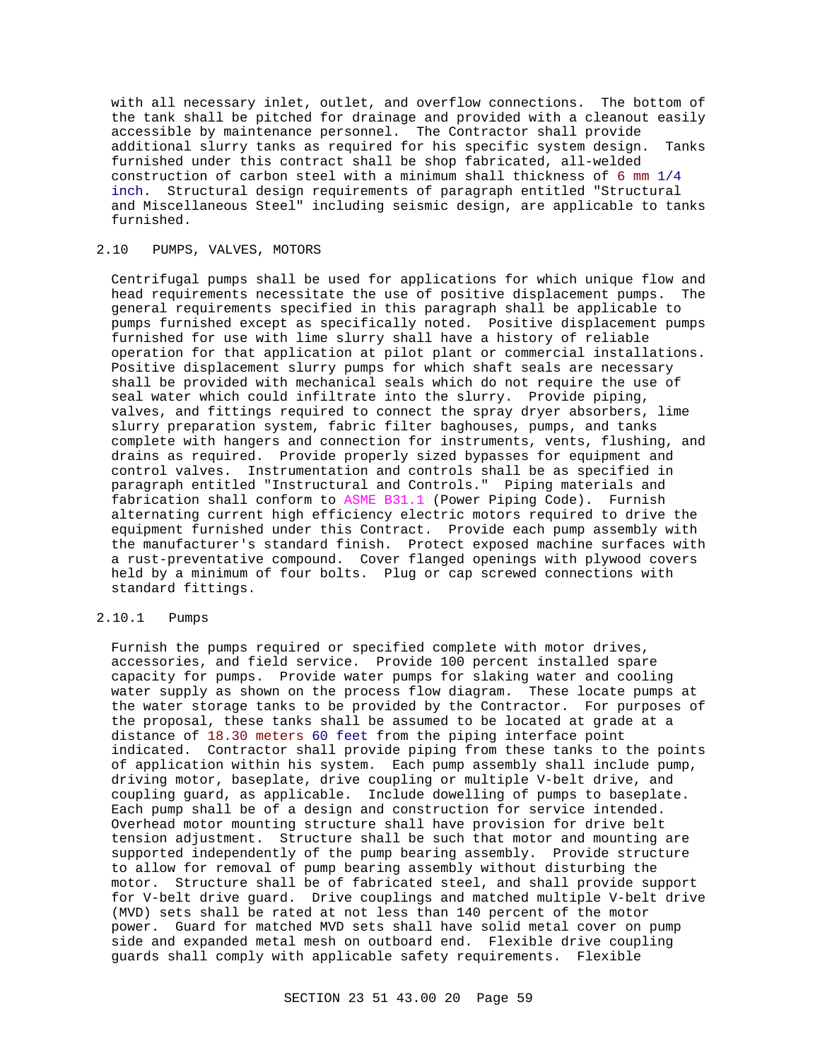with all necessary inlet, outlet, and overflow connections. The bottom of the tank shall be pitched for drainage and provided with a cleanout easily accessible by maintenance personnel. The Contractor shall provide additional slurry tanks as required for his specific system design. Tanks furnished under this contract shall be shop fabricated, all-welded construction of carbon steel with a minimum shall thickness of 6 mm 1/4 inch. Structural design requirements of paragraph entitled "Structural and Miscellaneous Steel" including seismic design, are applicable to tanks furnished.

### 2.10 PUMPS, VALVES, MOTORS

Centrifugal pumps shall be used for applications for which unique flow and head requirements necessitate the use of positive displacement pumps. The general requirements specified in this paragraph shall be applicable to pumps furnished except as specifically noted. Positive displacement pumps furnished for use with lime slurry shall have a history of reliable operation for that application at pilot plant or commercial installations. Positive displacement slurry pumps for which shaft seals are necessary shall be provided with mechanical seals which do not require the use of seal water which could infiltrate into the slurry. Provide piping, valves, and fittings required to connect the spray dryer absorbers, lime slurry preparation system, fabric filter baghouses, pumps, and tanks complete with hangers and connection for instruments, vents, flushing, and drains as required. Provide properly sized bypasses for equipment and control valves. Instrumentation and controls shall be as specified in paragraph entitled "Instructural and Controls." Piping materials and fabrication shall conform to ASME B31.1 (Power Piping Code). Furnish alternating current high efficiency electric motors required to drive the equipment furnished under this Contract. Provide each pump assembly with the manufacturer's standard finish. Protect exposed machine surfaces with a rust-preventative compound. Cover flanged openings with plywood covers held by a minimum of four bolts. Plug or cap screwed connections with standard fittings.

# 2.10.1 Pumps

Furnish the pumps required or specified complete with motor drives, accessories, and field service. Provide 100 percent installed spare capacity for pumps. Provide water pumps for slaking water and cooling water supply as shown on the process flow diagram. These locate pumps at the water storage tanks to be provided by the Contractor. For purposes of the proposal, these tanks shall be assumed to be located at grade at a distance of 18.30 meters 60 feet from the piping interface point indicated. Contractor shall provide piping from these tanks to the points of application within his system. Each pump assembly shall include pump, driving motor, baseplate, drive coupling or multiple V-belt drive, and coupling guard, as applicable. Include dowelling of pumps to baseplate. Each pump shall be of a design and construction for service intended. Overhead motor mounting structure shall have provision for drive belt tension adjustment. Structure shall be such that motor and mounting are supported independently of the pump bearing assembly. Provide structure to allow for removal of pump bearing assembly without disturbing the motor. Structure shall be of fabricated steel, and shall provide support for V-belt drive guard. Drive couplings and matched multiple V-belt drive (MVD) sets shall be rated at not less than 140 percent of the motor power. Guard for matched MVD sets shall have solid metal cover on pump side and expanded metal mesh on outboard end. Flexible drive coupling guards shall comply with applicable safety requirements. Flexible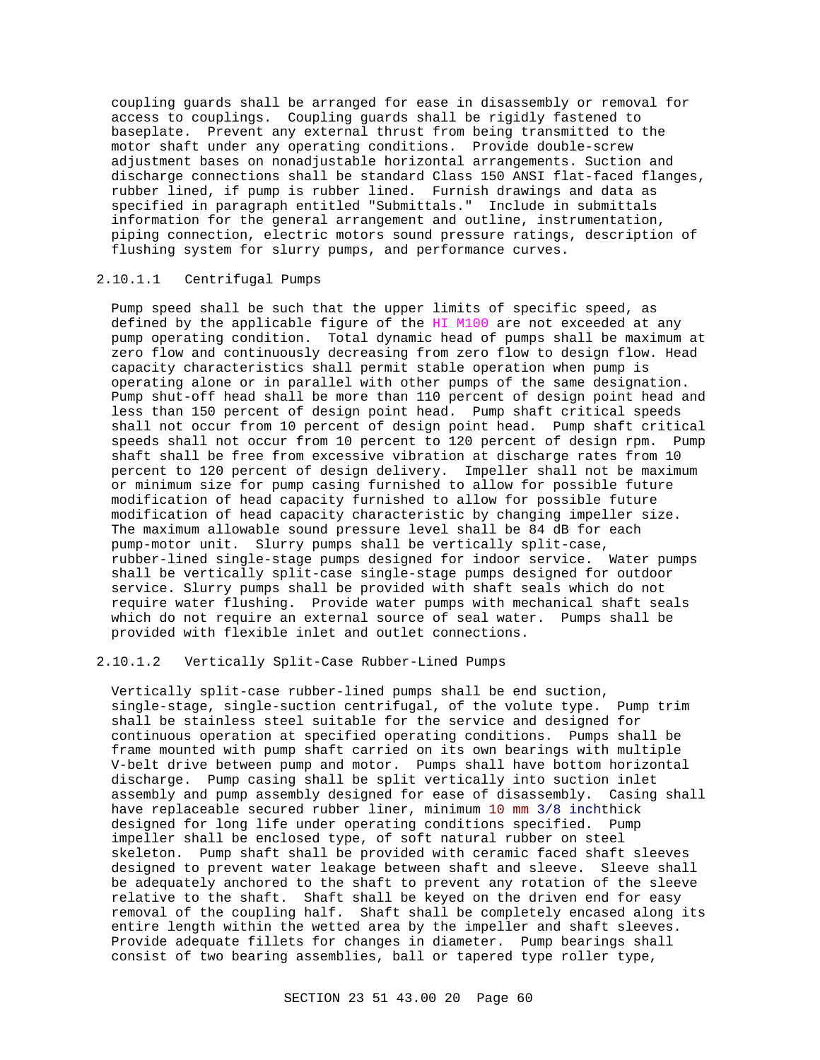coupling guards shall be arranged for ease in disassembly or removal for access to couplings. Coupling guards shall be rigidly fastened to baseplate. Prevent any external thrust from being transmitted to the motor shaft under any operating conditions. Provide double-screw adjustment bases on nonadjustable horizontal arrangements. Suction and discharge connections shall be standard Class 150 ANSI flat-faced flanges, rubber lined, if pump is rubber lined. Furnish drawings and data as specified in paragraph entitled "Submittals." Include in submittals information for the general arrangement and outline, instrumentation, piping connection, electric motors sound pressure ratings, description of flushing system for slurry pumps, and performance curves.

#### 2.10.1.1 Centrifugal Pumps

Pump speed shall be such that the upper limits of specific speed, as defined by the applicable figure of the HI M100 are not exceeded at any pump operating condition. Total dynamic head of pumps shall be maximum at zero flow and continuously decreasing from zero flow to design flow. Head capacity characteristics shall permit stable operation when pump is operating alone or in parallel with other pumps of the same designation. Pump shut-off head shall be more than 110 percent of design point head and less than 150 percent of design point head. Pump shaft critical speeds shall not occur from 10 percent of design point head. Pump shaft critical speeds shall not occur from 10 percent to 120 percent of design rpm. Pump shaft shall be free from excessive vibration at discharge rates from 10 percent to 120 percent of design delivery. Impeller shall not be maximum or minimum size for pump casing furnished to allow for possible future modification of head capacity furnished to allow for possible future modification of head capacity characteristic by changing impeller size. The maximum allowable sound pressure level shall be 84 dB for each pump-motor unit. Slurry pumps shall be vertically split-case, rubber-lined single-stage pumps designed for indoor service. Water pumps shall be vertically split-case single-stage pumps designed for outdoor service. Slurry pumps shall be provided with shaft seals which do not require water flushing. Provide water pumps with mechanical shaft seals which do not require an external source of seal water. Pumps shall be provided with flexible inlet and outlet connections.

### 2.10.1.2 Vertically Split-Case Rubber-Lined Pumps

Vertically split-case rubber-lined pumps shall be end suction, single-stage, single-suction centrifugal, of the volute type. Pump trim shall be stainless steel suitable for the service and designed for continuous operation at specified operating conditions. Pumps shall be frame mounted with pump shaft carried on its own bearings with multiple V-belt drive between pump and motor. Pumps shall have bottom horizontal discharge. Pump casing shall be split vertically into suction inlet assembly and pump assembly designed for ease of disassembly. Casing shall have replaceable secured rubber liner, minimum 10 mm 3/8 inchthick designed for long life under operating conditions specified. Pump impeller shall be enclosed type, of soft natural rubber on steel skeleton. Pump shaft shall be provided with ceramic faced shaft sleeves designed to prevent water leakage between shaft and sleeve. Sleeve shall be adequately anchored to the shaft to prevent any rotation of the sleeve relative to the shaft. Shaft shall be keyed on the driven end for easy removal of the coupling half. Shaft shall be completely encased along its entire length within the wetted area by the impeller and shaft sleeves. Provide adequate fillets for changes in diameter. Pump bearings shall consist of two bearing assemblies, ball or tapered type roller type,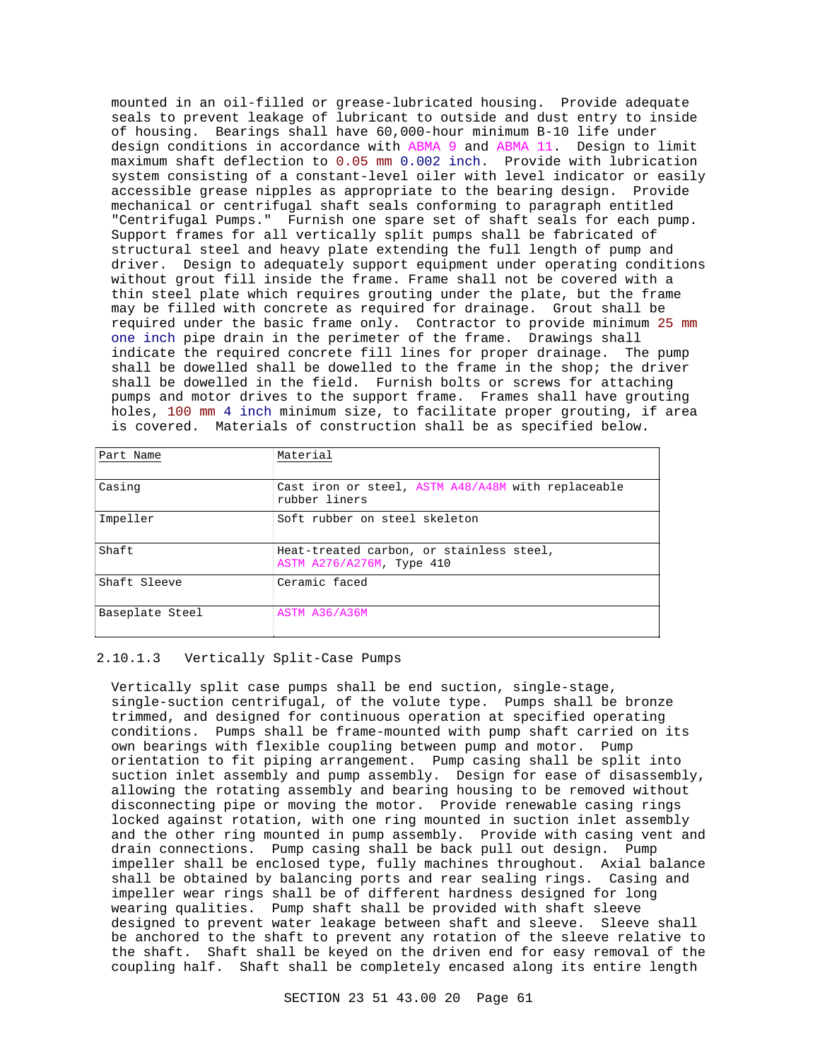mounted in an oil-filled or grease-lubricated housing. Provide adequate seals to prevent leakage of lubricant to outside and dust entry to inside of housing. Bearings shall have 60,000-hour minimum B-10 life under design conditions in accordance with ABMA 9 and ABMA 11. Design to limit maximum shaft deflection to 0.05 mm 0.002 inch. Provide with lubrication system consisting of a constant-level oiler with level indicator or easily accessible grease nipples as appropriate to the bearing design. Provide mechanical or centrifugal shaft seals conforming to paragraph entitled "Centrifugal Pumps." Furnish one spare set of shaft seals for each pump. Support frames for all vertically split pumps shall be fabricated of structural steel and heavy plate extending the full length of pump and driver. Design to adequately support equipment under operating conditions without grout fill inside the frame. Frame shall not be covered with a thin steel plate which requires grouting under the plate, but the frame may be filled with concrete as required for drainage. Grout shall be required under the basic frame only. Contractor to provide minimum 25 mm one inch pipe drain in the perimeter of the frame. Drawings shall indicate the required concrete fill lines for proper drainage. The pump shall be dowelled shall be dowelled to the frame in the shop; the driver shall be dowelled in the field. Furnish bolts or screws for attaching pumps and motor drives to the support frame. Frames shall have grouting holes, 100 mm 4 inch minimum size, to facilitate proper grouting, if area is covered. Materials of construction shall be as specified below.

| Part Name       | Material                                                              |
|-----------------|-----------------------------------------------------------------------|
| Casing          | Cast iron or steel, ASTM A48/A48M with replaceable<br>rubber liners   |
| Impeller        | Soft rubber on steel skeleton                                         |
| Shaft           | Heat-treated carbon, or stainless steel,<br>ASTM A276/A276M, Type 410 |
| Shaft Sleeve    | Ceramic faced                                                         |
| Baseplate Steel | ASTM A36/A36M                                                         |

### 2.10.1.3 Vertically Split-Case Pumps

Vertically split case pumps shall be end suction, single-stage, single-suction centrifugal, of the volute type. Pumps shall be bronze trimmed, and designed for continuous operation at specified operating conditions. Pumps shall be frame-mounted with pump shaft carried on its own bearings with flexible coupling between pump and motor. Pump orientation to fit piping arrangement. Pump casing shall be split into suction inlet assembly and pump assembly. Design for ease of disassembly, allowing the rotating assembly and bearing housing to be removed without disconnecting pipe or moving the motor. Provide renewable casing rings locked against rotation, with one ring mounted in suction inlet assembly and the other ring mounted in pump assembly. Provide with casing vent and drain connections. Pump casing shall be back pull out design. Pump impeller shall be enclosed type, fully machines throughout. Axial balance shall be obtained by balancing ports and rear sealing rings. Casing and impeller wear rings shall be of different hardness designed for long wearing qualities. Pump shaft shall be provided with shaft sleeve designed to prevent water leakage between shaft and sleeve. Sleeve shall be anchored to the shaft to prevent any rotation of the sleeve relative to the shaft. Shaft shall be keyed on the driven end for easy removal of the coupling half. Shaft shall be completely encased along its entire length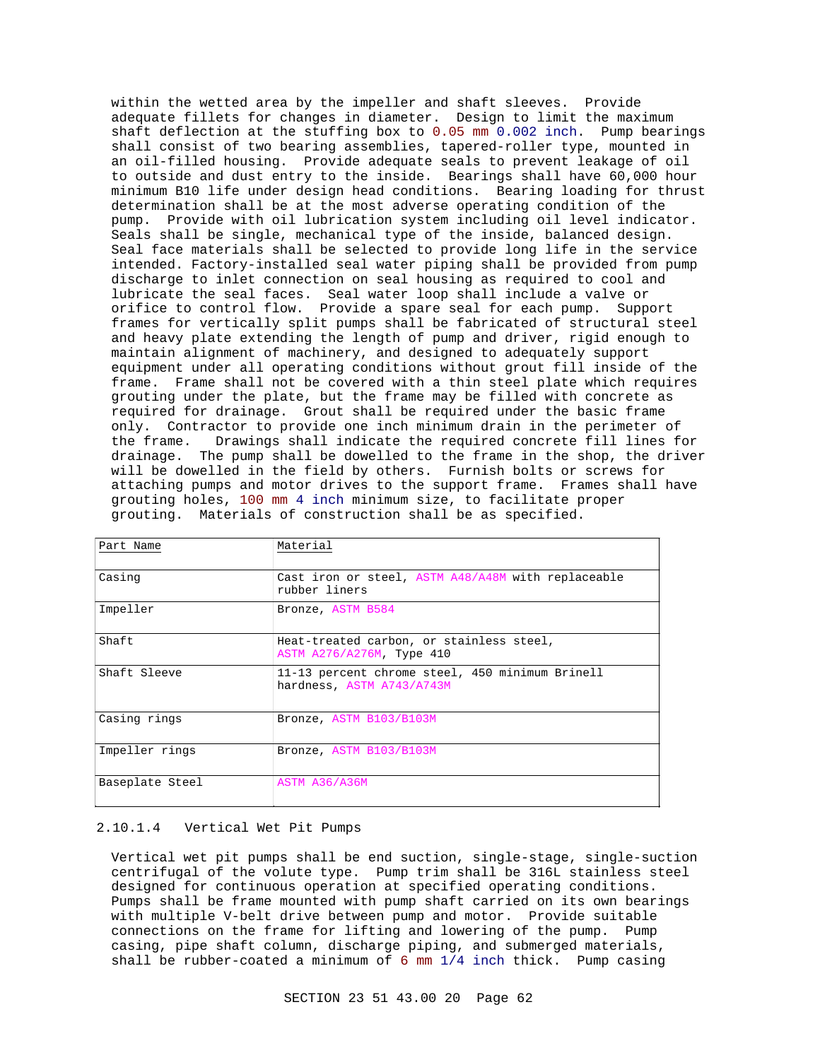within the wetted area by the impeller and shaft sleeves. Provide adequate fillets for changes in diameter. Design to limit the maximum shaft deflection at the stuffing box to 0.05 mm 0.002 inch. Pump bearings shall consist of two bearing assemblies, tapered-roller type, mounted in an oil-filled housing. Provide adequate seals to prevent leakage of oil to outside and dust entry to the inside. Bearings shall have 60,000 hour minimum B10 life under design head conditions. Bearing loading for thrust determination shall be at the most adverse operating condition of the pump. Provide with oil lubrication system including oil level indicator. Seals shall be single, mechanical type of the inside, balanced design. Seal face materials shall be selected to provide long life in the service intended. Factory-installed seal water piping shall be provided from pump discharge to inlet connection on seal housing as required to cool and lubricate the seal faces. Seal water loop shall include a valve or orifice to control flow. Provide a spare seal for each pump. Support frames for vertically split pumps shall be fabricated of structural steel and heavy plate extending the length of pump and driver, rigid enough to maintain alignment of machinery, and designed to adequately support equipment under all operating conditions without grout fill inside of the frame. Frame shall not be covered with a thin steel plate which requires grouting under the plate, but the frame may be filled with concrete as required for drainage. Grout shall be required under the basic frame only. Contractor to provide one inch minimum drain in the perimeter of the frame. Drawings shall indicate the required concrete fill lines for drainage. The pump shall be dowelled to the frame in the shop, the driver will be dowelled in the field by others. Furnish bolts or screws for attaching pumps and motor drives to the support frame. Frames shall have grouting holes, 100 mm 4 inch minimum size, to facilitate proper grouting. Materials of construction shall be as specified.

| Part Name       | Material                                                                     |
|-----------------|------------------------------------------------------------------------------|
|                 |                                                                              |
| Casing          | Cast iron or steel, ASTM A48/A48M with replaceable<br>rubber liners          |
| Impeller        | Bronze, ASTM B584                                                            |
| Shaft           | Heat-treated carbon, or stainless steel,<br>ASTM A276/A276M, Type 410        |
| Shaft Sleeve    | 11-13 percent chrome steel, 450 minimum Brinell<br>hardness, ASTM A743/A743M |
| Casing rings    | Bronze, ASTM B103/B103M                                                      |
| Impeller rings  | Bronze, ASTM B103/B103M                                                      |
| Baseplate Steel | ASTM A36/A36M                                                                |

#### 2.10.1.4 Vertical Wet Pit Pumps

Vertical wet pit pumps shall be end suction, single-stage, single-suction centrifugal of the volute type. Pump trim shall be 316L stainless steel designed for continuous operation at specified operating conditions. Pumps shall be frame mounted with pump shaft carried on its own bearings with multiple V-belt drive between pump and motor. Provide suitable connections on the frame for lifting and lowering of the pump. Pump casing, pipe shaft column, discharge piping, and submerged materials, shall be rubber-coated a minimum of 6 mm 1/4 inch thick. Pump casing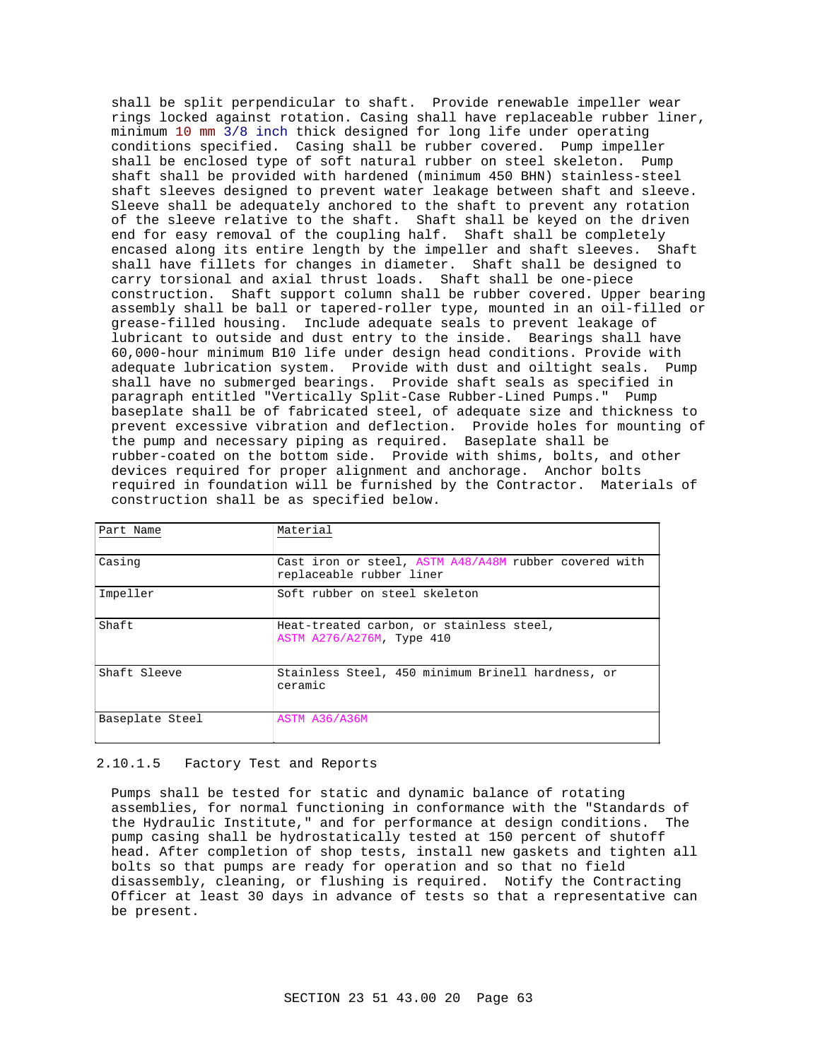shall be split perpendicular to shaft. Provide renewable impeller wear rings locked against rotation. Casing shall have replaceable rubber liner, minimum 10 mm 3/8 inch thick designed for long life under operating conditions specified. Casing shall be rubber covered. Pump impeller shall be enclosed type of soft natural rubber on steel skeleton. Pump shaft shall be provided with hardened (minimum 450 BHN) stainless-steel shaft sleeves designed to prevent water leakage between shaft and sleeve. Sleeve shall be adequately anchored to the shaft to prevent any rotation of the sleeve relative to the shaft. Shaft shall be keyed on the driven end for easy removal of the coupling half. Shaft shall be completely encased along its entire length by the impeller and shaft sleeves. Shaft shall have fillets for changes in diameter. Shaft shall be designed to carry torsional and axial thrust loads. Shaft shall be one-piece construction. Shaft support column shall be rubber covered. Upper bearing assembly shall be ball or tapered-roller type, mounted in an oil-filled or grease-filled housing. Include adequate seals to prevent leakage of lubricant to outside and dust entry to the inside. Bearings shall have 60,000-hour minimum B10 life under design head conditions. Provide with adequate lubrication system. Provide with dust and oiltight seals. Pump shall have no submerged bearings. Provide shaft seals as specified in paragraph entitled "Vertically Split-Case Rubber-Lined Pumps." Pump baseplate shall be of fabricated steel, of adequate size and thickness to prevent excessive vibration and deflection. Provide holes for mounting of the pump and necessary piping as required. Baseplate shall be rubber-coated on the bottom side. Provide with shims, bolts, and other devices required for proper alignment and anchorage. Anchor bolts required in foundation will be furnished by the Contractor. Materials of construction shall be as specified below.

| Part Name       | Material                                                                          |
|-----------------|-----------------------------------------------------------------------------------|
| Casing          | Cast iron or steel, ASTM A48/A48M rubber covered with<br>replaceable rubber liner |
| Impeller        | Soft rubber on steel skeleton                                                     |
| Shaft           | Heat-treated carbon, or stainless steel,<br>ASTM A276/A276M, Type 410             |
| Shaft Sleeve    | Stainless Steel, 450 minimum Brinell hardness, or<br>ceramic                      |
| Baseplate Steel | ASTM A36/A36M                                                                     |

### 2.10.1.5 Factory Test and Reports

Pumps shall be tested for static and dynamic balance of rotating assemblies, for normal functioning in conformance with the "Standards of the Hydraulic Institute," and for performance at design conditions. The pump casing shall be hydrostatically tested at 150 percent of shutoff head. After completion of shop tests, install new gaskets and tighten all bolts so that pumps are ready for operation and so that no field disassembly, cleaning, or flushing is required. Notify the Contracting Officer at least 30 days in advance of tests so that a representative can be present.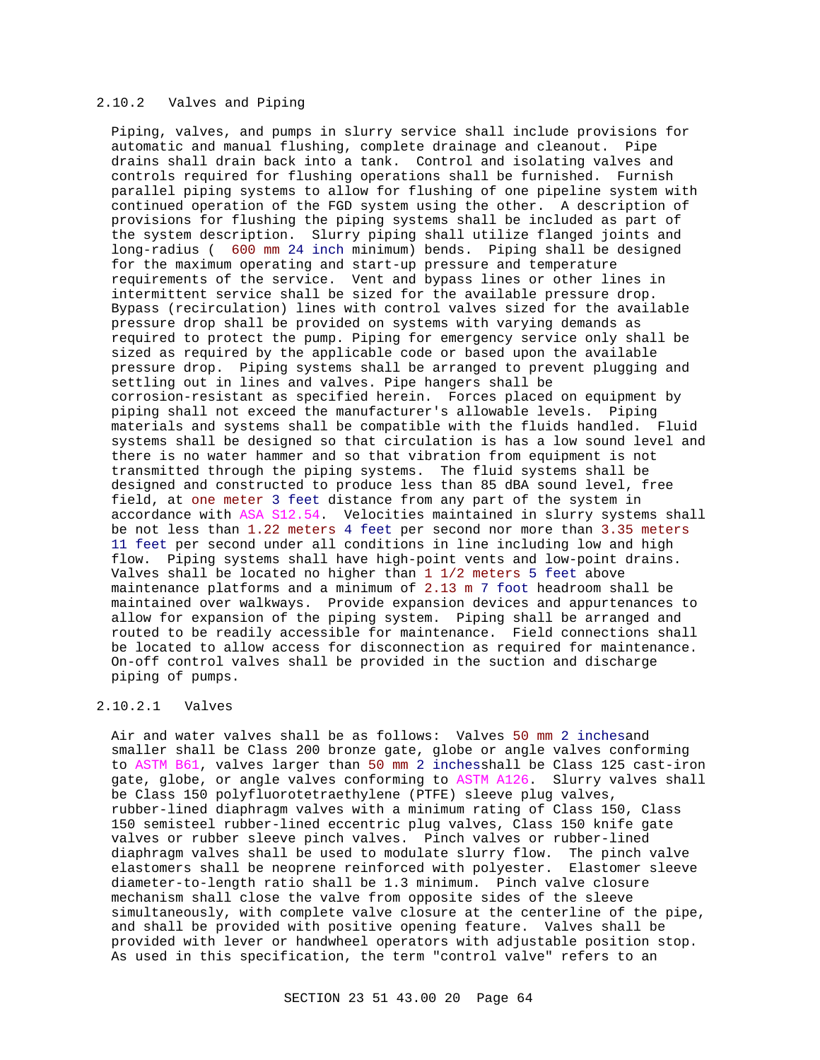### 2.10.2 Valves and Piping

Piping, valves, and pumps in slurry service shall include provisions for automatic and manual flushing, complete drainage and cleanout. Pipe drains shall drain back into a tank. Control and isolating valves and controls required for flushing operations shall be furnished. Furnish parallel piping systems to allow for flushing of one pipeline system with continued operation of the FGD system using the other. A description of provisions for flushing the piping systems shall be included as part of the system description. Slurry piping shall utilize flanged joints and long-radius ( 600 mm 24 inch minimum) bends. Piping shall be designed for the maximum operating and start-up pressure and temperature requirements of the service. Vent and bypass lines or other lines in intermittent service shall be sized for the available pressure drop. Bypass (recirculation) lines with control valves sized for the available pressure drop shall be provided on systems with varying demands as required to protect the pump. Piping for emergency service only shall be sized as required by the applicable code or based upon the available pressure drop. Piping systems shall be arranged to prevent plugging and settling out in lines and valves. Pipe hangers shall be corrosion-resistant as specified herein. Forces placed on equipment by piping shall not exceed the manufacturer's allowable levels. Piping materials and systems shall be compatible with the fluids handled. Fluid systems shall be designed so that circulation is has a low sound level and there is no water hammer and so that vibration from equipment is not transmitted through the piping systems. The fluid systems shall be designed and constructed to produce less than 85 dBA sound level, free field, at one meter 3 feet distance from any part of the system in accordance with ASA S12.54. Velocities maintained in slurry systems shall be not less than 1.22 meters 4 feet per second nor more than 3.35 meters 11 feet per second under all conditions in line including low and high flow. Piping systems shall have high-point vents and low-point drains. Valves shall be located no higher than 1 1/2 meters 5 feet above maintenance platforms and a minimum of 2.13 m 7 foot headroom shall be maintained over walkways. Provide expansion devices and appurtenances to allow for expansion of the piping system. Piping shall be arranged and routed to be readily accessible for maintenance. Field connections shall be located to allow access for disconnection as required for maintenance. On-off control valves shall be provided in the suction and discharge piping of pumps.

### 2.10.2.1 Valves

Air and water valves shall be as follows: Valves 50 mm 2 inchesand smaller shall be Class 200 bronze gate, globe or angle valves conforming to ASTM B61, valves larger than 50 mm 2 inchesshall be Class 125 cast-iron gate, globe, or angle valves conforming to ASTM A126. Slurry valves shall be Class 150 polyfluorotetraethylene (PTFE) sleeve plug valves, rubber-lined diaphragm valves with a minimum rating of Class 150, Class 150 semisteel rubber-lined eccentric plug valves, Class 150 knife gate valves or rubber sleeve pinch valves. Pinch valves or rubber-lined diaphragm valves shall be used to modulate slurry flow. The pinch valve elastomers shall be neoprene reinforced with polyester. Elastomer sleeve diameter-to-length ratio shall be 1.3 minimum. Pinch valve closure mechanism shall close the valve from opposite sides of the sleeve simultaneously, with complete valve closure at the centerline of the pipe, and shall be provided with positive opening feature. Valves shall be provided with lever or handwheel operators with adjustable position stop. As used in this specification, the term "control valve" refers to an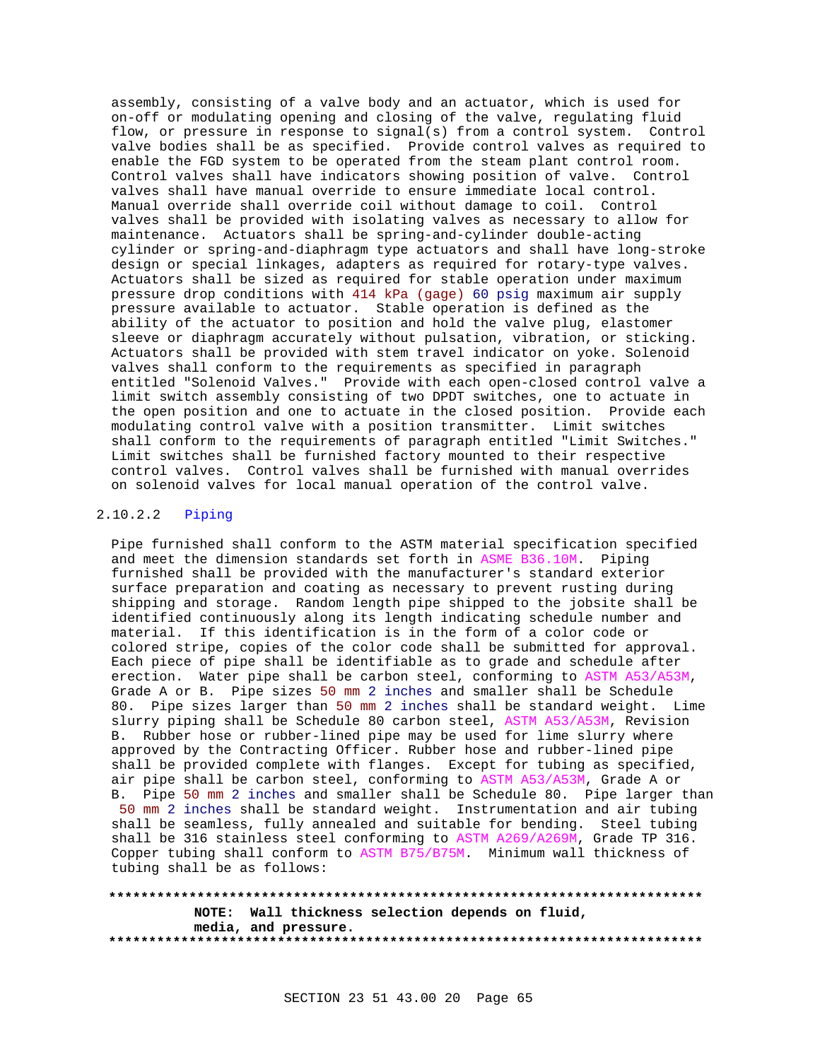assembly, consisting of a valve body and an actuator, which is used for on-off or modulating opening and closing of the valve, regulating fluid flow, or pressure in response to signal(s) from a control system. Control valve bodies shall be as specified. Provide control valves as required to enable the FGD system to be operated from the steam plant control room. Control valves shall have indicators showing position of valve. Control valves shall have manual override to ensure immediate local control. Manual override shall override coil without damage to coil. Control valves shall be provided with isolating valves as necessary to allow for maintenance. Actuators shall be spring-and-cylinder double-acting cylinder or spring-and-diaphragm type actuators and shall have long-stroke design or special linkages, adapters as required for rotary-type valves. Actuators shall be sized as required for stable operation under maximum pressure drop conditions with 414 kPa (gage) 60 psig maximum air supply pressure available to actuator. Stable operation is defined as the ability of the actuator to position and hold the valve plug, elastomer sleeve or diaphragm accurately without pulsation, vibration, or sticking. Actuators shall be provided with stem travel indicator on yoke. Solenoid valves shall conform to the requirements as specified in paragraph entitled "Solenoid Valves." Provide with each open-closed control valve a limit switch assembly consisting of two DPDT switches, one to actuate in the open position and one to actuate in the closed position. Provide each modulating control valve with a position transmitter. Limit switches shall conform to the requirements of paragraph entitled "Limit Switches." Limit switches shall be furnished factory mounted to their respective control valves. Control valves shall be furnished with manual overrides on solenoid valves for local manual operation of the control valve.

### 2.10.2.2 Piping

Pipe furnished shall conform to the ASTM material specification specified and meet the dimension standards set forth in ASME B36.10M. Piping furnished shall be provided with the manufacturer's standard exterior surface preparation and coating as necessary to prevent rusting during shipping and storage. Random length pipe shipped to the jobsite shall be identified continuously along its length indicating schedule number and material. If this identification is in the form of a color code or colored stripe, copies of the color code shall be submitted for approval. Each piece of pipe shall be identifiable as to grade and schedule after erection. Water pipe shall be carbon steel, conforming to ASTM A53/A53M, Grade A or B. Pipe sizes 50 mm 2 inches and smaller shall be Schedule 80. Pipe sizes larger than 50 mm 2 inches shall be standard weight. Lime slurry piping shall be Schedule 80 carbon steel, ASTM A53/A53M, Revision B. Rubber hose or rubber-lined pipe may be used for lime slurry where approved by the Contracting Officer. Rubber hose and rubber-lined pipe shall be provided complete with flanges. Except for tubing as specified, air pipe shall be carbon steel, conforming to ASTM A53/A53M, Grade A or B. Pipe 50 mm 2 inches and smaller shall be Schedule 80. Pipe larger than 50 mm 2 inches shall be standard weight. Instrumentation and air tubing shall be seamless, fully annealed and suitable for bending. Steel tubing shall be 316 stainless steel conforming to ASTM A269/A269M, Grade TP 316. Copper tubing shall conform to ASTM B75/B75M. Minimum wall thickness of tubing shall be as follows:

### **\*\*\*\*\*\*\*\*\*\*\*\*\*\*\*\*\*\*\*\*\*\*\*\*\*\*\*\*\*\*\*\*\*\*\*\*\*\*\*\*\*\*\*\*\*\*\*\*\*\*\*\*\*\*\*\*\*\*\*\*\*\*\*\*\*\*\*\*\*\*\*\*\*\* NOTE: Wall thickness selection depends on fluid, media, and pressure. \*\*\*\*\*\*\*\*\*\*\*\*\*\*\*\*\*\*\*\*\*\*\*\*\*\*\*\*\*\*\*\*\*\*\*\*\*\*\*\*\*\*\*\*\*\*\*\*\*\*\*\*\*\*\*\*\*\*\*\*\*\*\*\*\*\*\*\*\*\*\*\*\*\***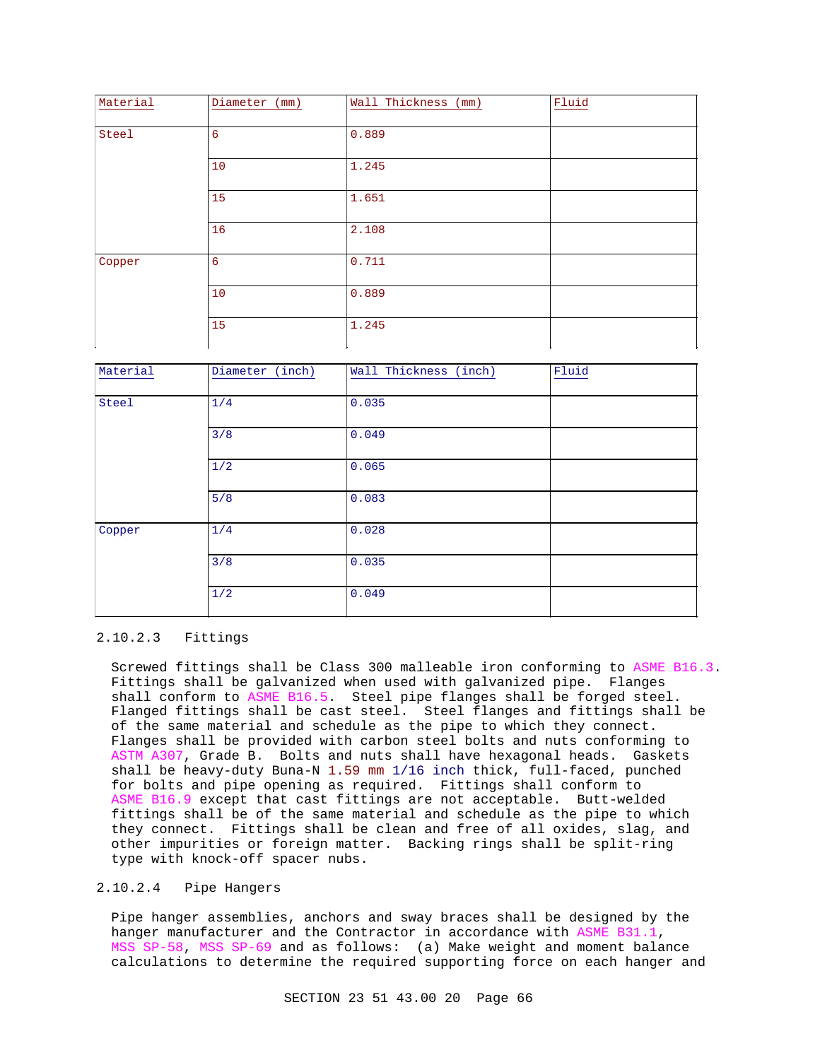| Material | Diameter<br>(mm) | Wall Thickness (mm) | Fluid |
|----------|------------------|---------------------|-------|
| Steel    | 6                | 0.889               |       |
|          | 10               | 1.245               |       |
|          | 15               | 1.651               |       |
|          | 16               | 2.108               |       |
| Copper   | 6                | 0.711               |       |
|          | 10               | 0.889               |       |
|          | 15               | 1.245               |       |

| Material | Diameter<br>(inch) | Wall Thickness (inch) | Fluid |
|----------|--------------------|-----------------------|-------|
| Steel    | 1/4                | 0.035                 |       |
|          | 3/8                | 0.049                 |       |
|          | 1/2                | 0.065                 |       |
|          | 5/8                | 0.083                 |       |
| Copper   | 1/4                | 0.028                 |       |
|          | 3/8                | 0.035                 |       |
|          | 1/2                | 0.049                 |       |

# 2.10.2.3 Fittings

Screwed fittings shall be Class 300 malleable iron conforming to ASME B16.3. Fittings shall be galvanized when used with galvanized pipe. Flanges shall conform to ASME B16.5. Steel pipe flanges shall be forged steel. Flanged fittings shall be cast steel. Steel flanges and fittings shall be of the same material and schedule as the pipe to which they connect. Flanges shall be provided with carbon steel bolts and nuts conforming to ASTM A307, Grade B. Bolts and nuts shall have hexagonal heads. Gaskets shall be heavy-duty Buna-N 1.59 mm 1/16 inch thick, full-faced, punched for bolts and pipe opening as required. Fittings shall conform to ASME B16.9 except that cast fittings are not acceptable. Butt-welded fittings shall be of the same material and schedule as the pipe to which they connect. Fittings shall be clean and free of all oxides, slag, and other impurities or foreign matter. Backing rings shall be split-ring type with knock-off spacer nubs.

# 2.10.2.4 Pipe Hangers

Pipe hanger assemblies, anchors and sway braces shall be designed by the hanger manufacturer and the Contractor in accordance with ASME B31.1, MSS SP-58, MSS SP-69 and as follows: (a) Make weight and moment balance calculations to determine the required supporting force on each hanger and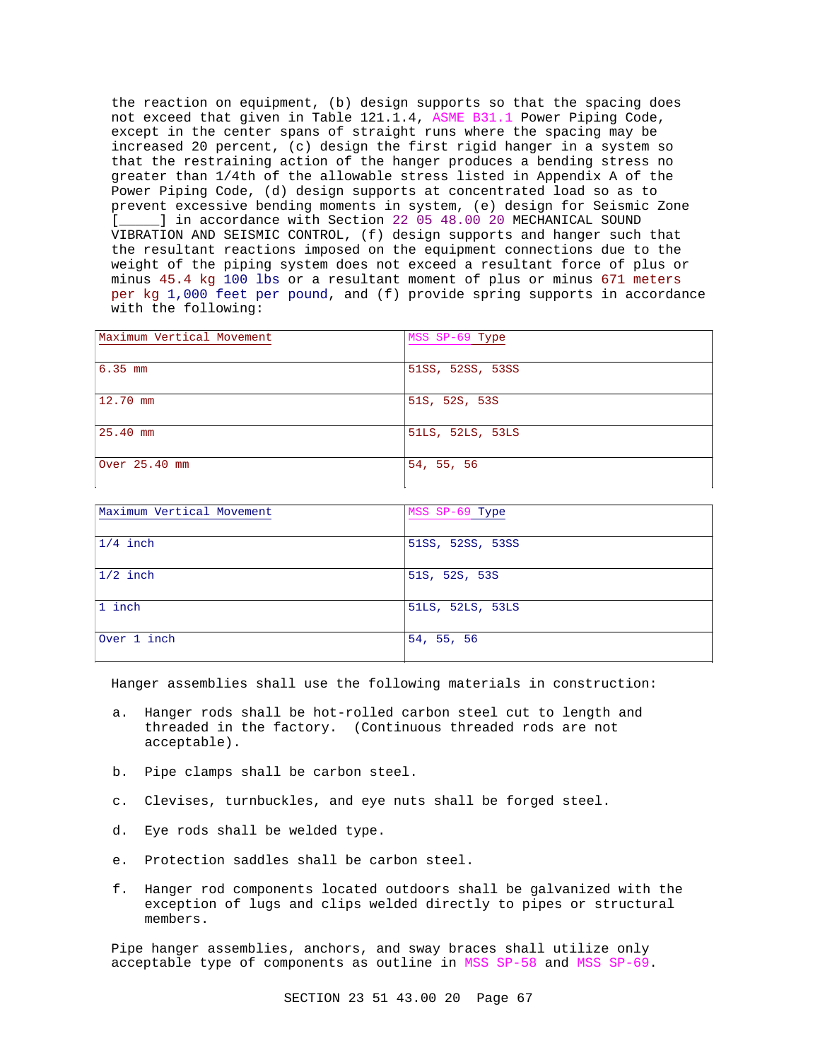the reaction on equipment, (b) design supports so that the spacing does not exceed that given in Table 121.1.4, ASME B31.1 Power Piping Code, except in the center spans of straight runs where the spacing may be increased 20 percent, (c) design the first rigid hanger in a system so that the restraining action of the hanger produces a bending stress no greater than 1/4th of the allowable stress listed in Appendix A of the Power Piping Code, (d) design supports at concentrated load so as to prevent excessive bending moments in system, (e) design for Seismic Zone [\_\_\_\_\_] in accordance with Section 22 05 48.00 20 MECHANICAL SOUND VIBRATION AND SEISMIC CONTROL, (f) design supports and hanger such that the resultant reactions imposed on the equipment connections due to the weight of the piping system does not exceed a resultant force of plus or minus 45.4 kg 100 lbs or a resultant moment of plus or minus 671 meters per kg 1,000 feet per pound, and (f) provide spring supports in accordance with the following:

| Maximum Vertical Movement | MSS SP-69 Type   |
|---------------------------|------------------|
| $6.35$ mm                 | 51SS, 52SS, 53SS |
| 12.70 mm                  | 51S, 52S, 53S    |
| 25.40 mm                  | 51LS, 52LS, 53LS |
| Over 25.40 mm             | 54, 55, 56       |

| Maximum Vertical Movement | MSS SP-69 Type   |
|---------------------------|------------------|
| $1/4$ inch                | 51SS, 52SS, 53SS |
| $1/2$ inch                | 51S, 52S, 53S    |
| 1 inch                    | 51LS, 52LS, 53LS |
| Over 1 inch               | 54, 55, 56       |

Hanger assemblies shall use the following materials in construction:

- a. Hanger rods shall be hot-rolled carbon steel cut to length and threaded in the factory. (Continuous threaded rods are not acceptable).
- b. Pipe clamps shall be carbon steel.
- c. Clevises, turnbuckles, and eye nuts shall be forged steel.
- d. Eye rods shall be welded type.
- e. Protection saddles shall be carbon steel.
- f. Hanger rod components located outdoors shall be galvanized with the exception of lugs and clips welded directly to pipes or structural members.

Pipe hanger assemblies, anchors, and sway braces shall utilize only acceptable type of components as outline in MSS SP-58 and MSS SP-69.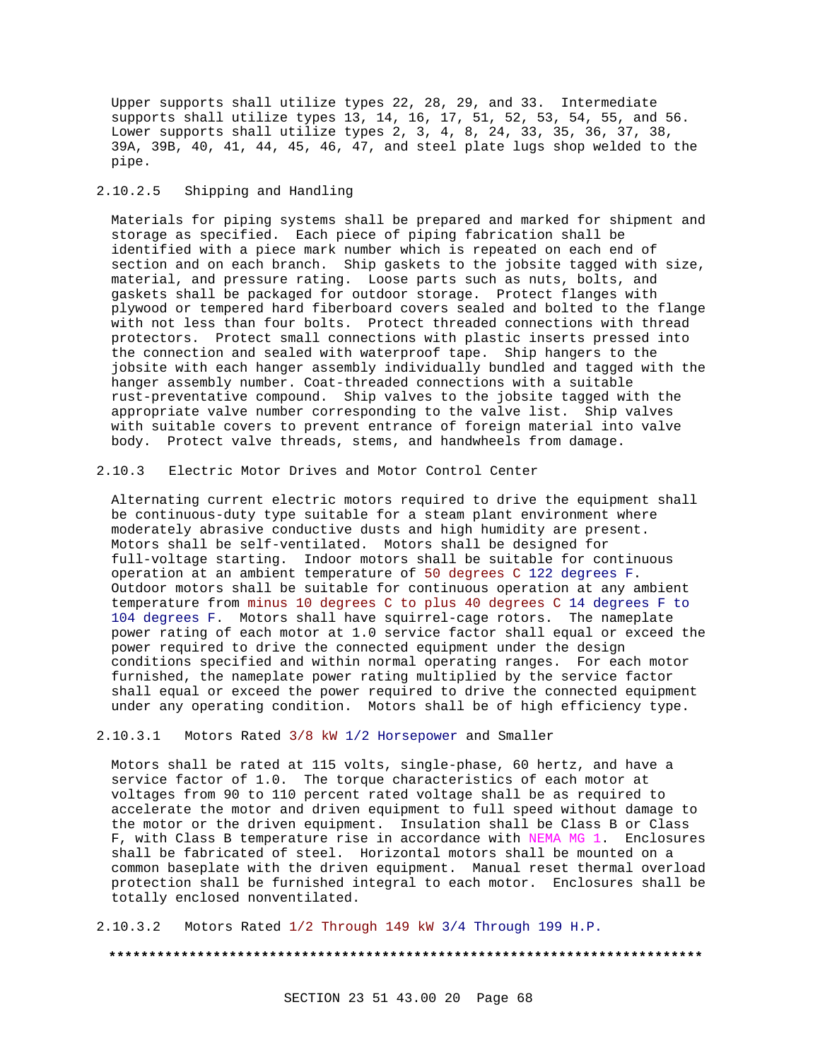Upper supports shall utilize types 22, 28, 29, and 33. Intermediate supports shall utilize types 13, 14, 16, 17, 51, 52, 53, 54, 55, and 56. Lower supports shall utilize types 2, 3, 4, 8, 24, 33, 35, 36, 37, 38, 39A, 39B, 40, 41, 44, 45, 46, 47, and steel plate lugs shop welded to the pipe.

### 2.10.2.5 Shipping and Handling

Materials for piping systems shall be prepared and marked for shipment and storage as specified. Each piece of piping fabrication shall be identified with a piece mark number which is repeated on each end of section and on each branch. Ship gaskets to the jobsite tagged with size, material, and pressure rating. Loose parts such as nuts, bolts, and gaskets shall be packaged for outdoor storage. Protect flanges with plywood or tempered hard fiberboard covers sealed and bolted to the flange with not less than four bolts. Protect threaded connections with thread protectors. Protect small connections with plastic inserts pressed into the connection and sealed with waterproof tape. Ship hangers to the jobsite with each hanger assembly individually bundled and tagged with the hanger assembly number. Coat-threaded connections with a suitable rust-preventative compound. Ship valves to the jobsite tagged with the appropriate valve number corresponding to the valve list. Ship valves with suitable covers to prevent entrance of foreign material into valve body. Protect valve threads, stems, and handwheels from damage.

### 2.10.3 Electric Motor Drives and Motor Control Center

Alternating current electric motors required to drive the equipment shall be continuous-duty type suitable for a steam plant environment where moderately abrasive conductive dusts and high humidity are present. Motors shall be self-ventilated. Motors shall be designed for full-voltage starting. Indoor motors shall be suitable for continuous operation at an ambient temperature of 50 degrees C 122 degrees F. Outdoor motors shall be suitable for continuous operation at any ambient temperature from minus 10 degrees C to plus 40 degrees C 14 degrees F to 104 degrees F. Motors shall have squirrel-cage rotors. The nameplate power rating of each motor at 1.0 service factor shall equal or exceed the power required to drive the connected equipment under the design conditions specified and within normal operating ranges. For each motor furnished, the nameplate power rating multiplied by the service factor shall equal or exceed the power required to drive the connected equipment under any operating condition. Motors shall be of high efficiency type.

#### 2.10.3.1 Motors Rated 3/8 kW 1/2 Horsepower and Smaller

Motors shall be rated at 115 volts, single-phase, 60 hertz, and have a service factor of 1.0. The torque characteristics of each motor at voltages from 90 to 110 percent rated voltage shall be as required to accelerate the motor and driven equipment to full speed without damage to the motor or the driven equipment. Insulation shall be Class B or Class F, with Class B temperature rise in accordance with NEMA MG 1. Enclosures shall be fabricated of steel. Horizontal motors shall be mounted on a common baseplate with the driven equipment. Manual reset thermal overload protection shall be furnished integral to each motor. Enclosures shall be totally enclosed nonventilated.

2.10.3.2 Motors Rated 1/2 Through 149 kW 3/4 Through 199 H.P.

#### **\*\*\*\*\*\*\*\*\*\*\*\*\*\*\*\*\*\*\*\*\*\*\*\*\*\*\*\*\*\*\*\*\*\*\*\*\*\*\*\*\*\*\*\*\*\*\*\*\*\*\*\*\*\*\*\*\*\*\*\*\*\*\*\*\*\*\*\*\*\*\*\*\*\***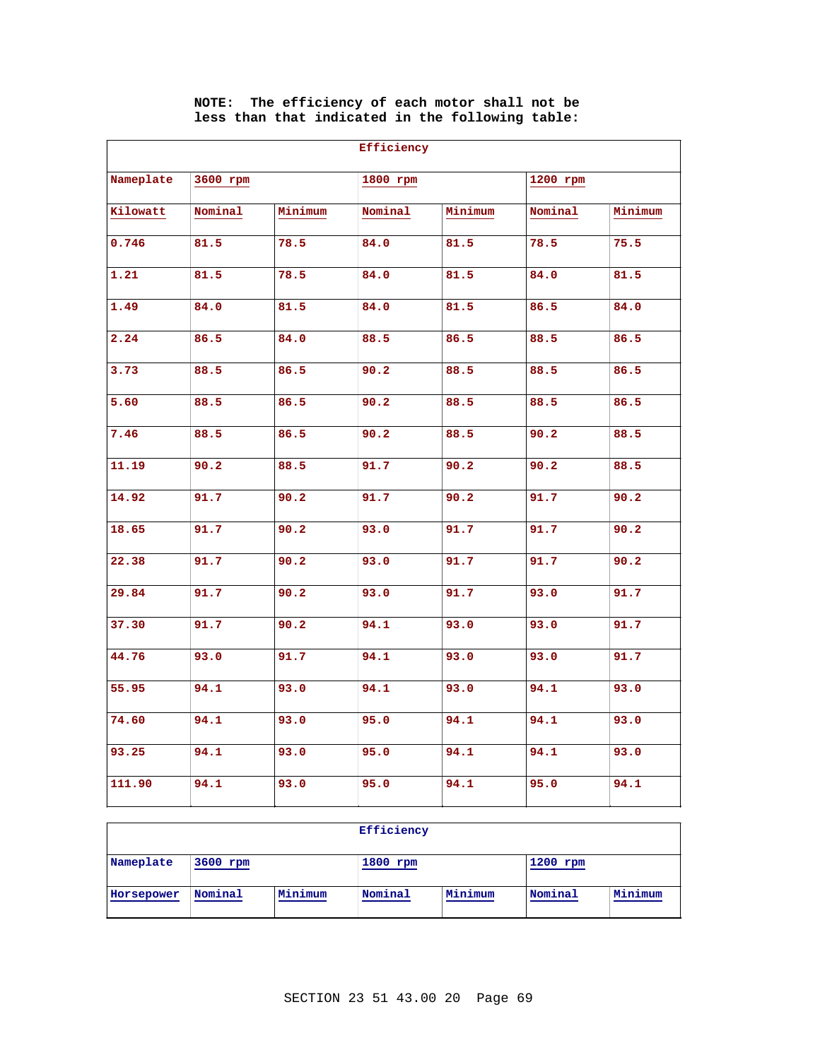| <b>NOTE:</b> |  | The efficiency of each motor shall not be        |  |  |  |  |
|--------------|--|--------------------------------------------------|--|--|--|--|
|              |  | less than that indicated in the following table: |  |  |  |  |

|           |          |         | Efficiency |         |            |         |  |
|-----------|----------|---------|------------|---------|------------|---------|--|
| Nameplate | 3600 rpm |         | $1800$ rpm |         | $1200$ rpm |         |  |
| Kilowatt  | Nominal  | Minimum | Nominal    | Minimum | Nominal    | Minimum |  |
| 0.746     | 81.5     | 78.5    | 84.0       | 81.5    | 78.5       | 75.5    |  |
| 1.21      | 81.5     | 78.5    | 84.0       | 81.5    | 84.0       | 81.5    |  |
| 1.49      | 84.0     | 81.5    | 84.0       | 81.5    | 86.5       | 84.0    |  |
| 2.24      | 86.5     | 84.0    | 88.5       | 86.5    | 88.5       | 86.5    |  |
| 3.73      | 88.5     | 86.5    | 90.2       | 88.5    | 88.5       | 86.5    |  |
| 5.60      | 88.5     | 86.5    | 90.2       | 88.5    | 88.5       | 86.5    |  |
| 7.46      | 88.5     | 86.5    | 90.2       | 88.5    | 90.2       | 88.5    |  |
| 11.19     | 90.2     | 88.5    | 91.7       | 90.2    | 90.2       | 88.5    |  |
| 14.92     | 91.7     | 90.2    | 91.7       | 90.2    | 91.7       | 90.2    |  |
| 18.65     | 91.7     | 90.2    | 93.0       | 91.7    | 91.7       | 90.2    |  |
| 22.38     | 91.7     | 90.2    | 93.0       | 91.7    | 91.7       | 90.2    |  |
| 29.84     | 91.7     | 90.2    | 93.0       | 91.7    | 93.0       | 91.7    |  |
| 37.30     | 91.7     | 90.2    | 94.1       | 93.0    | 93.0       | 91.7    |  |
| 44.76     | 93.0     | 91.7    | 94.1       | 93.0    | 93.0       | 91.7    |  |
| 55.95     | 94.1     | 93.0    | 94.1       | 93.0    | 94.1       | 93.0    |  |
| 74.60     | 94.1     | 93.0    | 95.0       | 94.1    | 94.1       | 93.0    |  |
| 93.25     | 94.1     | 93.0    | 95.0       | 94.1    | 94.1       | 93.0    |  |
| 111.90    | 94.1     | 93.0    | 95.0       | 94.1    | 95.0       | 94.1    |  |

|            |            |         | Efficiency |         |            |         |
|------------|------------|---------|------------|---------|------------|---------|
| Nameplate  | $3600$ rpm |         | $1800$ rpm |         | $1200$ rpm |         |
| Horsepower | Nominal    | Minimum | Nominal    | Minimum | Nominal    | Minimum |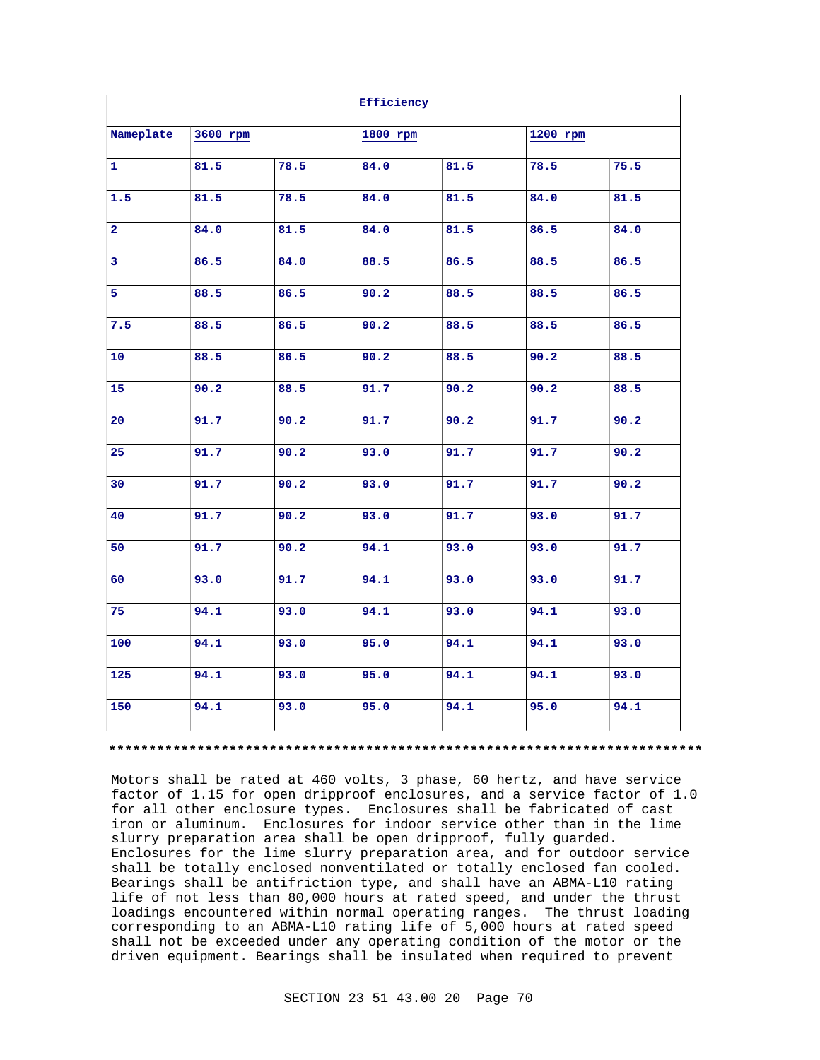| Efficiency              |          |      |          |      |      |          |  |  |
|-------------------------|----------|------|----------|------|------|----------|--|--|
| Nameplate               | 3600 rpm |      | 1800 rpm |      |      | 1200 rpm |  |  |
| $\mathbf{1}$            | 81.5     | 78.5 | 84.0     | 81.5 | 78.5 | 75.5     |  |  |
| 1.5                     | 81.5     | 78.5 | 84.0     | 81.5 | 84.0 | 81.5     |  |  |
| $\overline{\mathbf{2}}$ | 84.0     | 81.5 | 84.0     | 81.5 | 86.5 | 84.0     |  |  |
| 3                       | 86.5     | 84.0 | 88.5     | 86.5 | 88.5 | 86.5     |  |  |
| 5                       | 88.5     | 86.5 | 90.2     | 88.5 | 88.5 | 86.5     |  |  |
| 7.5                     | 88.5     | 86.5 | 90.2     | 88.5 | 88.5 | 86.5     |  |  |
| 10                      | 88.5     | 86.5 | 90.2     | 88.5 | 90.2 | 88.5     |  |  |
| 15                      | 90.2     | 88.5 | 91.7     | 90.2 | 90.2 | 88.5     |  |  |
| 20                      | 91.7     | 90.2 | 91.7     | 90.2 | 91.7 | 90.2     |  |  |
| 25                      | 91.7     | 90.2 | 93.0     | 91.7 | 91.7 | 90.2     |  |  |
| 30                      | 91.7     | 90.2 | 93.0     | 91.7 | 91.7 | 90.2     |  |  |
| 40                      | 91.7     | 90.2 | 93.0     | 91.7 | 93.0 | 91.7     |  |  |
| 50                      | 91.7     | 90.2 | 94.1     | 93.0 | 93.0 | 91.7     |  |  |
| 60                      | 93.0     | 91.7 | 94.1     | 93.0 | 93.0 | 91.7     |  |  |
| 75                      | 94.1     | 93.0 | 94.1     | 93.0 | 94.1 | 93.0     |  |  |
| 100                     | 94.1     | 93.0 | 95.0     | 94.1 | 94.1 | 93.0     |  |  |
| 125                     | 94.1     | 93.0 | 95.0     | 94.1 | 94.1 | 93.0     |  |  |
| 150                     | 94.1     | 93.0 | 95.0     | 94.1 | 95.0 | 94.1     |  |  |

#### **\*\*\*\*\*\*\*\*\*\*\*\*\*\*\*\*\*\*\*\*\*\*\*\*\*\*\*\*\*\*\*\*\*\*\*\*\*\*\*\*\*\*\*\*\*\*\*\*\*\*\*\*\*\*\*\*\*\*\*\*\*\*\*\*\*\*\*\*\*\*\*\*\*\***

Motors shall be rated at 460 volts, 3 phase, 60 hertz, and have service factor of 1.15 for open dripproof enclosures, and a service factor of 1.0 for all other enclosure types. Enclosures shall be fabricated of cast iron or aluminum. Enclosures for indoor service other than in the lime slurry preparation area shall be open dripproof, fully guarded. Enclosures for the lime slurry preparation area, and for outdoor service shall be totally enclosed nonventilated or totally enclosed fan cooled. Bearings shall be antifriction type, and shall have an ABMA-L10 rating life of not less than 80,000 hours at rated speed, and under the thrust loadings encountered within normal operating ranges. The thrust loading corresponding to an ABMA-L10 rating life of 5,000 hours at rated speed shall not be exceeded under any operating condition of the motor or the driven equipment. Bearings shall be insulated when required to prevent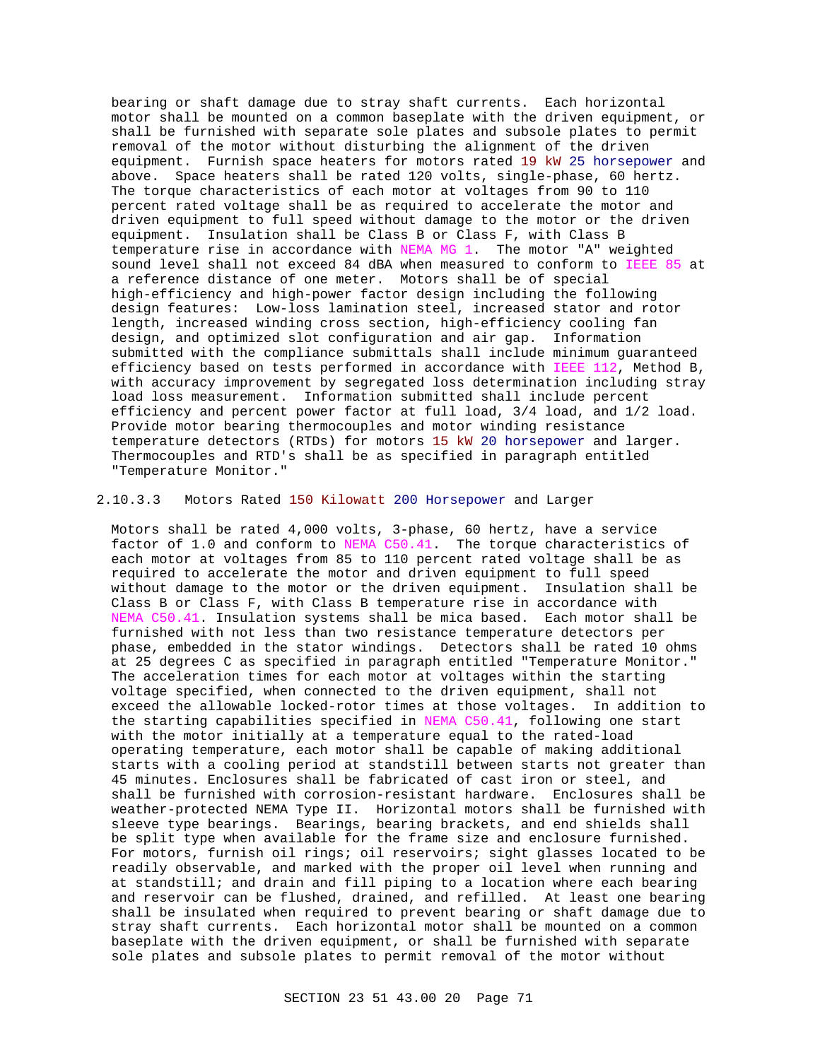bearing or shaft damage due to stray shaft currents. Each horizontal motor shall be mounted on a common baseplate with the driven equipment, or shall be furnished with separate sole plates and subsole plates to permit removal of the motor without disturbing the alignment of the driven equipment. Furnish space heaters for motors rated 19 kW 25 horsepower and above. Space heaters shall be rated 120 volts, single-phase, 60 hertz. The torque characteristics of each motor at voltages from 90 to 110 percent rated voltage shall be as required to accelerate the motor and driven equipment to full speed without damage to the motor or the driven equipment. Insulation shall be Class B or Class F, with Class B temperature rise in accordance with NEMA MG 1. The motor "A" weighted sound level shall not exceed 84 dBA when measured to conform to IEEE 85 at a reference distance of one meter. Motors shall be of special high-efficiency and high-power factor design including the following design features: Low-loss lamination steel, increased stator and rotor length, increased winding cross section, high-efficiency cooling fan design, and optimized slot configuration and air gap. Information submitted with the compliance submittals shall include minimum guaranteed efficiency based on tests performed in accordance with IEEE 112, Method B, with accuracy improvement by segregated loss determination including stray load loss measurement. Information submitted shall include percent efficiency and percent power factor at full load, 3/4 load, and 1/2 load. Provide motor bearing thermocouples and motor winding resistance temperature detectors (RTDs) for motors 15 kW 20 horsepower and larger. Thermocouples and RTD's shall be as specified in paragraph entitled "Temperature Monitor."

### 2.10.3.3 Motors Rated 150 Kilowatt 200 Horsepower and Larger

Motors shall be rated 4,000 volts, 3-phase, 60 hertz, have a service factor of 1.0 and conform to NEMA C50.41. The torque characteristics of each motor at voltages from 85 to 110 percent rated voltage shall be as required to accelerate the motor and driven equipment to full speed without damage to the motor or the driven equipment. Insulation shall be Class B or Class F, with Class B temperature rise in accordance with NEMA C50.41. Insulation systems shall be mica based. Each motor shall be furnished with not less than two resistance temperature detectors per phase, embedded in the stator windings. Detectors shall be rated 10 ohms at 25 degrees C as specified in paragraph entitled "Temperature Monitor." The acceleration times for each motor at voltages within the starting voltage specified, when connected to the driven equipment, shall not exceed the allowable locked-rotor times at those voltages. In addition to the starting capabilities specified in NEMA C50.41, following one start with the motor initially at a temperature equal to the rated-load operating temperature, each motor shall be capable of making additional starts with a cooling period at standstill between starts not greater than 45 minutes. Enclosures shall be fabricated of cast iron or steel, and shall be furnished with corrosion-resistant hardware. Enclosures shall be weather-protected NEMA Type II. Horizontal motors shall be furnished with sleeve type bearings. Bearings, bearing brackets, and end shields shall be split type when available for the frame size and enclosure furnished. For motors, furnish oil rings; oil reservoirs; sight glasses located to be readily observable, and marked with the proper oil level when running and at standstill; and drain and fill piping to a location where each bearing and reservoir can be flushed, drained, and refilled. At least one bearing shall be insulated when required to prevent bearing or shaft damage due to stray shaft currents. Each horizontal motor shall be mounted on a common baseplate with the driven equipment, or shall be furnished with separate sole plates and subsole plates to permit removal of the motor without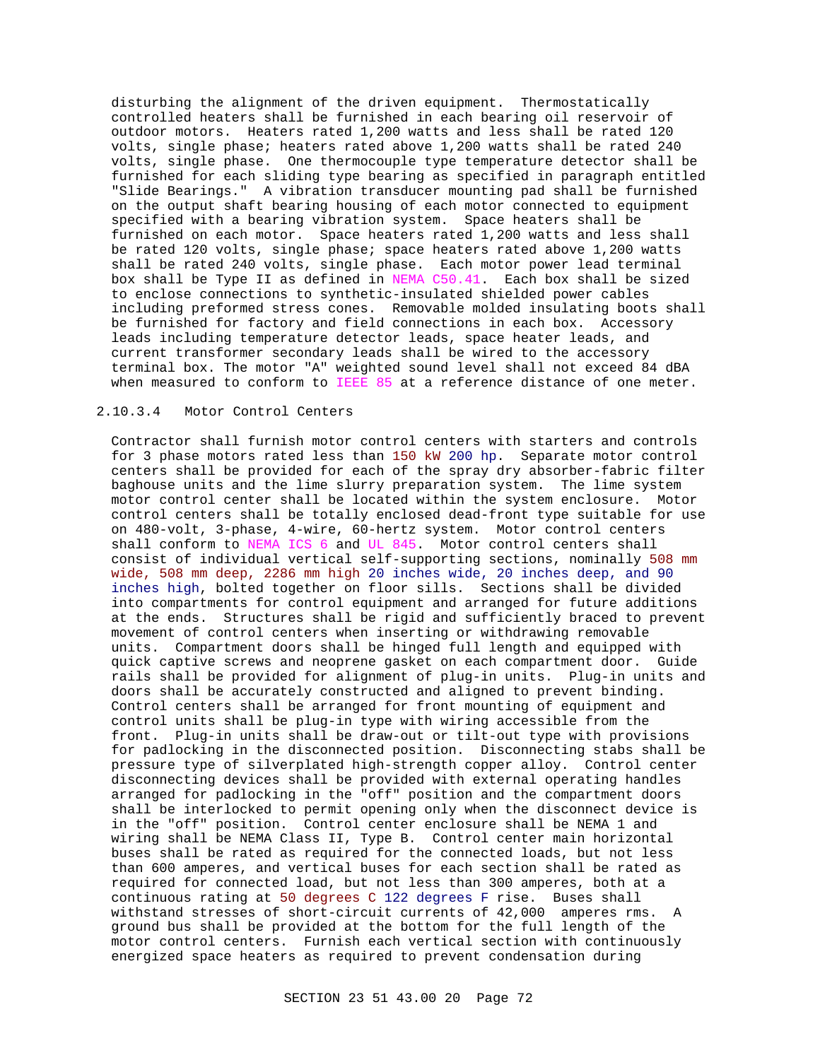disturbing the alignment of the driven equipment. Thermostatically controlled heaters shall be furnished in each bearing oil reservoir of outdoor motors. Heaters rated 1,200 watts and less shall be rated 120 volts, single phase; heaters rated above 1,200 watts shall be rated 240 volts, single phase. One thermocouple type temperature detector shall be furnished for each sliding type bearing as specified in paragraph entitled "Slide Bearings." A vibration transducer mounting pad shall be furnished on the output shaft bearing housing of each motor connected to equipment specified with a bearing vibration system. Space heaters shall be furnished on each motor. Space heaters rated 1,200 watts and less shall be rated 120 volts, single phase; space heaters rated above 1,200 watts shall be rated 240 volts, single phase. Each motor power lead terminal box shall be Type II as defined in NEMA C50.41. Each box shall be sized to enclose connections to synthetic-insulated shielded power cables including preformed stress cones. Removable molded insulating boots shall be furnished for factory and field connections in each box. Accessory leads including temperature detector leads, space heater leads, and current transformer secondary leads shall be wired to the accessory terminal box. The motor "A" weighted sound level shall not exceed 84 dBA when measured to conform to IEEE 85 at a reference distance of one meter.

# 2.10.3.4 Motor Control Centers

Contractor shall furnish motor control centers with starters and controls for 3 phase motors rated less than 150 kW 200 hp. Separate motor control centers shall be provided for each of the spray dry absorber-fabric filter baghouse units and the lime slurry preparation system. The lime system motor control center shall be located within the system enclosure. Motor control centers shall be totally enclosed dead-front type suitable for use on 480-volt, 3-phase, 4-wire, 60-hertz system. Motor control centers shall conform to NEMA ICS 6 and UL 845. Motor control centers shall consist of individual vertical self-supporting sections, nominally 508 mm wide, 508 mm deep, 2286 mm high 20 inches wide, 20 inches deep, and 90 inches high, bolted together on floor sills. Sections shall be divided into compartments for control equipment and arranged for future additions at the ends. Structures shall be rigid and sufficiently braced to prevent movement of control centers when inserting or withdrawing removable units. Compartment doors shall be hinged full length and equipped with quick captive screws and neoprene gasket on each compartment door. Guide rails shall be provided for alignment of plug-in units. Plug-in units and doors shall be accurately constructed and aligned to prevent binding. Control centers shall be arranged for front mounting of equipment and control units shall be plug-in type with wiring accessible from the front. Plug-in units shall be draw-out or tilt-out type with provisions for padlocking in the disconnected position. Disconnecting stabs shall be pressure type of silverplated high-strength copper alloy. Control center disconnecting devices shall be provided with external operating handles arranged for padlocking in the "off" position and the compartment doors shall be interlocked to permit opening only when the disconnect device is in the "off" position. Control center enclosure shall be NEMA 1 and wiring shall be NEMA Class II, Type B. Control center main horizontal buses shall be rated as required for the connected loads, but not less than 600 amperes, and vertical buses for each section shall be rated as required for connected load, but not less than 300 amperes, both at a continuous rating at 50 degrees C 122 degrees F rise. Buses shall withstand stresses of short-circuit currents of 42,000 amperes rms. A ground bus shall be provided at the bottom for the full length of the motor control centers. Furnish each vertical section with continuously energized space heaters as required to prevent condensation during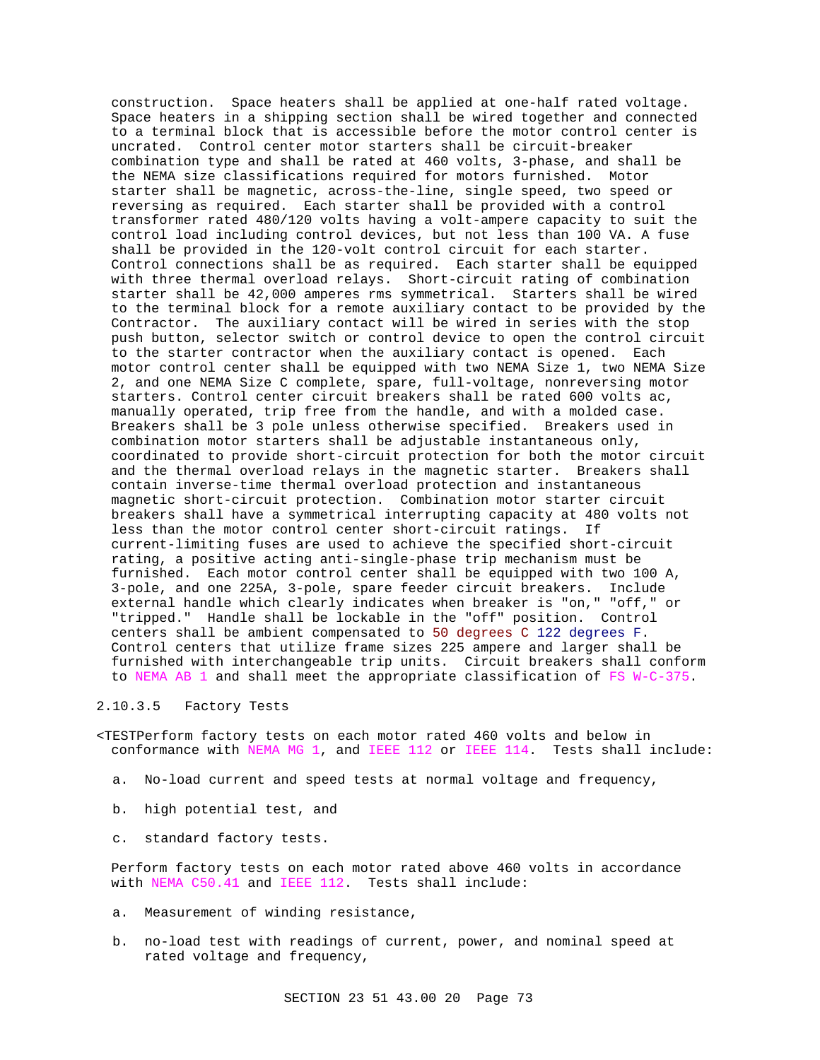construction. Space heaters shall be applied at one-half rated voltage. Space heaters in a shipping section shall be wired together and connected to a terminal block that is accessible before the motor control center is uncrated. Control center motor starters shall be circuit-breaker combination type and shall be rated at 460 volts, 3-phase, and shall be the NEMA size classifications required for motors furnished. Motor starter shall be magnetic, across-the-line, single speed, two speed or reversing as required. Each starter shall be provided with a control transformer rated 480/120 volts having a volt-ampere capacity to suit the control load including control devices, but not less than 100 VA. A fuse shall be provided in the 120-volt control circuit for each starter. Control connections shall be as required. Each starter shall be equipped with three thermal overload relays. Short-circuit rating of combination starter shall be 42,000 amperes rms symmetrical. Starters shall be wired to the terminal block for a remote auxiliary contact to be provided by the Contractor. The auxiliary contact will be wired in series with the stop push button, selector switch or control device to open the control circuit to the starter contractor when the auxiliary contact is opened. Each motor control center shall be equipped with two NEMA Size 1, two NEMA Size 2, and one NEMA Size C complete, spare, full-voltage, nonreversing motor starters. Control center circuit breakers shall be rated 600 volts ac, manually operated, trip free from the handle, and with a molded case. Breakers shall be 3 pole unless otherwise specified. Breakers used in combination motor starters shall be adjustable instantaneous only, coordinated to provide short-circuit protection for both the motor circuit and the thermal overload relays in the magnetic starter. Breakers shall contain inverse-time thermal overload protection and instantaneous magnetic short-circuit protection. Combination motor starter circuit breakers shall have a symmetrical interrupting capacity at 480 volts not less than the motor control center short-circuit ratings. If current-limiting fuses are used to achieve the specified short-circuit rating, a positive acting anti-single-phase trip mechanism must be furnished. Each motor control center shall be equipped with two 100 A, 3-pole, and one 225A, 3-pole, spare feeder circuit breakers. Include external handle which clearly indicates when breaker is "on," "off," or "tripped." Handle shall be lockable in the "off" position. Control centers shall be ambient compensated to 50 degrees C 122 degrees F. Control centers that utilize frame sizes 225 ampere and larger shall be furnished with interchangeable trip units. Circuit breakers shall conform to NEMA AB 1 and shall meet the appropriate classification of FS W-C-375.

# 2.10.3.5 Factory Tests

<TESTPerform factory tests on each motor rated 460 volts and below in conformance with NEMA MG 1, and IEEE 112 or IEEE 114. Tests shall include:

- a. No-load current and speed tests at normal voltage and frequency,
- b. high potential test, and
- c. standard factory tests.

Perform factory tests on each motor rated above 460 volts in accordance with NEMA C50.41 and IEEE 112. Tests shall include:

- a. Measurement of winding resistance,
- b. no-load test with readings of current, power, and nominal speed at rated voltage and frequency,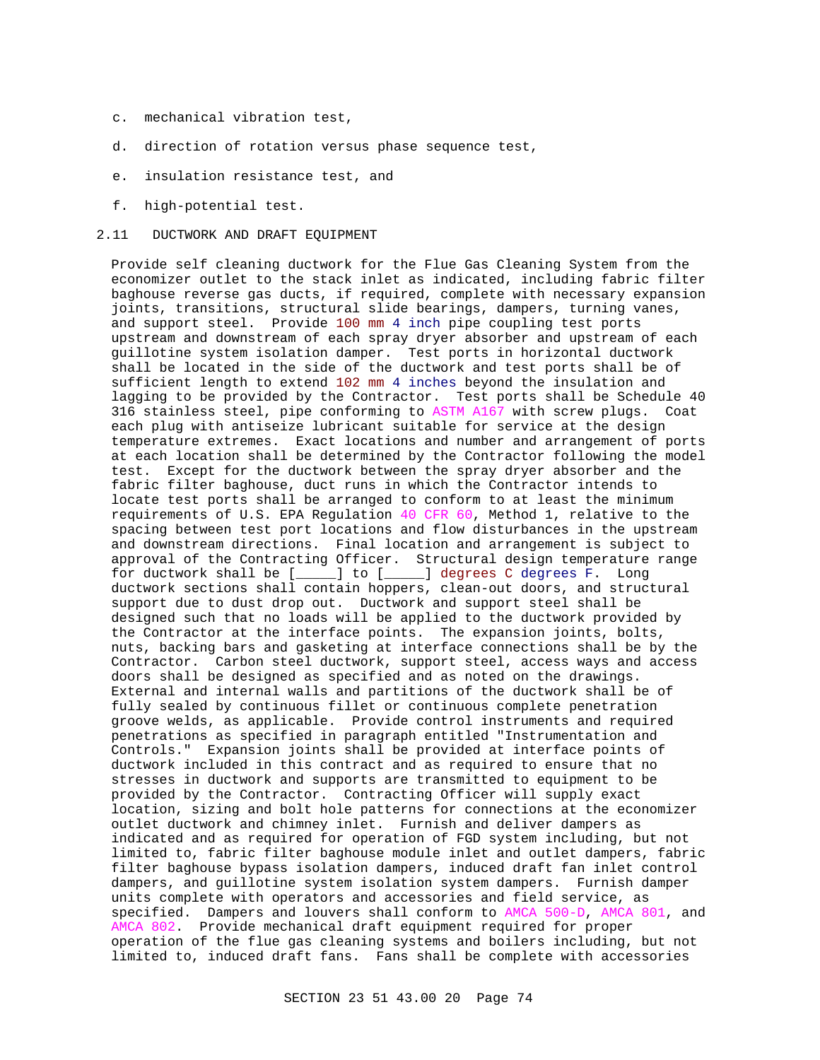- c. mechanical vibration test,
- d. direction of rotation versus phase sequence test,
- e. insulation resistance test, and
- f. high-potential test.

# 2.11 DUCTWORK AND DRAFT EQUIPMENT

Provide self cleaning ductwork for the Flue Gas Cleaning System from the economizer outlet to the stack inlet as indicated, including fabric filter baghouse reverse gas ducts, if required, complete with necessary expansion joints, transitions, structural slide bearings, dampers, turning vanes, and support steel. Provide 100 mm 4 inch pipe coupling test ports upstream and downstream of each spray dryer absorber and upstream of each guillotine system isolation damper. Test ports in horizontal ductwork shall be located in the side of the ductwork and test ports shall be of sufficient length to extend 102 mm 4 inches beyond the insulation and lagging to be provided by the Contractor. Test ports shall be Schedule 40 316 stainless steel, pipe conforming to ASTM A167 with screw plugs. Coat each plug with antiseize lubricant suitable for service at the design temperature extremes. Exact locations and number and arrangement of ports at each location shall be determined by the Contractor following the model test. Except for the ductwork between the spray dryer absorber and the fabric filter baghouse, duct runs in which the Contractor intends to locate test ports shall be arranged to conform to at least the minimum requirements of U.S. EPA Regulation 40 CFR 60, Method 1, relative to the spacing between test port locations and flow disturbances in the upstream and downstream directions. Final location and arrangement is subject to approval of the Contracting Officer. Structural design temperature range for ductwork shall be [\_\_\_\_\_] to [\_\_\_\_\_] degrees C degrees F. Long ductwork sections shall contain hoppers, clean-out doors, and structural support due to dust drop out. Ductwork and support steel shall be designed such that no loads will be applied to the ductwork provided by the Contractor at the interface points. The expansion joints, bolts, nuts, backing bars and gasketing at interface connections shall be by the Contractor. Carbon steel ductwork, support steel, access ways and access doors shall be designed as specified and as noted on the drawings. External and internal walls and partitions of the ductwork shall be of fully sealed by continuous fillet or continuous complete penetration groove welds, as applicable. Provide control instruments and required penetrations as specified in paragraph entitled "Instrumentation and Controls." Expansion joints shall be provided at interface points of ductwork included in this contract and as required to ensure that no stresses in ductwork and supports are transmitted to equipment to be provided by the Contractor. Contracting Officer will supply exact location, sizing and bolt hole patterns for connections at the economizer outlet ductwork and chimney inlet. Furnish and deliver dampers as indicated and as required for operation of FGD system including, but not limited to, fabric filter baghouse module inlet and outlet dampers, fabric filter baghouse bypass isolation dampers, induced draft fan inlet control dampers, and guillotine system isolation system dampers. Furnish damper units complete with operators and accessories and field service, as specified. Dampers and louvers shall conform to AMCA 500-D, AMCA 801, and AMCA 802. Provide mechanical draft equipment required for proper operation of the flue gas cleaning systems and boilers including, but not limited to, induced draft fans. Fans shall be complete with accessories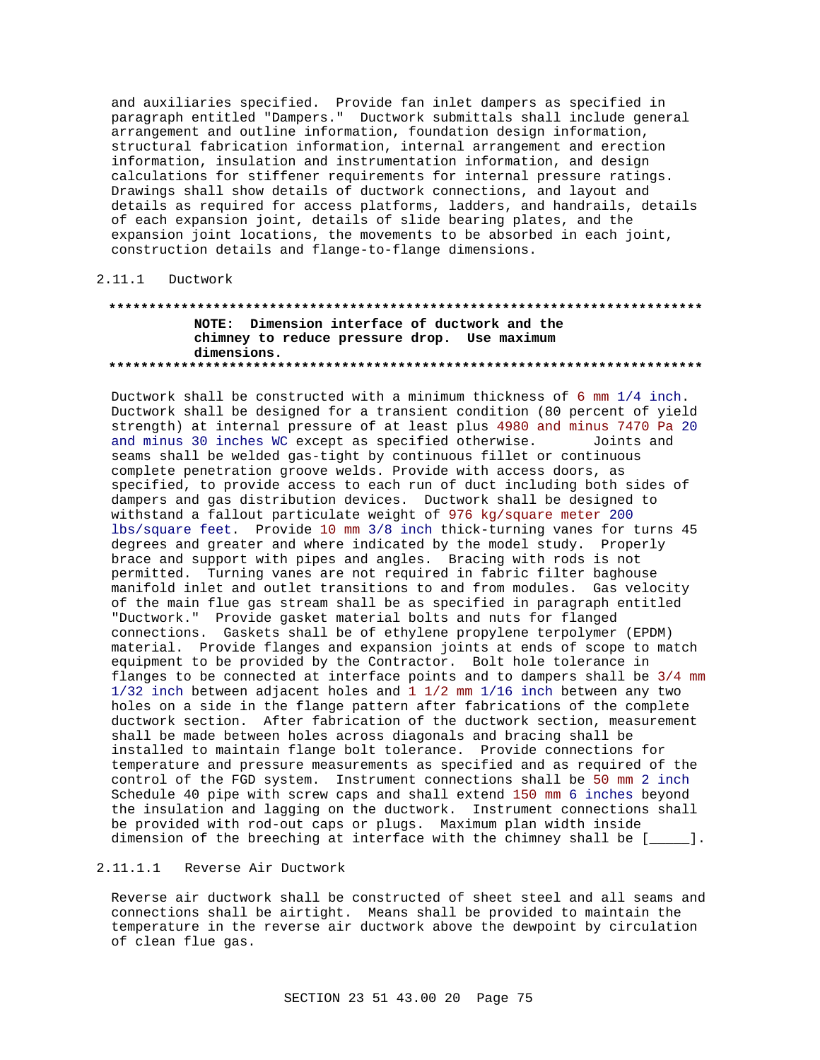and auxiliaries specified. Provide fan inlet dampers as specified in paragraph entitled "Dampers." Ductwork submittals shall include general arrangement and outline information, foundation design information, structural fabrication information, internal arrangement and erection information, insulation and instrumentation information, and design calculations for stiffener requirements for internal pressure ratings. Drawings shall show details of ductwork connections, and layout and details as required for access platforms, ladders, and handrails, details of each expansion joint, details of slide bearing plates, and the expansion joint locations, the movements to be absorbed in each joint, construction details and flange-to-flange dimensions.

#### 2.11.1 Ductwork

# **\*\*\*\*\*\*\*\*\*\*\*\*\*\*\*\*\*\*\*\*\*\*\*\*\*\*\*\*\*\*\*\*\*\*\*\*\*\*\*\*\*\*\*\*\*\*\*\*\*\*\*\*\*\*\*\*\*\*\*\*\*\*\*\*\*\*\*\*\*\*\*\*\*\* NOTE: Dimension interface of ductwork and the chimney to reduce pressure drop. Use maximum dimensions. \*\*\*\*\*\*\*\*\*\*\*\*\*\*\*\*\*\*\*\*\*\*\*\*\*\*\*\*\*\*\*\*\*\*\*\*\*\*\*\*\*\*\*\*\*\*\*\*\*\*\*\*\*\*\*\*\*\*\*\*\*\*\*\*\*\*\*\*\*\*\*\*\*\***

Ductwork shall be constructed with a minimum thickness of 6 mm 1/4 inch. Ductwork shall be designed for a transient condition (80 percent of yield strength) at internal pressure of at least plus 4980 and minus 7470 Pa 20 and minus 30 inches WC except as specified otherwise. Joints and seams shall be welded gas-tight by continuous fillet or continuous complete penetration groove welds. Provide with access doors, as specified, to provide access to each run of duct including both sides of dampers and gas distribution devices. Ductwork shall be designed to withstand a fallout particulate weight of 976 kg/square meter 200 lbs/square feet. Provide 10 mm 3/8 inch thick-turning vanes for turns 45 degrees and greater and where indicated by the model study. Properly brace and support with pipes and angles. Bracing with rods is not permitted. Turning vanes are not required in fabric filter baghouse manifold inlet and outlet transitions to and from modules. Gas velocity of the main flue gas stream shall be as specified in paragraph entitled "Ductwork." Provide gasket material bolts and nuts for flanged connections. Gaskets shall be of ethylene propylene terpolymer (EPDM) material. Provide flanges and expansion joints at ends of scope to match equipment to be provided by the Contractor. Bolt hole tolerance in flanges to be connected at interface points and to dampers shall be 3/4 mm 1/32 inch between adjacent holes and 1 1/2 mm 1/16 inch between any two holes on a side in the flange pattern after fabrications of the complete ductwork section. After fabrication of the ductwork section, measurement shall be made between holes across diagonals and bracing shall be installed to maintain flange bolt tolerance. Provide connections for temperature and pressure measurements as specified and as required of the control of the FGD system. Instrument connections shall be 50 mm 2 inch Schedule 40 pipe with screw caps and shall extend 150 mm 6 inches beyond the insulation and lagging on the ductwork. Instrument connections shall be provided with rod-out caps or plugs. Maximum plan width inside dimension of the breeching at interface with the chimney shall be [\_\_\_\_\_].

### 2.11.1.1 Reverse Air Ductwork

Reverse air ductwork shall be constructed of sheet steel and all seams and connections shall be airtight. Means shall be provided to maintain the temperature in the reverse air ductwork above the dewpoint by circulation of clean flue gas.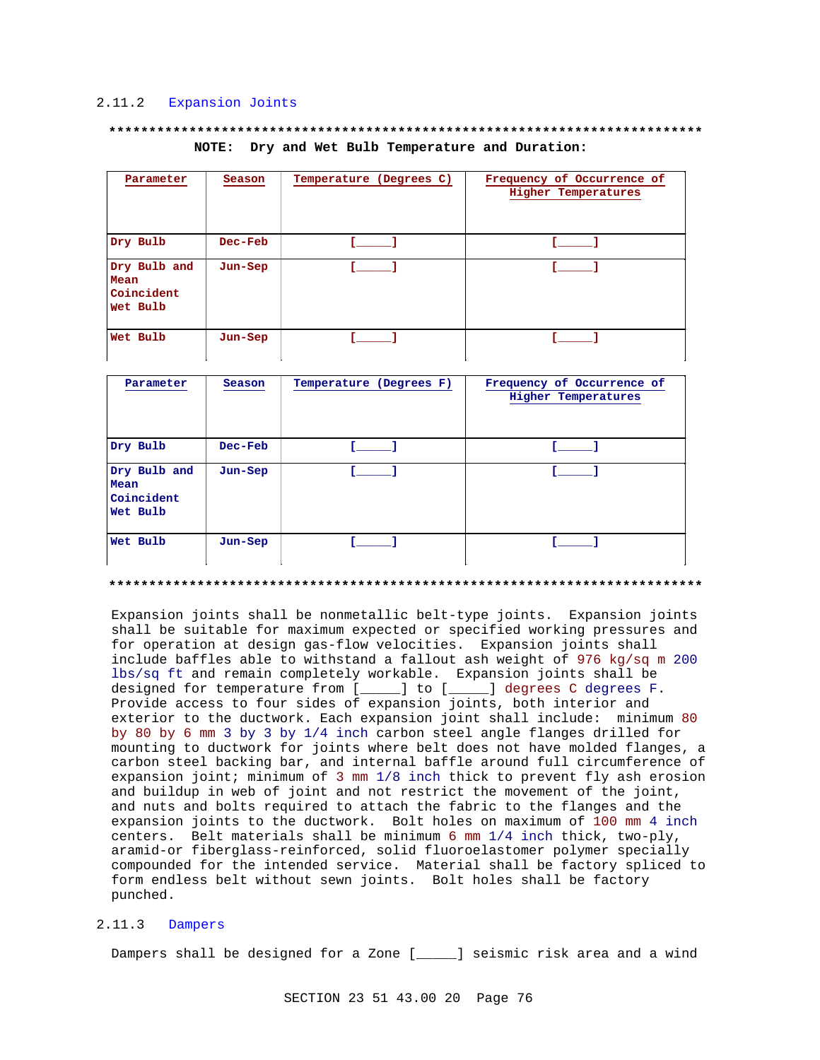# 2.11.2 Expansion Joints

# **\*\*\*\*\*\*\*\*\*\*\*\*\*\*\*\*\*\*\*\*\*\*\*\*\*\*\*\*\*\*\*\*\*\*\*\*\*\*\*\*\*\*\*\*\*\*\*\*\*\*\*\*\*\*\*\*\*\*\*\*\*\*\*\*\*\*\*\*\*\*\*\*\*\* NOTE: Dry and Wet Bulb Temperature and Duration:**

| Parameter                                      | Season  | Temperature (Degrees C) | Frequency of Occurrence of<br>Higher Temperatures |
|------------------------------------------------|---------|-------------------------|---------------------------------------------------|
| Dry Bulb                                       | Dec-Feb |                         |                                                   |
| Dry Bulb and<br>Mean<br>Coincident<br>Wet Bulb | Jun-Sep |                         |                                                   |
| Wet Bulb                                       | Jun-Sep |                         |                                                   |

| Parameter                                      | Season  | Temperature (Degrees F) | Frequency of Occurrence of<br>Higher Temperatures |
|------------------------------------------------|---------|-------------------------|---------------------------------------------------|
| Dry Bulb                                       | Dec-Feb |                         |                                                   |
| Dry Bulb and<br>Mean<br>Coincident<br>Wet Bulb | Jun-Sep |                         |                                                   |
| Wet Bulb                                       | Jun-Sep |                         |                                                   |

#### **\*\*\*\*\*\*\*\*\*\*\*\*\*\*\*\*\*\*\*\*\*\*\*\*\*\*\*\*\*\*\*\*\*\*\*\*\*\*\*\*\*\*\*\*\*\*\*\*\*\*\*\*\*\*\*\*\*\*\*\*\*\*\*\*\*\*\*\*\*\*\*\*\*\***

Expansion joints shall be nonmetallic belt-type joints. Expansion joints shall be suitable for maximum expected or specified working pressures and for operation at design gas-flow velocities. Expansion joints shall include baffles able to withstand a fallout ash weight of 976 kg/sq m 200 lbs/sq ft and remain completely workable. Expansion joints shall be designed for temperature from [\_\_\_\_\_] to [\_\_\_\_\_] degrees C degrees F. Provide access to four sides of expansion joints, both interior and exterior to the ductwork. Each expansion joint shall include: minimum 80 by 80 by 6 mm 3 by 3 by 1/4 inch carbon steel angle flanges drilled for mounting to ductwork for joints where belt does not have molded flanges, a carbon steel backing bar, and internal baffle around full circumference of expansion joint; minimum of 3 mm 1/8 inch thick to prevent fly ash erosion and buildup in web of joint and not restrict the movement of the joint, and nuts and bolts required to attach the fabric to the flanges and the expansion joints to the ductwork. Bolt holes on maximum of 100 mm 4 inch centers. Belt materials shall be minimum 6 mm 1/4 inch thick, two-ply, aramid-or fiberglass-reinforced, solid fluoroelastomer polymer specially compounded for the intended service. Material shall be factory spliced to form endless belt without sewn joints. Bolt holes shall be factory punched.

# 2.11.3 Dampers

Dampers shall be designed for a Zone [\_\_\_\_\_] seismic risk area and a wind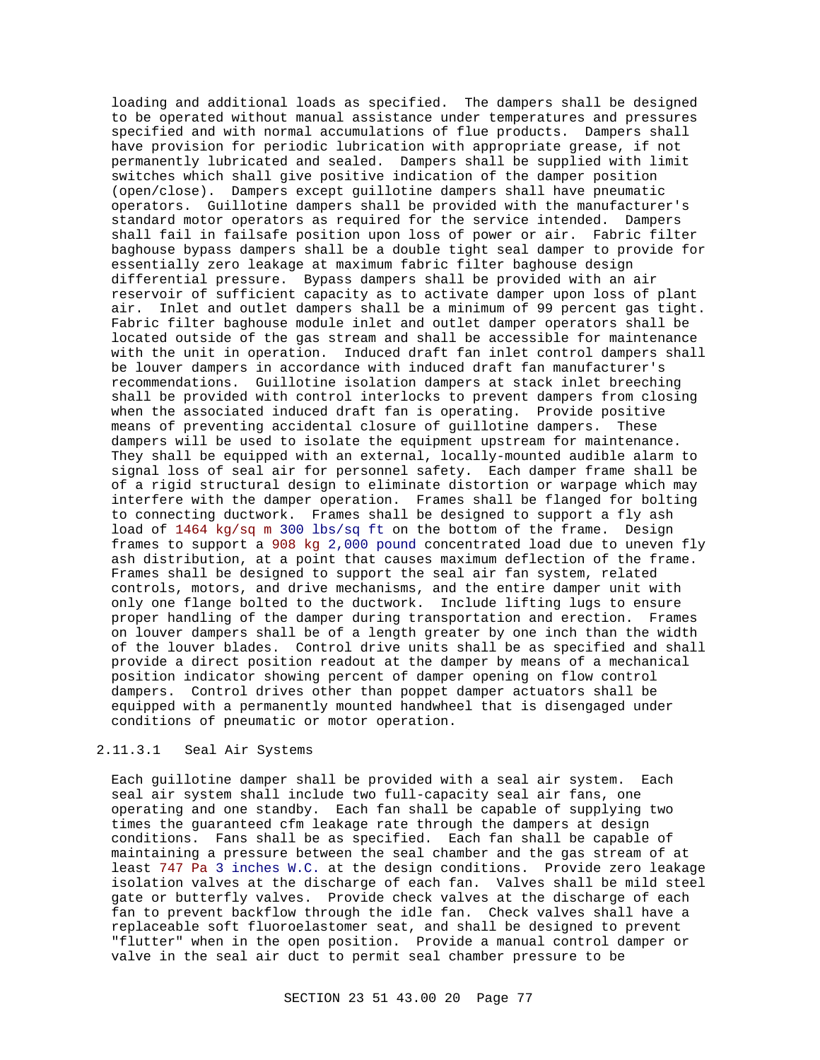loading and additional loads as specified. The dampers shall be designed to be operated without manual assistance under temperatures and pressures specified and with normal accumulations of flue products. Dampers shall have provision for periodic lubrication with appropriate grease, if not permanently lubricated and sealed. Dampers shall be supplied with limit switches which shall give positive indication of the damper position (open/close). Dampers except guillotine dampers shall have pneumatic operators. Guillotine dampers shall be provided with the manufacturer's standard motor operators as required for the service intended. Dampers shall fail in failsafe position upon loss of power or air. Fabric filter baghouse bypass dampers shall be a double tight seal damper to provide for essentially zero leakage at maximum fabric filter baghouse design differential pressure. Bypass dampers shall be provided with an air reservoir of sufficient capacity as to activate damper upon loss of plant air. Inlet and outlet dampers shall be a minimum of 99 percent gas tight. Fabric filter baghouse module inlet and outlet damper operators shall be located outside of the gas stream and shall be accessible for maintenance with the unit in operation. Induced draft fan inlet control dampers shall be louver dampers in accordance with induced draft fan manufacturer's recommendations. Guillotine isolation dampers at stack inlet breeching shall be provided with control interlocks to prevent dampers from closing when the associated induced draft fan is operating. Provide positive means of preventing accidental closure of guillotine dampers. These dampers will be used to isolate the equipment upstream for maintenance. They shall be equipped with an external, locally-mounted audible alarm to signal loss of seal air for personnel safety. Each damper frame shall be of a rigid structural design to eliminate distortion or warpage which may interfere with the damper operation. Frames shall be flanged for bolting to connecting ductwork. Frames shall be designed to support a fly ash load of 1464 kg/sq m 300 lbs/sq ft on the bottom of the frame. Design frames to support a 908 kg 2,000 pound concentrated load due to uneven fly ash distribution, at a point that causes maximum deflection of the frame. Frames shall be designed to support the seal air fan system, related controls, motors, and drive mechanisms, and the entire damper unit with only one flange bolted to the ductwork. Include lifting lugs to ensure proper handling of the damper during transportation and erection. Frames on louver dampers shall be of a length greater by one inch than the width of the louver blades. Control drive units shall be as specified and shall provide a direct position readout at the damper by means of a mechanical position indicator showing percent of damper opening on flow control dampers. Control drives other than poppet damper actuators shall be equipped with a permanently mounted handwheel that is disengaged under conditions of pneumatic or motor operation.

# 2.11.3.1 Seal Air Systems

Each guillotine damper shall be provided with a seal air system. Each seal air system shall include two full-capacity seal air fans, one operating and one standby. Each fan shall be capable of supplying two times the guaranteed cfm leakage rate through the dampers at design conditions. Fans shall be as specified. Each fan shall be capable of maintaining a pressure between the seal chamber and the gas stream of at least 747 Pa 3 inches W.C. at the design conditions. Provide zero leakage isolation valves at the discharge of each fan. Valves shall be mild steel gate or butterfly valves. Provide check valves at the discharge of each fan to prevent backflow through the idle fan. Check valves shall have a replaceable soft fluoroelastomer seat, and shall be designed to prevent "flutter" when in the open position. Provide a manual control damper or valve in the seal air duct to permit seal chamber pressure to be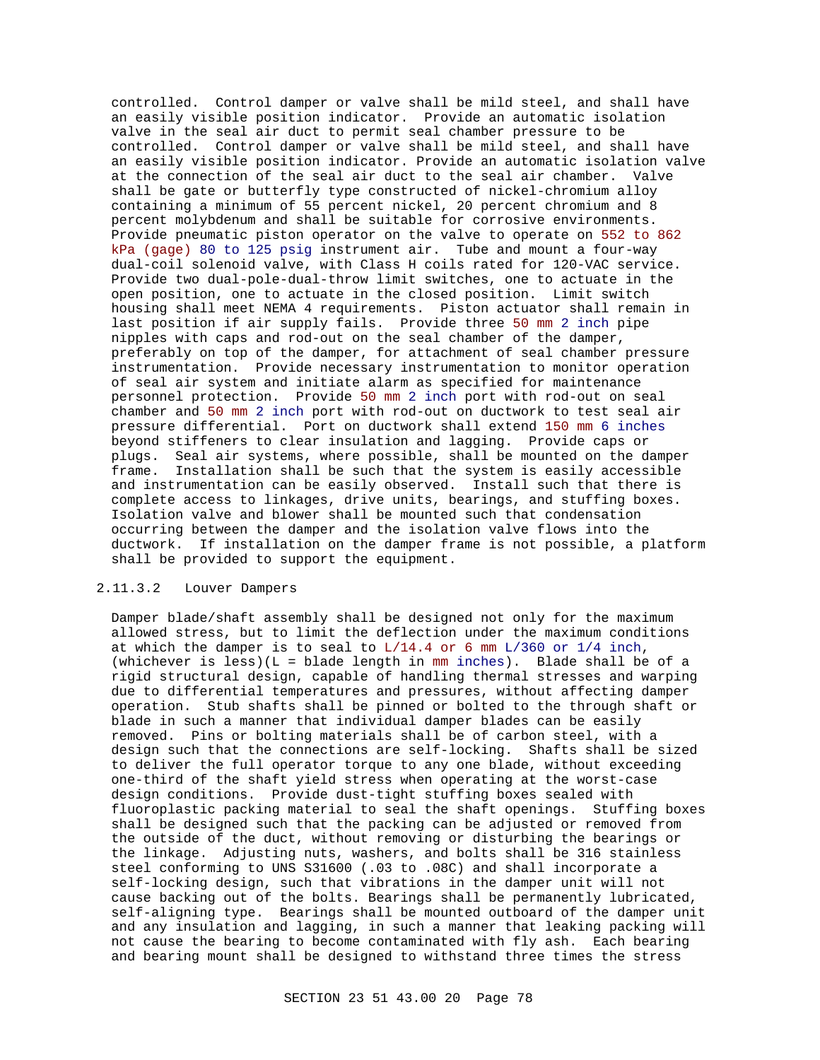controlled. Control damper or valve shall be mild steel, and shall have an easily visible position indicator. Provide an automatic isolation valve in the seal air duct to permit seal chamber pressure to be controlled. Control damper or valve shall be mild steel, and shall have an easily visible position indicator. Provide an automatic isolation valve at the connection of the seal air duct to the seal air chamber. Valve shall be gate or butterfly type constructed of nickel-chromium alloy containing a minimum of 55 percent nickel, 20 percent chromium and 8 percent molybdenum and shall be suitable for corrosive environments. Provide pneumatic piston operator on the valve to operate on 552 to 862 kPa (gage) 80 to 125 psig instrument air. Tube and mount a four-way dual-coil solenoid valve, with Class H coils rated for 120-VAC service. Provide two dual-pole-dual-throw limit switches, one to actuate in the open position, one to actuate in the closed position. Limit switch housing shall meet NEMA 4 requirements. Piston actuator shall remain in last position if air supply fails. Provide three 50 mm 2 inch pipe nipples with caps and rod-out on the seal chamber of the damper, preferably on top of the damper, for attachment of seal chamber pressure instrumentation. Provide necessary instrumentation to monitor operation of seal air system and initiate alarm as specified for maintenance personnel protection. Provide 50 mm 2 inch port with rod-out on seal chamber and 50 mm 2 inch port with rod-out on ductwork to test seal air pressure differential. Port on ductwork shall extend 150 mm 6 inches beyond stiffeners to clear insulation and lagging. Provide caps or plugs. Seal air systems, where possible, shall be mounted on the damper frame. Installation shall be such that the system is easily accessible and instrumentation can be easily observed. Install such that there is complete access to linkages, drive units, bearings, and stuffing boxes. Isolation valve and blower shall be mounted such that condensation occurring between the damper and the isolation valve flows into the ductwork. If installation on the damper frame is not possible, a platform shall be provided to support the equipment.

### 2.11.3.2 Louver Dampers

Damper blade/shaft assembly shall be designed not only for the maximum allowed stress, but to limit the deflection under the maximum conditions at which the damper is to seal to  $L/14.4$  or 6 mm  $L/360$  or  $1/4$  inch, (whichever is less)( $L = b$ lade length in mm inches). Blade shall be of a rigid structural design, capable of handling thermal stresses and warping due to differential temperatures and pressures, without affecting damper operation. Stub shafts shall be pinned or bolted to the through shaft or blade in such a manner that individual damper blades can be easily removed. Pins or bolting materials shall be of carbon steel, with a design such that the connections are self-locking. Shafts shall be sized to deliver the full operator torque to any one blade, without exceeding one-third of the shaft yield stress when operating at the worst-case design conditions. Provide dust-tight stuffing boxes sealed with fluoroplastic packing material to seal the shaft openings. Stuffing boxes shall be designed such that the packing can be adjusted or removed from the outside of the duct, without removing or disturbing the bearings or the linkage. Adjusting nuts, washers, and bolts shall be 316 stainless steel conforming to UNS S31600 (.03 to .08C) and shall incorporate a self-locking design, such that vibrations in the damper unit will not cause backing out of the bolts. Bearings shall be permanently lubricated, self-aligning type. Bearings shall be mounted outboard of the damper unit and any insulation and lagging, in such a manner that leaking packing will not cause the bearing to become contaminated with fly ash. Each bearing and bearing mount shall be designed to withstand three times the stress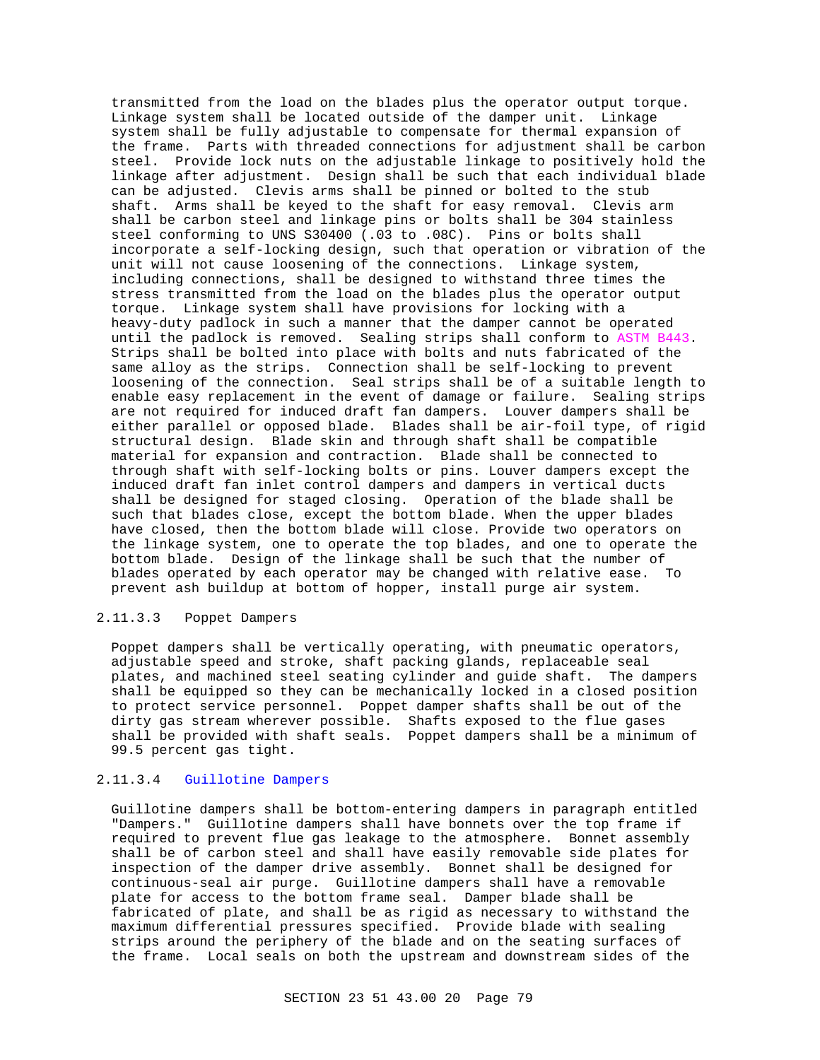transmitted from the load on the blades plus the operator output torque. Linkage system shall be located outside of the damper unit. Linkage system shall be fully adjustable to compensate for thermal expansion of the frame. Parts with threaded connections for adjustment shall be carbon steel. Provide lock nuts on the adjustable linkage to positively hold the linkage after adjustment. Design shall be such that each individual blade can be adjusted. Clevis arms shall be pinned or bolted to the stub shaft. Arms shall be keyed to the shaft for easy removal. Clevis arm shall be carbon steel and linkage pins or bolts shall be 304 stainless steel conforming to UNS S30400 (.03 to .08C). Pins or bolts shall incorporate a self-locking design, such that operation or vibration of the unit will not cause loosening of the connections. Linkage system, including connections, shall be designed to withstand three times the stress transmitted from the load on the blades plus the operator output torque. Linkage system shall have provisions for locking with a heavy-duty padlock in such a manner that the damper cannot be operated until the padlock is removed. Sealing strips shall conform to ASTM B443. Strips shall be bolted into place with bolts and nuts fabricated of the same alloy as the strips. Connection shall be self-locking to prevent loosening of the connection. Seal strips shall be of a suitable length to enable easy replacement in the event of damage or failure. Sealing strips are not required for induced draft fan dampers. Louver dampers shall be either parallel or opposed blade. Blades shall be air-foil type, of rigid structural design. Blade skin and through shaft shall be compatible material for expansion and contraction. Blade shall be connected to through shaft with self-locking bolts or pins. Louver dampers except the induced draft fan inlet control dampers and dampers in vertical ducts shall be designed for staged closing. Operation of the blade shall be such that blades close, except the bottom blade. When the upper blades have closed, then the bottom blade will close. Provide two operators on the linkage system, one to operate the top blades, and one to operate the bottom blade. Design of the linkage shall be such that the number of blades operated by each operator may be changed with relative ease. To prevent ash buildup at bottom of hopper, install purge air system.

# 2.11.3.3 Poppet Dampers

Poppet dampers shall be vertically operating, with pneumatic operators, adjustable speed and stroke, shaft packing glands, replaceable seal plates, and machined steel seating cylinder and guide shaft. The dampers shall be equipped so they can be mechanically locked in a closed position to protect service personnel. Poppet damper shafts shall be out of the dirty gas stream wherever possible. Shafts exposed to the flue gases shall be provided with shaft seals. Poppet dampers shall be a minimum of 99.5 percent gas tight.

# 2.11.3.4 Guillotine Dampers

Guillotine dampers shall be bottom-entering dampers in paragraph entitled "Dampers." Guillotine dampers shall have bonnets over the top frame if required to prevent flue gas leakage to the atmosphere. Bonnet assembly shall be of carbon steel and shall have easily removable side plates for inspection of the damper drive assembly. Bonnet shall be designed for continuous-seal air purge. Guillotine dampers shall have a removable plate for access to the bottom frame seal. Damper blade shall be fabricated of plate, and shall be as rigid as necessary to withstand the maximum differential pressures specified. Provide blade with sealing strips around the periphery of the blade and on the seating surfaces of the frame. Local seals on both the upstream and downstream sides of the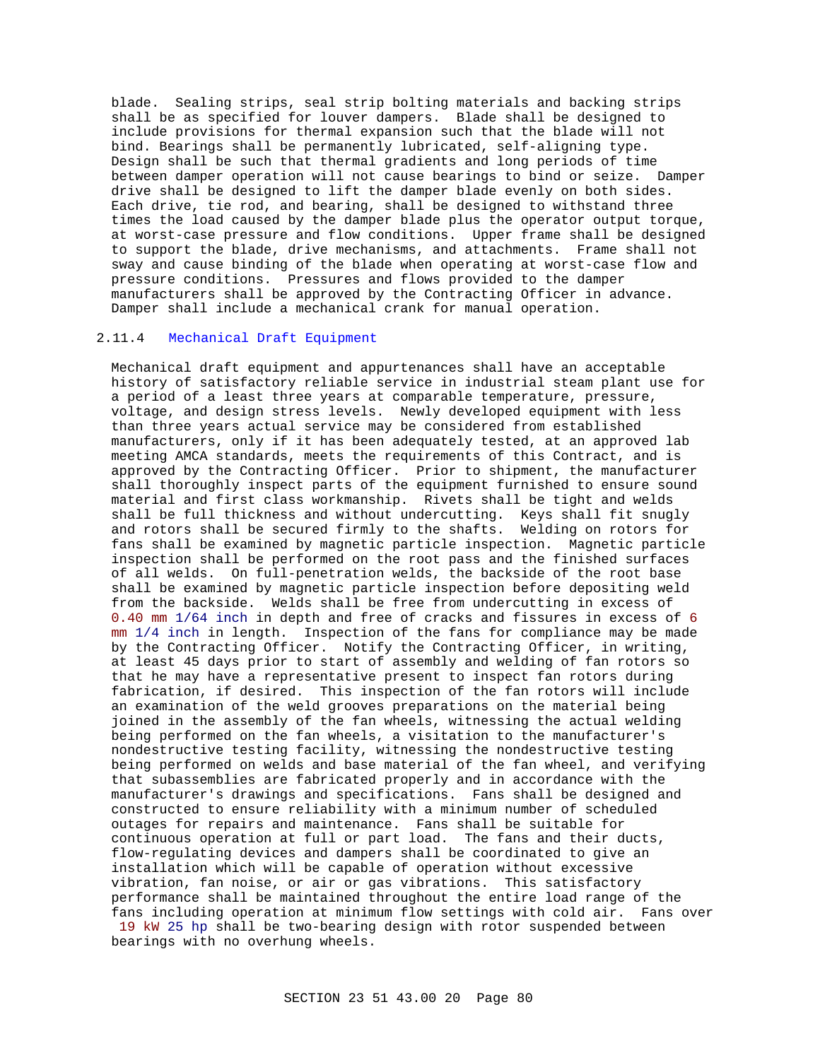blade. Sealing strips, seal strip bolting materials and backing strips shall be as specified for louver dampers. Blade shall be designed to include provisions for thermal expansion such that the blade will not bind. Bearings shall be permanently lubricated, self-aligning type. Design shall be such that thermal gradients and long periods of time between damper operation will not cause bearings to bind or seize. Damper drive shall be designed to lift the damper blade evenly on both sides. Each drive, tie rod, and bearing, shall be designed to withstand three times the load caused by the damper blade plus the operator output torque, at worst-case pressure and flow conditions. Upper frame shall be designed to support the blade, drive mechanisms, and attachments. Frame shall not sway and cause binding of the blade when operating at worst-case flow and pressure conditions. Pressures and flows provided to the damper manufacturers shall be approved by the Contracting Officer in advance. Damper shall include a mechanical crank for manual operation.

#### 2.11.4 Mechanical Draft Equipment

Mechanical draft equipment and appurtenances shall have an acceptable history of satisfactory reliable service in industrial steam plant use for a period of a least three years at comparable temperature, pressure, voltage, and design stress levels. Newly developed equipment with less than three years actual service may be considered from established manufacturers, only if it has been adequately tested, at an approved lab meeting AMCA standards, meets the requirements of this Contract, and is approved by the Contracting Officer. Prior to shipment, the manufacturer shall thoroughly inspect parts of the equipment furnished to ensure sound material and first class workmanship. Rivets shall be tight and welds shall be full thickness and without undercutting. Keys shall fit snugly and rotors shall be secured firmly to the shafts. Welding on rotors for fans shall be examined by magnetic particle inspection. Magnetic particle inspection shall be performed on the root pass and the finished surfaces of all welds. On full-penetration welds, the backside of the root base shall be examined by magnetic particle inspection before depositing weld from the backside. Welds shall be free from undercutting in excess of 0.40 mm 1/64 inch in depth and free of cracks and fissures in excess of 6 mm 1/4 inch in length. Inspection of the fans for compliance may be made by the Contracting Officer. Notify the Contracting Officer, in writing, at least 45 days prior to start of assembly and welding of fan rotors so that he may have a representative present to inspect fan rotors during fabrication, if desired. This inspection of the fan rotors will include an examination of the weld grooves preparations on the material being joined in the assembly of the fan wheels, witnessing the actual welding being performed on the fan wheels, a visitation to the manufacturer's nondestructive testing facility, witnessing the nondestructive testing being performed on welds and base material of the fan wheel, and verifying that subassemblies are fabricated properly and in accordance with the manufacturer's drawings and specifications. Fans shall be designed and constructed to ensure reliability with a minimum number of scheduled outages for repairs and maintenance. Fans shall be suitable for continuous operation at full or part load. The fans and their ducts, flow-regulating devices and dampers shall be coordinated to give an installation which will be capable of operation without excessive vibration, fan noise, or air or gas vibrations. This satisfactory performance shall be maintained throughout the entire load range of the fans including operation at minimum flow settings with cold air. Fans over

 19 kW 25 hp shall be two-bearing design with rotor suspended between bearings with no overhung wheels.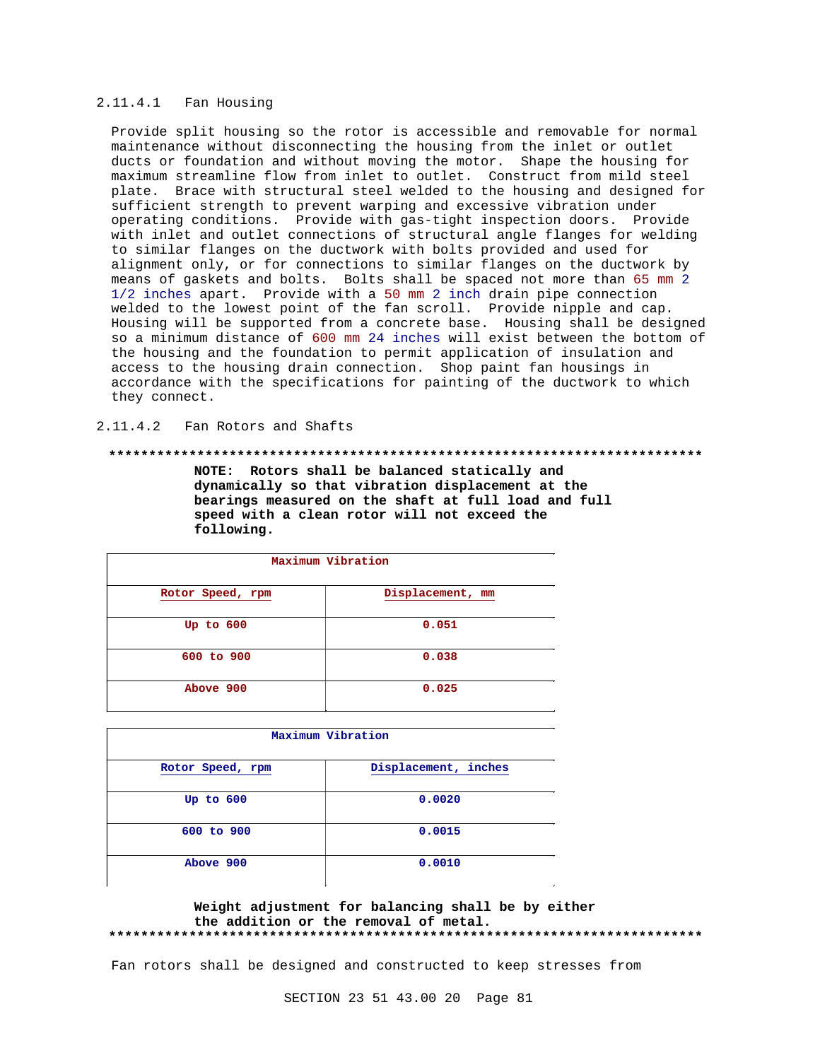# 2.11.4.1 Fan Housing

Provide split housing so the rotor is accessible and removable for normal maintenance without disconnecting the housing from the inlet or outlet ducts or foundation and without moving the motor. Shape the housing for maximum streamline flow from inlet to outlet. Construct from mild steel plate. Brace with structural steel welded to the housing and designed for sufficient strength to prevent warping and excessive vibration under operating conditions. Provide with gas-tight inspection doors. Provide with inlet and outlet connections of structural angle flanges for welding to similar flanges on the ductwork with bolts provided and used for alignment only, or for connections to similar flanges on the ductwork by means of gaskets and bolts. Bolts shall be spaced not more than 65 mm 2 1/2 inches apart. Provide with a 50 mm 2 inch drain pipe connection welded to the lowest point of the fan scroll. Provide nipple and cap. Housing will be supported from a concrete base. Housing shall be designed so a minimum distance of 600 mm 24 inches will exist between the bottom of the housing and the foundation to permit application of insulation and access to the housing drain connection. Shop paint fan housings in accordance with the specifications for painting of the ductwork to which they connect.

#### 2.11.4.2 Fan Rotors and Shafts

# **\*\*\*\*\*\*\*\*\*\*\*\*\*\*\*\*\*\*\*\*\*\*\*\*\*\*\*\*\*\*\*\*\*\*\*\*\*\*\*\*\*\*\*\*\*\*\*\*\*\*\*\*\*\*\*\*\*\*\*\*\*\*\*\*\*\*\*\*\*\*\*\*\*\* NOTE: Rotors shall be balanced statically and dynamically so that vibration displacement at the bearings measured on the shaft at full load and full speed with a clean rotor will not exceed the following.**

| Maximum Vibration |                  |  |  |  |
|-------------------|------------------|--|--|--|
| Rotor Speed, rpm  | Displacement, mm |  |  |  |
| Up to $600$       | 0.051            |  |  |  |
| 600 to 900        | 0.038            |  |  |  |
| Above 900         | 0.025            |  |  |  |

| Maximum Vibration |                      |  |  |  |
|-------------------|----------------------|--|--|--|
| Rotor Speed, rpm  | Displacement, inches |  |  |  |
| Up to $600$       | 0.0020               |  |  |  |
| 600 to 900        | 0.0015               |  |  |  |
| Above 900         | 0.0010               |  |  |  |

**Weight adjustment for balancing shall be by either the addition or the removal of metal. \*\*\*\*\*\*\*\*\*\*\*\*\*\*\*\*\*\*\*\*\*\*\*\*\*\*\*\*\*\*\*\*\*\*\*\*\*\*\*\*\*\*\*\*\*\*\*\*\*\*\*\*\*\*\*\*\*\*\*\*\*\*\*\*\*\*\*\*\*\*\*\*\*\***

Fan rotors shall be designed and constructed to keep stresses from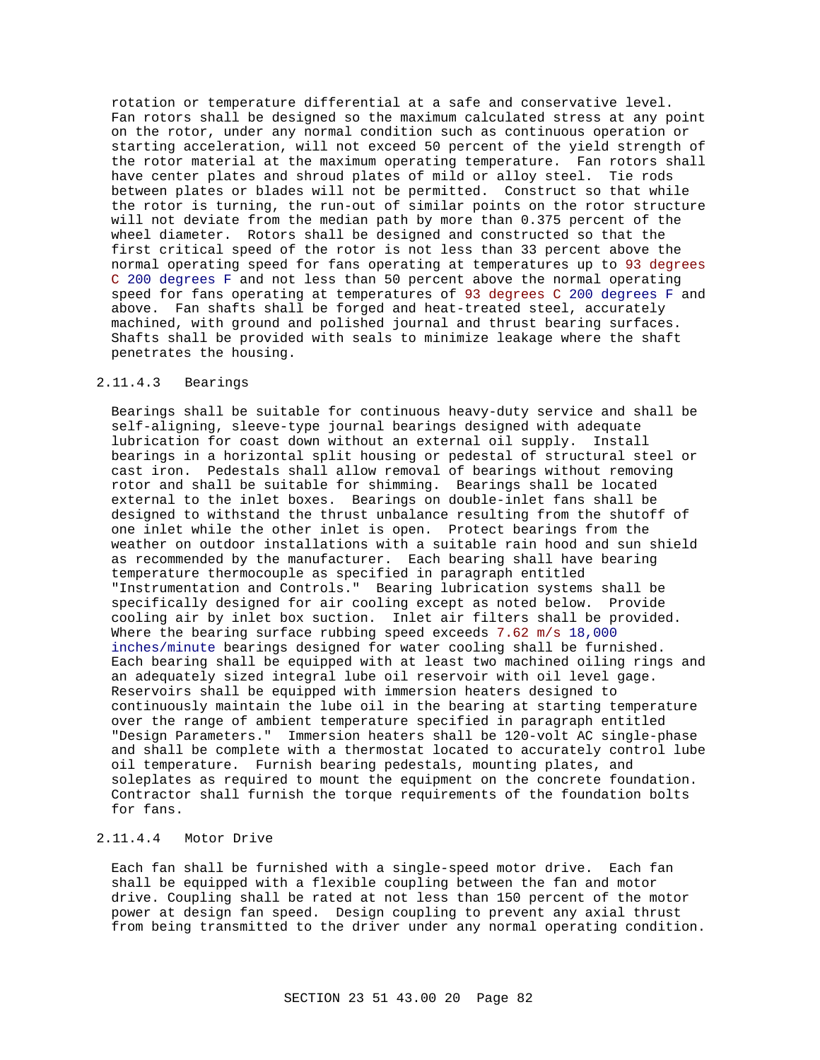rotation or temperature differential at a safe and conservative level. Fan rotors shall be designed so the maximum calculated stress at any point on the rotor, under any normal condition such as continuous operation or starting acceleration, will not exceed 50 percent of the yield strength of the rotor material at the maximum operating temperature. Fan rotors shall have center plates and shroud plates of mild or alloy steel. Tie rods between plates or blades will not be permitted. Construct so that while the rotor is turning, the run-out of similar points on the rotor structure will not deviate from the median path by more than 0.375 percent of the wheel diameter. Rotors shall be designed and constructed so that the first critical speed of the rotor is not less than 33 percent above the normal operating speed for fans operating at temperatures up to 93 degrees C 200 degrees F and not less than 50 percent above the normal operating speed for fans operating at temperatures of 93 degrees C 200 degrees F and above. Fan shafts shall be forged and heat-treated steel, accurately machined, with ground and polished journal and thrust bearing surfaces. Shafts shall be provided with seals to minimize leakage where the shaft penetrates the housing.

# 2.11.4.3 Bearings

Bearings shall be suitable for continuous heavy-duty service and shall be self-aligning, sleeve-type journal bearings designed with adequate lubrication for coast down without an external oil supply. Install bearings in a horizontal split housing or pedestal of structural steel or cast iron. Pedestals shall allow removal of bearings without removing rotor and shall be suitable for shimming. Bearings shall be located external to the inlet boxes. Bearings on double-inlet fans shall be designed to withstand the thrust unbalance resulting from the shutoff of one inlet while the other inlet is open. Protect bearings from the weather on outdoor installations with a suitable rain hood and sun shield as recommended by the manufacturer. Each bearing shall have bearing temperature thermocouple as specified in paragraph entitled "Instrumentation and Controls." Bearing lubrication systems shall be specifically designed for air cooling except as noted below. Provide cooling air by inlet box suction. Inlet air filters shall be provided. Where the bearing surface rubbing speed exceeds 7.62 m/s 18,000 inches/minute bearings designed for water cooling shall be furnished. Each bearing shall be equipped with at least two machined oiling rings and an adequately sized integral lube oil reservoir with oil level gage. Reservoirs shall be equipped with immersion heaters designed to continuously maintain the lube oil in the bearing at starting temperature over the range of ambient temperature specified in paragraph entitled "Design Parameters." Immersion heaters shall be 120-volt AC single-phase and shall be complete with a thermostat located to accurately control lube oil temperature. Furnish bearing pedestals, mounting plates, and soleplates as required to mount the equipment on the concrete foundation. Contractor shall furnish the torque requirements of the foundation bolts for fans.

# 2.11.4.4 Motor Drive

Each fan shall be furnished with a single-speed motor drive. Each fan shall be equipped with a flexible coupling between the fan and motor drive. Coupling shall be rated at not less than 150 percent of the motor power at design fan speed. Design coupling to prevent any axial thrust from being transmitted to the driver under any normal operating condition.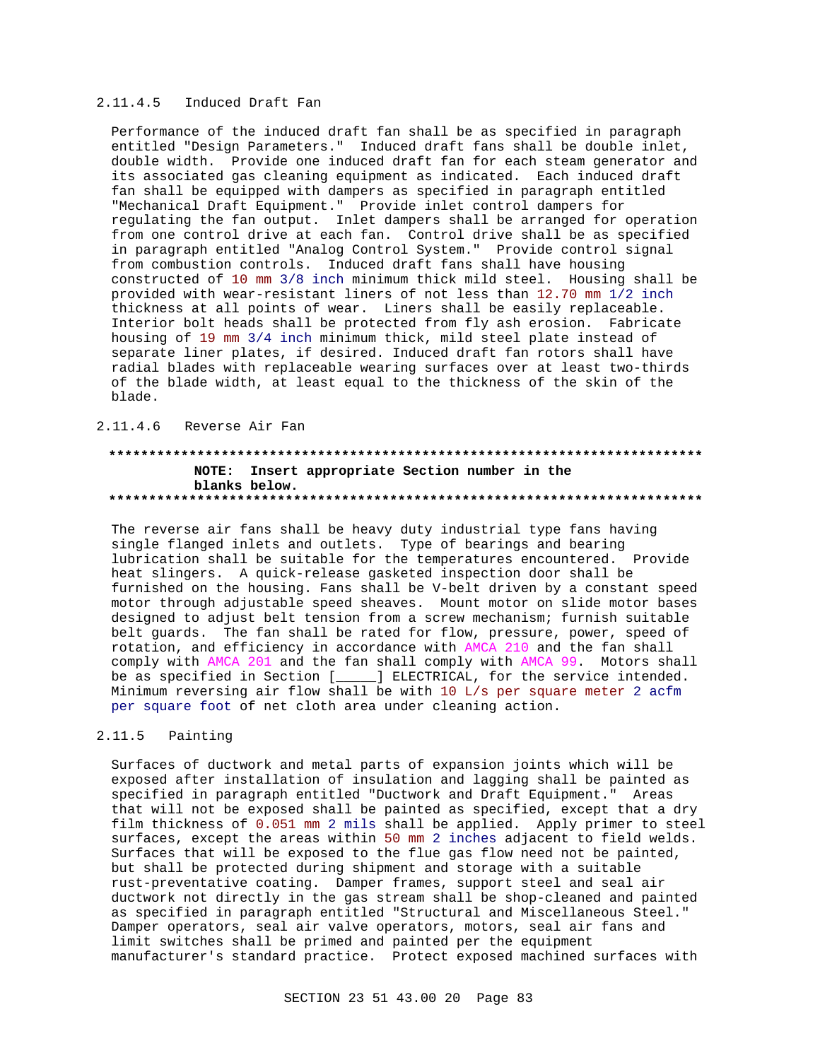# 2.11.4.5 Induced Draft Fan

Performance of the induced draft fan shall be as specified in paragraph entitled "Design Parameters." Induced draft fans shall be double inlet, double width. Provide one induced draft fan for each steam generator and its associated gas cleaning equipment as indicated. Each induced draft fan shall be equipped with dampers as specified in paragraph entitled "Mechanical Draft Equipment." Provide inlet control dampers for regulating the fan output. Inlet dampers shall be arranged for operation from one control drive at each fan. Control drive shall be as specified in paragraph entitled "Analog Control System." Provide control signal from combustion controls. Induced draft fans shall have housing constructed of 10 mm 3/8 inch minimum thick mild steel. Housing shall be provided with wear-resistant liners of not less than 12.70 mm 1/2 inch thickness at all points of wear. Liners shall be easily replaceable. Interior bolt heads shall be protected from fly ash erosion. Fabricate housing of 19 mm 3/4 inch minimum thick, mild steel plate instead of separate liner plates, if desired. Induced draft fan rotors shall have radial blades with replaceable wearing surfaces over at least two-thirds of the blade width, at least equal to the thickness of the skin of the blade.

2.11.4.6 Reverse Air Fan

# **\*\*\*\*\*\*\*\*\*\*\*\*\*\*\*\*\*\*\*\*\*\*\*\*\*\*\*\*\*\*\*\*\*\*\*\*\*\*\*\*\*\*\*\*\*\*\*\*\*\*\*\*\*\*\*\*\*\*\*\*\*\*\*\*\*\*\*\*\*\*\*\*\*\* NOTE: Insert appropriate Section number in the blanks below. \*\*\*\*\*\*\*\*\*\*\*\*\*\*\*\*\*\*\*\*\*\*\*\*\*\*\*\*\*\*\*\*\*\*\*\*\*\*\*\*\*\*\*\*\*\*\*\*\*\*\*\*\*\*\*\*\*\*\*\*\*\*\*\*\*\*\*\*\*\*\*\*\*\***

The reverse air fans shall be heavy duty industrial type fans having single flanged inlets and outlets. Type of bearings and bearing lubrication shall be suitable for the temperatures encountered. Provide heat slingers. A quick-release gasketed inspection door shall be furnished on the housing. Fans shall be V-belt driven by a constant speed motor through adjustable speed sheaves. Mount motor on slide motor bases designed to adjust belt tension from a screw mechanism; furnish suitable belt guards. The fan shall be rated for flow, pressure, power, speed of rotation, and efficiency in accordance with AMCA 210 and the fan shall comply with AMCA 201 and the fan shall comply with AMCA 99. Motors shall be as specified in Section [\_\_\_\_\_] ELECTRICAL, for the service intended. Minimum reversing air flow shall be with 10 L/s per square meter 2 acfm per square foot of net cloth area under cleaning action.

# 2.11.5 Painting

Surfaces of ductwork and metal parts of expansion joints which will be exposed after installation of insulation and lagging shall be painted as specified in paragraph entitled "Ductwork and Draft Equipment." Areas that will not be exposed shall be painted as specified, except that a dry film thickness of 0.051 mm 2 mils shall be applied. Apply primer to steel surfaces, except the areas within 50 mm 2 inches adjacent to field welds. Surfaces that will be exposed to the flue gas flow need not be painted, but shall be protected during shipment and storage with a suitable rust-preventative coating. Damper frames, support steel and seal air ductwork not directly in the gas stream shall be shop-cleaned and painted as specified in paragraph entitled "Structural and Miscellaneous Steel." Damper operators, seal air valve operators, motors, seal air fans and limit switches shall be primed and painted per the equipment manufacturer's standard practice. Protect exposed machined surfaces with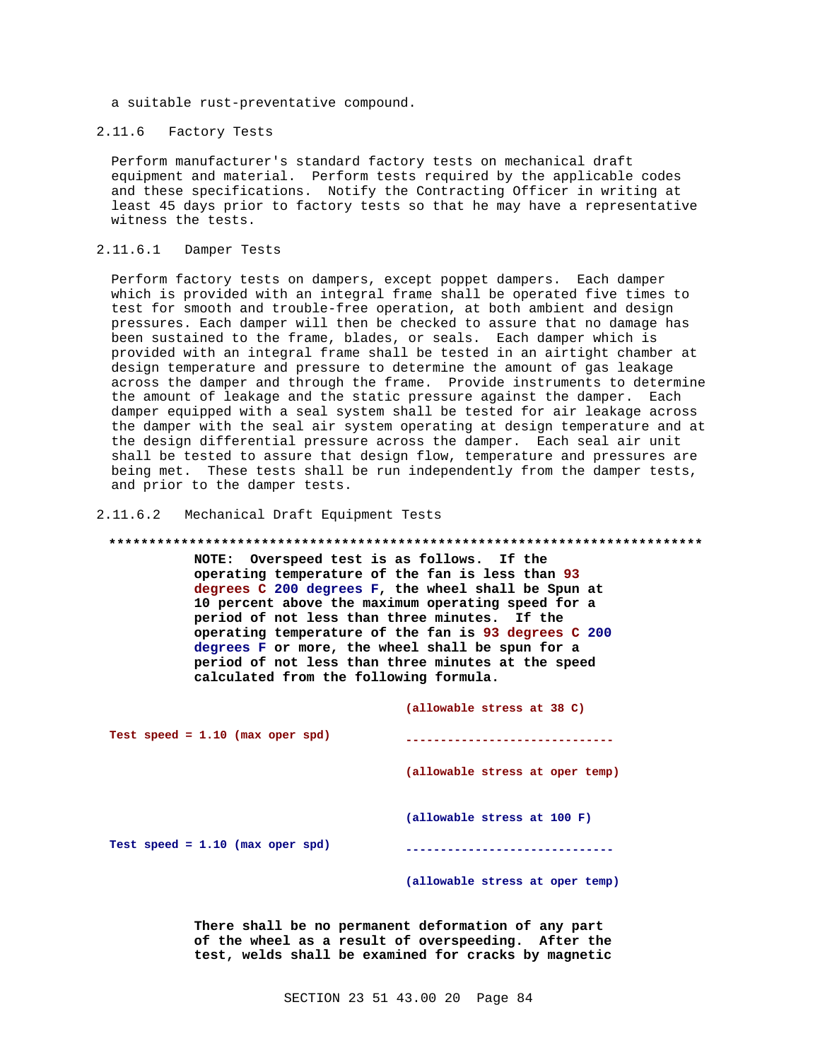a suitable rust-preventative compound.

#### 2.11.6 Factory Tests

Perform manufacturer's standard factory tests on mechanical draft equipment and material. Perform tests required by the applicable codes and these specifications. Notify the Contracting Officer in writing at least 45 days prior to factory tests so that he may have a representative witness the tests.

# 2.11.6.1 Damper Tests

Perform factory tests on dampers, except poppet dampers. Each damper which is provided with an integral frame shall be operated five times to test for smooth and trouble-free operation, at both ambient and design pressures. Each damper will then be checked to assure that no damage has been sustained to the frame, blades, or seals. Each damper which is provided with an integral frame shall be tested in an airtight chamber at design temperature and pressure to determine the amount of gas leakage across the damper and through the frame. Provide instruments to determine the amount of leakage and the static pressure against the damper. Each damper equipped with a seal system shall be tested for air leakage across the damper with the seal air system operating at design temperature and at the design differential pressure across the damper. Each seal air unit shall be tested to assure that design flow, temperature and pressures are being met. These tests shall be run independently from the damper tests, and prior to the damper tests.

#### 2.11.6.2 Mechanical Draft Equipment Tests

# **\*\*\*\*\*\*\*\*\*\*\*\*\*\*\*\*\*\*\*\*\*\*\*\*\*\*\*\*\*\*\*\*\*\*\*\*\*\*\*\*\*\*\*\*\*\*\*\*\*\*\*\*\*\*\*\*\*\*\*\*\*\*\*\*\*\*\*\*\*\*\*\*\*\***

**NOTE: Overspeed test is as follows. If the operating temperature of the fan is less than 93 degrees C 200 degrees F, the wheel shall be Spun at 10 percent above the maximum operating speed for a period of not less than three minutes. If the operating temperature of the fan is 93 degrees C 200 degrees F or more, the wheel shall be spun for a period of not less than three minutes at the speed calculated from the following formula.**

|                                    |  |  | (allowable stress at 38 C)      |  |  |
|------------------------------------|--|--|---------------------------------|--|--|
| Test speed = $1.10$ (max oper spd) |  |  |                                 |  |  |
|                                    |  |  | (allowable stress at oper temp) |  |  |
|                                    |  |  | (allowable stress at 100 F)     |  |  |
| Test speed = $1.10$ (max oper spd) |  |  |                                 |  |  |
|                                    |  |  | (allowable stress at oper temp) |  |  |

**There shall be no permanent deformation of any part of the wheel as a result of overspeeding. After the test, welds shall be examined for cracks by magnetic**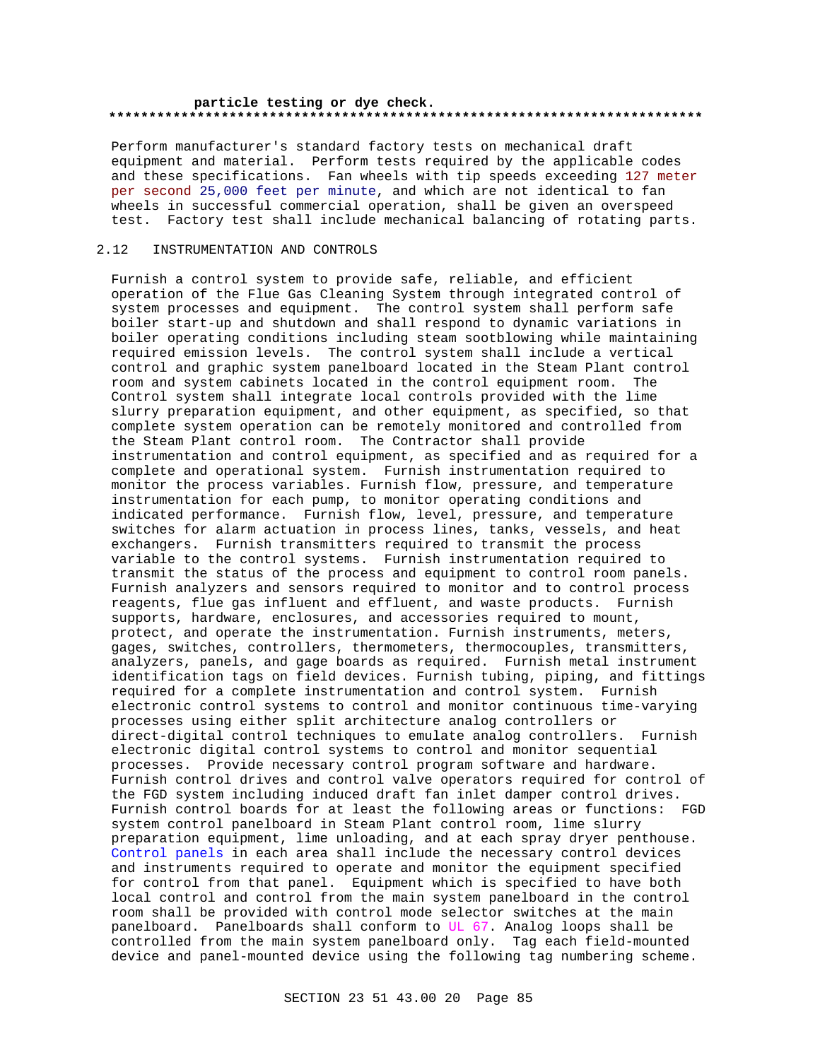#### **particle testing or dye check. \*\*\*\*\*\*\*\*\*\*\*\*\*\*\*\*\*\*\*\*\*\*\*\*\*\*\*\*\*\*\*\*\*\*\*\*\*\*\*\*\*\*\*\*\*\*\*\*\*\*\*\*\*\*\*\*\*\*\*\*\*\*\*\*\*\*\*\*\*\*\*\*\*\***

Perform manufacturer's standard factory tests on mechanical draft equipment and material. Perform tests required by the applicable codes and these specifications. Fan wheels with tip speeds exceeding 127 meter per second 25,000 feet per minute, and which are not identical to fan wheels in successful commercial operation, shall be given an overspeed test. Factory test shall include mechanical balancing of rotating parts.

#### 2.12 INSTRUMENTATION AND CONTROLS

Furnish a control system to provide safe, reliable, and efficient operation of the Flue Gas Cleaning System through integrated control of system processes and equipment. The control system shall perform safe boiler start-up and shutdown and shall respond to dynamic variations in boiler operating conditions including steam sootblowing while maintaining required emission levels. The control system shall include a vertical control and graphic system panelboard located in the Steam Plant control room and system cabinets located in the control equipment room. The Control system shall integrate local controls provided with the lime slurry preparation equipment, and other equipment, as specified, so that complete system operation can be remotely monitored and controlled from the Steam Plant control room. The Contractor shall provide instrumentation and control equipment, as specified and as required for a complete and operational system. Furnish instrumentation required to monitor the process variables. Furnish flow, pressure, and temperature instrumentation for each pump, to monitor operating conditions and indicated performance. Furnish flow, level, pressure, and temperature switches for alarm actuation in process lines, tanks, vessels, and heat exchangers. Furnish transmitters required to transmit the process variable to the control systems. Furnish instrumentation required to transmit the status of the process and equipment to control room panels. Furnish analyzers and sensors required to monitor and to control process reagents, flue gas influent and effluent, and waste products. Furnish supports, hardware, enclosures, and accessories required to mount, protect, and operate the instrumentation. Furnish instruments, meters, gages, switches, controllers, thermometers, thermocouples, transmitters, analyzers, panels, and gage boards as required. Furnish metal instrument identification tags on field devices. Furnish tubing, piping, and fittings required for a complete instrumentation and control system. Furnish electronic control systems to control and monitor continuous time-varying processes using either split architecture analog controllers or direct-digital control techniques to emulate analog controllers. Furnish electronic digital control systems to control and monitor sequential processes. Provide necessary control program software and hardware. Furnish control drives and control valve operators required for control of the FGD system including induced draft fan inlet damper control drives. Furnish control boards for at least the following areas or functions: FGD system control panelboard in Steam Plant control room, lime slurry preparation equipment, lime unloading, and at each spray dryer penthouse. Control panels in each area shall include the necessary control devices and instruments required to operate and monitor the equipment specified for control from that panel. Equipment which is specified to have both local control and control from the main system panelboard in the control room shall be provided with control mode selector switches at the main panelboard. Panelboards shall conform to UL 67. Analog loops shall be controlled from the main system panelboard only. Tag each field-mounted device and panel-mounted device using the following tag numbering scheme.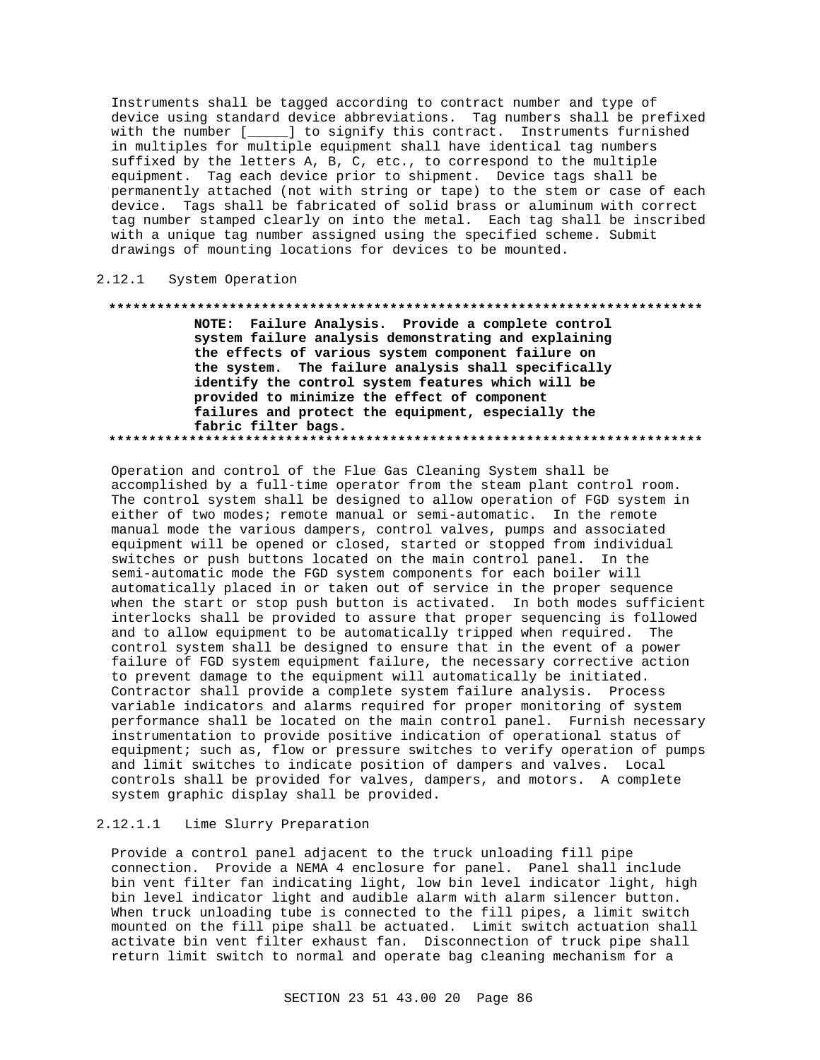Instruments shall be tagged according to contract number and type of device using standard device abbreviations. Tag numbers shall be prefixed with the number [\_\_\_\_\_] to signify this contract. Instruments furnished in multiples for multiple equipment shall have identical tag numbers suffixed by the letters A, B, C, etc., to correspond to the multiple equipment. Tag each device prior to shipment. Device tags shall be permanently attached (not with string or tape) to the stem or case of each device. Tags shall be fabricated of solid brass or aluminum with correct tag number stamped clearly on into the metal. Each tag shall be inscribed with a unique tag number assigned using the specified scheme. Submit drawings of mounting locations for devices to be mounted.

# 2.12.1 System Operation

#### **\*\*\*\*\*\*\*\*\*\*\*\*\*\*\*\*\*\*\*\*\*\*\*\*\*\*\*\*\*\*\*\*\*\*\*\*\*\*\*\*\*\*\*\*\*\*\*\*\*\*\*\*\*\*\*\*\*\*\*\*\*\*\*\*\*\*\*\*\*\*\*\*\*\***

**NOTE: Failure Analysis. Provide a complete control system failure analysis demonstrating and explaining the effects of various system component failure on the system. The failure analysis shall specifically identify the control system features which will be provided to minimize the effect of component failures and protect the equipment, especially the fabric filter bags. \*\*\*\*\*\*\*\*\*\*\*\*\*\*\*\*\*\*\*\*\*\*\*\*\*\*\*\*\*\*\*\*\*\*\*\*\*\*\*\*\*\*\*\*\*\*\*\*\*\*\*\*\*\*\*\*\*\*\*\*\*\*\*\*\*\*\*\*\*\*\*\*\*\***

Operation and control of the Flue Gas Cleaning System shall be accomplished by a full-time operator from the steam plant control room. The control system shall be designed to allow operation of FGD system in either of two modes; remote manual or semi-automatic. In the remote manual mode the various dampers, control valves, pumps and associated equipment will be opened or closed, started or stopped from individual switches or push buttons located on the main control panel. In the semi-automatic mode the FGD system components for each boiler will automatically placed in or taken out of service in the proper sequence when the start or stop push button is activated. In both modes sufficient interlocks shall be provided to assure that proper sequencing is followed and to allow equipment to be automatically tripped when required. The control system shall be designed to ensure that in the event of a power failure of FGD system equipment failure, the necessary corrective action to prevent damage to the equipment will automatically be initiated. Contractor shall provide a complete system failure analysis. Process variable indicators and alarms required for proper monitoring of system performance shall be located on the main control panel. Furnish necessary instrumentation to provide positive indication of operational status of equipment; such as, flow or pressure switches to verify operation of pumps and limit switches to indicate position of dampers and valves. Local controls shall be provided for valves, dampers, and motors. A complete system graphic display shall be provided.

# 2.12.1.1 Lime Slurry Preparation

Provide a control panel adjacent to the truck unloading fill pipe connection. Provide a NEMA 4 enclosure for panel. Panel shall include bin vent filter fan indicating light, low bin level indicator light, high bin level indicator light and audible alarm with alarm silencer button. When truck unloading tube is connected to the fill pipes, a limit switch mounted on the fill pipe shall be actuated. Limit switch actuation shall activate bin vent filter exhaust fan. Disconnection of truck pipe shall return limit switch to normal and operate bag cleaning mechanism for a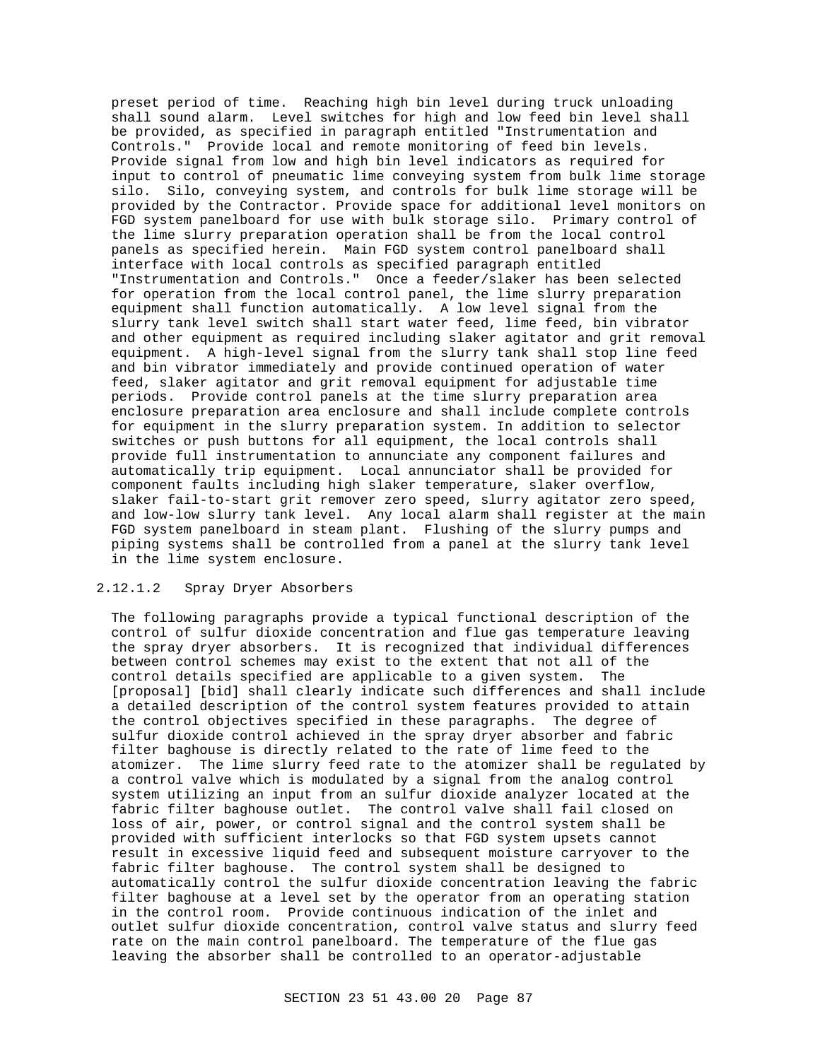preset period of time. Reaching high bin level during truck unloading shall sound alarm. Level switches for high and low feed bin level shall be provided, as specified in paragraph entitled "Instrumentation and Controls." Provide local and remote monitoring of feed bin levels. Provide signal from low and high bin level indicators as required for input to control of pneumatic lime conveying system from bulk lime storage silo. Silo, conveying system, and controls for bulk lime storage will be provided by the Contractor. Provide space for additional level monitors on FGD system panelboard for use with bulk storage silo. Primary control of the lime slurry preparation operation shall be from the local control panels as specified herein. Main FGD system control panelboard shall interface with local controls as specified paragraph entitled "Instrumentation and Controls." Once a feeder/slaker has been selected for operation from the local control panel, the lime slurry preparation equipment shall function automatically. A low level signal from the slurry tank level switch shall start water feed, lime feed, bin vibrator and other equipment as required including slaker agitator and grit removal equipment. A high-level signal from the slurry tank shall stop line feed and bin vibrator immediately and provide continued operation of water feed, slaker agitator and grit removal equipment for adjustable time periods. Provide control panels at the time slurry preparation area enclosure preparation area enclosure and shall include complete controls for equipment in the slurry preparation system. In addition to selector switches or push buttons for all equipment, the local controls shall provide full instrumentation to annunciate any component failures and automatically trip equipment. Local annunciator shall be provided for component faults including high slaker temperature, slaker overflow, slaker fail-to-start grit remover zero speed, slurry agitator zero speed, and low-low slurry tank level. Any local alarm shall register at the main FGD system panelboard in steam plant. Flushing of the slurry pumps and piping systems shall be controlled from a panel at the slurry tank level in the lime system enclosure.

# 2.12.1.2 Spray Dryer Absorbers

The following paragraphs provide a typical functional description of the control of sulfur dioxide concentration and flue gas temperature leaving the spray dryer absorbers. It is recognized that individual differences between control schemes may exist to the extent that not all of the control details specified are applicable to a given system. The [proposal] [bid] shall clearly indicate such differences and shall include a detailed description of the control system features provided to attain the control objectives specified in these paragraphs. The degree of sulfur dioxide control achieved in the spray dryer absorber and fabric filter baghouse is directly related to the rate of lime feed to the atomizer. The lime slurry feed rate to the atomizer shall be regulated by a control valve which is modulated by a signal from the analog control system utilizing an input from an sulfur dioxide analyzer located at the fabric filter baghouse outlet. The control valve shall fail closed on loss of air, power, or control signal and the control system shall be provided with sufficient interlocks so that FGD system upsets cannot result in excessive liquid feed and subsequent moisture carryover to the fabric filter baghouse. The control system shall be designed to automatically control the sulfur dioxide concentration leaving the fabric filter baghouse at a level set by the operator from an operating station in the control room. Provide continuous indication of the inlet and outlet sulfur dioxide concentration, control valve status and slurry feed rate on the main control panelboard. The temperature of the flue gas leaving the absorber shall be controlled to an operator-adjustable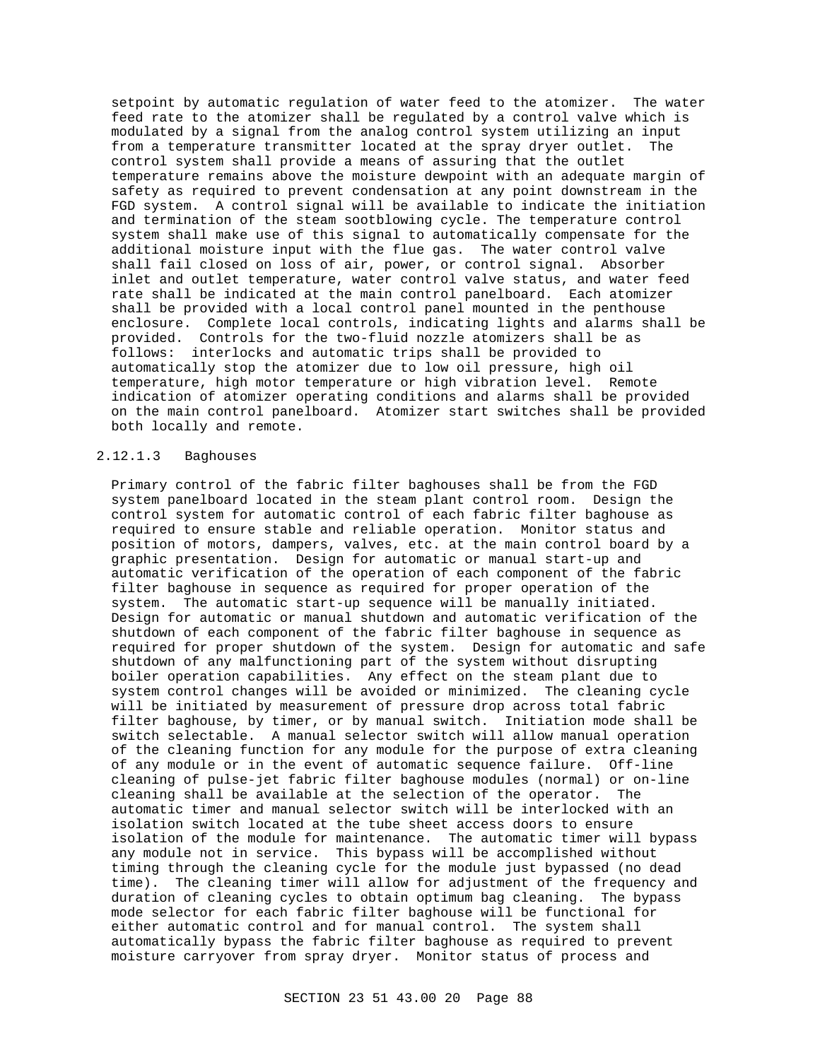setpoint by automatic regulation of water feed to the atomizer. The water feed rate to the atomizer shall be regulated by a control valve which is modulated by a signal from the analog control system utilizing an input from a temperature transmitter located at the spray dryer outlet. The control system shall provide a means of assuring that the outlet temperature remains above the moisture dewpoint with an adequate margin of safety as required to prevent condensation at any point downstream in the FGD system. A control signal will be available to indicate the initiation and termination of the steam sootblowing cycle. The temperature control system shall make use of this signal to automatically compensate for the additional moisture input with the flue gas. The water control valve shall fail closed on loss of air, power, or control signal. Absorber inlet and outlet temperature, water control valve status, and water feed rate shall be indicated at the main control panelboard. Each atomizer shall be provided with a local control panel mounted in the penthouse enclosure. Complete local controls, indicating lights and alarms shall be provided. Controls for the two-fluid nozzle atomizers shall be as follows: interlocks and automatic trips shall be provided to automatically stop the atomizer due to low oil pressure, high oil temperature, high motor temperature or high vibration level. Remote indication of atomizer operating conditions and alarms shall be provided on the main control panelboard. Atomizer start switches shall be provided both locally and remote.

#### 2.12.1.3 Baghouses

Primary control of the fabric filter baghouses shall be from the FGD system panelboard located in the steam plant control room. Design the control system for automatic control of each fabric filter baghouse as required to ensure stable and reliable operation. Monitor status and position of motors, dampers, valves, etc. at the main control board by a graphic presentation. Design for automatic or manual start-up and automatic verification of the operation of each component of the fabric filter baghouse in sequence as required for proper operation of the system. The automatic start-up sequence will be manually initiated. Design for automatic or manual shutdown and automatic verification of the shutdown of each component of the fabric filter baghouse in sequence as required for proper shutdown of the system. Design for automatic and safe shutdown of any malfunctioning part of the system without disrupting boiler operation capabilities. Any effect on the steam plant due to system control changes will be avoided or minimized. The cleaning cycle will be initiated by measurement of pressure drop across total fabric filter baghouse, by timer, or by manual switch. Initiation mode shall be switch selectable. A manual selector switch will allow manual operation of the cleaning function for any module for the purpose of extra cleaning of any module or in the event of automatic sequence failure. Off-line cleaning of pulse-jet fabric filter baghouse modules (normal) or on-line cleaning shall be available at the selection of the operator. The automatic timer and manual selector switch will be interlocked with an isolation switch located at the tube sheet access doors to ensure isolation of the module for maintenance. The automatic timer will bypass any module not in service. This bypass will be accomplished without timing through the cleaning cycle for the module just bypassed (no dead time). The cleaning timer will allow for adjustment of the frequency and duration of cleaning cycles to obtain optimum bag cleaning. The bypass mode selector for each fabric filter baghouse will be functional for either automatic control and for manual control. The system shall automatically bypass the fabric filter baghouse as required to prevent moisture carryover from spray dryer. Monitor status of process and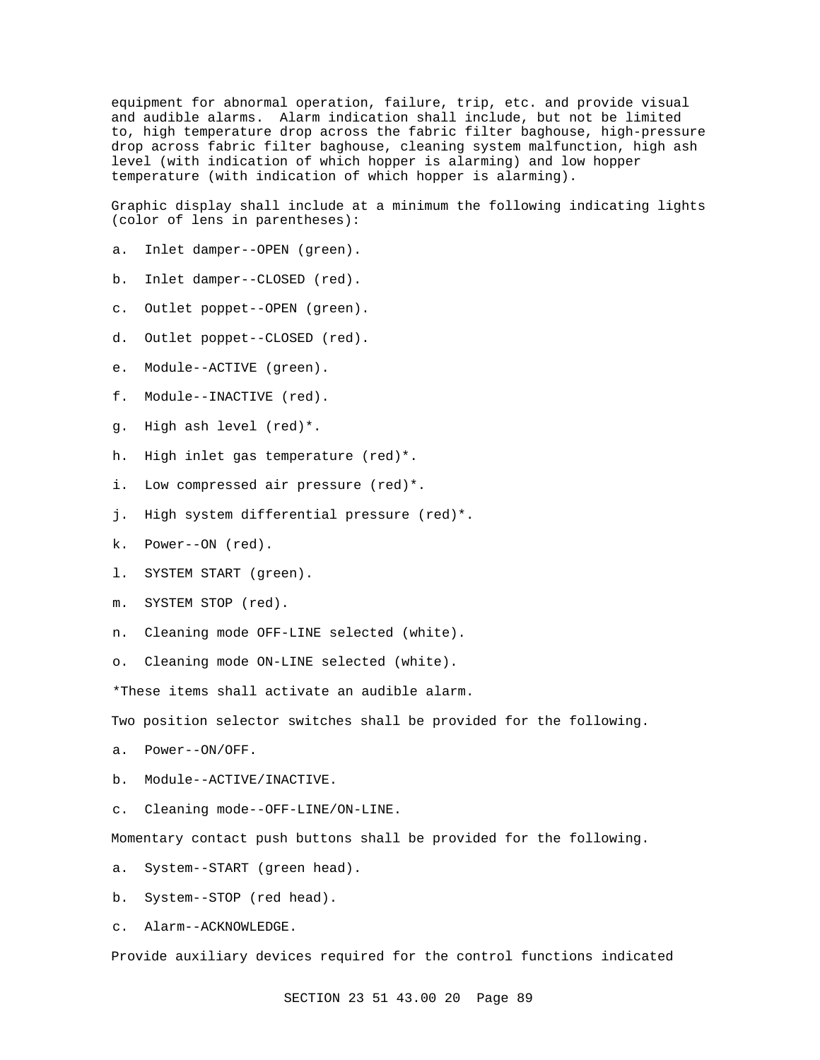equipment for abnormal operation, failure, trip, etc. and provide visual and audible alarms. Alarm indication shall include, but not be limited to, high temperature drop across the fabric filter baghouse, high-pressure drop across fabric filter baghouse, cleaning system malfunction, high ash level (with indication of which hopper is alarming) and low hopper temperature (with indication of which hopper is alarming).

Graphic display shall include at a minimum the following indicating lights (color of lens in parentheses):

- a. Inlet damper--OPEN (green).
- b. Inlet damper--CLOSED (red).
- c. Outlet poppet--OPEN (green).
- d. Outlet poppet--CLOSED (red).
- e. Module--ACTIVE (green).
- f. Module--INACTIVE (red).
- g. High ash level (red)\*.
- h. High inlet gas temperature (red)\*.
- i. Low compressed air pressure (red)\*.
- j. High system differential pressure (red)\*.
- k. Power--ON (red).
- l. SYSTEM START (green).
- m. SYSTEM STOP (red).
- n. Cleaning mode OFF-LINE selected (white).
- o. Cleaning mode ON-LINE selected (white).

\*These items shall activate an audible alarm.

Two position selector switches shall be provided for the following.

- a. Power--ON/OFF.
- b. Module--ACTIVE/INACTIVE.
- c. Cleaning mode--OFF-LINE/ON-LINE.

Momentary contact push buttons shall be provided for the following.

- a. System--START (green head).
- b. System--STOP (red head).
- c. Alarm--ACKNOWLEDGE.

Provide auxiliary devices required for the control functions indicated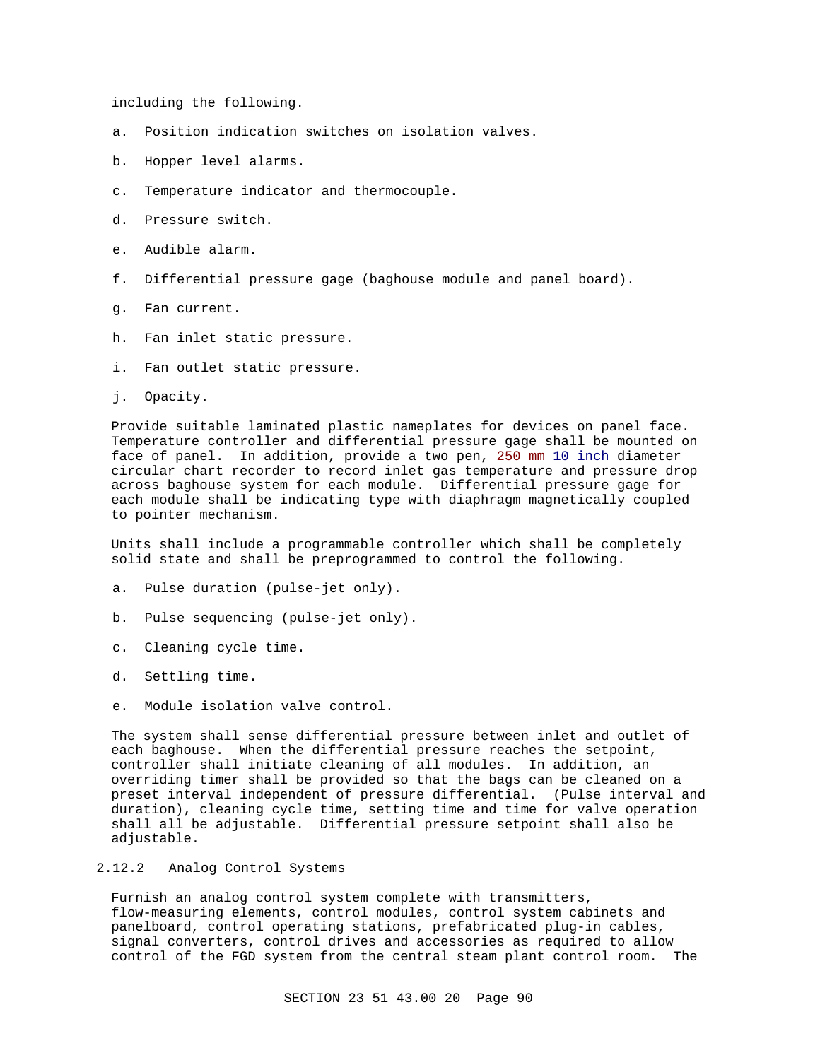including the following.

- a. Position indication switches on isolation valves.
- b. Hopper level alarms.
- c. Temperature indicator and thermocouple.
- d. Pressure switch.
- e. Audible alarm.
- f. Differential pressure gage (baghouse module and panel board).
- g. Fan current.
- h. Fan inlet static pressure.
- i. Fan outlet static pressure.
- j. Opacity.

Provide suitable laminated plastic nameplates for devices on panel face. Temperature controller and differential pressure gage shall be mounted on face of panel. In addition, provide a two pen, 250 mm 10 inch diameter circular chart recorder to record inlet gas temperature and pressure drop across baghouse system for each module. Differential pressure gage for each module shall be indicating type with diaphragm magnetically coupled to pointer mechanism.

Units shall include a programmable controller which shall be completely solid state and shall be preprogrammed to control the following.

- a. Pulse duration (pulse-jet only).
- b. Pulse sequencing (pulse-jet only).
- c. Cleaning cycle time.
- d. Settling time.
- e. Module isolation valve control.

The system shall sense differential pressure between inlet and outlet of each baghouse. When the differential pressure reaches the setpoint, controller shall initiate cleaning of all modules. In addition, an overriding timer shall be provided so that the bags can be cleaned on a preset interval independent of pressure differential. (Pulse interval and duration), cleaning cycle time, setting time and time for valve operation shall all be adjustable. Differential pressure setpoint shall also be adjustable.

# 2.12.2 Analog Control Systems

Furnish an analog control system complete with transmitters, flow-measuring elements, control modules, control system cabinets and panelboard, control operating stations, prefabricated plug-in cables, signal converters, control drives and accessories as required to allow control of the FGD system from the central steam plant control room. The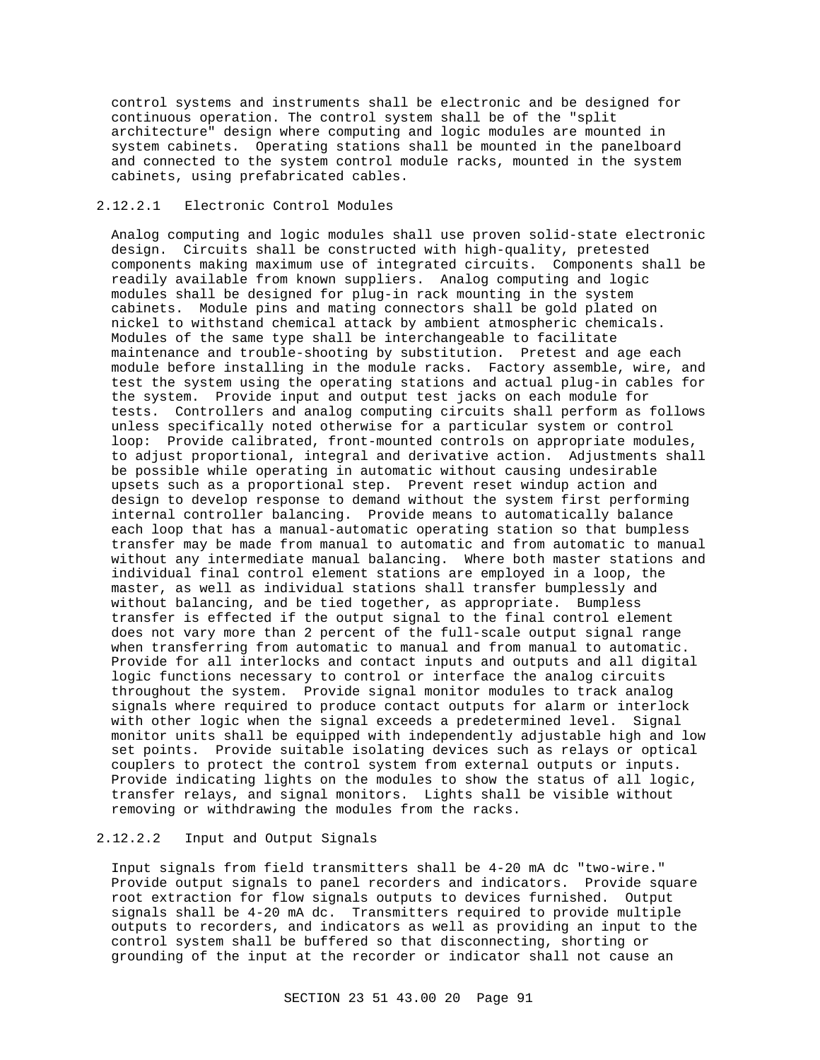control systems and instruments shall be electronic and be designed for continuous operation. The control system shall be of the "split architecture" design where computing and logic modules are mounted in system cabinets. Operating stations shall be mounted in the panelboard and connected to the system control module racks, mounted in the system cabinets, using prefabricated cables.

# 2.12.2.1 Electronic Control Modules

Analog computing and logic modules shall use proven solid-state electronic design. Circuits shall be constructed with high-quality, pretested components making maximum use of integrated circuits. Components shall be readily available from known suppliers. Analog computing and logic modules shall be designed for plug-in rack mounting in the system cabinets. Module pins and mating connectors shall be gold plated on nickel to withstand chemical attack by ambient atmospheric chemicals. Modules of the same type shall be interchangeable to facilitate maintenance and trouble-shooting by substitution. Pretest and age each module before installing in the module racks. Factory assemble, wire, and test the system using the operating stations and actual plug-in cables for the system. Provide input and output test jacks on each module for tests. Controllers and analog computing circuits shall perform as follows unless specifically noted otherwise for a particular system or control loop: Provide calibrated, front-mounted controls on appropriate modules, to adjust proportional, integral and derivative action. Adjustments shall be possible while operating in automatic without causing undesirable upsets such as a proportional step. Prevent reset windup action and design to develop response to demand without the system first performing internal controller balancing. Provide means to automatically balance each loop that has a manual-automatic operating station so that bumpless transfer may be made from manual to automatic and from automatic to manual without any intermediate manual balancing. Where both master stations and individual final control element stations are employed in a loop, the master, as well as individual stations shall transfer bumplessly and without balancing, and be tied together, as appropriate. Bumpless transfer is effected if the output signal to the final control element does not vary more than 2 percent of the full-scale output signal range when transferring from automatic to manual and from manual to automatic. Provide for all interlocks and contact inputs and outputs and all digital logic functions necessary to control or interface the analog circuits throughout the system. Provide signal monitor modules to track analog signals where required to produce contact outputs for alarm or interlock with other logic when the signal exceeds a predetermined level. Signal monitor units shall be equipped with independently adjustable high and low set points. Provide suitable isolating devices such as relays or optical couplers to protect the control system from external outputs or inputs. Provide indicating lights on the modules to show the status of all logic, transfer relays, and signal monitors. Lights shall be visible without removing or withdrawing the modules from the racks.

# 2.12.2.2 Input and Output Signals

Input signals from field transmitters shall be 4-20 mA dc "two-wire." Provide output signals to panel recorders and indicators. Provide square root extraction for flow signals outputs to devices furnished. Output signals shall be 4-20 mA dc. Transmitters required to provide multiple outputs to recorders, and indicators as well as providing an input to the control system shall be buffered so that disconnecting, shorting or grounding of the input at the recorder or indicator shall not cause an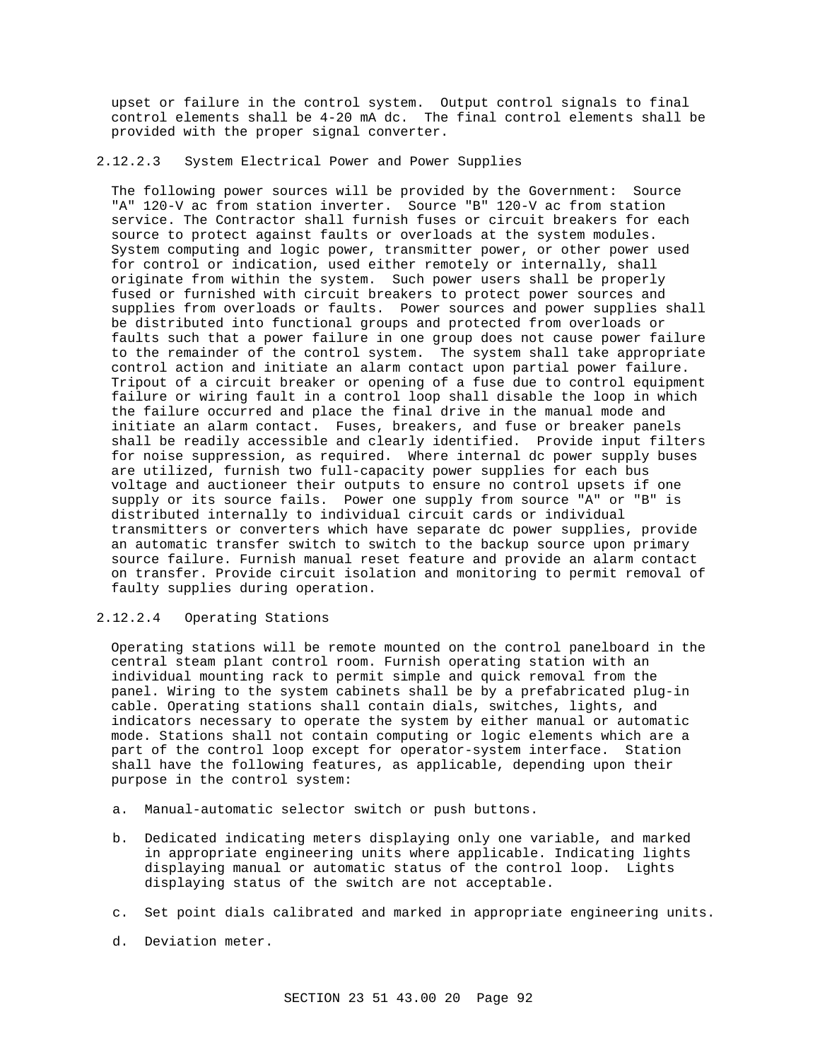upset or failure in the control system. Output control signals to final control elements shall be 4-20 mA dc. The final control elements shall be provided with the proper signal converter.

### 2.12.2.3 System Electrical Power and Power Supplies

The following power sources will be provided by the Government: Source "A" 120-V ac from station inverter. Source "B" 120-V ac from station service. The Contractor shall furnish fuses or circuit breakers for each source to protect against faults or overloads at the system modules. System computing and logic power, transmitter power, or other power used for control or indication, used either remotely or internally, shall originate from within the system. Such power users shall be properly fused or furnished with circuit breakers to protect power sources and supplies from overloads or faults. Power sources and power supplies shall be distributed into functional groups and protected from overloads or faults such that a power failure in one group does not cause power failure to the remainder of the control system. The system shall take appropriate control action and initiate an alarm contact upon partial power failure. Tripout of a circuit breaker or opening of a fuse due to control equipment failure or wiring fault in a control loop shall disable the loop in which the failure occurred and place the final drive in the manual mode and initiate an alarm contact. Fuses, breakers, and fuse or breaker panels shall be readily accessible and clearly identified. Provide input filters for noise suppression, as required. Where internal dc power supply buses are utilized, furnish two full-capacity power supplies for each bus voltage and auctioneer their outputs to ensure no control upsets if one supply or its source fails. Power one supply from source "A" or "B" is distributed internally to individual circuit cards or individual transmitters or converters which have separate dc power supplies, provide an automatic transfer switch to switch to the backup source upon primary source failure. Furnish manual reset feature and provide an alarm contact on transfer. Provide circuit isolation and monitoring to permit removal of faulty supplies during operation.

# 2.12.2.4 Operating Stations

Operating stations will be remote mounted on the control panelboard in the central steam plant control room. Furnish operating station with an individual mounting rack to permit simple and quick removal from the panel. Wiring to the system cabinets shall be by a prefabricated plug-in cable. Operating stations shall contain dials, switches, lights, and indicators necessary to operate the system by either manual or automatic mode. Stations shall not contain computing or logic elements which are a part of the control loop except for operator-system interface. Station shall have the following features, as applicable, depending upon their purpose in the control system:

- a. Manual-automatic selector switch or push buttons.
- b. Dedicated indicating meters displaying only one variable, and marked in appropriate engineering units where applicable. Indicating lights displaying manual or automatic status of the control loop. Lights displaying status of the switch are not acceptable.
- c. Set point dials calibrated and marked in appropriate engineering units.
- d. Deviation meter.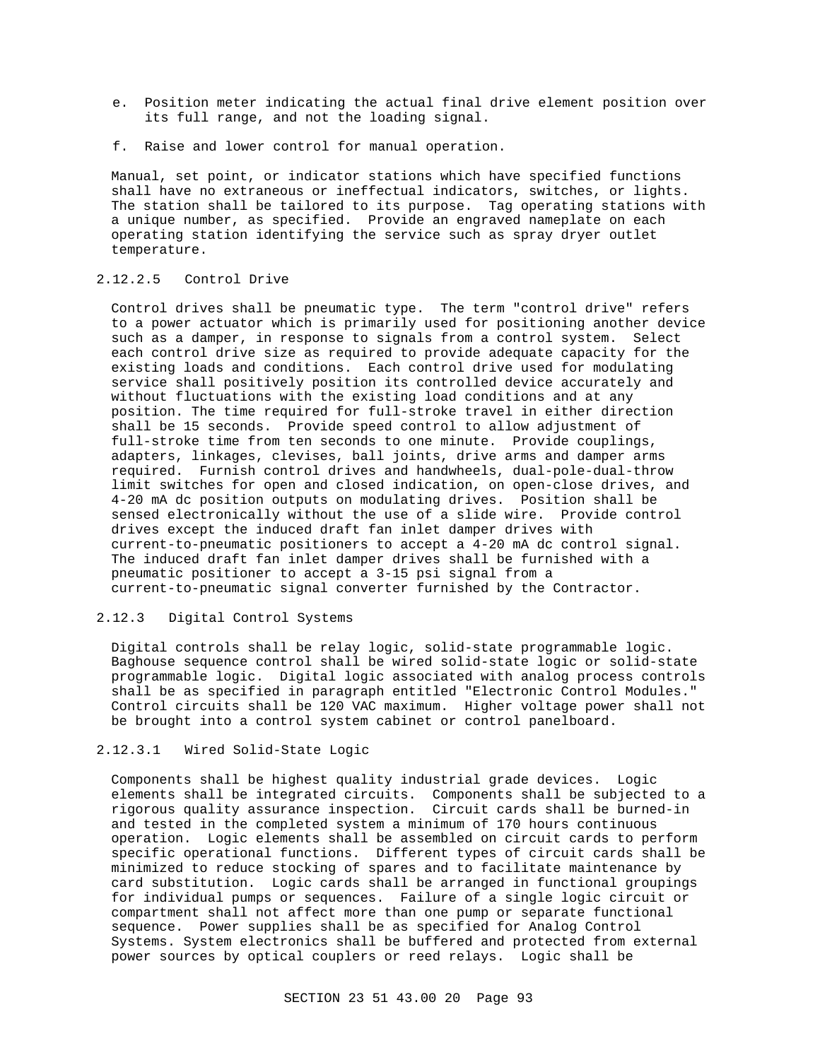- e. Position meter indicating the actual final drive element position over its full range, and not the loading signal.
- f. Raise and lower control for manual operation.

Manual, set point, or indicator stations which have specified functions shall have no extraneous or ineffectual indicators, switches, or lights. The station shall be tailored to its purpose. Tag operating stations with a unique number, as specified. Provide an engraved nameplate on each operating station identifying the service such as spray dryer outlet temperature.

### 2.12.2.5 Control Drive

Control drives shall be pneumatic type. The term "control drive" refers to a power actuator which is primarily used for positioning another device such as a damper, in response to signals from a control system. Select each control drive size as required to provide adequate capacity for the existing loads and conditions. Each control drive used for modulating service shall positively position its controlled device accurately and without fluctuations with the existing load conditions and at any position. The time required for full-stroke travel in either direction shall be 15 seconds. Provide speed control to allow adjustment of full-stroke time from ten seconds to one minute. Provide couplings, adapters, linkages, clevises, ball joints, drive arms and damper arms required. Furnish control drives and handwheels, dual-pole-dual-throw limit switches for open and closed indication, on open-close drives, and 4-20 mA dc position outputs on modulating drives. Position shall be sensed electronically without the use of a slide wire. Provide control drives except the induced draft fan inlet damper drives with current-to-pneumatic positioners to accept a 4-20 mA dc control signal. The induced draft fan inlet damper drives shall be furnished with a pneumatic positioner to accept a 3-15 psi signal from a current-to-pneumatic signal converter furnished by the Contractor.

### 2.12.3 Digital Control Systems

Digital controls shall be relay logic, solid-state programmable logic. Baghouse sequence control shall be wired solid-state logic or solid-state programmable logic. Digital logic associated with analog process controls shall be as specified in paragraph entitled "Electronic Control Modules." Control circuits shall be 120 VAC maximum. Higher voltage power shall not be brought into a control system cabinet or control panelboard.

### 2.12.3.1 Wired Solid-State Logic

Components shall be highest quality industrial grade devices. Logic elements shall be integrated circuits. Components shall be subjected to a rigorous quality assurance inspection. Circuit cards shall be burned-in and tested in the completed system a minimum of 170 hours continuous operation. Logic elements shall be assembled on circuit cards to perform specific operational functions. Different types of circuit cards shall be minimized to reduce stocking of spares and to facilitate maintenance by card substitution. Logic cards shall be arranged in functional groupings for individual pumps or sequences. Failure of a single logic circuit or compartment shall not affect more than one pump or separate functional sequence. Power supplies shall be as specified for Analog Control Systems. System electronics shall be buffered and protected from external power sources by optical couplers or reed relays. Logic shall be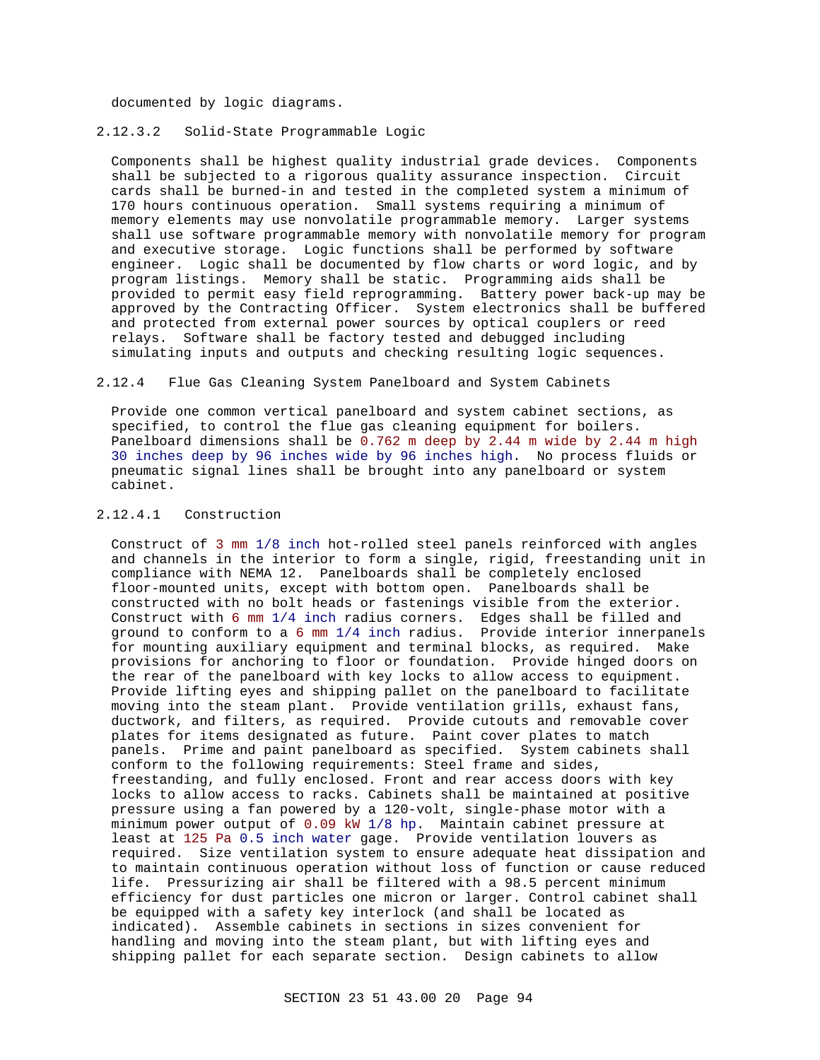documented by logic diagrams.

2.12.3.2 Solid-State Programmable Logic

Components shall be highest quality industrial grade devices. Components shall be subjected to a rigorous quality assurance inspection. Circuit cards shall be burned-in and tested in the completed system a minimum of 170 hours continuous operation. Small systems requiring a minimum of memory elements may use nonvolatile programmable memory. Larger systems shall use software programmable memory with nonvolatile memory for program and executive storage. Logic functions shall be performed by software engineer. Logic shall be documented by flow charts or word logic, and by program listings. Memory shall be static. Programming aids shall be provided to permit easy field reprogramming. Battery power back-up may be approved by the Contracting Officer. System electronics shall be buffered and protected from external power sources by optical couplers or reed relays. Software shall be factory tested and debugged including simulating inputs and outputs and checking resulting logic sequences.

#### 2.12.4 Flue Gas Cleaning System Panelboard and System Cabinets

Provide one common vertical panelboard and system cabinet sections, as specified, to control the flue gas cleaning equipment for boilers. Panelboard dimensions shall be 0.762 m deep by 2.44 m wide by 2.44 m high 30 inches deep by 96 inches wide by 96 inches high. No process fluids or pneumatic signal lines shall be brought into any panelboard or system cabinet.

# 2.12.4.1 Construction

Construct of 3 mm 1/8 inch hot-rolled steel panels reinforced with angles and channels in the interior to form a single, rigid, freestanding unit in compliance with NEMA 12. Panelboards shall be completely enclosed floor-mounted units, except with bottom open. Panelboards shall be constructed with no bolt heads or fastenings visible from the exterior. Construct with 6 mm 1/4 inch radius corners. Edges shall be filled and ground to conform to a 6 mm 1/4 inch radius. Provide interior innerpanels for mounting auxiliary equipment and terminal blocks, as required. Make provisions for anchoring to floor or foundation. Provide hinged doors on the rear of the panelboard with key locks to allow access to equipment. Provide lifting eyes and shipping pallet on the panelboard to facilitate moving into the steam plant. Provide ventilation grills, exhaust fans, ductwork, and filters, as required. Provide cutouts and removable cover plates for items designated as future. Paint cover plates to match panels. Prime and paint panelboard as specified. System cabinets shall conform to the following requirements: Steel frame and sides, freestanding, and fully enclosed. Front and rear access doors with key locks to allow access to racks. Cabinets shall be maintained at positive pressure using a fan powered by a 120-volt, single-phase motor with a minimum power output of 0.09 kW 1/8 hp. Maintain cabinet pressure at least at 125 Pa 0.5 inch water gage. Provide ventilation louvers as required. Size ventilation system to ensure adequate heat dissipation and to maintain continuous operation without loss of function or cause reduced life. Pressurizing air shall be filtered with a 98.5 percent minimum efficiency for dust particles one micron or larger. Control cabinet shall be equipped with a safety key interlock (and shall be located as indicated). Assemble cabinets in sections in sizes convenient for handling and moving into the steam plant, but with lifting eyes and shipping pallet for each separate section. Design cabinets to allow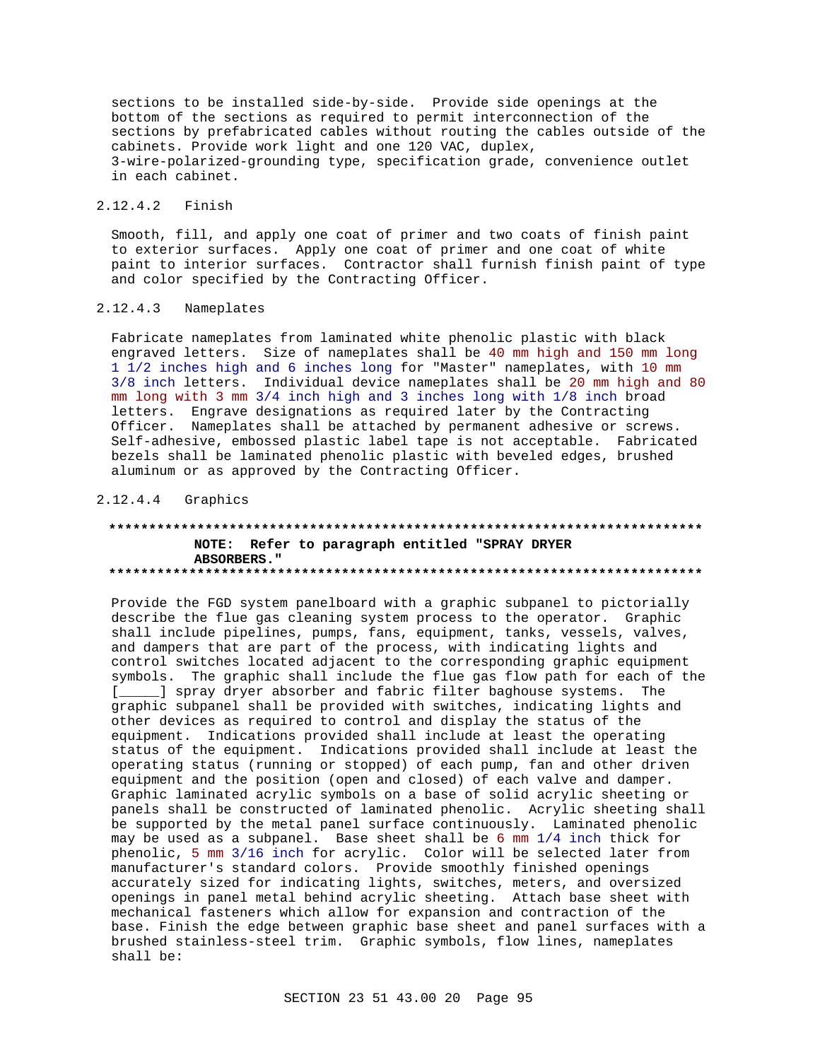sections to be installed side-by-side. Provide side openings at the bottom of the sections as required to permit interconnection of the sections by prefabricated cables without routing the cables outside of the cabinets. Provide work light and one 120 VAC, duplex, 3-wire-polarized-grounding type, specification grade, convenience outlet in each cabinet.

### 2.12.4.2 Finish

Smooth, fill, and apply one coat of primer and two coats of finish paint to exterior surfaces. Apply one coat of primer and one coat of white paint to interior surfaces. Contractor shall furnish finish paint of type and color specified by the Contracting Officer.

# 2.12.4.3 Nameplates

Fabricate nameplates from laminated white phenolic plastic with black engraved letters. Size of nameplates shall be 40 mm high and 150 mm long 1 1/2 inches high and 6 inches long for "Master" nameplates, with 10 mm 3/8 inch letters. Individual device nameplates shall be 20 mm high and 80 mm long with 3 mm 3/4 inch high and 3 inches long with 1/8 inch broad letters. Engrave designations as required later by the Contracting Officer. Nameplates shall be attached by permanent adhesive or screws. Self-adhesive, embossed plastic label tape is not acceptable. Fabricated bezels shall be laminated phenolic plastic with beveled edges, brushed aluminum or as approved by the Contracting Officer.

# 2.12.4.4 Graphics

#### **\*\*\*\*\*\*\*\*\*\*\*\*\*\*\*\*\*\*\*\*\*\*\*\*\*\*\*\*\*\*\*\*\*\*\*\*\*\*\*\*\*\*\*\*\*\*\*\*\*\*\*\*\*\*\*\*\*\*\*\*\*\*\*\*\*\*\*\*\*\*\*\*\*\* NOTE: Refer to paragraph entitled "SPRAY DRYER ABSORBERS." \*\*\*\*\*\*\*\*\*\*\*\*\*\*\*\*\*\*\*\*\*\*\*\*\*\*\*\*\*\*\*\*\*\*\*\*\*\*\*\*\*\*\*\*\*\*\*\*\*\*\*\*\*\*\*\*\*\*\*\*\*\*\*\*\*\*\*\*\*\*\*\*\*\***

Provide the FGD system panelboard with a graphic subpanel to pictorially describe the flue gas cleaning system process to the operator. Graphic shall include pipelines, pumps, fans, equipment, tanks, vessels, valves, and dampers that are part of the process, with indicating lights and control switches located adjacent to the corresponding graphic equipment symbols. The graphic shall include the flue gas flow path for each of the [*\_\_\_\_\_*] spray dryer absorber and fabric filter baghouse systems. The graphic subpanel shall be provided with switches, indicating lights and other devices as required to control and display the status of the equipment. Indications provided shall include at least the operating status of the equipment. Indications provided shall include at least the operating status (running or stopped) of each pump, fan and other driven equipment and the position (open and closed) of each valve and damper. Graphic laminated acrylic symbols on a base of solid acrylic sheeting or panels shall be constructed of laminated phenolic. Acrylic sheeting shall be supported by the metal panel surface continuously. Laminated phenolic may be used as a subpanel. Base sheet shall be 6 mm 1/4 inch thick for phenolic, 5 mm 3/16 inch for acrylic. Color will be selected later from manufacturer's standard colors. Provide smoothly finished openings accurately sized for indicating lights, switches, meters, and oversized openings in panel metal behind acrylic sheeting. Attach base sheet with mechanical fasteners which allow for expansion and contraction of the base. Finish the edge between graphic base sheet and panel surfaces with a brushed stainless-steel trim. Graphic symbols, flow lines, nameplates shall be: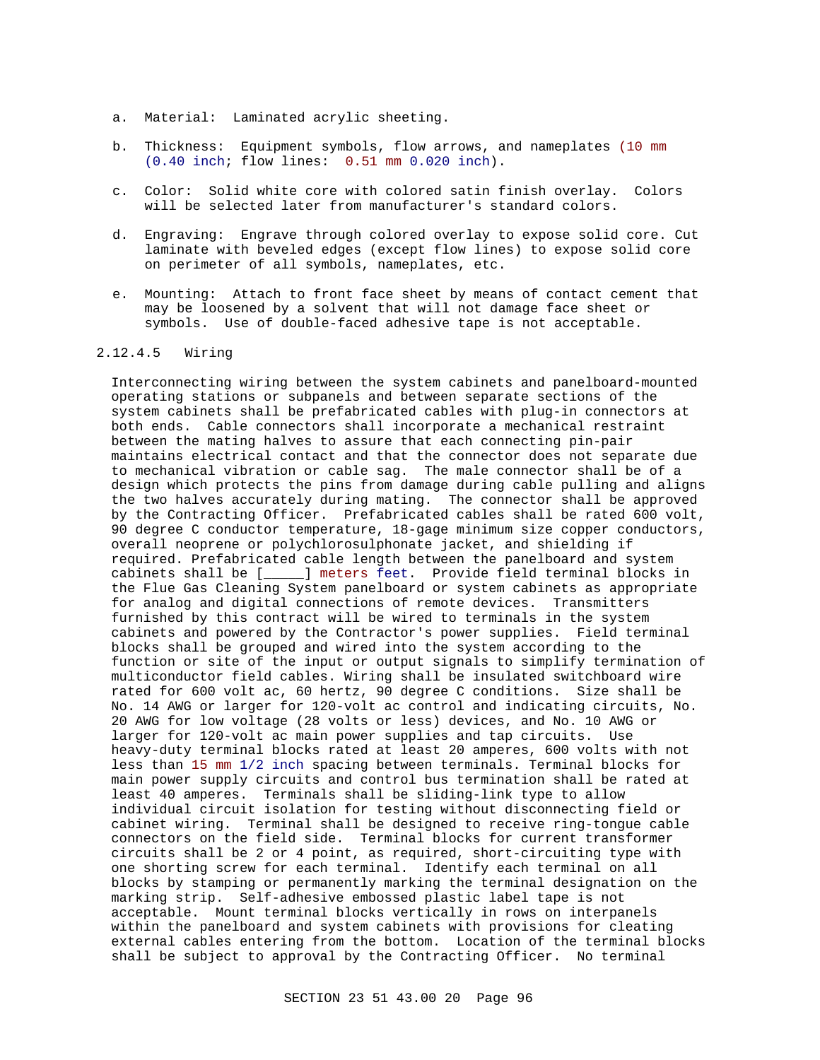- a. Material: Laminated acrylic sheeting.
- b. Thickness: Equipment symbols, flow arrows, and nameplates (10 mm (0.40 inch; flow lines: 0.51 mm 0.020 inch).
- c. Color: Solid white core with colored satin finish overlay. Colors will be selected later from manufacturer's standard colors.
- d. Engraving: Engrave through colored overlay to expose solid core. Cut laminate with beveled edges (except flow lines) to expose solid core on perimeter of all symbols, nameplates, etc.
- e. Mounting: Attach to front face sheet by means of contact cement that may be loosened by a solvent that will not damage face sheet or symbols. Use of double-faced adhesive tape is not acceptable.

# 2.12.4.5 Wiring

Interconnecting wiring between the system cabinets and panelboard-mounted operating stations or subpanels and between separate sections of the system cabinets shall be prefabricated cables with plug-in connectors at both ends. Cable connectors shall incorporate a mechanical restraint between the mating halves to assure that each connecting pin-pair maintains electrical contact and that the connector does not separate due to mechanical vibration or cable sag. The male connector shall be of a design which protects the pins from damage during cable pulling and aligns the two halves accurately during mating. The connector shall be approved by the Contracting Officer. Prefabricated cables shall be rated 600 volt, 90 degree C conductor temperature, 18-gage minimum size copper conductors, overall neoprene or polychlorosulphonate jacket, and shielding if required. Prefabricated cable length between the panelboard and system cabinets shall be [\_\_\_\_\_] meters feet. Provide field terminal blocks in the Flue Gas Cleaning System panelboard or system cabinets as appropriate for analog and digital connections of remote devices. Transmitters furnished by this contract will be wired to terminals in the system cabinets and powered by the Contractor's power supplies. Field terminal blocks shall be grouped and wired into the system according to the function or site of the input or output signals to simplify termination of multiconductor field cables. Wiring shall be insulated switchboard wire rated for 600 volt ac, 60 hertz, 90 degree C conditions. Size shall be No. 14 AWG or larger for 120-volt ac control and indicating circuits, No. 20 AWG for low voltage (28 volts or less) devices, and No. 10 AWG or larger for 120-volt ac main power supplies and tap circuits. Use heavy-duty terminal blocks rated at least 20 amperes, 600 volts with not less than 15 mm 1/2 inch spacing between terminals. Terminal blocks for main power supply circuits and control bus termination shall be rated at least 40 amperes. Terminals shall be sliding-link type to allow individual circuit isolation for testing without disconnecting field or cabinet wiring. Terminal shall be designed to receive ring-tongue cable connectors on the field side. Terminal blocks for current transformer circuits shall be 2 or 4 point, as required, short-circuiting type with one shorting screw for each terminal. Identify each terminal on all blocks by stamping or permanently marking the terminal designation on the marking strip. Self-adhesive embossed plastic label tape is not acceptable. Mount terminal blocks vertically in rows on interpanels within the panelboard and system cabinets with provisions for cleating external cables entering from the bottom. Location of the terminal blocks shall be subject to approval by the Contracting Officer. No terminal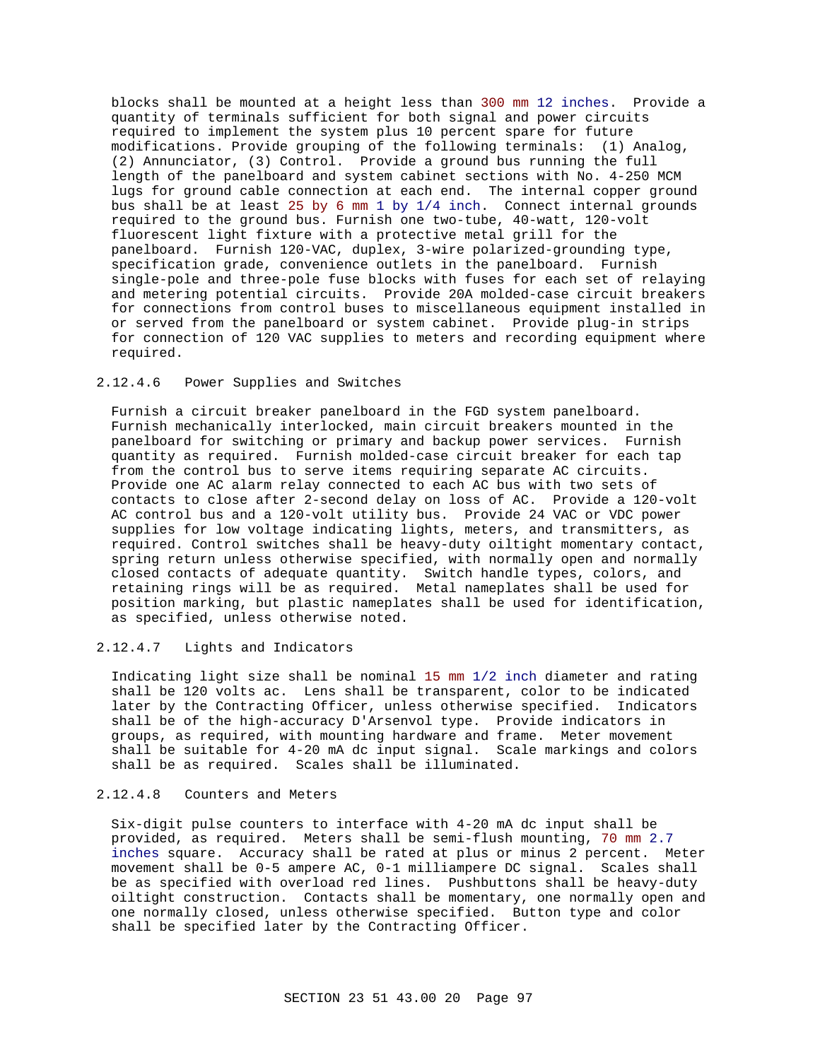blocks shall be mounted at a height less than 300 mm 12 inches. Provide a quantity of terminals sufficient for both signal and power circuits required to implement the system plus 10 percent spare for future modifications. Provide grouping of the following terminals: (1) Analog, (2) Annunciator, (3) Control. Provide a ground bus running the full length of the panelboard and system cabinet sections with No. 4-250 MCM lugs for ground cable connection at each end. The internal copper ground bus shall be at least 25 by 6 mm 1 by 1/4 inch. Connect internal grounds required to the ground bus. Furnish one two-tube, 40-watt, 120-volt fluorescent light fixture with a protective metal grill for the panelboard. Furnish 120-VAC, duplex, 3-wire polarized-grounding type, specification grade, convenience outlets in the panelboard. Furnish single-pole and three-pole fuse blocks with fuses for each set of relaying and metering potential circuits. Provide 20A molded-case circuit breakers for connections from control buses to miscellaneous equipment installed in or served from the panelboard or system cabinet. Provide plug-in strips for connection of 120 VAC supplies to meters and recording equipment where required.

#### 2.12.4.6 Power Supplies and Switches

Furnish a circuit breaker panelboard in the FGD system panelboard. Furnish mechanically interlocked, main circuit breakers mounted in the panelboard for switching or primary and backup power services. Furnish quantity as required. Furnish molded-case circuit breaker for each tap from the control bus to serve items requiring separate AC circuits. Provide one AC alarm relay connected to each AC bus with two sets of contacts to close after 2-second delay on loss of AC. Provide a 120-volt AC control bus and a 120-volt utility bus. Provide 24 VAC or VDC power supplies for low voltage indicating lights, meters, and transmitters, as required. Control switches shall be heavy-duty oiltight momentary contact, spring return unless otherwise specified, with normally open and normally closed contacts of adequate quantity. Switch handle types, colors, and retaining rings will be as required. Metal nameplates shall be used for position marking, but plastic nameplates shall be used for identification, as specified, unless otherwise noted.

# 2.12.4.7 Lights and Indicators

Indicating light size shall be nominal 15 mm 1/2 inch diameter and rating shall be 120 volts ac. Lens shall be transparent, color to be indicated later by the Contracting Officer, unless otherwise specified. Indicators shall be of the high-accuracy D'Arsenvol type. Provide indicators in groups, as required, with mounting hardware and frame. Meter movement shall be suitable for 4-20 mA dc input signal. Scale markings and colors shall be as required. Scales shall be illuminated.

# 2.12.4.8 Counters and Meters

Six-digit pulse counters to interface with 4-20 mA dc input shall be provided, as required. Meters shall be semi-flush mounting, 70 mm 2.7 inches square. Accuracy shall be rated at plus or minus 2 percent. Meter movement shall be 0-5 ampere AC, 0-1 milliampere DC signal. Scales shall be as specified with overload red lines. Pushbuttons shall be heavy-duty oiltight construction. Contacts shall be momentary, one normally open and one normally closed, unless otherwise specified. Button type and color shall be specified later by the Contracting Officer.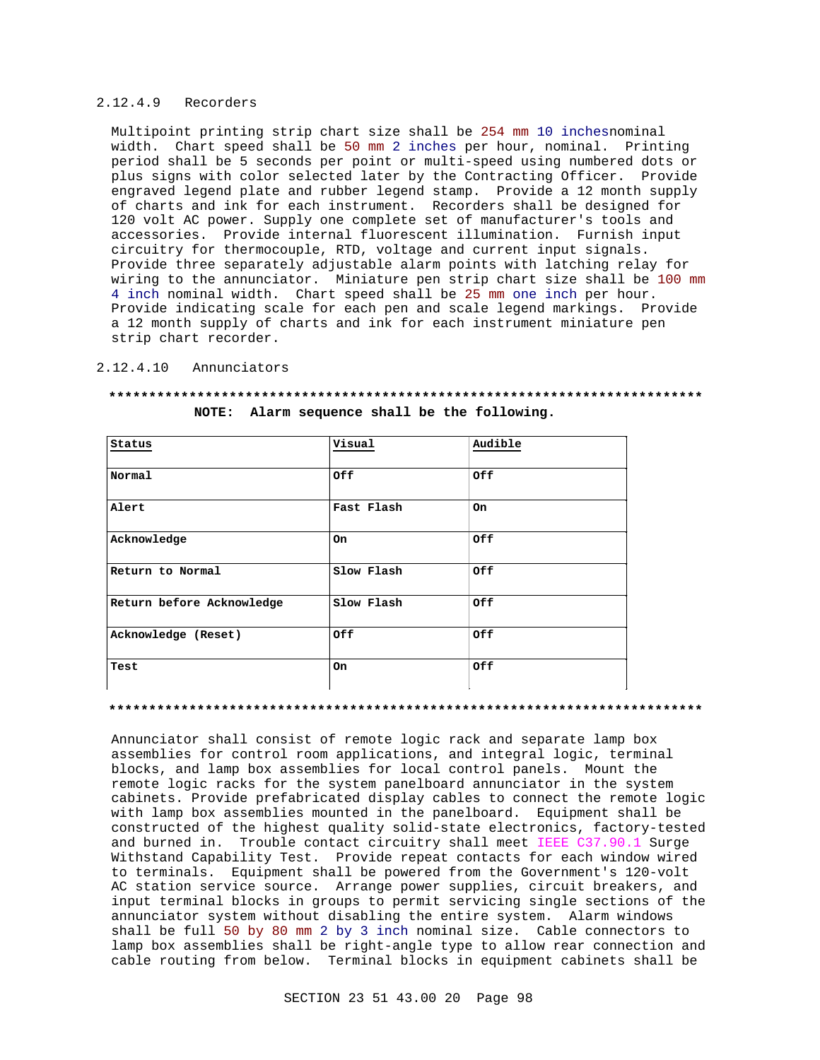#### 2.12.4.9 Recorders

Multipoint printing strip chart size shall be 254 mm 10 inchesnominal width. Chart speed shall be 50 mm 2 inches per hour, nominal. Printing period shall be 5 seconds per point or multi-speed using numbered dots or plus signs with color selected later by the Contracting Officer. Provide engraved legend plate and rubber legend stamp. Provide a 12 month supply of charts and ink for each instrument. Recorders shall be designed for 120 volt AC power. Supply one complete set of manufacturer's tools and accessories. Provide internal fluorescent illumination. Furnish input circuitry for thermocouple, RTD, voltage and current input signals. Provide three separately adjustable alarm points with latching relay for wiring to the annunciator. Miniature pen strip chart size shall be 100 mm 4 inch nominal width. Chart speed shall be 25 mm one inch per hour. Provide indicating scale for each pen and scale legend markings. Provide a 12 month supply of charts and ink for each instrument miniature pen strip chart recorder.

**\*\*\*\*\*\*\*\*\*\*\*\*\*\*\*\*\*\*\*\*\*\*\*\*\*\*\*\*\*\*\*\*\*\*\*\*\*\*\*\*\*\*\*\*\*\*\*\*\*\*\*\*\*\*\*\*\*\*\*\*\*\*\*\*\*\*\*\*\*\*\*\*\*\***

2.12.4.10 Annunciators

| Status                    | Visual     | Audible    |
|---------------------------|------------|------------|
| Normal                    | 0ff        | Off        |
| Alert                     | Fast Flash | On         |
| Acknowledge               | On.        | Off        |
| Return to Normal          | Slow Flash | Off        |
| Return before Acknowledge | Slow Flash | <b>Off</b> |
| Acknowledge (Reset)       | Off        | Off        |
| Test                      | On.        | Off        |

**NOTE: Alarm sequence shall be the following.**

#### **\*\*\*\*\*\*\*\*\*\*\*\*\*\*\*\*\*\*\*\*\*\*\*\*\*\*\*\*\*\*\*\*\*\*\*\*\*\*\*\*\*\*\*\*\*\*\*\*\*\*\*\*\*\*\*\*\*\*\*\*\*\*\*\*\*\*\*\*\*\*\*\*\*\***

Annunciator shall consist of remote logic rack and separate lamp box assemblies for control room applications, and integral logic, terminal blocks, and lamp box assemblies for local control panels. Mount the remote logic racks for the system panelboard annunciator in the system cabinets. Provide prefabricated display cables to connect the remote logic with lamp box assemblies mounted in the panelboard. Equipment shall be constructed of the highest quality solid-state electronics, factory-tested and burned in. Trouble contact circuitry shall meet IEEE C37.90.1 Surge Withstand Capability Test. Provide repeat contacts for each window wired to terminals. Equipment shall be powered from the Government's 120-volt AC station service source. Arrange power supplies, circuit breakers, and input terminal blocks in groups to permit servicing single sections of the annunciator system without disabling the entire system. Alarm windows shall be full 50 by 80 mm 2 by 3 inch nominal size. Cable connectors to lamp box assemblies shall be right-angle type to allow rear connection and cable routing from below. Terminal blocks in equipment cabinets shall be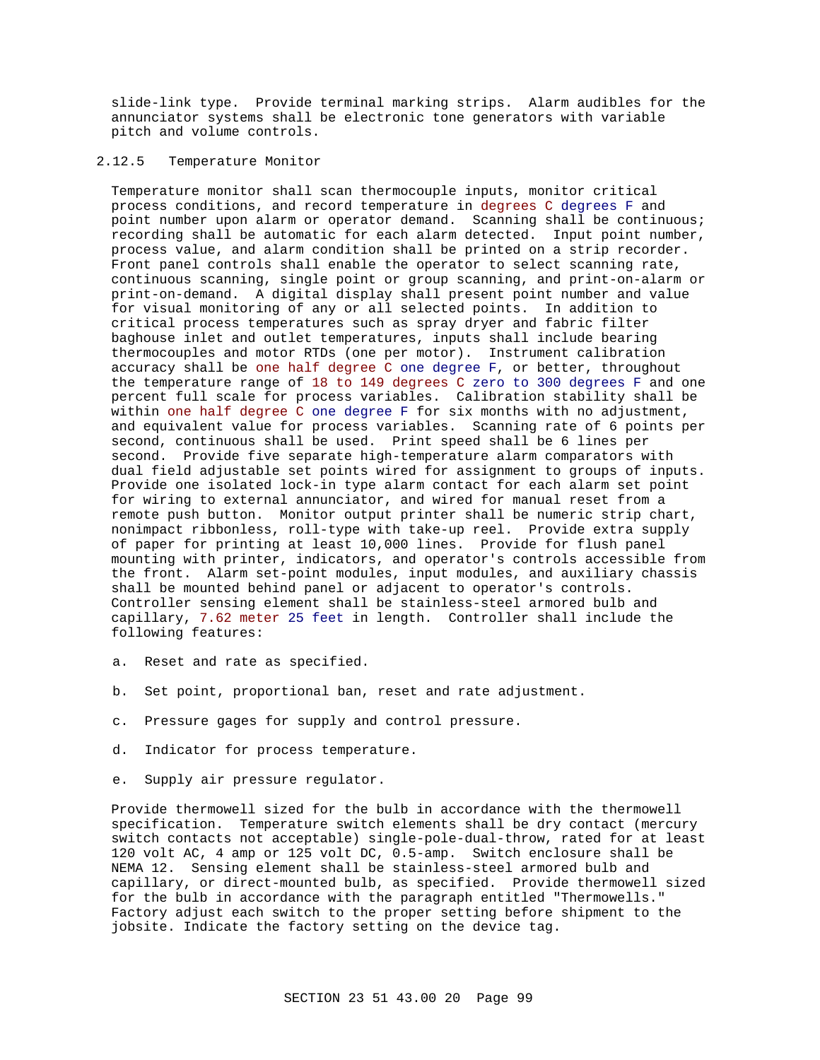slide-link type. Provide terminal marking strips. Alarm audibles for the annunciator systems shall be electronic tone generators with variable pitch and volume controls.

# 2.12.5 Temperature Monitor

Temperature monitor shall scan thermocouple inputs, monitor critical process conditions, and record temperature in degrees C degrees F and point number upon alarm or operator demand. Scanning shall be continuous; recording shall be automatic for each alarm detected. Input point number, process value, and alarm condition shall be printed on a strip recorder. Front panel controls shall enable the operator to select scanning rate, continuous scanning, single point or group scanning, and print-on-alarm or print-on-demand. A digital display shall present point number and value for visual monitoring of any or all selected points. In addition to critical process temperatures such as spray dryer and fabric filter baghouse inlet and outlet temperatures, inputs shall include bearing thermocouples and motor RTDs (one per motor). Instrument calibration accuracy shall be one half degree C one degree F, or better, throughout the temperature range of 18 to 149 degrees C zero to 300 degrees F and one percent full scale for process variables. Calibration stability shall be within one half degree C one degree F for six months with no adjustment, and equivalent value for process variables. Scanning rate of 6 points per second, continuous shall be used. Print speed shall be 6 lines per second. Provide five separate high-temperature alarm comparators with dual field adjustable set points wired for assignment to groups of inputs. Provide one isolated lock-in type alarm contact for each alarm set point for wiring to external annunciator, and wired for manual reset from a remote push button. Monitor output printer shall be numeric strip chart, nonimpact ribbonless, roll-type with take-up reel. Provide extra supply of paper for printing at least 10,000 lines. Provide for flush panel mounting with printer, indicators, and operator's controls accessible from the front. Alarm set-point modules, input modules, and auxiliary chassis shall be mounted behind panel or adjacent to operator's controls. Controller sensing element shall be stainless-steel armored bulb and capillary, 7.62 meter 25 feet in length. Controller shall include the following features:

- a. Reset and rate as specified.
- b. Set point, proportional ban, reset and rate adjustment.
- c. Pressure gages for supply and control pressure.
- d. Indicator for process temperature.
- e. Supply air pressure regulator.

Provide thermowell sized for the bulb in accordance with the thermowell specification. Temperature switch elements shall be dry contact (mercury switch contacts not acceptable) single-pole-dual-throw, rated for at least 120 volt AC, 4 amp or 125 volt DC, 0.5-amp. Switch enclosure shall be NEMA 12. Sensing element shall be stainless-steel armored bulb and capillary, or direct-mounted bulb, as specified. Provide thermowell sized for the bulb in accordance with the paragraph entitled "Thermowells." Factory adjust each switch to the proper setting before shipment to the jobsite. Indicate the factory setting on the device tag.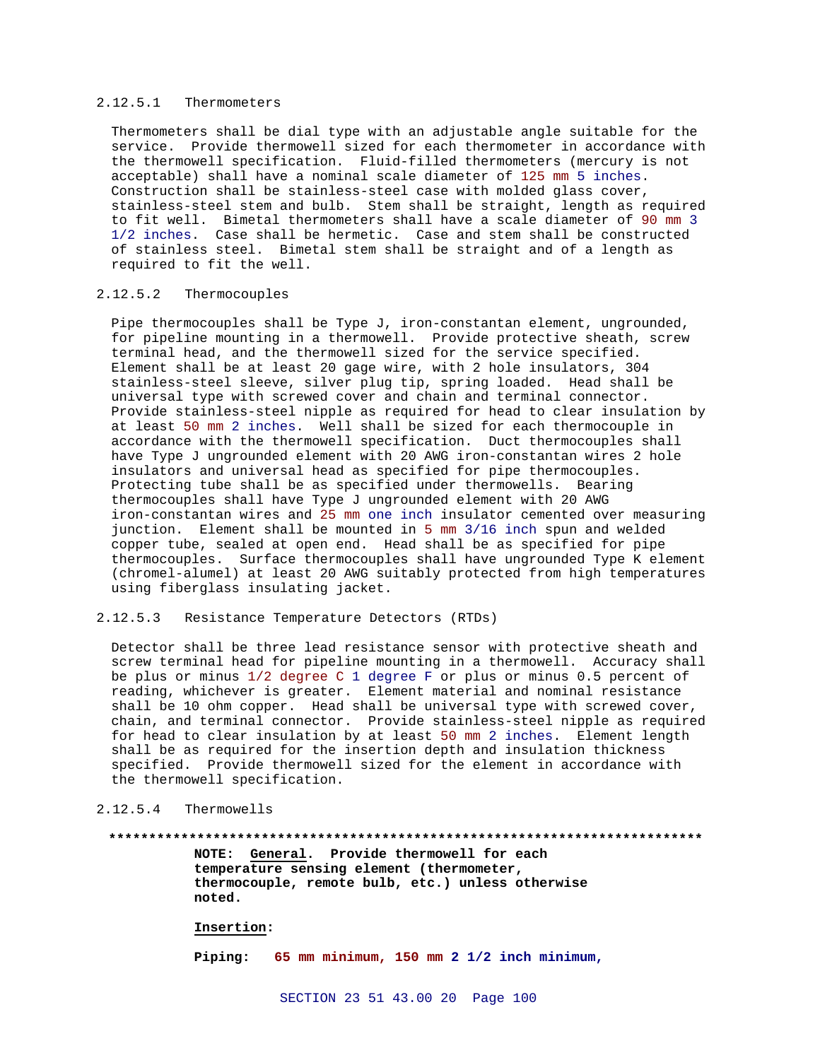### 2.12.5.1 Thermometers

Thermometers shall be dial type with an adjustable angle suitable for the service. Provide thermowell sized for each thermometer in accordance with the thermowell specification. Fluid-filled thermometers (mercury is not acceptable) shall have a nominal scale diameter of 125 mm 5 inches. Construction shall be stainless-steel case with molded glass cover, stainless-steel stem and bulb. Stem shall be straight, length as required to fit well. Bimetal thermometers shall have a scale diameter of 90 mm 3 1/2 inches. Case shall be hermetic. Case and stem shall be constructed of stainless steel. Bimetal stem shall be straight and of a length as required to fit the well.

# 2.12.5.2 Thermocouples

Pipe thermocouples shall be Type J, iron-constantan element, ungrounded, for pipeline mounting in a thermowell. Provide protective sheath, screw terminal head, and the thermowell sized for the service specified. Element shall be at least 20 gage wire, with 2 hole insulators, 304 stainless-steel sleeve, silver plug tip, spring loaded. Head shall be universal type with screwed cover and chain and terminal connector. Provide stainless-steel nipple as required for head to clear insulation by at least 50 mm 2 inches. Well shall be sized for each thermocouple in accordance with the thermowell specification. Duct thermocouples shall have Type J ungrounded element with 20 AWG iron-constantan wires 2 hole insulators and universal head as specified for pipe thermocouples. Protecting tube shall be as specified under thermowells. Bearing thermocouples shall have Type J ungrounded element with 20 AWG iron-constantan wires and 25 mm one inch insulator cemented over measuring junction. Element shall be mounted in 5 mm 3/16 inch spun and welded copper tube, sealed at open end. Head shall be as specified for pipe thermocouples. Surface thermocouples shall have ungrounded Type K element (chromel-alumel) at least 20 AWG suitably protected from high temperatures using fiberglass insulating jacket.

### 2.12.5.3 Resistance Temperature Detectors (RTDs)

Detector shall be three lead resistance sensor with protective sheath and screw terminal head for pipeline mounting in a thermowell. Accuracy shall be plus or minus 1/2 degree C 1 degree F or plus or minus 0.5 percent of reading, whichever is greater. Element material and nominal resistance shall be 10 ohm copper. Head shall be universal type with screwed cover, chain, and terminal connector. Provide stainless-steel nipple as required for head to clear insulation by at least 50 mm 2 inches. Element length shall be as required for the insertion depth and insulation thickness specified. Provide thermowell sized for the element in accordance with the thermowell specification.

# 2.12.5.4 Thermowells

#### **\*\*\*\*\*\*\*\*\*\*\*\*\*\*\*\*\*\*\*\*\*\*\*\*\*\*\*\*\*\*\*\*\*\*\*\*\*\*\*\*\*\*\*\*\*\*\*\*\*\*\*\*\*\*\*\*\*\*\*\*\*\*\*\*\*\*\*\*\*\*\*\*\*\***

**NOTE: General. Provide thermowell for each temperature sensing element (thermometer, thermocouple, remote bulb, etc.) unless otherwise noted.**

**Insertion:**

**Piping: 65 mm minimum, 150 mm 2 1/2 inch minimum,**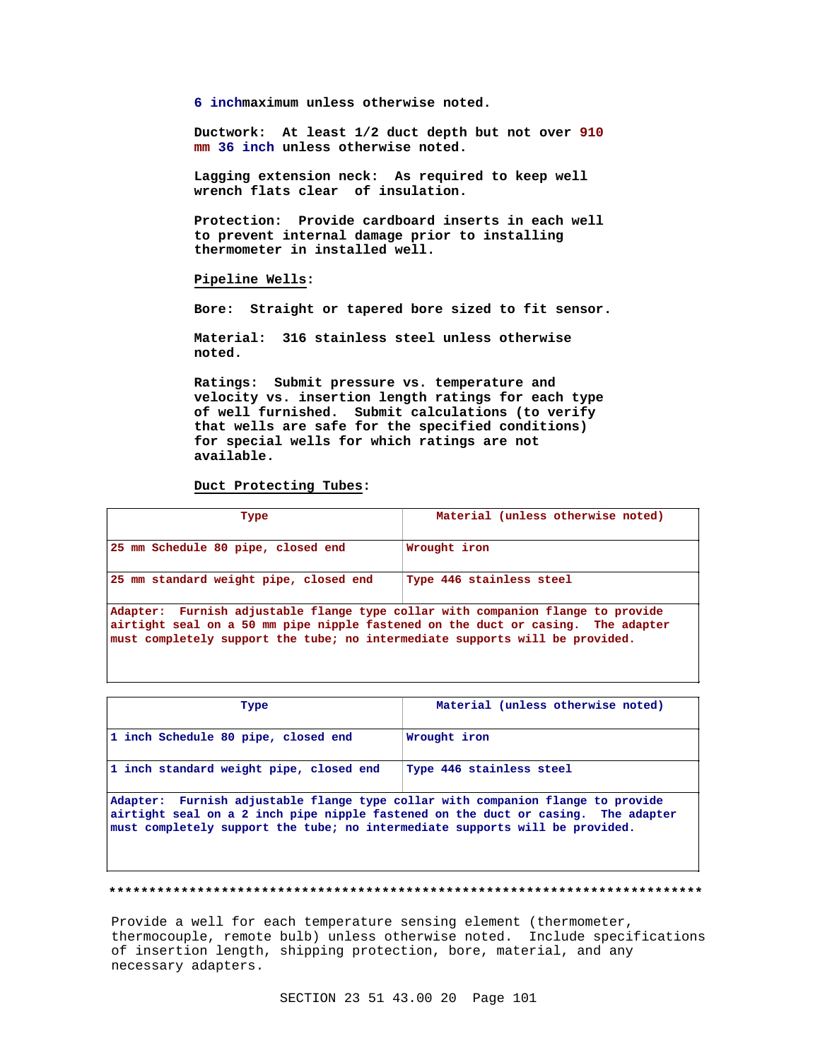**6 inchmaximum unless otherwise noted.**

**Ductwork: At least 1/2 duct depth but not over 910 mm 36 inch unless otherwise noted.**

**Lagging extension neck: As required to keep well wrench flats clear of insulation.**

**Protection: Provide cardboard inserts in each well to prevent internal damage prior to installing thermometer in installed well.**

# **Pipeline Wells:**

**Bore: Straight or tapered bore sized to fit sensor.**

**Material: 316 stainless steel unless otherwise noted.**

**Ratings: Submit pressure vs. temperature and velocity vs. insertion length ratings for each type of well furnished. Submit calculations (to verify that wells are safe for the specified conditions) for special wells for which ratings are not available.**

**Duct Protecting Tubes:**

| Type                                   | Material (unless otherwise noted) |
|----------------------------------------|-----------------------------------|
| 25 mm Schedule 80 pipe, closed end     | Wrought iron                      |
| 25 mm standard weight pipe, closed end | Type 446 stainless steel          |

**Adapter: Furnish adjustable flange type collar with companion flange to provide airtight seal on a 50 mm pipe nipple fastened on the duct or casing. The adapter must completely support the tube; no intermediate supports will be provided.**

| Type                                    | Material (unless otherwise noted) |  |  |
|-----------------------------------------|-----------------------------------|--|--|
| 1 inch Schedule 80 pipe, closed end     | Wrought iron                      |  |  |
| 1 inch standard weight pipe, closed end | Type 446 stainless steel          |  |  |

**Adapter: Furnish adjustable flange type collar with companion flange to provide airtight seal on a 2 inch pipe nipple fastened on the duct or casing. The adapter must completely support the tube; no intermediate supports will be provided.**

# **\*\*\*\*\*\*\*\*\*\*\*\*\*\*\*\*\*\*\*\*\*\*\*\*\*\*\*\*\*\*\*\*\*\*\*\*\*\*\*\*\*\*\*\*\*\*\*\*\*\*\*\*\*\*\*\*\*\*\*\*\*\*\*\*\*\*\*\*\*\*\*\*\*\***

Provide a well for each temperature sensing element (thermometer, thermocouple, remote bulb) unless otherwise noted. Include specifications of insertion length, shipping protection, bore, material, and any necessary adapters.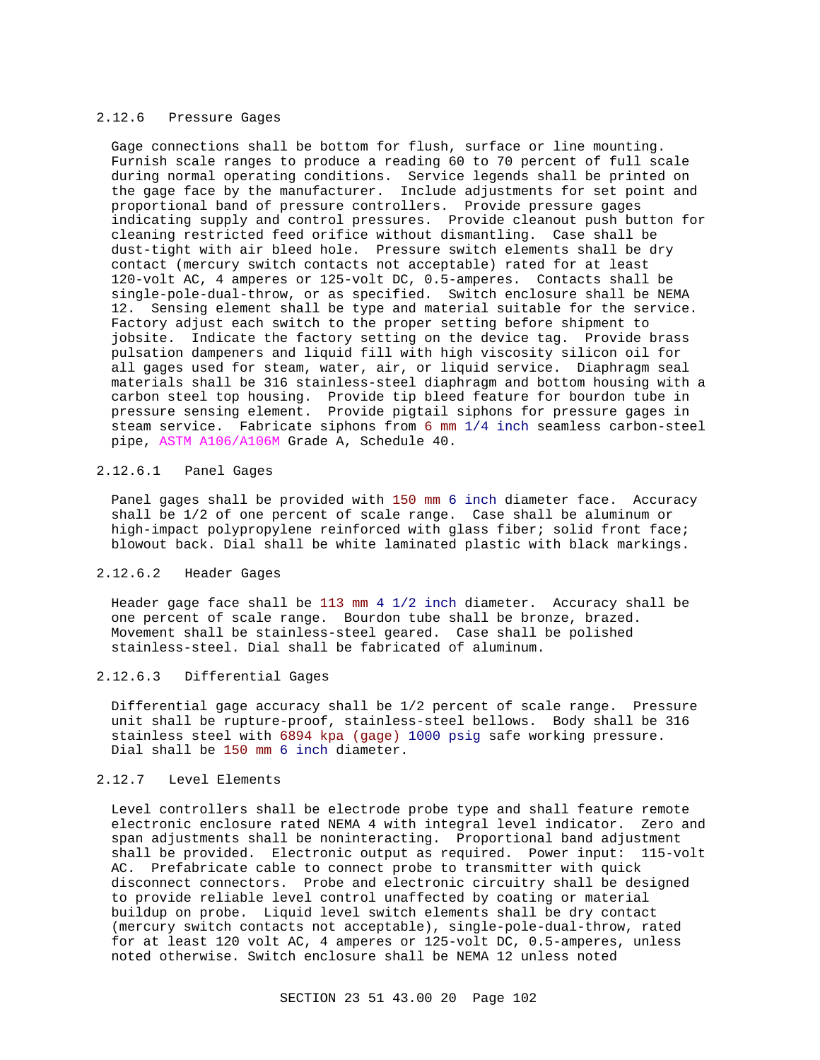#### 2.12.6 Pressure Gages

Gage connections shall be bottom for flush, surface or line mounting. Furnish scale ranges to produce a reading 60 to 70 percent of full scale during normal operating conditions. Service legends shall be printed on the gage face by the manufacturer. Include adjustments for set point and proportional band of pressure controllers. Provide pressure gages indicating supply and control pressures. Provide cleanout push button for cleaning restricted feed orifice without dismantling. Case shall be dust-tight with air bleed hole. Pressure switch elements shall be dry contact (mercury switch contacts not acceptable) rated for at least 120-volt AC, 4 amperes or 125-volt DC, 0.5-amperes. Contacts shall be single-pole-dual-throw, or as specified. Switch enclosure shall be NEMA 12. Sensing element shall be type and material suitable for the service. Factory adjust each switch to the proper setting before shipment to jobsite. Indicate the factory setting on the device tag. Provide brass pulsation dampeners and liquid fill with high viscosity silicon oil for all gages used for steam, water, air, or liquid service. Diaphragm seal materials shall be 316 stainless-steel diaphragm and bottom housing with a carbon steel top housing. Provide tip bleed feature for bourdon tube in pressure sensing element. Provide pigtail siphons for pressure gages in steam service. Fabricate siphons from 6 mm 1/4 inch seamless carbon-steel pipe, ASTM A106/A106M Grade A, Schedule 40.

### 2.12.6.1 Panel Gages

Panel gages shall be provided with 150 mm 6 inch diameter face. Accuracy shall be 1/2 of one percent of scale range. Case shall be aluminum or high-impact polypropylene reinforced with glass fiber; solid front face; blowout back. Dial shall be white laminated plastic with black markings.

# 2.12.6.2 Header Gages

Header gage face shall be 113 mm 4 1/2 inch diameter. Accuracy shall be one percent of scale range. Bourdon tube shall be bronze, brazed. Movement shall be stainless-steel geared. Case shall be polished stainless-steel. Dial shall be fabricated of aluminum.

# 2.12.6.3 Differential Gages

Differential gage accuracy shall be 1/2 percent of scale range. Pressure unit shall be rupture-proof, stainless-steel bellows. Body shall be 316 stainless steel with 6894 kpa (gage) 1000 psig safe working pressure. Dial shall be 150 mm 6 inch diameter.

# 2.12.7 Level Elements

Level controllers shall be electrode probe type and shall feature remote electronic enclosure rated NEMA 4 with integral level indicator. Zero and span adjustments shall be noninteracting. Proportional band adjustment shall be provided. Electronic output as required. Power input: 115-volt AC. Prefabricate cable to connect probe to transmitter with quick disconnect connectors. Probe and electronic circuitry shall be designed to provide reliable level control unaffected by coating or material buildup on probe. Liquid level switch elements shall be dry contact (mercury switch contacts not acceptable), single-pole-dual-throw, rated for at least 120 volt AC, 4 amperes or 125-volt DC, 0.5-amperes, unless noted otherwise. Switch enclosure shall be NEMA 12 unless noted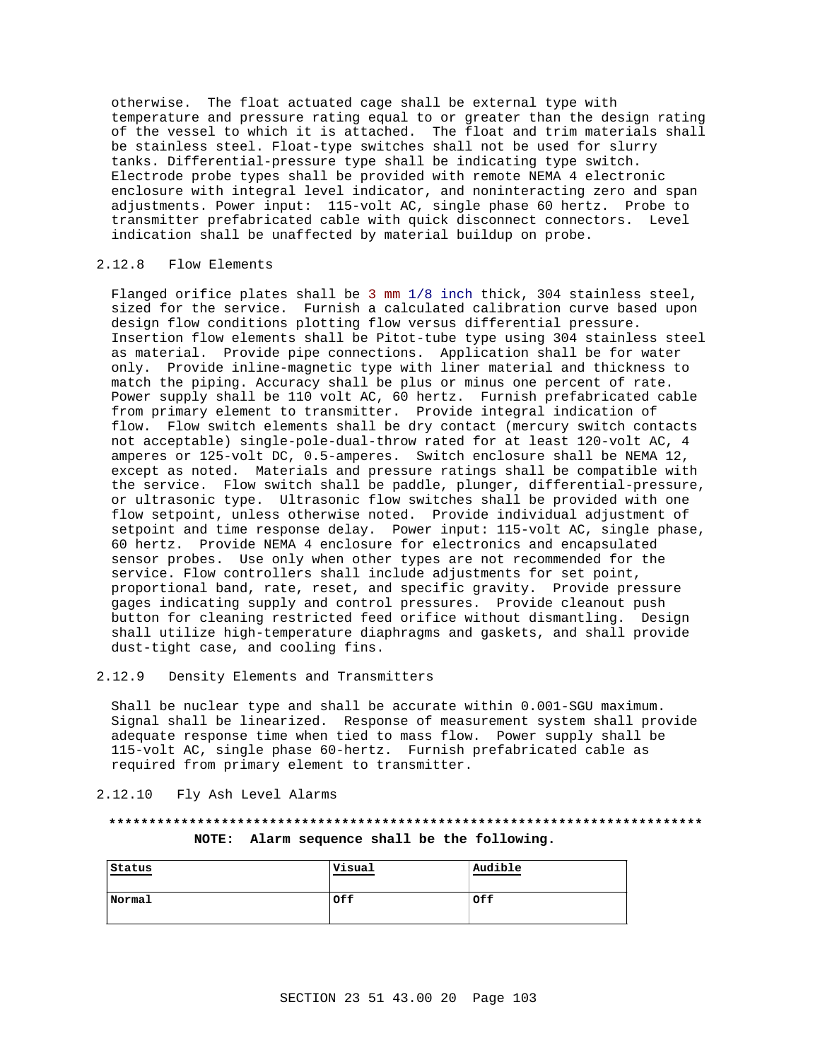otherwise. The float actuated cage shall be external type with temperature and pressure rating equal to or greater than the design rating of the vessel to which it is attached. The float and trim materials shall be stainless steel. Float-type switches shall not be used for slurry tanks. Differential-pressure type shall be indicating type switch. Electrode probe types shall be provided with remote NEMA 4 electronic enclosure with integral level indicator, and noninteracting zero and span adjustments. Power input: 115-volt AC, single phase 60 hertz. Probe to transmitter prefabricated cable with quick disconnect connectors. Level indication shall be unaffected by material buildup on probe.

# 2.12.8 Flow Elements

Flanged orifice plates shall be 3 mm 1/8 inch thick, 304 stainless steel, sized for the service. Furnish a calculated calibration curve based upon design flow conditions plotting flow versus differential pressure. Insertion flow elements shall be Pitot-tube type using 304 stainless steel as material. Provide pipe connections. Application shall be for water only. Provide inline-magnetic type with liner material and thickness to match the piping. Accuracy shall be plus or minus one percent of rate. Power supply shall be 110 volt AC, 60 hertz. Furnish prefabricated cable from primary element to transmitter. Provide integral indication of flow. Flow switch elements shall be dry contact (mercury switch contacts not acceptable) single-pole-dual-throw rated for at least 120-volt AC, 4 amperes or 125-volt DC, 0.5-amperes. Switch enclosure shall be NEMA 12, except as noted. Materials and pressure ratings shall be compatible with the service. Flow switch shall be paddle, plunger, differential-pressure, or ultrasonic type. Ultrasonic flow switches shall be provided with one flow setpoint, unless otherwise noted. Provide individual adjustment of setpoint and time response delay. Power input: 115-volt AC, single phase, 60 hertz. Provide NEMA 4 enclosure for electronics and encapsulated sensor probes. Use only when other types are not recommended for the service. Flow controllers shall include adjustments for set point, proportional band, rate, reset, and specific gravity. Provide pressure gages indicating supply and control pressures. Provide cleanout push button for cleaning restricted feed orifice without dismantling. Design shall utilize high-temperature diaphragms and gaskets, and shall provide dust-tight case, and cooling fins.

# 2.12.9 Density Elements and Transmitters

Shall be nuclear type and shall be accurate within 0.001-SGU maximum. Signal shall be linearized. Response of measurement system shall provide adequate response time when tied to mass flow. Power supply shall be 115-volt AC, single phase 60-hertz. Furnish prefabricated cable as required from primary element to transmitter.

# 2.12.10 Fly Ash Level Alarms

# **\*\*\*\*\*\*\*\*\*\*\*\*\*\*\*\*\*\*\*\*\*\*\*\*\*\*\*\*\*\*\*\*\*\*\*\*\*\*\*\*\*\*\*\*\*\*\*\*\*\*\*\*\*\*\*\*\*\*\*\*\*\*\*\*\*\*\*\*\*\*\*\*\*\* NOTE: Alarm sequence shall be the following.**

| Status | Visual | Audible |
|--------|--------|---------|
| Normal | Off    | Off     |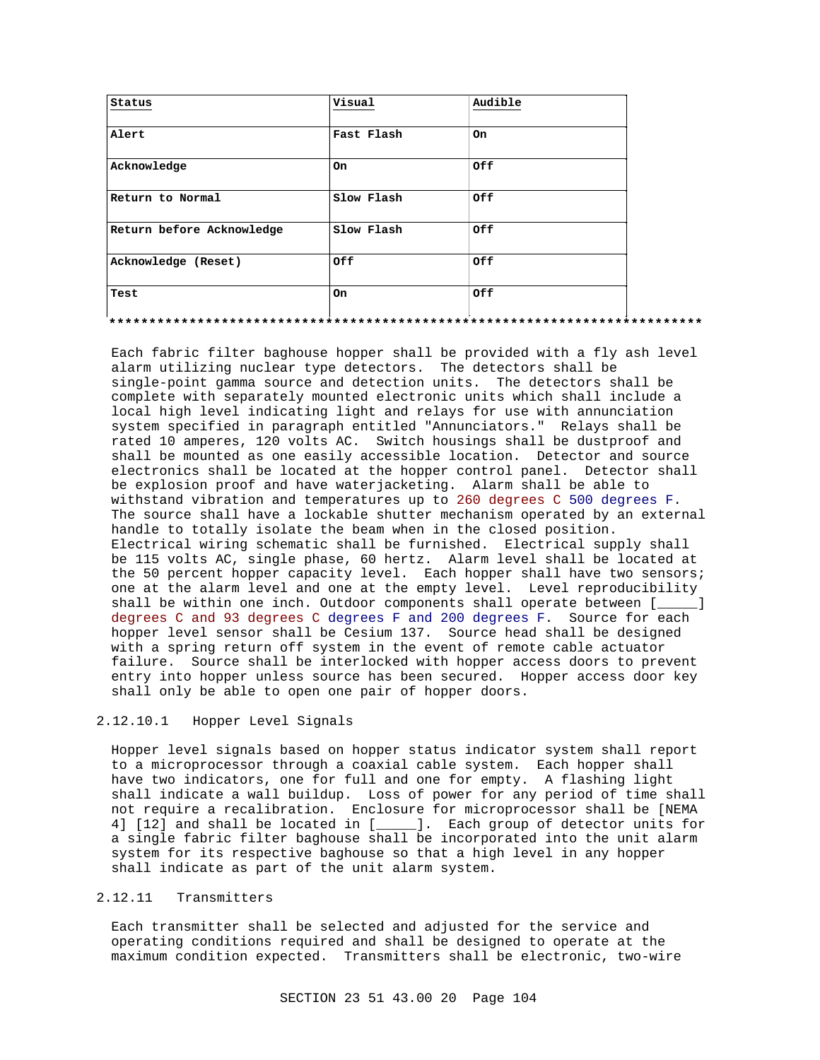| Status                    | Visual     | Audible |
|---------------------------|------------|---------|
| Alert                     | Fast Flash | On.     |
| Acknowledge               | 0n         | Off     |
| Return to Normal          | Slow Flash | Off     |
| Return before Acknowledge | Slow Flash | Off     |
| Acknowledge (Reset)       | Off        | Off     |
| Test                      | 0n         | Off     |

# **\*\*\*\*\*\*\*\*\*\*\*\*\*\*\*\*\*\*\*\*\*\*\*\*\*\*\*\*\*\*\*\*\*\*\*\*\*\*\*\*\*\*\*\*\*\*\*\*\*\*\*\*\*\*\*\*\*\*\*\*\*\*\*\*\*\*\*\*\*\*\*\*\*\***

Each fabric filter baghouse hopper shall be provided with a fly ash level alarm utilizing nuclear type detectors. The detectors shall be single-point gamma source and detection units. The detectors shall be complete with separately mounted electronic units which shall include a local high level indicating light and relays for use with annunciation system specified in paragraph entitled "Annunciators." Relays shall be rated 10 amperes, 120 volts AC. Switch housings shall be dustproof and shall be mounted as one easily accessible location. Detector and source electronics shall be located at the hopper control panel. Detector shall be explosion proof and have waterjacketing. Alarm shall be able to withstand vibration and temperatures up to 260 degrees C 500 degrees F. The source shall have a lockable shutter mechanism operated by an external handle to totally isolate the beam when in the closed position. Electrical wiring schematic shall be furnished. Electrical supply shall be 115 volts AC, single phase, 60 hertz. Alarm level shall be located at the 50 percent hopper capacity level. Each hopper shall have two sensors; one at the alarm level and one at the empty level. Level reproducibility shall be within one inch. Outdoor components shall operate between [\_\_\_\_\_] degrees C and 93 degrees C degrees F and 200 degrees F. Source for each hopper level sensor shall be Cesium 137. Source head shall be designed with a spring return off system in the event of remote cable actuator failure. Source shall be interlocked with hopper access doors to prevent entry into hopper unless source has been secured. Hopper access door key shall only be able to open one pair of hopper doors.

### 2.12.10.1 Hopper Level Signals

Hopper level signals based on hopper status indicator system shall report to a microprocessor through a coaxial cable system. Each hopper shall have two indicators, one for full and one for empty. A flashing light shall indicate a wall buildup. Loss of power for any period of time shall not require a recalibration. Enclosure for microprocessor shall be [NEMA 4] [12] and shall be located in [\_\_\_\_\_]. Each group of detector units for a single fabric filter baghouse shall be incorporated into the unit alarm system for its respective baghouse so that a high level in any hopper shall indicate as part of the unit alarm system.

# 2.12.11 Transmitters

Each transmitter shall be selected and adjusted for the service and operating conditions required and shall be designed to operate at the maximum condition expected. Transmitters shall be electronic, two-wire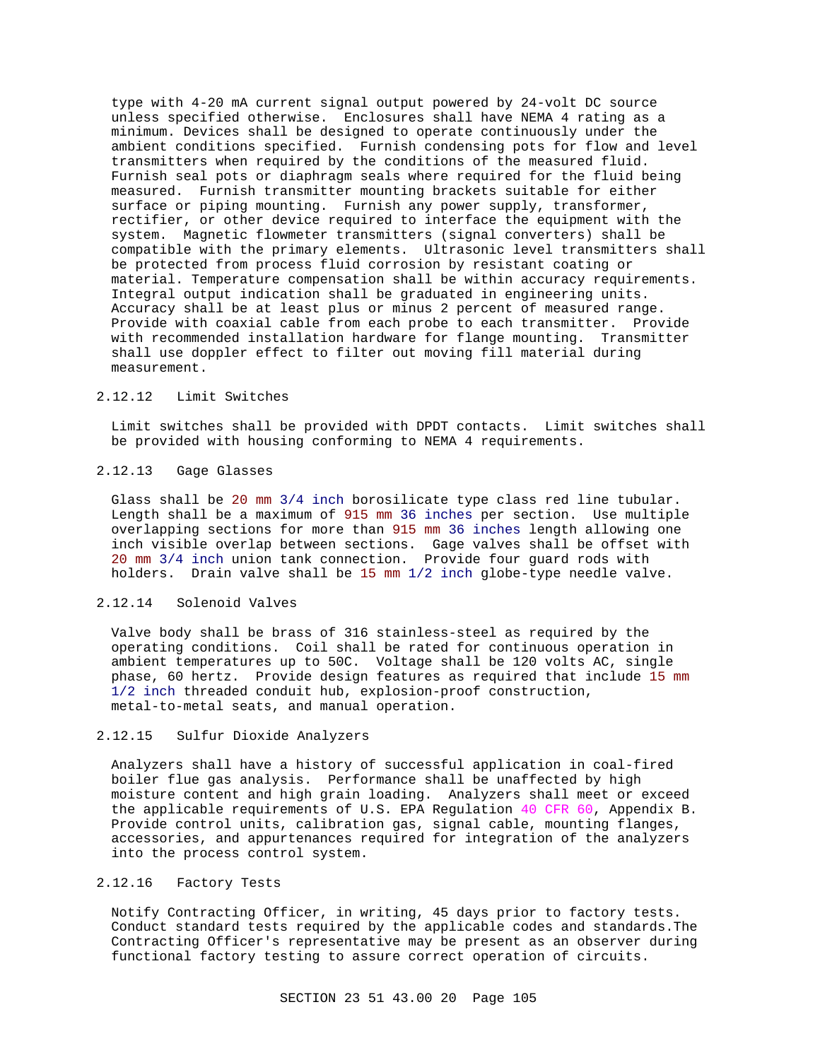type with 4-20 mA current signal output powered by 24-volt DC source unless specified otherwise. Enclosures shall have NEMA 4 rating as a minimum. Devices shall be designed to operate continuously under the ambient conditions specified. Furnish condensing pots for flow and level transmitters when required by the conditions of the measured fluid. Furnish seal pots or diaphragm seals where required for the fluid being measured. Furnish transmitter mounting brackets suitable for either surface or piping mounting. Furnish any power supply, transformer, rectifier, or other device required to interface the equipment with the system. Magnetic flowmeter transmitters (signal converters) shall be compatible with the primary elements. Ultrasonic level transmitters shall be protected from process fluid corrosion by resistant coating or material. Temperature compensation shall be within accuracy requirements. Integral output indication shall be graduated in engineering units. Accuracy shall be at least plus or minus 2 percent of measured range. Provide with coaxial cable from each probe to each transmitter. Provide with recommended installation hardware for flange mounting. Transmitter shall use doppler effect to filter out moving fill material during measurement.

# 2.12.12 Limit Switches

Limit switches shall be provided with DPDT contacts. Limit switches shall be provided with housing conforming to NEMA 4 requirements.

### 2.12.13 Gage Glasses

Glass shall be 20 mm 3/4 inch borosilicate type class red line tubular. Length shall be a maximum of 915 mm 36 inches per section. Use multiple overlapping sections for more than 915 mm 36 inches length allowing one inch visible overlap between sections. Gage valves shall be offset with 20 mm 3/4 inch union tank connection. Provide four guard rods with holders. Drain valve shall be 15 mm 1/2 inch globe-type needle valve.

### 2.12.14 Solenoid Valves

Valve body shall be brass of 316 stainless-steel as required by the operating conditions. Coil shall be rated for continuous operation in ambient temperatures up to 50C. Voltage shall be 120 volts AC, single phase, 60 hertz. Provide design features as required that include 15 mm 1/2 inch threaded conduit hub, explosion-proof construction, metal-to-metal seats, and manual operation.

### 2.12.15 Sulfur Dioxide Analyzers

Analyzers shall have a history of successful application in coal-fired boiler flue gas analysis. Performance shall be unaffected by high moisture content and high grain loading. Analyzers shall meet or exceed the applicable requirements of U.S. EPA Regulation 40 CFR 60, Appendix B. Provide control units, calibration gas, signal cable, mounting flanges, accessories, and appurtenances required for integration of the analyzers into the process control system.

# 2.12.16 Factory Tests

Notify Contracting Officer, in writing, 45 days prior to factory tests. Conduct standard tests required by the applicable codes and standards.The Contracting Officer's representative may be present as an observer during functional factory testing to assure correct operation of circuits.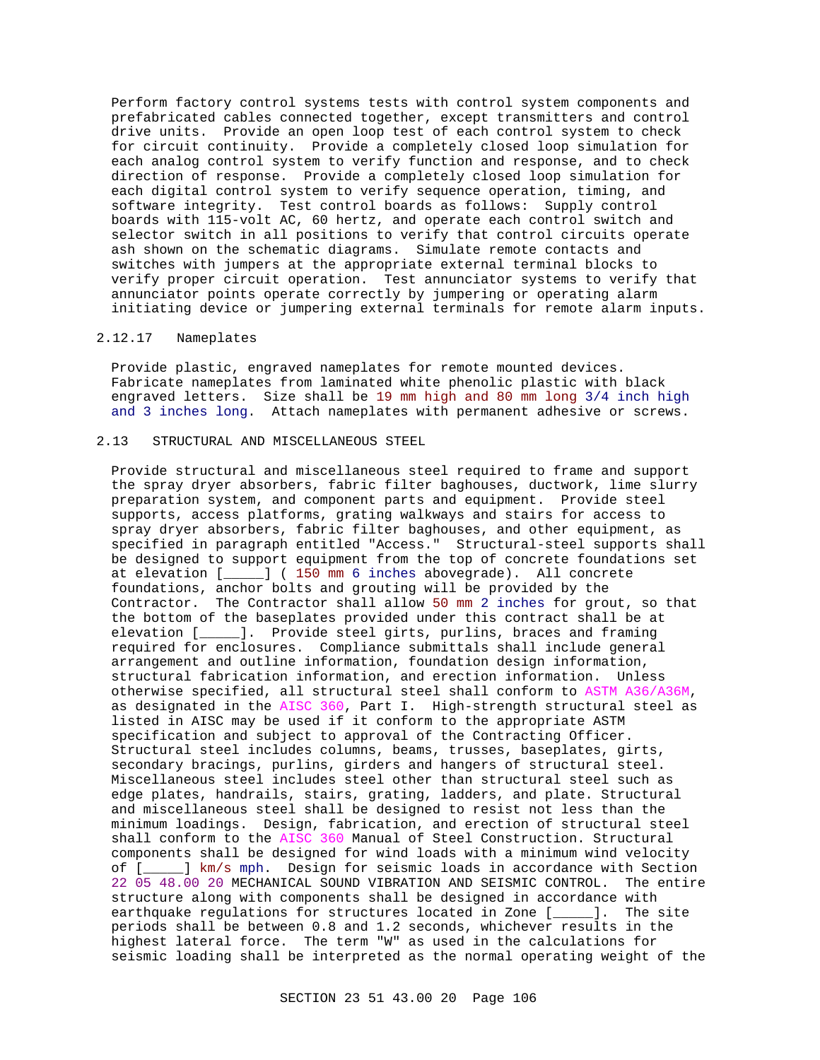Perform factory control systems tests with control system components and prefabricated cables connected together, except transmitters and control drive units. Provide an open loop test of each control system to check for circuit continuity. Provide a completely closed loop simulation for each analog control system to verify function and response, and to check direction of response. Provide a completely closed loop simulation for each digital control system to verify sequence operation, timing, and software integrity. Test control boards as follows: Supply control boards with 115-volt AC, 60 hertz, and operate each control switch and selector switch in all positions to verify that control circuits operate ash shown on the schematic diagrams. Simulate remote contacts and switches with jumpers at the appropriate external terminal blocks to verify proper circuit operation. Test annunciator systems to verify that annunciator points operate correctly by jumpering or operating alarm initiating device or jumpering external terminals for remote alarm inputs.

#### 2.12.17 Nameplates

Provide plastic, engraved nameplates for remote mounted devices. Fabricate nameplates from laminated white phenolic plastic with black engraved letters. Size shall be 19 mm high and 80 mm long 3/4 inch high and 3 inches long. Attach nameplates with permanent adhesive or screws.

#### 2.13 STRUCTURAL AND MISCELLANEOUS STEEL

Provide structural and miscellaneous steel required to frame and support the spray dryer absorbers, fabric filter baghouses, ductwork, lime slurry preparation system, and component parts and equipment. Provide steel supports, access platforms, grating walkways and stairs for access to spray dryer absorbers, fabric filter baghouses, and other equipment, as specified in paragraph entitled "Access." Structural-steel supports shall be designed to support equipment from the top of concrete foundations set at elevation [\_\_\_\_\_] ( 150 mm 6 inches abovegrade). All concrete foundations, anchor bolts and grouting will be provided by the Contractor. The Contractor shall allow 50 mm 2 inches for grout, so that the bottom of the baseplates provided under this contract shall be at elevation [\_\_\_\_\_]. Provide steel girts, purlins, braces and framing required for enclosures. Compliance submittals shall include general arrangement and outline information, foundation design information, structural fabrication information, and erection information. Unless otherwise specified, all structural steel shall conform to ASTM A36/A36M, as designated in the AISC 360, Part I. High-strength structural steel as listed in AISC may be used if it conform to the appropriate ASTM specification and subject to approval of the Contracting Officer. Structural steel includes columns, beams, trusses, baseplates, girts, secondary bracings, purlins, girders and hangers of structural steel. Miscellaneous steel includes steel other than structural steel such as edge plates, handrails, stairs, grating, ladders, and plate. Structural and miscellaneous steel shall be designed to resist not less than the minimum loadings. Design, fabrication, and erection of structural steel shall conform to the AISC 360 Manual of Steel Construction. Structural components shall be designed for wind loads with a minimum wind velocity of [\_\_\_\_\_] km/s mph. Design for seismic loads in accordance with Section 22 05 48.00 20 MECHANICAL SOUND VIBRATION AND SEISMIC CONTROL. The entire structure along with components shall be designed in accordance with earthquake regulations for structures located in Zone [\_\_\_\_\_]. The site periods shall be between 0.8 and 1.2 seconds, whichever results in the highest lateral force. The term "W" as used in the calculations for seismic loading shall be interpreted as the normal operating weight of the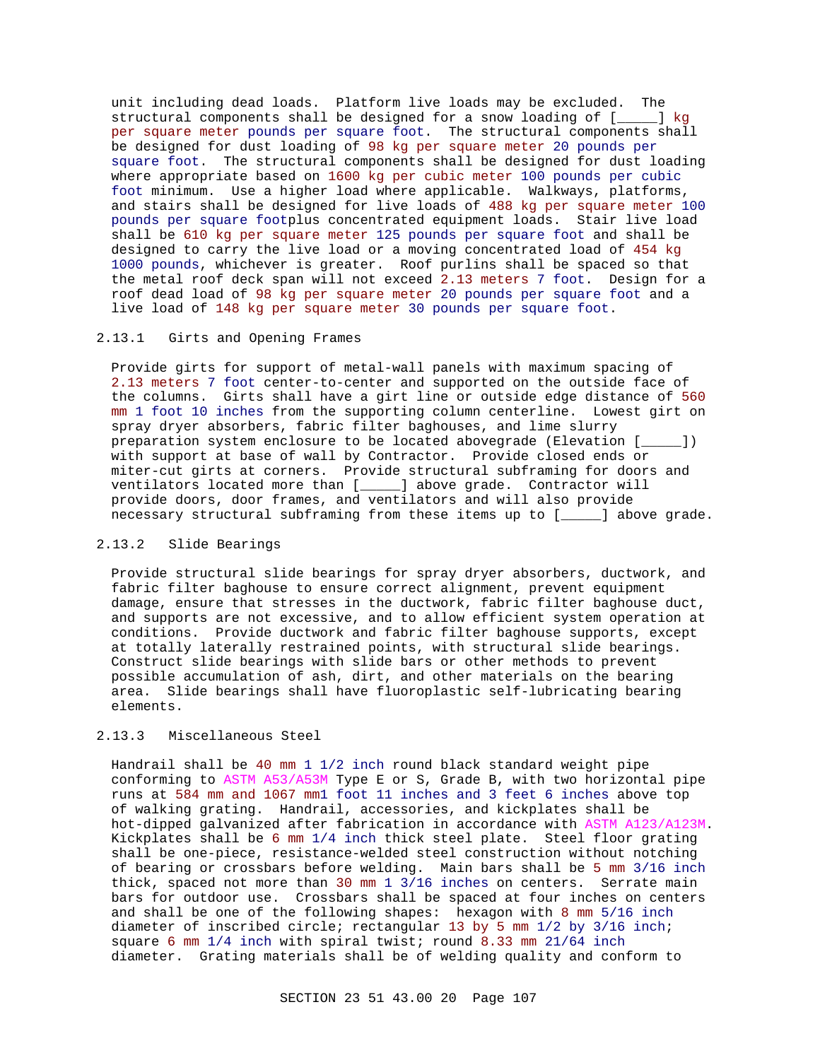unit including dead loads. Platform live loads may be excluded. The structural components shall be designed for a snow loading of [\_\_\_\_\_] kg per square meter pounds per square foot. The structural components shall be designed for dust loading of 98 kg per square meter 20 pounds per square foot. The structural components shall be designed for dust loading where appropriate based on 1600 kg per cubic meter 100 pounds per cubic foot minimum. Use a higher load where applicable. Walkways, platforms, and stairs shall be designed for live loads of 488 kg per square meter 100 pounds per square footplus concentrated equipment loads. Stair live load shall be 610 kg per square meter 125 pounds per square foot and shall be designed to carry the live load or a moving concentrated load of 454 kg 1000 pounds, whichever is greater. Roof purlins shall be spaced so that the metal roof deck span will not exceed 2.13 meters 7 foot. Design for a roof dead load of 98 kg per square meter 20 pounds per square foot and a live load of 148 kg per square meter 30 pounds per square foot.

#### 2.13.1 Girts and Opening Frames

Provide girts for support of metal-wall panels with maximum spacing of 2.13 meters 7 foot center-to-center and supported on the outside face of the columns. Girts shall have a girt line or outside edge distance of 560 mm 1 foot 10 inches from the supporting column centerline. Lowest girt on spray dryer absorbers, fabric filter baghouses, and lime slurry preparation system enclosure to be located abovegrade (Elevation [\_\_\_\_\_]) with support at base of wall by Contractor. Provide closed ends or miter-cut girts at corners. Provide structural subframing for doors and ventilators located more than [\_\_\_\_\_] above grade. Contractor will provide doors, door frames, and ventilators and will also provide necessary structural subframing from these items up to [\_\_\_\_\_] above grade.

# 2.13.2 Slide Bearings

Provide structural slide bearings for spray dryer absorbers, ductwork, and fabric filter baghouse to ensure correct alignment, prevent equipment damage, ensure that stresses in the ductwork, fabric filter baghouse duct, and supports are not excessive, and to allow efficient system operation at conditions. Provide ductwork and fabric filter baghouse supports, except at totally laterally restrained points, with structural slide bearings. Construct slide bearings with slide bars or other methods to prevent possible accumulation of ash, dirt, and other materials on the bearing area. Slide bearings shall have fluoroplastic self-lubricating bearing elements.

### 2.13.3 Miscellaneous Steel

Handrail shall be 40 mm 1 1/2 inch round black standard weight pipe conforming to ASTM A53/A53M Type E or S, Grade B, with two horizontal pipe runs at 584 mm and 1067 mm1 foot 11 inches and 3 feet 6 inches above top of walking grating. Handrail, accessories, and kickplates shall be hot-dipped galvanized after fabrication in accordance with ASTM A123/A123M. Kickplates shall be 6 mm 1/4 inch thick steel plate. Steel floor grating shall be one-piece, resistance-welded steel construction without notching of bearing or crossbars before welding. Main bars shall be 5 mm 3/16 inch thick, spaced not more than 30 mm 1 3/16 inches on centers. Serrate main bars for outdoor use. Crossbars shall be spaced at four inches on centers and shall be one of the following shapes: hexagon with 8 mm 5/16 inch diameter of inscribed circle; rectangular 13 by 5 mm 1/2 by 3/16 inch; square 6 mm 1/4 inch with spiral twist; round 8.33 mm 21/64 inch diameter. Grating materials shall be of welding quality and conform to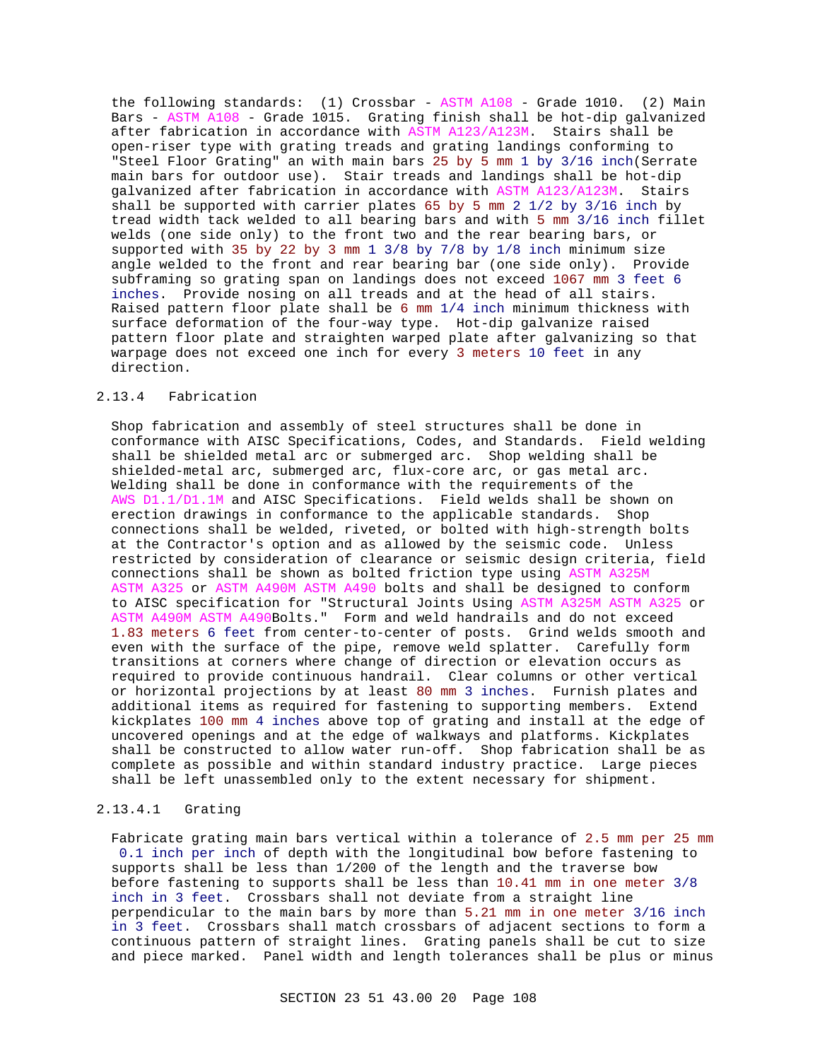the following standards: (1) Crossbar - ASTM A108 - Grade 1010. (2) Main Bars - ASTM A108 - Grade 1015. Grating finish shall be hot-dip galvanized after fabrication in accordance with ASTM A123/A123M. Stairs shall be open-riser type with grating treads and grating landings conforming to "Steel Floor Grating" an with main bars 25 by 5 mm 1 by 3/16 inch(Serrate main bars for outdoor use). Stair treads and landings shall be hot-dip galvanized after fabrication in accordance with ASTM A123/A123M. Stairs shall be supported with carrier plates 65 by 5 mm 2 1/2 by 3/16 inch by tread width tack welded to all bearing bars and with 5 mm 3/16 inch fillet welds (one side only) to the front two and the rear bearing bars, or supported with 35 by 22 by 3 mm 1 3/8 by 7/8 by 1/8 inch minimum size angle welded to the front and rear bearing bar (one side only). Provide subframing so grating span on landings does not exceed 1067 mm 3 feet 6 inches. Provide nosing on all treads and at the head of all stairs. Raised pattern floor plate shall be 6 mm 1/4 inch minimum thickness with surface deformation of the four-way type. Hot-dip galvanize raised pattern floor plate and straighten warped plate after galvanizing so that warpage does not exceed one inch for every 3 meters 10 feet in any direction.

# 2.13.4 Fabrication

Shop fabrication and assembly of steel structures shall be done in conformance with AISC Specifications, Codes, and Standards. Field welding shall be shielded metal arc or submerged arc. Shop welding shall be shielded-metal arc, submerged arc, flux-core arc, or gas metal arc. Welding shall be done in conformance with the requirements of the AWS D1.1/D1.1M and AISC Specifications. Field welds shall be shown on erection drawings in conformance to the applicable standards. Shop connections shall be welded, riveted, or bolted with high-strength bolts at the Contractor's option and as allowed by the seismic code. Unless restricted by consideration of clearance or seismic design criteria, field connections shall be shown as bolted friction type using ASTM A325M ASTM A325 or ASTM A490M ASTM A490 bolts and shall be designed to conform to AISC specification for "Structural Joints Using ASTM A325M ASTM A325 or ASTM A490M ASTM A490Bolts." Form and weld handrails and do not exceed 1.83 meters 6 feet from center-to-center of posts. Grind welds smooth and even with the surface of the pipe, remove weld splatter. Carefully form transitions at corners where change of direction or elevation occurs as required to provide continuous handrail. Clear columns or other vertical or horizontal projections by at least 80 mm 3 inches. Furnish plates and additional items as required for fastening to supporting members. Extend kickplates 100 mm 4 inches above top of grating and install at the edge of uncovered openings and at the edge of walkways and platforms. Kickplates shall be constructed to allow water run-off. Shop fabrication shall be as complete as possible and within standard industry practice. Large pieces shall be left unassembled only to the extent necessary for shipment.

# 2.13.4.1 Grating

Fabricate grating main bars vertical within a tolerance of 2.5 mm per 25 mm 0.1 inch per inch of depth with the longitudinal bow before fastening to supports shall be less than 1/200 of the length and the traverse bow before fastening to supports shall be less than 10.41 mm in one meter 3/8 inch in 3 feet. Crossbars shall not deviate from a straight line perpendicular to the main bars by more than 5.21 mm in one meter 3/16 inch in 3 feet. Crossbars shall match crossbars of adjacent sections to form a continuous pattern of straight lines. Grating panels shall be cut to size and piece marked. Panel width and length tolerances shall be plus or minus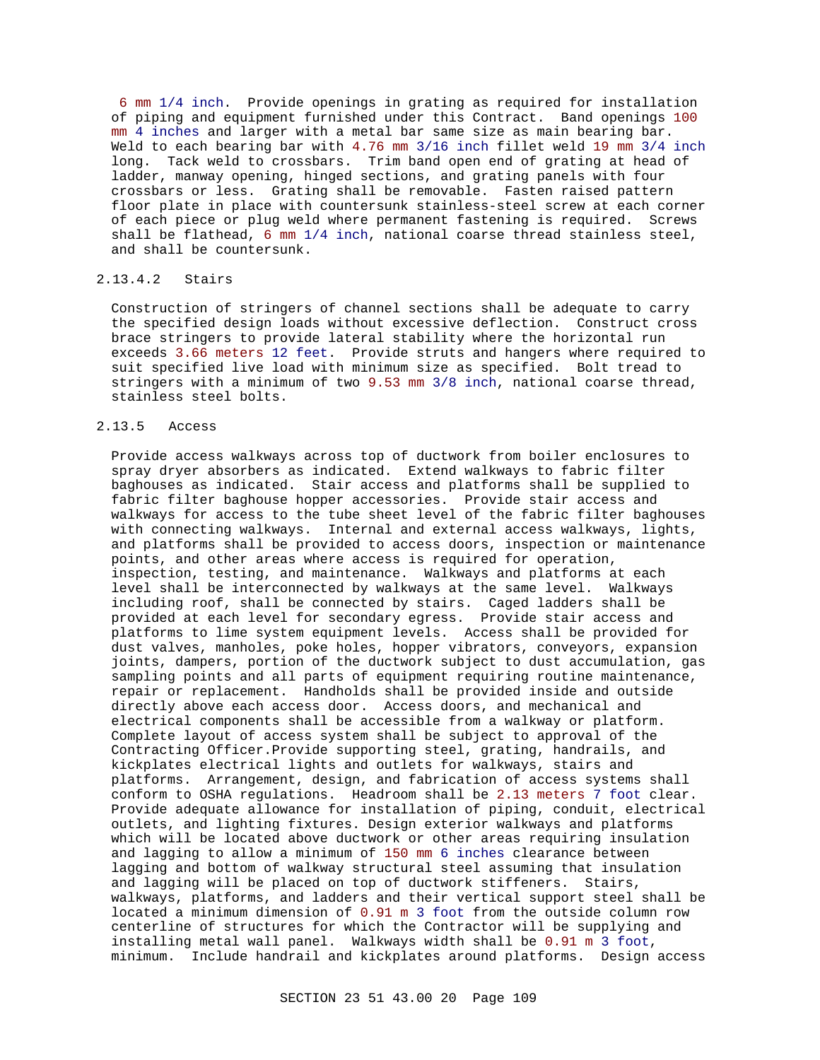6 mm 1/4 inch. Provide openings in grating as required for installation of piping and equipment furnished under this Contract. Band openings 100 mm 4 inches and larger with a metal bar same size as main bearing bar. Weld to each bearing bar with 4.76 mm 3/16 inch fillet weld 19 mm 3/4 inch long. Tack weld to crossbars. Trim band open end of grating at head of ladder, manway opening, hinged sections, and grating panels with four crossbars or less. Grating shall be removable. Fasten raised pattern floor plate in place with countersunk stainless-steel screw at each corner of each piece or plug weld where permanent fastening is required. Screws shall be flathead,  $6 \text{ mm } 1/4$  inch, national coarse thread stainless steel, and shall be countersunk.

### 2.13.4.2 Stairs

Construction of stringers of channel sections shall be adequate to carry the specified design loads without excessive deflection. Construct cross brace stringers to provide lateral stability where the horizontal run exceeds 3.66 meters 12 feet. Provide struts and hangers where required to suit specified live load with minimum size as specified. Bolt tread to stringers with a minimum of two 9.53 mm 3/8 inch, national coarse thread, stainless steel bolts.

### 2.13.5 Access

Provide access walkways across top of ductwork from boiler enclosures to spray dryer absorbers as indicated. Extend walkways to fabric filter baghouses as indicated. Stair access and platforms shall be supplied to fabric filter baghouse hopper accessories. Provide stair access and walkways for access to the tube sheet level of the fabric filter baghouses with connecting walkways. Internal and external access walkways, lights, and platforms shall be provided to access doors, inspection or maintenance points, and other areas where access is required for operation, inspection, testing, and maintenance. Walkways and platforms at each level shall be interconnected by walkways at the same level. Walkways including roof, shall be connected by stairs. Caged ladders shall be provided at each level for secondary egress. Provide stair access and platforms to lime system equipment levels. Access shall be provided for dust valves, manholes, poke holes, hopper vibrators, conveyors, expansion joints, dampers, portion of the ductwork subject to dust accumulation, gas sampling points and all parts of equipment requiring routine maintenance, repair or replacement. Handholds shall be provided inside and outside directly above each access door. Access doors, and mechanical and electrical components shall be accessible from a walkway or platform. Complete layout of access system shall be subject to approval of the Contracting Officer.Provide supporting steel, grating, handrails, and kickplates electrical lights and outlets for walkways, stairs and platforms. Arrangement, design, and fabrication of access systems shall conform to OSHA regulations. Headroom shall be 2.13 meters 7 foot clear. Provide adequate allowance for installation of piping, conduit, electrical outlets, and lighting fixtures. Design exterior walkways and platforms which will be located above ductwork or other areas requiring insulation and lagging to allow a minimum of 150 mm 6 inches clearance between lagging and bottom of walkway structural steel assuming that insulation and lagging will be placed on top of ductwork stiffeners. Stairs, walkways, platforms, and ladders and their vertical support steel shall be located a minimum dimension of 0.91 m 3 foot from the outside column row centerline of structures for which the Contractor will be supplying and installing metal wall panel. Walkways width shall be 0.91 m 3 foot, minimum. Include handrail and kickplates around platforms. Design access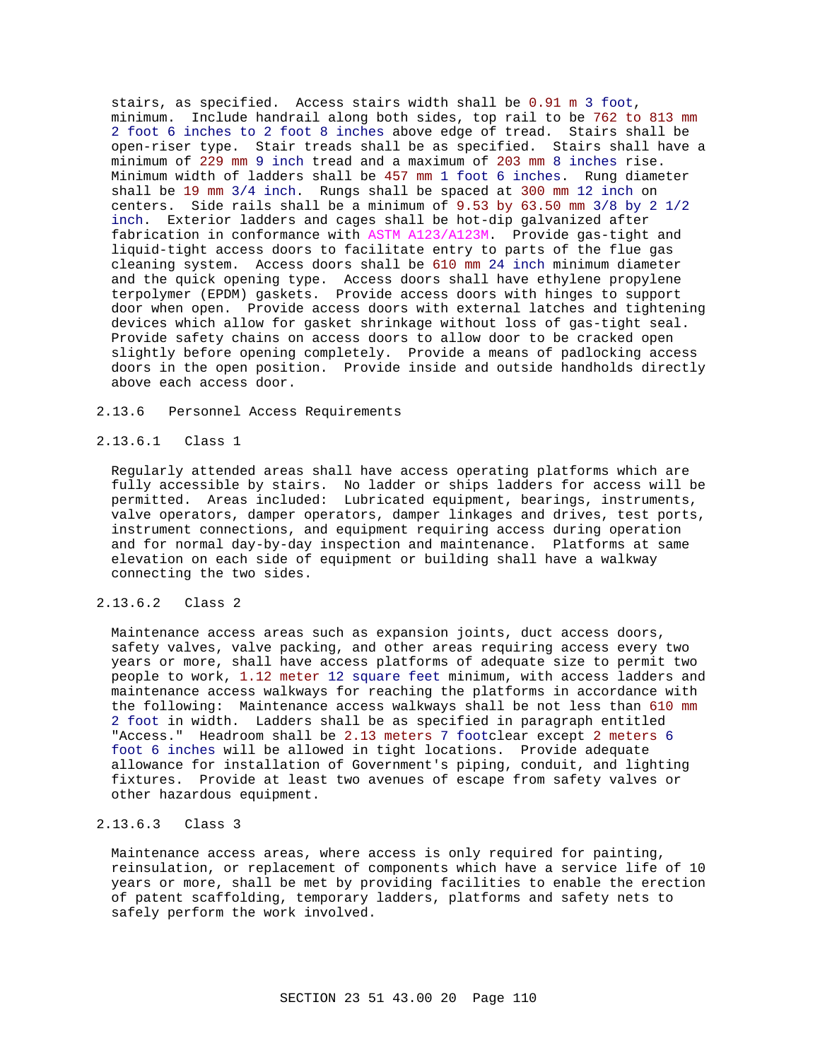stairs, as specified. Access stairs width shall be 0.91 m 3 foot, minimum. Include handrail along both sides, top rail to be 762 to 813 mm 2 foot 6 inches to 2 foot 8 inches above edge of tread. Stairs shall be open-riser type. Stair treads shall be as specified. Stairs shall have a minimum of 229 mm 9 inch tread and a maximum of 203 mm 8 inches rise. Minimum width of ladders shall be 457 mm 1 foot 6 inches. Rung diameter shall be 19 mm 3/4 inch. Rungs shall be spaced at 300 mm 12 inch on centers. Side rails shall be a minimum of 9.53 by 63.50 mm 3/8 by 2 1/2 inch. Exterior ladders and cages shall be hot-dip galvanized after fabrication in conformance with ASTM A123/A123M. Provide gas-tight and liquid-tight access doors to facilitate entry to parts of the flue gas cleaning system. Access doors shall be 610 mm 24 inch minimum diameter and the quick opening type. Access doors shall have ethylene propylene terpolymer (EPDM) gaskets. Provide access doors with hinges to support door when open. Provide access doors with external latches and tightening devices which allow for gasket shrinkage without loss of gas-tight seal. Provide safety chains on access doors to allow door to be cracked open slightly before opening completely. Provide a means of padlocking access doors in the open position. Provide inside and outside handholds directly above each access door.

#### 2.13.6 Personnel Access Requirements

### 2.13.6.1 Class 1

Regularly attended areas shall have access operating platforms which are fully accessible by stairs. No ladder or ships ladders for access will be permitted. Areas included: Lubricated equipment, bearings, instruments, valve operators, damper operators, damper linkages and drives, test ports, instrument connections, and equipment requiring access during operation and for normal day-by-day inspection and maintenance. Platforms at same elevation on each side of equipment or building shall have a walkway connecting the two sides.

# 2.13.6.2 Class 2

Maintenance access areas such as expansion joints, duct access doors, safety valves, valve packing, and other areas requiring access every two years or more, shall have access platforms of adequate size to permit two people to work, 1.12 meter 12 square feet minimum, with access ladders and maintenance access walkways for reaching the platforms in accordance with the following: Maintenance access walkways shall be not less than 610 mm 2 foot in width. Ladders shall be as specified in paragraph entitled "Access." Headroom shall be 2.13 meters 7 footclear except 2 meters 6 foot 6 inches will be allowed in tight locations. Provide adequate allowance for installation of Government's piping, conduit, and lighting fixtures. Provide at least two avenues of escape from safety valves or other hazardous equipment.

# 2.13.6.3 Class 3

Maintenance access areas, where access is only required for painting, reinsulation, or replacement of components which have a service life of 10 years or more, shall be met by providing facilities to enable the erection of patent scaffolding, temporary ladders, platforms and safety nets to safely perform the work involved.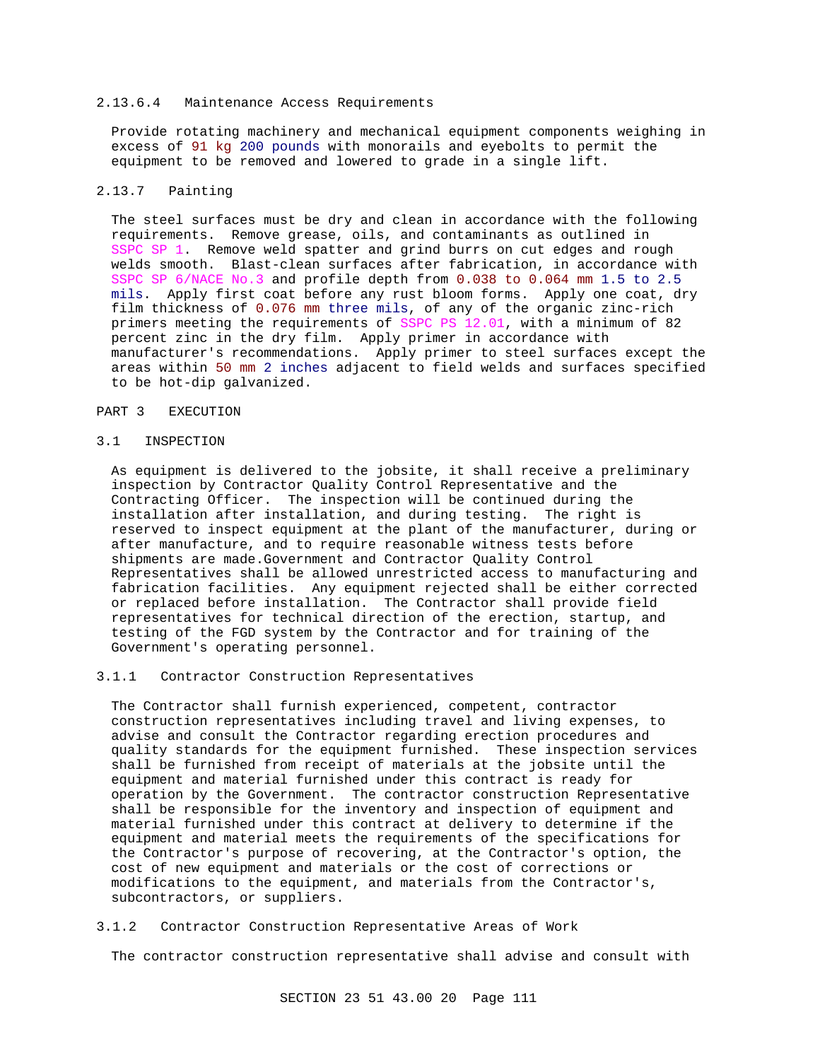### 2.13.6.4 Maintenance Access Requirements

Provide rotating machinery and mechanical equipment components weighing in excess of 91 kg 200 pounds with monorails and eyebolts to permit the equipment to be removed and lowered to grade in a single lift.

## 2.13.7 Painting

The steel surfaces must be dry and clean in accordance with the following requirements. Remove grease, oils, and contaminants as outlined in SSPC SP 1. Remove weld spatter and grind burrs on cut edges and rough welds smooth. Blast-clean surfaces after fabrication, in accordance with SSPC SP 6/NACE No.3 and profile depth from 0.038 to 0.064 mm 1.5 to 2.5 mils. Apply first coat before any rust bloom forms. Apply one coat, dry film thickness of 0.076 mm three mils, of any of the organic zinc-rich primers meeting the requirements of SSPC PS 12.01, with a minimum of 82 percent zinc in the dry film. Apply primer in accordance with manufacturer's recommendations. Apply primer to steel surfaces except the areas within 50 mm 2 inches adjacent to field welds and surfaces specified to be hot-dip galvanized.

# PART 3 EXECUTION

## 3.1 INSPECTION

As equipment is delivered to the jobsite, it shall receive a preliminary inspection by Contractor Quality Control Representative and the Contracting Officer. The inspection will be continued during the installation after installation, and during testing. The right is reserved to inspect equipment at the plant of the manufacturer, during or after manufacture, and to require reasonable witness tests before shipments are made.Government and Contractor Quality Control Representatives shall be allowed unrestricted access to manufacturing and fabrication facilities. Any equipment rejected shall be either corrected or replaced before installation. The Contractor shall provide field representatives for technical direction of the erection, startup, and testing of the FGD system by the Contractor and for training of the Government's operating personnel.

## 3.1.1 Contractor Construction Representatives

The Contractor shall furnish experienced, competent, contractor construction representatives including travel and living expenses, to advise and consult the Contractor regarding erection procedures and quality standards for the equipment furnished. These inspection services shall be furnished from receipt of materials at the jobsite until the equipment and material furnished under this contract is ready for operation by the Government. The contractor construction Representative shall be responsible for the inventory and inspection of equipment and material furnished under this contract at delivery to determine if the equipment and material meets the requirements of the specifications for the Contractor's purpose of recovering, at the Contractor's option, the cost of new equipment and materials or the cost of corrections or modifications to the equipment, and materials from the Contractor's, subcontractors, or suppliers.

#### 3.1.2 Contractor Construction Representative Areas of Work

The contractor construction representative shall advise and consult with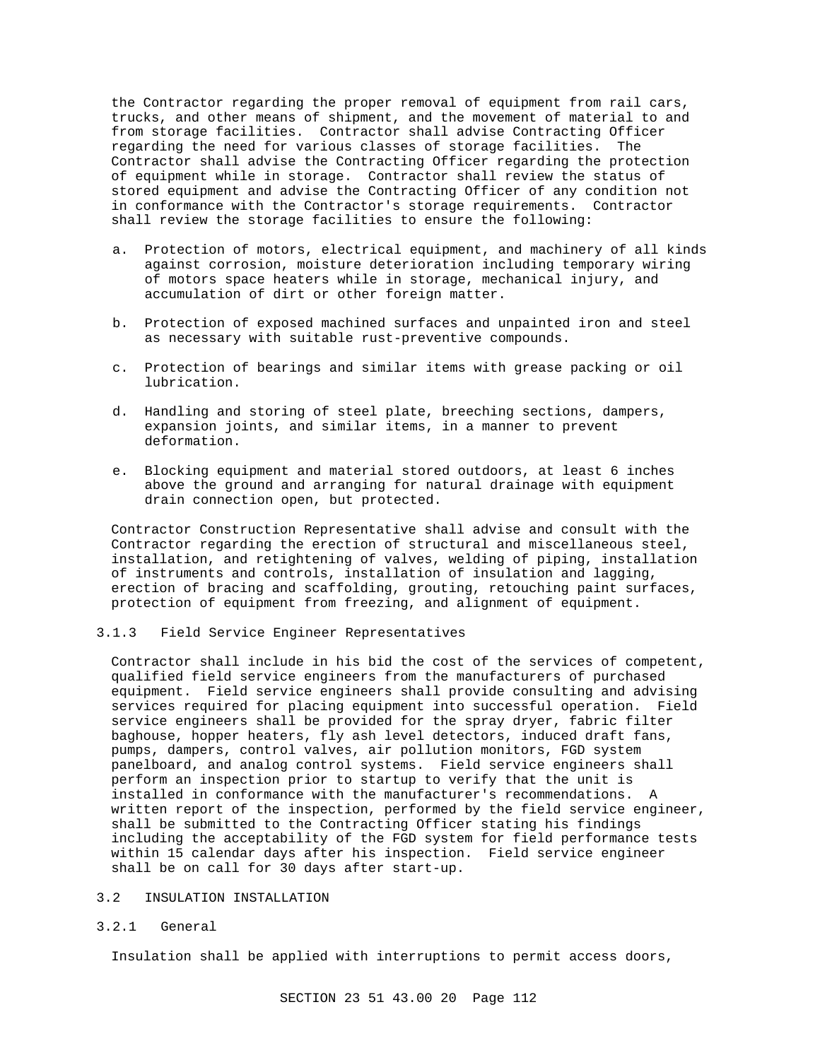the Contractor regarding the proper removal of equipment from rail cars, trucks, and other means of shipment, and the movement of material to and from storage facilities. Contractor shall advise Contracting Officer regarding the need for various classes of storage facilities. The Contractor shall advise the Contracting Officer regarding the protection of equipment while in storage. Contractor shall review the status of stored equipment and advise the Contracting Officer of any condition not in conformance with the Contractor's storage requirements. Contractor shall review the storage facilities to ensure the following:

- a. Protection of motors, electrical equipment, and machinery of all kinds against corrosion, moisture deterioration including temporary wiring of motors space heaters while in storage, mechanical injury, and accumulation of dirt or other foreign matter.
- b. Protection of exposed machined surfaces and unpainted iron and steel as necessary with suitable rust-preventive compounds.
- c. Protection of bearings and similar items with grease packing or oil lubrication.
- d. Handling and storing of steel plate, breeching sections, dampers, expansion joints, and similar items, in a manner to prevent deformation.
- e. Blocking equipment and material stored outdoors, at least 6 inches above the ground and arranging for natural drainage with equipment drain connection open, but protected.

Contractor Construction Representative shall advise and consult with the Contractor regarding the erection of structural and miscellaneous steel, installation, and retightening of valves, welding of piping, installation of instruments and controls, installation of insulation and lagging, erection of bracing and scaffolding, grouting, retouching paint surfaces, protection of equipment from freezing, and alignment of equipment.

3.1.3 Field Service Engineer Representatives

Contractor shall include in his bid the cost of the services of competent, qualified field service engineers from the manufacturers of purchased equipment. Field service engineers shall provide consulting and advising services required for placing equipment into successful operation. Field service engineers shall be provided for the spray dryer, fabric filter baghouse, hopper heaters, fly ash level detectors, induced draft fans, pumps, dampers, control valves, air pollution monitors, FGD system panelboard, and analog control systems. Field service engineers shall perform an inspection prior to startup to verify that the unit is installed in conformance with the manufacturer's recommendations. A written report of the inspection, performed by the field service engineer, shall be submitted to the Contracting Officer stating his findings including the acceptability of the FGD system for field performance tests within 15 calendar days after his inspection. Field service engineer shall be on call for 30 days after start-up.

#### 3.2 INSULATION INSTALLATION

## 3.2.1 General

Insulation shall be applied with interruptions to permit access doors,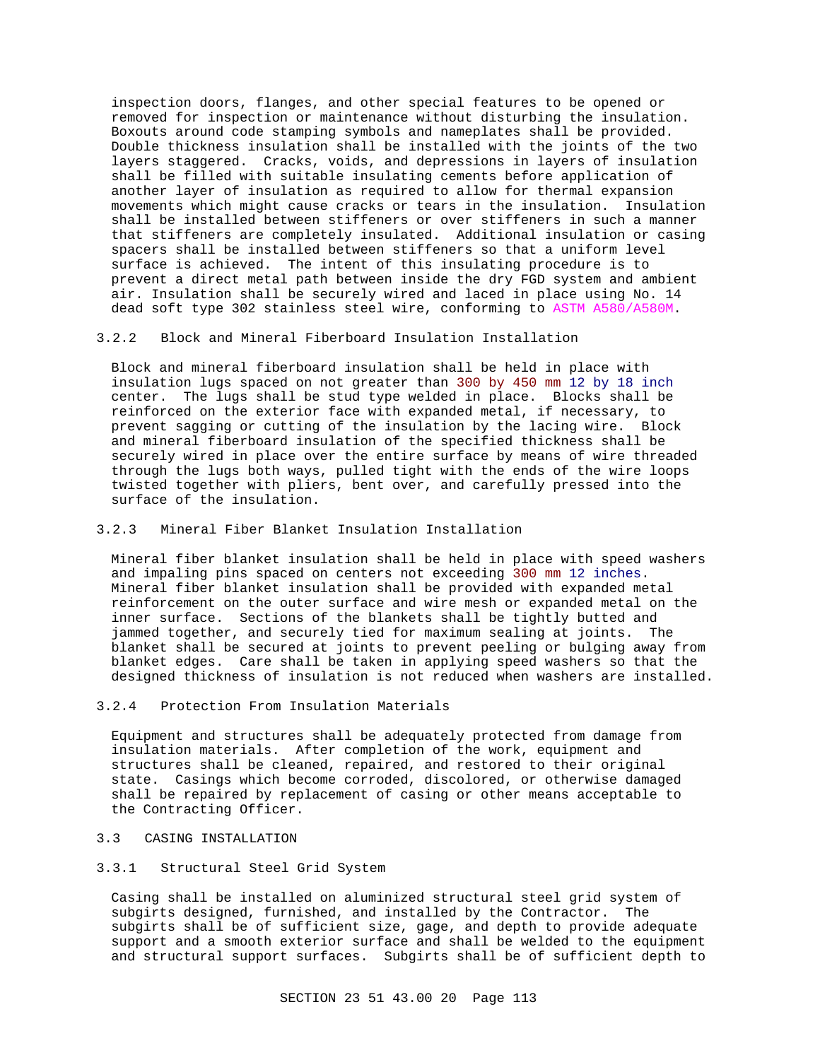inspection doors, flanges, and other special features to be opened or removed for inspection or maintenance without disturbing the insulation. Boxouts around code stamping symbols and nameplates shall be provided. Double thickness insulation shall be installed with the joints of the two layers staggered. Cracks, voids, and depressions in layers of insulation shall be filled with suitable insulating cements before application of another layer of insulation as required to allow for thermal expansion movements which might cause cracks or tears in the insulation. Insulation shall be installed between stiffeners or over stiffeners in such a manner that stiffeners are completely insulated. Additional insulation or casing spacers shall be installed between stiffeners so that a uniform level surface is achieved. The intent of this insulating procedure is to prevent a direct metal path between inside the dry FGD system and ambient air. Insulation shall be securely wired and laced in place using No. 14 dead soft type 302 stainless steel wire, conforming to ASTM A580/A580M.

#### 3.2.2 Block and Mineral Fiberboard Insulation Installation

Block and mineral fiberboard insulation shall be held in place with insulation lugs spaced on not greater than 300 by 450 mm 12 by 18 inch center. The lugs shall be stud type welded in place. Blocks shall be reinforced on the exterior face with expanded metal, if necessary, to prevent sagging or cutting of the insulation by the lacing wire. Block and mineral fiberboard insulation of the specified thickness shall be securely wired in place over the entire surface by means of wire threaded through the lugs both ways, pulled tight with the ends of the wire loops twisted together with pliers, bent over, and carefully pressed into the surface of the insulation.

## 3.2.3 Mineral Fiber Blanket Insulation Installation

Mineral fiber blanket insulation shall be held in place with speed washers and impaling pins spaced on centers not exceeding 300 mm 12 inches. Mineral fiber blanket insulation shall be provided with expanded metal reinforcement on the outer surface and wire mesh or expanded metal on the inner surface. Sections of the blankets shall be tightly butted and jammed together, and securely tied for maximum sealing at joints. The blanket shall be secured at joints to prevent peeling or bulging away from blanket edges. Care shall be taken in applying speed washers so that the designed thickness of insulation is not reduced when washers are installed.

## 3.2.4 Protection From Insulation Materials

Equipment and structures shall be adequately protected from damage from insulation materials. After completion of the work, equipment and structures shall be cleaned, repaired, and restored to their original state. Casings which become corroded, discolored, or otherwise damaged shall be repaired by replacement of casing or other means acceptable to the Contracting Officer.

# 3.3 CASING INSTALLATION

## 3.3.1 Structural Steel Grid System

Casing shall be installed on aluminized structural steel grid system of subgirts designed, furnished, and installed by the Contractor. The subgirts shall be of sufficient size, gage, and depth to provide adequate support and a smooth exterior surface and shall be welded to the equipment and structural support surfaces. Subgirts shall be of sufficient depth to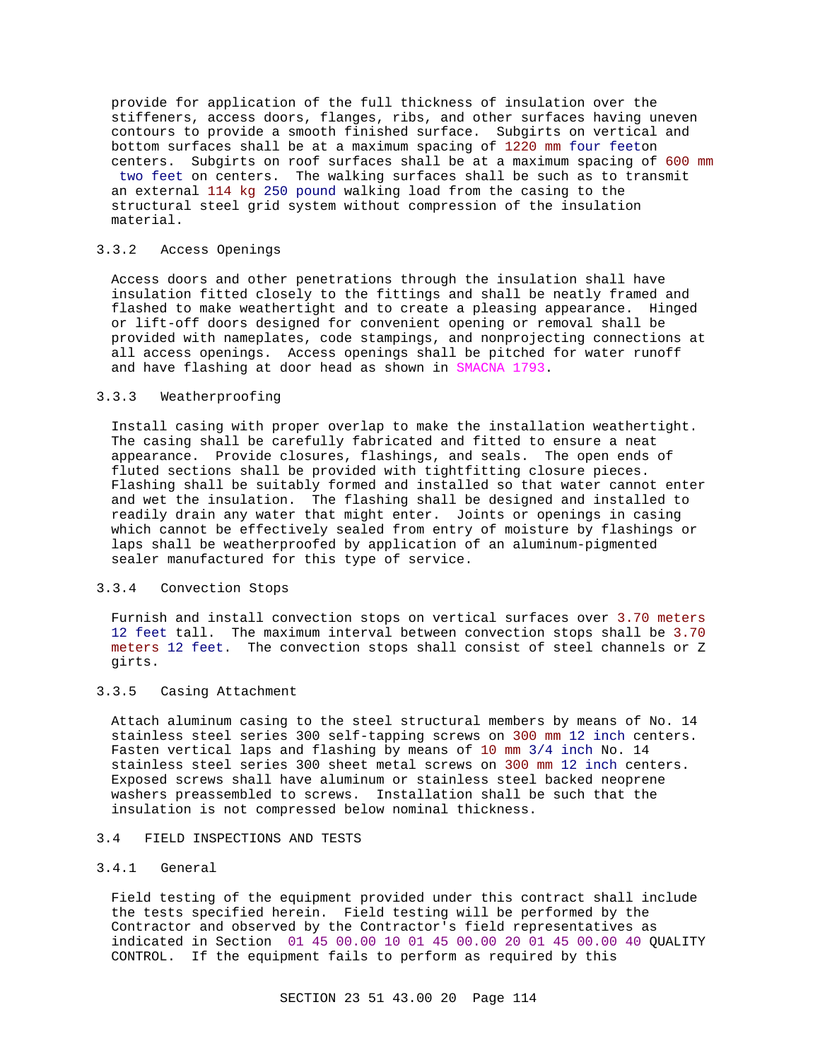provide for application of the full thickness of insulation over the stiffeners, access doors, flanges, ribs, and other surfaces having uneven contours to provide a smooth finished surface. Subgirts on vertical and bottom surfaces shall be at a maximum spacing of 1220 mm four feeton centers. Subgirts on roof surfaces shall be at a maximum spacing of 600 mm two feet on centers. The walking surfaces shall be such as to transmit an external 114 kg 250 pound walking load from the casing to the structural steel grid system without compression of the insulation material.

### 3.3.2 Access Openings

Access doors and other penetrations through the insulation shall have insulation fitted closely to the fittings and shall be neatly framed and flashed to make weathertight and to create a pleasing appearance. Hinged or lift-off doors designed for convenient opening or removal shall be provided with nameplates, code stampings, and nonprojecting connections at all access openings. Access openings shall be pitched for water runoff and have flashing at door head as shown in SMACNA 1793.

## 3.3.3 Weatherproofing

Install casing with proper overlap to make the installation weathertight. The casing shall be carefully fabricated and fitted to ensure a neat appearance. Provide closures, flashings, and seals. The open ends of fluted sections shall be provided with tightfitting closure pieces. Flashing shall be suitably formed and installed so that water cannot enter and wet the insulation. The flashing shall be designed and installed to readily drain any water that might enter. Joints or openings in casing which cannot be effectively sealed from entry of moisture by flashings or laps shall be weatherproofed by application of an aluminum-pigmented sealer manufactured for this type of service.

## 3.3.4 Convection Stops

Furnish and install convection stops on vertical surfaces over 3.70 meters 12 feet tall. The maximum interval between convection stops shall be 3.70 meters 12 feet. The convection stops shall consist of steel channels or Z girts.

#### 3.3.5 Casing Attachment

Attach aluminum casing to the steel structural members by means of No. 14 stainless steel series 300 self-tapping screws on 300 mm 12 inch centers. Fasten vertical laps and flashing by means of 10 mm 3/4 inch No. 14 stainless steel series 300 sheet metal screws on 300 mm 12 inch centers. Exposed screws shall have aluminum or stainless steel backed neoprene washers preassembled to screws. Installation shall be such that the insulation is not compressed below nominal thickness.

# 3.4 FIELD INSPECTIONS AND TESTS

# 3.4.1 General

Field testing of the equipment provided under this contract shall include the tests specified herein. Field testing will be performed by the Contractor and observed by the Contractor's field representatives as indicated in Section 01 45 00.00 10 01 45 00.00 20 01 45 00.00 40 QUALITY CONTROL. If the equipment fails to perform as required by this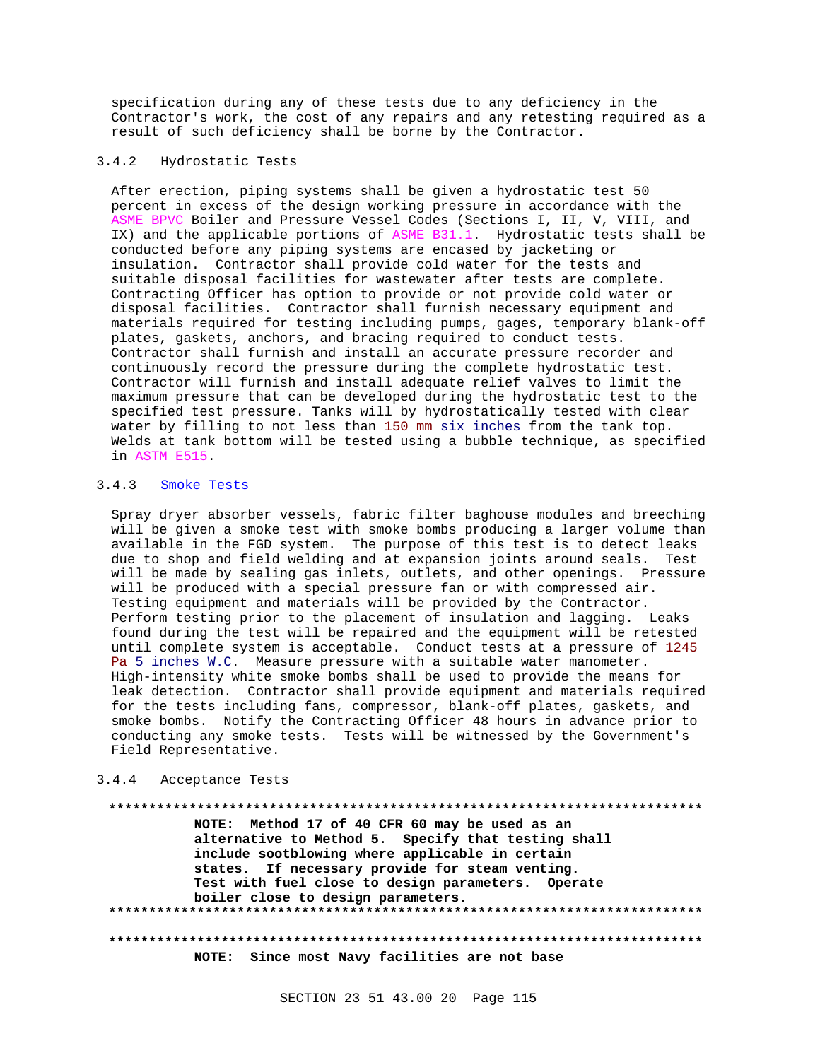specification during any of these tests due to any deficiency in the Contractor's work, the cost of any repairs and any retesting required as a result of such deficiency shall be borne by the Contractor.

# 3.4.2 Hydrostatic Tests

After erection, piping systems shall be given a hydrostatic test 50 percent in excess of the design working pressure in accordance with the ASME BPVC Boiler and Pressure Vessel Codes (Sections I, II, V, VIII, and IX) and the applicable portions of ASME B31.1. Hydrostatic tests shall be conducted before any piping systems are encased by jacketing or insulation. Contractor shall provide cold water for the tests and suitable disposal facilities for wastewater after tests are complete. Contracting Officer has option to provide or not provide cold water or disposal facilities. Contractor shall furnish necessary equipment and materials required for testing including pumps, gages, temporary blank-off plates, gaskets, anchors, and bracing required to conduct tests. Contractor shall furnish and install an accurate pressure recorder and continuously record the pressure during the complete hydrostatic test. Contractor will furnish and install adequate relief valves to limit the maximum pressure that can be developed during the hydrostatic test to the specified test pressure. Tanks will by hydrostatically tested with clear water by filling to not less than 150 mm six inches from the tank top. Welds at tank bottom will be tested using a bubble technique, as specified in ASTM E515.

# 3.4.3 Smoke Tests

Spray dryer absorber vessels, fabric filter baghouse modules and breeching will be given a smoke test with smoke bombs producing a larger volume than available in the FGD system. The purpose of this test is to detect leaks due to shop and field welding and at expansion joints around seals. Test will be made by sealing gas inlets, outlets, and other openings. Pressure will be produced with a special pressure fan or with compressed air. Testing equipment and materials will be provided by the Contractor. Perform testing prior to the placement of insulation and lagging. Leaks found during the test will be repaired and the equipment will be retested until complete system is acceptable. Conduct tests at a pressure of 1245 Pa 5 inches W.C. Measure pressure with a suitable water manometer. High-intensity white smoke bombs shall be used to provide the means for leak detection. Contractor shall provide equipment and materials required for the tests including fans, compressor, blank-off plates, gaskets, and smoke bombs. Notify the Contracting Officer 48 hours in advance prior to conducting any smoke tests. Tests will be witnessed by the Government's Field Representative.

#### 3.4.4 Acceptance Tests

**\*\*\*\*\*\*\*\*\*\*\*\*\*\*\*\*\*\*\*\*\*\*\*\*\*\*\*\*\*\*\*\*\*\*\*\*\*\*\*\*\*\*\*\*\*\*\*\*\*\*\*\*\*\*\*\*\*\*\*\*\*\*\*\*\*\*\*\*\*\*\*\*\*\* NOTE: Method 17 of 40 CFR 60 may be used as an alternative to Method 5. Specify that testing shall include sootblowing where applicable in certain states. If necessary provide for steam venting. Test with fuel close to design parameters. Operate boiler close to design parameters. \*\*\*\*\*\*\*\*\*\*\*\*\*\*\*\*\*\*\*\*\*\*\*\*\*\*\*\*\*\*\*\*\*\*\*\*\*\*\*\*\*\*\*\*\*\*\*\*\*\*\*\*\*\*\*\*\*\*\*\*\*\*\*\*\*\*\*\*\*\*\*\*\*\* \*\*\*\*\*\*\*\*\*\*\*\*\*\*\*\*\*\*\*\*\*\*\*\*\*\*\*\*\*\*\*\*\*\*\*\*\*\*\*\*\*\*\*\*\*\*\*\*\*\*\*\*\*\*\*\*\*\*\*\*\*\*\*\*\*\*\*\*\*\*\*\*\*\* NOTE: Since most Navy facilities are not base**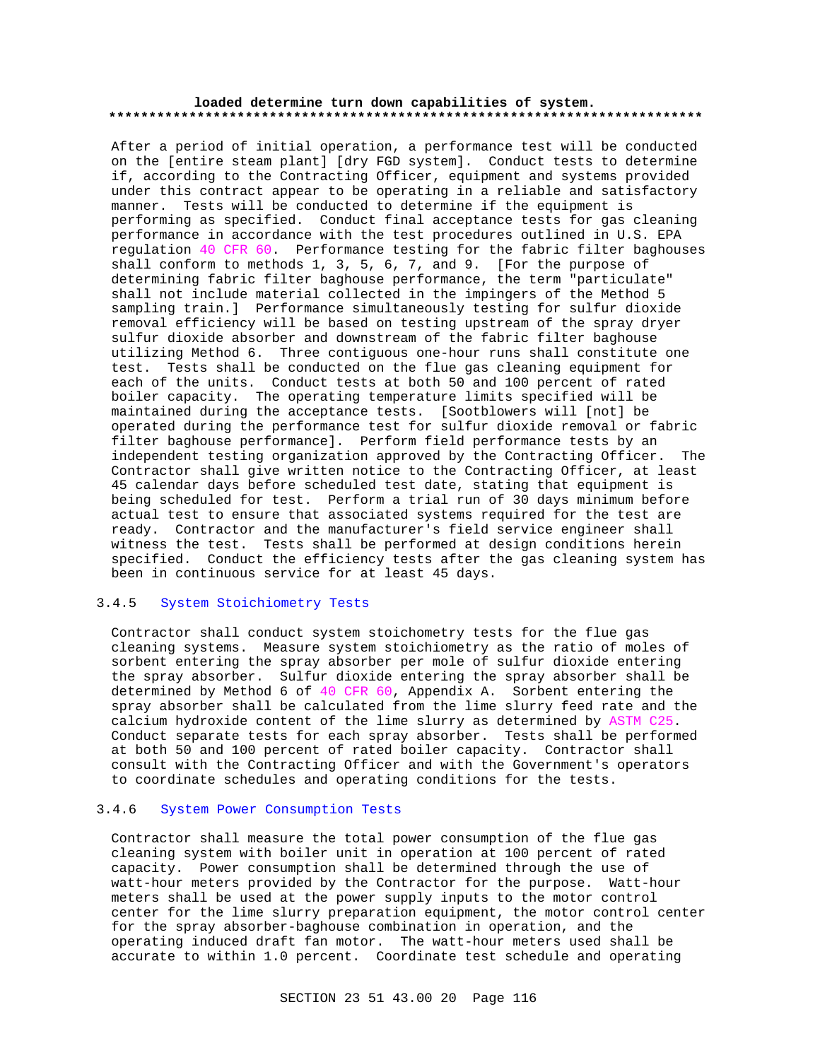#### **loaded determine turn down capabilities of system. \*\*\*\*\*\*\*\*\*\*\*\*\*\*\*\*\*\*\*\*\*\*\*\*\*\*\*\*\*\*\*\*\*\*\*\*\*\*\*\*\*\*\*\*\*\*\*\*\*\*\*\*\*\*\*\*\*\*\*\*\*\*\*\*\*\*\*\*\*\*\*\*\*\***

After a period of initial operation, a performance test will be conducted on the [entire steam plant] [dry FGD system]. Conduct tests to determine if, according to the Contracting Officer, equipment and systems provided under this contract appear to be operating in a reliable and satisfactory manner. Tests will be conducted to determine if the equipment is performing as specified. Conduct final acceptance tests for gas cleaning performance in accordance with the test procedures outlined in U.S. EPA regulation 40 CFR 60. Performance testing for the fabric filter baghouses shall conform to methods 1, 3, 5, 6, 7, and 9. [For the purpose of determining fabric filter baghouse performance, the term "particulate" shall not include material collected in the impingers of the Method 5 sampling train.] Performance simultaneously testing for sulfur dioxide removal efficiency will be based on testing upstream of the spray dryer sulfur dioxide absorber and downstream of the fabric filter baghouse utilizing Method 6. Three contiguous one-hour runs shall constitute one test. Tests shall be conducted on the flue gas cleaning equipment for each of the units. Conduct tests at both 50 and 100 percent of rated boiler capacity. The operating temperature limits specified will be maintained during the acceptance tests. [Sootblowers will [not] be operated during the performance test for sulfur dioxide removal or fabric filter baghouse performance]. Perform field performance tests by an independent testing organization approved by the Contracting Officer. The Contractor shall give written notice to the Contracting Officer, at least 45 calendar days before scheduled test date, stating that equipment is being scheduled for test. Perform a trial run of 30 days minimum before actual test to ensure that associated systems required for the test are ready. Contractor and the manufacturer's field service engineer shall witness the test. Tests shall be performed at design conditions herein specified. Conduct the efficiency tests after the gas cleaning system has been in continuous service for at least 45 days.

## 3.4.5 System Stoichiometry Tests

Contractor shall conduct system stoichometry tests for the flue gas cleaning systems. Measure system stoichiometry as the ratio of moles of sorbent entering the spray absorber per mole of sulfur dioxide entering the spray absorber. Sulfur dioxide entering the spray absorber shall be determined by Method 6 of 40 CFR 60, Appendix A. Sorbent entering the spray absorber shall be calculated from the lime slurry feed rate and the calcium hydroxide content of the lime slurry as determined by ASTM C25. Conduct separate tests for each spray absorber. Tests shall be performed at both 50 and 100 percent of rated boiler capacity. Contractor shall consult with the Contracting Officer and with the Government's operators to coordinate schedules and operating conditions for the tests.

# 3.4.6 System Power Consumption Tests

Contractor shall measure the total power consumption of the flue gas cleaning system with boiler unit in operation at 100 percent of rated capacity. Power consumption shall be determined through the use of watt-hour meters provided by the Contractor for the purpose. Watt-hour meters shall be used at the power supply inputs to the motor control center for the lime slurry preparation equipment, the motor control center for the spray absorber-baghouse combination in operation, and the operating induced draft fan motor. The watt-hour meters used shall be accurate to within 1.0 percent. Coordinate test schedule and operating